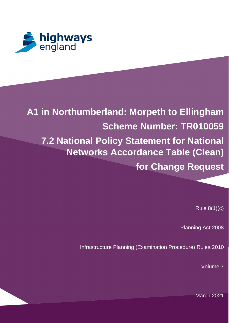

# **A1 in Northumberland: Morpeth to Ellingham Scheme Number: TR010059 7.2 National Policy Statement for National Networks Accordance Table (Clean) for Change Request**

Rule 8(1)(c)

Planning Act 2008

Infrastructure Planning (Examination Procedure) Rules 2010

Volume 7

March 2021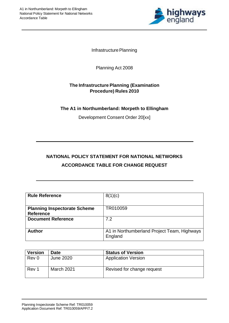

Infrastructure Planning

Planning Act 2008

## **The Infrastructure Planning (Examination Procedure) Rules 2010**

## **The A1 in Northumberland: Morpeth to Ellingham**

Development Consent Order 20[xx]

# **NATIONAL POLICY STATEMENT FOR NATIONAL NETWORKS ACCORDANCE TABLE FOR CHANGE REQUEST**

| <b>Rule Reference</b>                                   | 8(1)(c)                                                |
|---------------------------------------------------------|--------------------------------------------------------|
| <b>Planning Inspectorate Scheme</b><br><b>Reference</b> | TR010059                                               |
| <b>Document Reference</b>                               | 7.2                                                    |
| <b>Author</b>                                           | A1 in Northumberland Project Team, Highways<br>England |

| <b>Version</b> | <b>Date</b> | <b>Status of Version</b>   |
|----------------|-------------|----------------------------|
| Rev 0          | June 2020   | <b>Application Version</b> |
| Rev 1          | March 2021  | Revised for change request |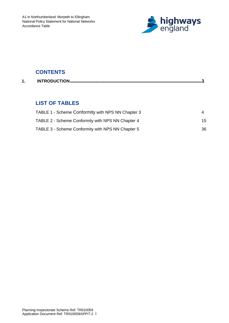

# **CONTENTS**

## **LIST OF TABLES**

| TABLE 1 - Scheme Conformity with NPS NN Chapter 3 |    |
|---------------------------------------------------|----|
| TABLE 2 - Scheme Conformity with NPS NN Chapter 4 | 15 |
| TABLE 3 - Scheme Conformity with NPS NN Chapter 5 | 36 |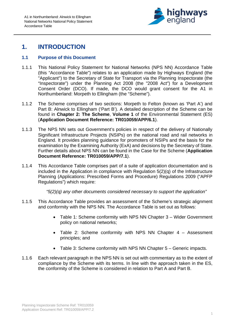

# **1. INTRODUCTION**

### **1.1 Purpose of this Document**

- 1.1.1 This National Policy Statement for National Networks (NPS NN) Accordance Table (this "Accordance Table") relates to an application made by Highways England (the "Applicant") to the Secretary of State for Transport via the Planning Inspectorate (the "Inspectorate") under the Planning Act 2008 (the "2008 Act") for a Development Consent Order (DCO). If made, the DCO would grant consent for the A1 in Northumberland: Morpeth to Ellingham (the "Scheme").
- 1.1.2 The Scheme comprises of two sections: Morpeth to Felton (known as 'Part A') and Part B: Alnwick to Ellingham ('Part B'). A detailed description of the Scheme can be found in **Chapter 2: The Scheme**, **Volume 1** of the Environmental Statement (ES) (**Application Document Reference: TR010059/APP/6.1**).
- 1.1.3 The NPS NN sets out Government's policies in respect of the delivery of Nationally Significant Infrastructure Projects (NSIPs) on the national road and rail networks in England. It provides planning guidance for promoters of NSIPs and the basis for the examination by the Examining Authority (ExA) and decisions by the Secretary of State. Further details about NPS NN can be found in the Case for the Scheme (**Application Document Reference: TR010059/APP/7.1**).
- 1.1.4 This Accordance Table comprises part of a suite of application documentation and is included in the Application in compliance with Regulation 5(2)(q) of the Infrastructure Planning (Applications: Prescribed Forms and Procedure) Regulations 2009 ("APFP Regulations") which require:

 *"5(2)(q) any other documents considered necessary to support the application"*

- 1.1.5 This Accordance Table provides an assessment of the Scheme's strategic alignment and conformity with the NPS NN. The Accordance Table is set out as follows:
	- Table 1: Scheme conformity with NPS NN Chapter 3 Wider Government policy on national networks;
	- Table 2: Scheme conformity with NPS NN Chapter 4 Assessment principles; and
	- · Table 3: Scheme conformity with NPS NN Chapter 5 Generic impacts.
- 1.1.6 Each relevant paragraph in the NPS NN is set out with commentary as to the extent of compliance by the Scheme with its terms. In line with the approach taken in the ES, the conformity of the Scheme is considered in relation to Part A and Part B.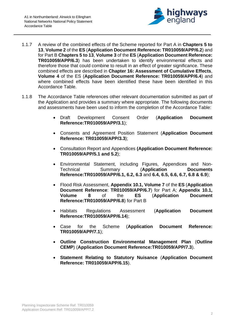

- 1.1.7 A review of the combined effects of the Scheme reported for Part A in **Chapters 5 to 13**, **Volume 2** of the **ES** (**Application Document Reference: TR010059/APP/6.2**) and for Part B **Chapters 5 to 13**, **Volume 3** of the **ES** (**Application Document Reference: TR010059/APP/6.3**) has been undertaken to identify environmental effects and therefore those that could combine to result in an effect of greater significance. These combined effects are described in **Chapter 16: Assessment of Cumulative Effects**, **Volume 4** of the ES (**Application Document Reference: TR010059/APP/6.4**) and where combined effects have been identified these have been identified in this Accordance Table.
- 1.1.8 The Accordance Table references other relevant documentation submitted as part of the Application and provides a summary where appropriate. The following documents and assessments have been used to inform the completion of the Accordance Table:
	- · Draft Development Consent Order (**Application Document Reference:TR010059/APP/3.1**);
	- · Consents and Agreement Position Statement (**Application Document Reference: TR010059/APP/3.3**);
	- · Consultation Report and Appendices **(Application Document Reference: TR010059/APP/5.1 and 5.2**);
	- · Environmental Statement, including Figures, Appendices and Non-Technical Summary (**Application Documents Reference:TR010059/APP/6.1, 6.2, 6.3** and **6.4, 6.5, 6.6, 6.7, 6.8 & 6.9**);
	- · Flood Risk Assessment, **Appendix 10.1, Volume 7** of the **ES** (**Application Document Reference**: **TR010059/APP/6.7**) for Part A; **Appendix 10.1, Volume 8** of the **ES** (**Application Document Reference:TR010059/APP/6.8**) for Part B
	- · Habitats Regulations Assessment (**Application Document Reference:TR010059/APP/6.14**);
	- · Case for the Scheme (**Application Document Reference: TR010059/APP/7.1**);
	- · **Outline Construction Environmental Management Plan** (**Outline CEMP**) (**Application Document Reference:TR010059/APP/7.3**).
	- · **Statement Relating to Statutory Nuisance** (**Application Document Reference: TR010059/APP/6.15**).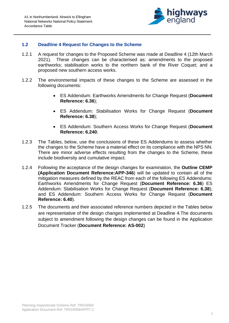

## **1.2 Deadline 4 Request for Changes to the Scheme**

- 1.2.1 A request for changes to the Proposed Scheme was made at Deadline 4 (12th March 2021). These changes can be characterised as: amendments to the proposed earthworks; stabilisation works to the northern bank of the River Coquet; and a proposed new southern access works.
- 1.2.2 The environmental impacts of these changes to the Scheme are assessed in the following documents:
	- · ES Addendum: Earthworks Amendments for Change Request (**Document Reference: 6.36**);
	- · ES Addendum: Stabilisation Works for Change Request (**Document Reference: 6.38**);
	- · ES Addendum: Southern Access Works for Change Request (**Document Reference: 6.240**;
- 1.2.3 The Tables, below, use the conclusions of these ES Addendums to assess whether the changes to the Scheme have a material effect on its compliance with the NPS NN. There are minor adverse effects resulting from the changes to the Scheme, these include biodiversity and cumulative impact.
- 1.2.4 Following the acceptance of the design changes for examination, the **Outline CEMP (Application Document Reference:APP-346**) will be updated to contain all of the mitigation measures defined by the REAC from each of the following ES Addendums: Earthworks Amendments for Change Request (**Document Reference: 6.36**) ES Addendum: Stabilisation Works for Change Request (**Document Reference: 6.38**); and ES Addendum: Southern Access Works for Change Request (**Document Reference: 6.40**).
- 1.2.5 The documents and their associated reference numbers depicted in the Tables below are representative of the design changes implemented at Deadline 4.The documents subject to amendment following the design changes can be found in the Application Document Tracker (**Document Reference: AS-002**)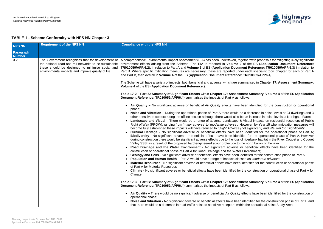

ther with proposals for mitigating likely significant of the ES (**Application Document Reference: TR010059/APP/6.2**), in relation to Part A and **Volume 3** of ES (**Application Document Reference: TR010059/APP/6.3**) in relation to each specialist topic chapter for each of Part A  $R$  **Part B, 2010059/APP6.4** ).

marised in Chapter 17: Assessment Summary,

# **Part Summary, Volume 4** of the ES (Application

en identified for the construction or operational

- a decrease in noise levels at 24 dwellings and 3 an increase in noise levels at Northgate Farm;
- **Visual impacts on residential receptors of Public** Right of Way (PROW), ranging from '*major adverse'* to '*moderate adverse'*. However, by Year 15 when mitigation measures will but significant) and 'Neutral (not significant)';
- identified for the operational phase of Part A; <sup>ed</sup> for the operational phase of Part A. However riverbank habitat in the River Coquet and Coquet north banks of the river.
- beneficial effects have been identified for the n viron ment;
- ntified for the construction phase of Part A.
- $ed$  as *'moderate adverse*';
- entified for the construction or operational phase

e construction or operational phase of Part A for

# **Part Summary, Volume 4** of the ES (Application

fects have been identified for the construction or

lentified for the construction phase of Part B and

## **TABLE 1 - Scheme Conformity with NPS NN Chapter 3**

| <b>NPS NN</b>                     | <b>Requirement of the NPS NN</b>                                                                                                                                                                                    | <b>Compliance with the NPS NN</b>                                                                                                                                                                                                                                                                                                                                                                                                                                                                                                                                                                                                                                                                                                                                                                                                                                                                                                                                                                                                                                                                                                                                                                                                                                                                                                                                                                                                                                                                                                                                                                                                                                                                                                                                                                                                                                                                                                                                                                                                                                                                                                                                                                                                                                                                                                                                                                                                                                                                                                                                                                                                                                                                                                                                                                                                                                                                                                                                                                                                                                                                                                                                                                                                                                                                                                                                                                                                                                                                                                                                                  |
|-----------------------------------|---------------------------------------------------------------------------------------------------------------------------------------------------------------------------------------------------------------------|------------------------------------------------------------------------------------------------------------------------------------------------------------------------------------------------------------------------------------------------------------------------------------------------------------------------------------------------------------------------------------------------------------------------------------------------------------------------------------------------------------------------------------------------------------------------------------------------------------------------------------------------------------------------------------------------------------------------------------------------------------------------------------------------------------------------------------------------------------------------------------------------------------------------------------------------------------------------------------------------------------------------------------------------------------------------------------------------------------------------------------------------------------------------------------------------------------------------------------------------------------------------------------------------------------------------------------------------------------------------------------------------------------------------------------------------------------------------------------------------------------------------------------------------------------------------------------------------------------------------------------------------------------------------------------------------------------------------------------------------------------------------------------------------------------------------------------------------------------------------------------------------------------------------------------------------------------------------------------------------------------------------------------------------------------------------------------------------------------------------------------------------------------------------------------------------------------------------------------------------------------------------------------------------------------------------------------------------------------------------------------------------------------------------------------------------------------------------------------------------------------------------------------------------------------------------------------------------------------------------------------------------------------------------------------------------------------------------------------------------------------------------------------------------------------------------------------------------------------------------------------------------------------------------------------------------------------------------------------------------------------------------------------------------------------------------------------------------------------------------------------------------------------------------------------------------------------------------------------------------------------------------------------------------------------------------------------------------------------------------------------------------------------------------------------------------------------------------------------------------------------------------------------------------------------------------------------|
| <b>Paragraph</b><br><b>Number</b> |                                                                                                                                                                                                                     |                                                                                                                                                                                                                                                                                                                                                                                                                                                                                                                                                                                                                                                                                                                                                                                                                                                                                                                                                                                                                                                                                                                                                                                                                                                                                                                                                                                                                                                                                                                                                                                                                                                                                                                                                                                                                                                                                                                                                                                                                                                                                                                                                                                                                                                                                                                                                                                                                                                                                                                                                                                                                                                                                                                                                                                                                                                                                                                                                                                                                                                                                                                                                                                                                                                                                                                                                                                                                                                                                                                                                                                    |
| 3.2                               | The Government recognises that for development of<br>the national road and rail networks to be sustainable<br>these should be designed to minimise social and<br>environmental impacts and improve quality of life. | A comprehensive Environmental Impact Assessment (EIA) has been undertaken, together with proposals for mitigating lik<br>environment effects arising from the Scheme. The EIA is reported in Volume 2 of the ES (Application Documen<br>TR010059/APP/6.2), in relation to Part A and Volume 3 of ES (Application Document Reference: TR010059/APP/6.3<br>Part B. Where specific mitigation measures are necessary, these are reported under each specialist topic chapter for e<br>and Part B, then overall in Volume 4 of the ES (Application Document Reference: TR010059/APP6.4).<br>The Scheme will have a variety of impacts, both beneficial and adverse, which are summarised in Chapter 17: Assessme<br>Volume 4 of the ES (Application Document Reference:).<br>Table 17-2 - Part A: Summary of Significant Effects within Chapter 17: Assessment Summary, Volume 4 of the ES<br><b>Document Reference: TR010059/APP/6.4)</b> summarises the impacts of Part A as follows:<br>Air Quality - No significant adverse or beneficial Air Quality effects have been identified for the construction<br>phase;<br>Noise and Vibration - During the operational phase of Part A there would be a decrease in noise levels at 24 dv<br>$\bullet$<br>other sensitive receptors along the offline section although there would also be an increase in noise levels at Nortl<br>Landscape and Visual – There would be a range of adverse Landscape & Visual impacts on residential reception<br>Right of Way (PROW), ranging from 'major adverse' to 'moderate adverse'. However, by Year 15 when mitigation<br>become fully established these impacts will have reduced to 'Slight Adverse (not significant) and 'Neutral (not sign<br><b>Cultural Heritage</b> - No significant adverse or beneficial effects have been identified for the operational pha<br>Biodiversity - No significant adverse or beneficial effects have been identified for the operational phase of Pa<br>during construction there would be significant adverse effects due to the loss of riverbank habitat in the River Coque<br>Valley SSSI as a result of the proposed hard-engineered scour protection to the north banks of the river.<br>Road Drainage and the Water Environment - No significant adverse or beneficial effects have been ider<br>construction or operational phase of Part A for Road Drainage and the Water Environment;<br>Geology and Soils - No significant adverse or beneficial effects have been identified for the construction phase o<br><b>Population and Human Health</b> – Part A would have a range of impacts classed as 'moderate adverse';<br>Material Resources - No significant adverse or beneficial effects have been identified for the construction or oper<br>of Part A for Material Resources<br><b>Climate -</b> No significant adverse or beneficial effects have been identified for the construction or operational phas<br>Climate.<br>Table 17-3 - Part B: Summary of Significant Effects within Chapter 17: Assessment Summary, Volume 4 of the ES<br>Document Reference: TR010059/APP/6.4) summarises the impacts of Part B as follows:<br>Air Quality – There would be no significant adverse or beneficial Air Quality effects have been identified for the c<br>operational phase;<br>Noise and Vibration - No significant adverse or beneficial effects have been identified for the construction phase<br>$\bullet$<br>that there would be a decrease in road traffic noise to sensitive receptors within the operational noise Study Area; |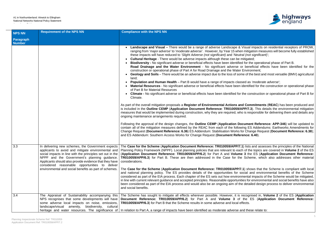### A1 in Northumberland: Alnwick to Ellingham National Networks National Policy Statement Accordance Table



· **Landscape and Visual –** There would be a range of adverse Landscape & Visual impacts on residential receptors of PROW, *mitigation measures will become fully established* these impacts will have reduced to *'Slight Adverse (not significant)* and '*Neutral (not significant*)';

for the operational phase of Part B.

beneficial effects have been identified for the Environment:

e of the best and most versatile (BMV) agricultural

ed as *'moderate adverse*'; dentified for the construction or operational phase

he construction or operational phase of Part B for

**Commitments (REAC) has been produced and PP/7.3**). This details the environmental mitigation  $\alpha$  is responsible for delivering them and details any

tument Reference: APP-346) will be updated to ng ES Addendums: Earthworks Amendments for **change Request (Document Reference: 6.38);** ence: 6.40).

) lists and assesses the principles of the National of the topics are covered in **Volume 2** of the ES (**Application Document Reference: TR010059/APP/6.2**) for Part A and **Volume 3** the ES (**Application Document Reference:** Scheme, which also addresses other material

**1) shows that the Scheme is compliant with local** cial and environmental benefits of the Scheme nental impacts of the Scheme would be mitigated, es for environmental and social benefits have also detailed design process to deliver environmental

Becognised in, **Volume 2** of the ES (**Application Document Reference: TR010059/APP/6.2**) for Part A and **Volume 3** of the ES (**Application Document Reference:**

Id these relate to:

| <b>NPS NN</b>                     | <b>Requirement of the NPS NN</b>                                                                                                                                                                                                                                                                                                      | <b>Compliance with the NPS NN</b>                                                                                                                                                                                                                                                                                                                                                                                                                                                                                                                                                                                                                                                                                                                                                                                                                                                                                                                                                                                                                                                                                                                                                                                                                                                                                                                                                                                                                                                                                                                                                                                                                                                                                                                                                                      |
|-----------------------------------|---------------------------------------------------------------------------------------------------------------------------------------------------------------------------------------------------------------------------------------------------------------------------------------------------------------------------------------|--------------------------------------------------------------------------------------------------------------------------------------------------------------------------------------------------------------------------------------------------------------------------------------------------------------------------------------------------------------------------------------------------------------------------------------------------------------------------------------------------------------------------------------------------------------------------------------------------------------------------------------------------------------------------------------------------------------------------------------------------------------------------------------------------------------------------------------------------------------------------------------------------------------------------------------------------------------------------------------------------------------------------------------------------------------------------------------------------------------------------------------------------------------------------------------------------------------------------------------------------------------------------------------------------------------------------------------------------------------------------------------------------------------------------------------------------------------------------------------------------------------------------------------------------------------------------------------------------------------------------------------------------------------------------------------------------------------------------------------------------------------------------------------------------------|
| <b>Paragraph</b><br><b>Number</b> |                                                                                                                                                                                                                                                                                                                                       |                                                                                                                                                                                                                                                                                                                                                                                                                                                                                                                                                                                                                                                                                                                                                                                                                                                                                                                                                                                                                                                                                                                                                                                                                                                                                                                                                                                                                                                                                                                                                                                                                                                                                                                                                                                                        |
|                                   |                                                                                                                                                                                                                                                                                                                                       | Landscape and Visual - There would be a range of adverse Landscape & Visual im<br>ranging from 'major adverse' to 'moderate adverse'. However, by Year 15 when mitigation<br>these impacts will have reduced to 'Slight Adverse (not significant) and 'Neutral (not significant)<br><b>Cultural Heritage</b> - There would be adverse impacts although these can be mitigated;<br>Biodiversity - No significant adverse or beneficial effects have been identified for the<br>Road Drainage and the Water Environment - No significant adverse or benefic<br>construction or operational phase of Part A for Road Drainage and the Water Environn<br>Geology and Soils - There would be an adverse impact due to the loss of some of the<br>land;<br><b>Population and Human Health</b> – Part B would have a range of impacts classed as 'n<br>Material Resources - No significant adverse or beneficial effects have been identified<br>of Part B for Material Resources<br><b>Climate -</b> No significant adverse or beneficial effects have been identified for the consti<br>Climate.<br>As part of the overall mitigation proposals a Register of Environmental Actions and Comm<br>is included in the Outline CEMP (Application Document Reference: TR010059/APP/7.3).<br>measures that would be implemented during construction, why they are required, who is respo<br>ongoing maintenance arrangements required.<br>Following the approval of the design changes, the <b>Outline CEMP</b> (Application Document<br>contain all of the mitigation measures defined by the REAC from each of the following ES A<br>Change Request (Document Reference: 6.36) ES Addendum: Stabilisation Works for Chang<br>and ES Addendum: Southern Access Works for Change Request (Document Reference: 6.4 |
| 3.3                               | In delivering new schemes, the Government expects  <br>social impacts in line with the principles set out in the<br>NPPF and the Government's planning guidance.<br>Applicants should also provide evidence that they have<br>considered reasonable opportunities to deliver<br>environmental and social benefits as part of schemes. | The Case for the Scheme (Application Document Reference: TR010059/APP/7.1) lists are<br>applicants to avoid and mitigate environmental and   Planning Policy Framework (NPPF). Local planning policies that are relevant to each of the t<br>(Application Document Reference: TR010059/APP/6.2) for Part A and Volume 3 the E<br>TR010059/APP/6.3) for Part B. These are then addressed in the Case for the Schem<br>considerations.<br>The Case for the Scheme (Application Document Reference: TR010059/APP/7.1) shows<br>and national planning policy. The ES provides details of the opportunities for social and<br>considered as part of the EIA process. Each chapter of the ES sets out how environmental in<br>in line with current relevant guidance and accepted principles. Reasonable opportunities for en<br>been considered as part of the EIA process and would also be an ongoing aim of the detailed<br>and social benefits.                                                                                                                                                                                                                                                                                                                                                                                                                                                                                                                                                                                                                                                                                                                                                                                                                                                         |
| 3.4                               | The Appraisal of Sustainability accompanying this<br>NPS recognises that some developments will have<br>some adverse local impacts on noise, emissions,<br>landscape/visual amenity,<br>biodiversity,<br>cultural                                                                                                                     | The Scheme has sought to mitigate all effects wherever possible. However, it is recognise<br>Document Reference: TR010059/APP/6.2) for Part A and Volume 3 of the ES<br><b>TR010059/APP/6.3)</b> for Part B that the Scheme results in some adverse and local effects.<br>heritage and water resources. The significance of In relation to Part A, a range of impacts have been identified as moderate adverse and these                                                                                                                                                                                                                                                                                                                                                                                                                                                                                                                                                                                                                                                                                                                                                                                                                                                                                                                                                                                                                                                                                                                                                                                                                                                                                                                                                                               |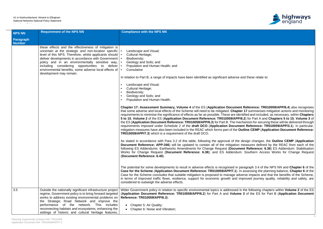

nd these relate to:

**Reference: TR010059/APP/6.4)** also recognises 17 summarises mitigation actions and monitoring tified and included, as necessary, within **Chapters 5.2**) for Part A and Chapters 5 to 15, Volume 3 of **hanism for securing these will be delivered through** nt Reference: TR010059/APP/3.1). In particular, mitigation measures have also been included in the REAC which forms part of the **Outline CEMP** (**Application Document Reference:**

As stated in accordance with Para 3.2 of this table, following the approval of the design changes, the **Outline CEMP** (**Application** neasures defined by the REAC from each of the **nt Reference: 6.36**) ES Addendum: Stabilisation Southern Access Works for Change Request

aragraph 3.4 of the NPS NN and **Chapter 6** of the **Case for the Scheme** (**Application Document Reference: TR010059/APP/7.1**). In assessing the planning balance, **Chapter 6** of the erse impacts and that the benefits of the Scheme, iproved journey quality, reliability and safety, are

the following chapters within **Volume 2** of the ES (**Application Document Reference: TR010059/APP/6.2**) for Part A and **Volume 3** of the ES for Part B (**Application Document**

| <b>NPS NN</b>              | <b>Requirement of the NPS NN</b>                                                                                                                                                                                                                                                                                                                                                                                                                      | <b>Compliance with the NPS NN</b>                                                                                                                                                                                                                                                                                                                                                                                                                                                                                                                                                                                                                                                                                                                                                                                                                                                                                                                                                                                                                                                                                                                                                                                                                                                                                                                                                                                                                                                                                                                                                                                                                                                                                                                                                                                            |
|----------------------------|-------------------------------------------------------------------------------------------------------------------------------------------------------------------------------------------------------------------------------------------------------------------------------------------------------------------------------------------------------------------------------------------------------------------------------------------------------|------------------------------------------------------------------------------------------------------------------------------------------------------------------------------------------------------------------------------------------------------------------------------------------------------------------------------------------------------------------------------------------------------------------------------------------------------------------------------------------------------------------------------------------------------------------------------------------------------------------------------------------------------------------------------------------------------------------------------------------------------------------------------------------------------------------------------------------------------------------------------------------------------------------------------------------------------------------------------------------------------------------------------------------------------------------------------------------------------------------------------------------------------------------------------------------------------------------------------------------------------------------------------------------------------------------------------------------------------------------------------------------------------------------------------------------------------------------------------------------------------------------------------------------------------------------------------------------------------------------------------------------------------------------------------------------------------------------------------------------------------------------------------------------------------------------------------|
| Paragraph<br><b>Number</b> |                                                                                                                                                                                                                                                                                                                                                                                                                                                       |                                                                                                                                                                                                                                                                                                                                                                                                                                                                                                                                                                                                                                                                                                                                                                                                                                                                                                                                                                                                                                                                                                                                                                                                                                                                                                                                                                                                                                                                                                                                                                                                                                                                                                                                                                                                                              |
|                            | these effects and the effectiveness of mitigation is<br>uncertain at the strategic and non-location specific $\cdot$<br>level of this NPS. Therefore, whilst applicants should   •<br>deliver developments in accordance with Government   •<br>policy and in an environmentally sensitive way,   •<br>including considering opportunities to deliver $\cdot$<br>environmental benefits, some adverse local effects of   •<br>development may remain. | Landscape and Visual;<br>Cultural Heritage;<br>Biodiversity;<br>Geology and Soils; and<br>Population and Human Health; and<br>Cumulative<br>In relation to Part B, a range of impacts have been identified as significant adverse are<br>Landscape and Visual;<br>Cultural Heritage;<br>$\bullet$<br>Biodiversity;<br>Geology and Soils; and<br>Population and Human Health.<br>Chapter 17: Assessment Summary, Volume 4 of the ES (Application Document<br>that some adverse and local effects of the Scheme will need to be mitigated. Chapter<br>requirements to minimise the significance of effects as far as possible. These are ident<br>5 to 15, Volume 2 of the ES (Application Document Reference: TR010059/APP/6.<br>the ES (Application Document Reference: TR010059/APP/6.3) for Part B. The mech<br>requirements imposed under Schedule 2 of the draft DCO (Application Documen<br>mitigation measures have also been included in the REAC which forms part of the Our<br>TR010059/APP/7.3) which is a requirement of the draft DCO.<br>As stated in accordance with Para 3.2 of this table, following the approval of the de-<br>Document Reference: APP-346) will be updated to contain all of the mitigation m<br>following ES Addendums: Earthworks Amendments for Change Request (Documer<br>Works for Change Request (Document Reference: 6.38); and ES Addendum:<br>(Document Reference: 6.40).<br>The potential for some developments to result in adverse effects is recognised in part<br>Case for the Scheme (Application Document Reference: TR010059/APP/7.1). In<br>Case for the Scheme concludes that suitable mitigation is proposed to manage adve<br>in terms of improved traffic flows, resilience, support for economic growth and imposing<br>considered to outweigh the adverse effects. |
| 3.5                        | Outside the nationally significant infrastructure project<br>regime, Government policy is to bring forward targeted<br>works to address existing environmental problems on<br>the Strategic Road Network and improve the<br>performance of the network. This includes<br>reconnecting habitats and ecosystems, enhancing the<br>settings of historic and cultural heritage features,                                                                  | Wider Government policy in relation to specific environmental topics is addressed in<br>(Application Document Reference: TR010059/APP/6.2) for Part A and Volume<br>Reference: TR010059/APP/6.3):<br>• Chapter 5: Air Quality;<br>• Chapter 6: Noise and Vibration;                                                                                                                                                                                                                                                                                                                                                                                                                                                                                                                                                                                                                                                                                                                                                                                                                                                                                                                                                                                                                                                                                                                                                                                                                                                                                                                                                                                                                                                                                                                                                          |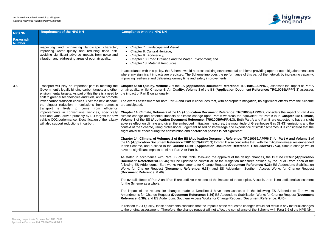

bblems providing appropriate mitigation measures of this part of the network by increasing capacity,

**R010059/APP/6.2)** assesses the impact of Part A **iment Reference: TR010059/APP/6.3**) assesses

mitigation, no significant effects from the Scheme

10059/APP/6.2) considers the impact of Part A on equivalent for Part B is in Chapter 14: Climate, **Volume 3** of the ES (**Application Document Reference: TR010059/APP/6.3**). Both Part A and Part B are expected to have a slight ude of Greenhouse Gas (GHG) emissions and the rience of similar schemes, it is considered that the

**TR010059/APP/6.2) for Part A and Volume 3 of** udes that, with the mitigation measures embedded ence: TR010059/APP/7.3), climate change would

lesign changes, the **Outline CEMP** (Application neasures defined by the REAC from each of the nt Reference: 6.36) ES Addendum: Stabilisation Southern Access Works for Change Request

topics. As such, there is no additional assessment

ed in the following ES Addendums: Earthworks Amendments for Change Request (**Document Reference: 6.36)** ES Addendum: Stabilisation Works for Change Request (**Document (Document Reference: 6.40).** 

changes would not result in any material changes nce of the Scheme with Para 3.6 of the NPS NN.

| <b>NPS NN</b>                     | <b>Requirement of the NPS NN</b>                                                                                                                                                                                                                                                                                                                                                                                                                                                                                                                                                                                           | <b>Compliance with the NPS NN</b>                                                                                                                                                                                                                                                                                                                                                                                                                                                                                                                                                                                                                                                                                                                                                                                                                                                                                                                                                                                                                                                                                                                                                                                                                                                                                                                                                                                                                                                                                                                                                                                                                                                                                                                                                                                                                                                                                |
|-----------------------------------|----------------------------------------------------------------------------------------------------------------------------------------------------------------------------------------------------------------------------------------------------------------------------------------------------------------------------------------------------------------------------------------------------------------------------------------------------------------------------------------------------------------------------------------------------------------------------------------------------------------------------|------------------------------------------------------------------------------------------------------------------------------------------------------------------------------------------------------------------------------------------------------------------------------------------------------------------------------------------------------------------------------------------------------------------------------------------------------------------------------------------------------------------------------------------------------------------------------------------------------------------------------------------------------------------------------------------------------------------------------------------------------------------------------------------------------------------------------------------------------------------------------------------------------------------------------------------------------------------------------------------------------------------------------------------------------------------------------------------------------------------------------------------------------------------------------------------------------------------------------------------------------------------------------------------------------------------------------------------------------------------------------------------------------------------------------------------------------------------------------------------------------------------------------------------------------------------------------------------------------------------------------------------------------------------------------------------------------------------------------------------------------------------------------------------------------------------------------------------------------------------------------------------------------------------|
| <b>Paragraph</b><br><b>Number</b> |                                                                                                                                                                                                                                                                                                                                                                                                                                                                                                                                                                                                                            |                                                                                                                                                                                                                                                                                                                                                                                                                                                                                                                                                                                                                                                                                                                                                                                                                                                                                                                                                                                                                                                                                                                                                                                                                                                                                                                                                                                                                                                                                                                                                                                                                                                                                                                                                                                                                                                                                                                  |
|                                   | enhancing landscape character,<br>respecting and<br>improving water quality and reducing flood risk,<br>avoiding significant adverse impacts from noise and<br>vibration and addressing areas of poor air quality.                                                                                                                                                                                                                                                                                                                                                                                                         | Chapter 7: Landscape and Visual;<br>Chapter 8: Cultural Heritage;<br>Chapter 9: Biodiversity;<br>Chapter 10: Road Drainage and the Water Environment; and<br>Chapter 13: Material Resources.<br>In accordance with this policy, the Scheme would address existing environmental pro<br>where any significant impacts are predicted. The Scheme improves the performance<br>improving resilience and delivering journey time and safety improvements.                                                                                                                                                                                                                                                                                                                                                                                                                                                                                                                                                                                                                                                                                                                                                                                                                                                                                                                                                                                                                                                                                                                                                                                                                                                                                                                                                                                                                                                             |
| 3.6                               | Transport will play an important part in meeting the<br>Government's legally binding carbon targets and other<br>environmental targets. As part of this there is a need to<br>shift to greener technologies and fuels, and to promote<br>lower carbon transport choices. Over the next decade,<br>the biggest reduction in emissions from domestic<br>transport is likely to come from<br>efficiency<br>improvements in conventional vehicles, specifically<br>cars and vans, driven primarily by EU targets for new<br>vehicle CO2 performance. Electrification of the railway<br>will also support reductions in carbon. | Chapter 5: Air Quality. Volume 2 of the ES (Application Document Reference: TI<br>on air quality, whilst Chapter 5: Air Quality, Volume 3 of the ES (Application Docu<br>the impact of Part B on air quality.<br>The overall assessment for both Part A and Part B concludes that, with appropriate r<br>are anticipated.<br>Chapter 14: Climate, Volume 2 of the ES (Application Document Reference: TR01<br>climate change and potential impacts of climate change upon Part A whereas the<br>Volume 3 of the ES (Application Document Reference: TR010059/APP/6.3). Both<br>adverse effect on climate and given the embedded mitigation measures, the magnitu<br>context of the Scheme, using professional judgement based on knowledge and exper<br>slight adverse effect during the construction and operational phases is not significant.<br>Chapter 14: Climate, of Volumes 2 of the ES (Application Document Reference:<br>the ES (Application Document Reference: TR010059/APP/6.3) for Part B also conclu<br>in the Scheme, and outlined in the Outline CEMP (Application Document Refere<br>have no significant impacts on either Part A or Part B.<br>As stated in accordance with Para 3.2 of this table, following the approval of the de-<br><b>Document Reference: APP-346)</b> will be updated to contain all of the mitigation m<br>following ES Addendums: Earthworks Amendments for Change Request (Documer<br>Works for Change Request (Document Reference: 6.38); and ES Addendum:<br>(Document Reference: 6.40).<br>The overall effects of Part A and Part B are additive in respect of the impacts of these t<br>for the Scheme as a whole.<br>The impact of the request for changes made at Deadline 4 have been assesse<br>Amendments for Change Request (Document Reference: 6.36) ES Addendum: Sta<br>Reference: 6.38); and ES Addendum: Southern Access Works for Change Request ( |
|                                   |                                                                                                                                                                                                                                                                                                                                                                                                                                                                                                                                                                                                                            | In relation to Air Quality, these documents conclude that the impacts of the requested<br>to the original assessment. Therefore, the change request will not affect the compliar                                                                                                                                                                                                                                                                                                                                                                                                                                                                                                                                                                                                                                                                                                                                                                                                                                                                                                                                                                                                                                                                                                                                                                                                                                                                                                                                                                                                                                                                                                                                                                                                                                                                                                                                 |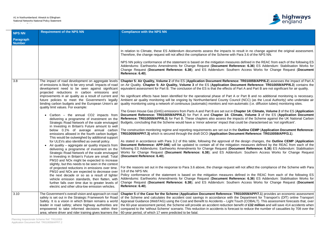### A1 in Northumberland: Alnwick to Ellingham National Networks National Policy Statement Accordance Table



It in no change against the original assessment. 3.6 of the NPS NN.

efined in the REAC from each of the following ES te: 6.36) ES Addendum: Stabilisation Works for Recess Works for Change Request (**Document**)

R010059/APP/6.2) assesses the impact of Part A **Philfridger Bir Altity Chapter 3** contains the ES (**R010059/APP/6.3**) contains the A and Part B are not significant for air quality.

Part B and no additional monitoring is necessary. (NCC) (as the Local Authority) who undertake air natic (i.e. diffusion tubes) monitoring sites.

ter 14: Climate, Volume 2 of the ES (Application **Volume 3** of the ES (Application Document s of the Scheme against the UK National Carbon Budgets that the Scheme would be characterised as 'not significant'.

### tline CEMP (Application Document Reference: **It Reference: TR010059/APP/3.1**).

lesign changes, the **Outline CEMP** (Application easures defined by the REAC from each of the nt Reference: 6.36) ES Addendum: Stabilisation Southern Access Works for Change Request

not affect the compliance of the Scheme with Para

ed in the REAC from each of the following ES e: 6.36) ES Addendum: Stabilisation Works for Recess Works for Change Request (**Document** 

**059/APP/7.1**) provides an economic assessment epartment for Transport's (DfT) online Transport  $\overline{A}$  (COBALT). This assessment forecasts that, over t of £32 million and will save 414 accidents when reduce the number of casualties by 708 over the

| <b>NPS NN</b>                     | <b>Requirement of the NPS NN</b>                                                                                                                                                                                                                                                                                                                                                                                                                                                                                                                                                                                                                                                                                                                                                                                                                                                                                                                                                                                                                                                                                                                                                                                                                                                                                                                                                                                                                                  | <b>Compliance with the NPS NN</b>                                                                                                                                                                                                                                                                                                                                                                                                                                                                                                                                                                                                                                                                                                                                                                                                                                                                                                                                                                                                                                                                                                                                                                                                                                                                                                                                                                                                                                                                                                                                                                                                                                                                                                                                                              |
|-----------------------------------|-------------------------------------------------------------------------------------------------------------------------------------------------------------------------------------------------------------------------------------------------------------------------------------------------------------------------------------------------------------------------------------------------------------------------------------------------------------------------------------------------------------------------------------------------------------------------------------------------------------------------------------------------------------------------------------------------------------------------------------------------------------------------------------------------------------------------------------------------------------------------------------------------------------------------------------------------------------------------------------------------------------------------------------------------------------------------------------------------------------------------------------------------------------------------------------------------------------------------------------------------------------------------------------------------------------------------------------------------------------------------------------------------------------------------------------------------------------------|------------------------------------------------------------------------------------------------------------------------------------------------------------------------------------------------------------------------------------------------------------------------------------------------------------------------------------------------------------------------------------------------------------------------------------------------------------------------------------------------------------------------------------------------------------------------------------------------------------------------------------------------------------------------------------------------------------------------------------------------------------------------------------------------------------------------------------------------------------------------------------------------------------------------------------------------------------------------------------------------------------------------------------------------------------------------------------------------------------------------------------------------------------------------------------------------------------------------------------------------------------------------------------------------------------------------------------------------------------------------------------------------------------------------------------------------------------------------------------------------------------------------------------------------------------------------------------------------------------------------------------------------------------------------------------------------------------------------------------------------------------------------------------------------|
| <b>Paragraph</b><br><b>Number</b> |                                                                                                                                                                                                                                                                                                                                                                                                                                                                                                                                                                                                                                                                                                                                                                                                                                                                                                                                                                                                                                                                                                                                                                                                                                                                                                                                                                                                                                                                   |                                                                                                                                                                                                                                                                                                                                                                                                                                                                                                                                                                                                                                                                                                                                                                                                                                                                                                                                                                                                                                                                                                                                                                                                                                                                                                                                                                                                                                                                                                                                                                                                                                                                                                                                                                                                |
|                                   |                                                                                                                                                                                                                                                                                                                                                                                                                                                                                                                                                                                                                                                                                                                                                                                                                                                                                                                                                                                                                                                                                                                                                                                                                                                                                                                                                                                                                                                                   | In relation to Climate, these ES Addendum documents assess the impacts to result<br>Therefore, the change request will not affect the compliance of the Scheme with Para<br>NPS NN policy conformance of the statement is based on the mitigation measures de<br>Addendums: Earthworks Amendments for Change Request (Document Referenc<br>Change Request (Document Reference: 6.38); and ES Addendum: Southern A<br>Reference: 6.40).                                                                                                                                                                                                                                                                                                                                                                                                                                                                                                                                                                                                                                                                                                                                                                                                                                                                                                                                                                                                                                                                                                                                                                                                                                                                                                                                                         |
| 3.8                               | The impact of road development on aggregate levels<br>of emissions is likely to be very small. Impacts of road<br>development need to be seen against significant<br>projected reductions in carbon emissions and<br>improvements in air quality as a result of current and<br>future policies to meet the Government's legally<br>binding carbon budgets and the European Union's air<br>quality limit values. For example:<br>Carbon – the annual CO2 impacts from<br>delivering a programme of investment on the<br>Strategic Road Network of the scale envisaged<br>in Investing in Britain's Future amount to well<br>below 0.1% of average annual carbon<br>emissions allowed in the fourth carbon budget.<br>This would be outweighed by additional support<br>for ULEVs also identified as overall policy.<br>Air quality – aggregate air quality impacts from<br>delivering a programme of investment on the<br>Strategic Road Network of the scale envisaged<br>in Investing in Britain's Future are small. Total<br>PM10 and NO <sub>x</sub> might be expected to increase<br>slightly, but this needs to be seen in the context<br>of projected reductions in emissions over time.<br>PM10 and NO <sub>x</sub> are expected to decrease over<br>the next decade or so as a result of tighter<br>vehicle emission standards, then flatten, with<br>further falls over time due to greater levels of<br>electric and other ultra-low emission vehicles. | Chapter 5: Air Quality, Volume 2 of the ES (Application Document Reference: TI<br>on Air Quality. Chapter 5: Air Quality, Volume 3 of the ES (Application Docume<br>equivalent assessment for Part B. The conclusion of the ES is that the effects of Part<br>No significant effects have been identified for the operational phase of Part A or P<br>Ambient air quality monitoring will be ongoing by Northumberland County Council (I<br>quality monitoring using a network of continuous (automatic) monitors and non-autom<br>The Green House Gas (GHG) emissions from Parts A and Part B are set out in Chapt<br>Document Reference: TR010059/APP/6.2) for Part A and Chapter 14: Climate,<br>Reference: TR010059/APP/6.3) for Part B. These chapters also assess the impacts<br>Budgets, concluding that the Scheme would have a 'minor adverse' impact that could<br>The construction monitoring regime and reporting requirements are set out in the Out<br>TR010059/APP/7.3) which is secured through the draft DCO (Application Documen<br>As stated in accordance with Para 3.2 of this table, following the approval of the de-<br>Document Reference: APP-346) will be updated to contain all of the mitigation m<br>following ES Addendums: Earthworks Amendments for Change Request (Documer<br>Works for Change Request (Document Reference: 6.38); and ES Addendum:<br>(Document Reference: 6.40).<br>For the reasons set out in the response to Para 3.6 above, the change request will no<br>3.8 of the NPS NN.<br>Policy conformance of the statement is based on the mitigation measures define<br>Addendums: Earthworks Amendments for Change Request (Document Referenc<br>Change Request (Document Reference: 6.38); and ES Addendum: Southern A<br>Reference: 6.40). |
| 3.10                              | The Government's overall vision and approach on road<br>safety is set out in the Strategic Framework for Road<br>Safety. It is a vision in which Britain remains a world<br>leader in road safety; where highway authorities are<br>empowered to take informed decisions within their<br>area; where driver and rider training gives learners the                                                                                                                                                                                                                                                                                                                                                                                                                                                                                                                                                                                                                                                                                                                                                                                                                                                                                                                                                                                                                                                                                                                 | Chapter 5 of the Case for the Scheme (Application Document Reference: TR010<br>of the Scheme and calculates the accident cost savings in accordance with the De<br>Appraisal Guidance (WebTAG) using the Cost and Benefit to Accidents - Light Touch<br>the 60-year assessment period, the Scheme will provide an accident reduction benefit<br>compared to the 'without Scheme' scenario. This reduction in accidents is forecast to<br>60-year period, of which 17 were predicted to be fatal.                                                                                                                                                                                                                                                                                                                                                                                                                                                                                                                                                                                                                                                                                                                                                                                                                                                                                                                                                                                                                                                                                                                                                                                                                                                                                               |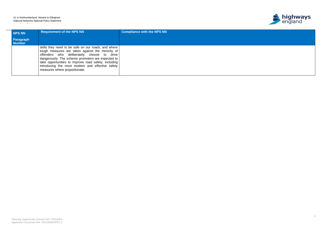### A1 in Northumberland: Alnwick to Ellingham National Networks National Policy Statement Accordance Table

 $\sim$ 





| NPS NN                     | <b>Requirement of the NPS NN</b>                                                                                                                                                                                                                                                                                                                        | <b>Compliance with the NPS NN</b> |
|----------------------------|---------------------------------------------------------------------------------------------------------------------------------------------------------------------------------------------------------------------------------------------------------------------------------------------------------------------------------------------------------|-----------------------------------|
| Paragraph<br><b>Number</b> |                                                                                                                                                                                                                                                                                                                                                         |                                   |
|                            | skills they need to be safe on our roads; and where<br>tough measures are taken against the minority of<br>offenders who deliberately choose to drive<br>dangerously. The scheme promoters are expected to<br>take opportunities to improve road safety, including<br>introducing the most modern and effective safety<br>measures where proportionate. |                                   |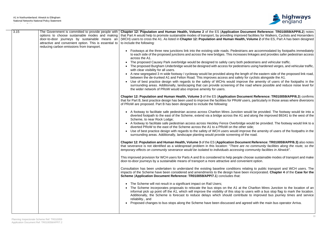

**ocument Reference: TR010059/APP/6.2) notes** ved facilities for Walkers, Cyclists and Horseriders h, Volume 2 of the ES, Part A has been designed

ans are accommodated by footpaths immediately tes linkages and provides safer pedestrian access

pedestrians and vehicular traffic. rians using hardened verges, and vehicular traffic,

ngth of the eastern side of the proposed link road, for cyclists alongside the A1.

ove the amenity of users of the footpaths in the road where possible and reduce noise level for

**ument Reference: TR010059/APP/6.3) confirms** isers, particularly in those areas where diversions

would be provided. The footway would tie into a and along the improved B6341 to the west of the

ge would be provided. The footway would link to a

prove the amenity of users of the footpaths in the

**ment Reference: TR010059/APP/6.3)** also notes e no community facilities along the route, so the *temporary effects on community severance would be isolated to individuals accessing community facilities in Alnwick*".

choose sustainable modes of transport and make enient option.

elating to public transport and WCH users. The been incorporated. **Chapter 4** of the **Case for the** 

the Charlton Mires Junction to the location of an o users with a bus stop flag to mark the location. ute to improved bus journey times and service

agreed with the main bus operator Arriva.

| 3.15 | The Government is committed to provide people with<br>options to choose sustainable modes and making<br>door-to-door journeys by sustainable means an<br>attractive and convenient option. This is essential to<br>reducing carbon emissions from transport. | Chapter 12: Population and Human Health, Volume 2 of the ES (Application Document<br>that Part A would help to promote sustainable modes of transport, by providing improved facilities<br>(WCH) users to cross the A1. As listed in Chapter 12: Population and Human Health, Volume<br>to include the following:                                                                                                                                                                                                                                                                                                                                                                                                                                                                                                                                                                         |
|------|--------------------------------------------------------------------------------------------------------------------------------------------------------------------------------------------------------------------------------------------------------------|-------------------------------------------------------------------------------------------------------------------------------------------------------------------------------------------------------------------------------------------------------------------------------------------------------------------------------------------------------------------------------------------------------------------------------------------------------------------------------------------------------------------------------------------------------------------------------------------------------------------------------------------------------------------------------------------------------------------------------------------------------------------------------------------------------------------------------------------------------------------------------------------|
|      |                                                                                                                                                                                                                                                              | Footways at the three new junctions link into the existing side roads. Pedestrians are ad<br>to each side of the proposed junctions and across the new bridges. This increases linkage<br>across the A1.<br>The proposed Causey Park overbridge would be designed to safely carry both pedestria<br>$\bullet$<br>• The proposed Burgham Underbridge would be designed with access for pedestrians using<br>with clear visibility for all users.<br>• A new segregated 3 m wide footway / cycleway would be provided along the length of the<br>between the de-trunked A1 and Felton Road. This improves access and safety for cyclis<br>Use of best practice design with regards to the safety of WCHs would improve the a<br>surrounding areas. Additionally, landscaping that can provide screening of the road when<br>the wider network of PRoW would also improve amenity for users. |
|      |                                                                                                                                                                                                                                                              | Chapter 12: Population and Human Health, Volume 3 of the ES (Application Document Re<br>that for Part B, best practice design has been used to improve the facilities for PRoW users, part<br>of PRoW are proposed. Part B has been designed to include the following:                                                                                                                                                                                                                                                                                                                                                                                                                                                                                                                                                                                                                    |
|      |                                                                                                                                                                                                                                                              | • A footway to facilitate safe pedestrian access across Charlton Mires Junction would be<br>diverted footpath to the east of the Scheme, extend via a bridge across the A1 and along<br>Scheme, to near Rock Lodge;<br>• A footway to facilitate safe pedestrian access across Heckley Fence Overbridge would b<br>diverted PRoW to the east of the Scheme across the A1 to a PRoW on the other side;<br>Use of best practice design with regards to the safety of WCH users would improve the<br>surrounding areas. Additionally, landscape planting would provide screening of the road.                                                                                                                                                                                                                                                                                                |
|      |                                                                                                                                                                                                                                                              | Chapter 12: Population and Human Health, Volume 3 of the ES (Application Document Refore<br>that severance is not identified as a widespread problem in this location: "There are no comi<br>temporary effects on community severance would be isolated to individuals accessing commun                                                                                                                                                                                                                                                                                                                                                                                                                                                                                                                                                                                                   |
|      |                                                                                                                                                                                                                                                              | This improved provision for WCH users for Parts A and B is considered to help people choose surf<br>door-to-door journeys by a sustainable means of transport a more attractive and convenient opt                                                                                                                                                                                                                                                                                                                                                                                                                                                                                                                                                                                                                                                                                        |
|      |                                                                                                                                                                                                                                                              | Consultation has been undertaken to understand the existing baseline conditions relating to<br>impacts of the Scheme have been considered and amendments to the design have been incorp<br>Scheme (Application Document Reference: TR010059/APP/7.1) concludes that:                                                                                                                                                                                                                                                                                                                                                                                                                                                                                                                                                                                                                      |
|      |                                                                                                                                                                                                                                                              | • The Scheme will not result in a significant impact on Rail Users;<br>The Scheme incorporates proposals to relocate the bus stops on the A1 at the Charlte<br>informal pick up point off the A1, which will improve the visibility of this stop to users wi<br>Additionally, the Scheme is forecast to reduce delays which should contribute to im<br>reliability., and<br>Proposed changes to bus stops along the Scheme have been discussed and agreed wit                                                                                                                                                                                                                                                                                                                                                                                                                             |
|      |                                                                                                                                                                                                                                                              |                                                                                                                                                                                                                                                                                                                                                                                                                                                                                                                                                                                                                                                                                                                                                                                                                                                                                           |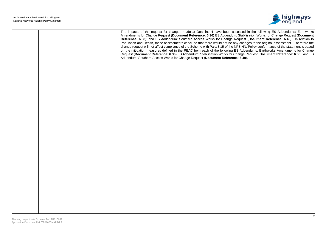

|  | The impacts of the request for changes made at Deadline 4 have been assessed in the following ES Addendums: Earthworks<br>Amendments for Change Request (Document Reference: 6.36) ES Addendum: Stabilisation Works for Change Request (Document<br>Reference: 6.38); and ES Addendum: Southern Access Works for Change Request (Document Reference: 6.40). In relation to<br>Population and Health, these assessments conclude that there would not be any changes to the original assessment. Therefore the<br>change request will not affect compliance of the Scheme with Para 3.15 of the NPS NN. Policy conformance of the statement is based<br>on the mitigation measures defined in the REAC from each of the following ES Addendums: Earthworks Amendments for Change<br>Request (Document Reference: 6.36) ES Addendum: Stabilisation Works for Change Request (Document Reference: 6.38); and ES<br>Addendum: Southern Access Works for Change Request (Document Reference: 6.40). |
|--|------------------------------------------------------------------------------------------------------------------------------------------------------------------------------------------------------------------------------------------------------------------------------------------------------------------------------------------------------------------------------------------------------------------------------------------------------------------------------------------------------------------------------------------------------------------------------------------------------------------------------------------------------------------------------------------------------------------------------------------------------------------------------------------------------------------------------------------------------------------------------------------------------------------------------------------------------------------------------------------------|
|  |                                                                                                                                                                                                                                                                                                                                                                                                                                                                                                                                                                                                                                                                                                                                                                                                                                                                                                                                                                                                |
|  |                                                                                                                                                                                                                                                                                                                                                                                                                                                                                                                                                                                                                                                                                                                                                                                                                                                                                                                                                                                                |
|  |                                                                                                                                                                                                                                                                                                                                                                                                                                                                                                                                                                                                                                                                                                                                                                                                                                                                                                                                                                                                |
|  |                                                                                                                                                                                                                                                                                                                                                                                                                                                                                                                                                                                                                                                                                                                                                                                                                                                                                                                                                                                                |
|  |                                                                                                                                                                                                                                                                                                                                                                                                                                                                                                                                                                                                                                                                                                                                                                                                                                                                                                                                                                                                |
|  |                                                                                                                                                                                                                                                                                                                                                                                                                                                                                                                                                                                                                                                                                                                                                                                                                                                                                                                                                                                                |
|  |                                                                                                                                                                                                                                                                                                                                                                                                                                                                                                                                                                                                                                                                                                                                                                                                                                                                                                                                                                                                |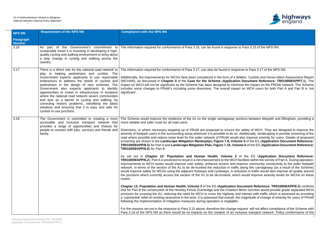

Para 3.15 of the NPS NN.

Se to Para 3.17 of the NPS NN.

ker, Cyclists and Horse-riders Assessment Report (WCHAR), as discussed in **Chapter 4** of the **Case for the Scheme** (**Application Document Reference: TR010059/APP/7.1**). The e the impact on the PROW network. The Scheme on WCH users for both Part A and Part B is 'not

tions between Morpeth and Ellingham, providing a

safety of WCH. They are designed to improve the dditionally, landscaping to provide screening of the so improve amenity for users. Details of proposed **5** of the ES (Application Document Reference: **e 6** of the ES (**Application Document Reference:** 

the ES (Application Document Reference: ilities within the vicinity of Part A. During operation, rove community connectivity to the wider footpath long this carriageway (as a result of the Scheme) tion in traffic would also improve air quality around would improve amenity levels for WCHs on these

**Chapter 12: Population and Human Health, Volume 3** of the ES (**Application Document Reference: TR010059/APP/6.3**) confirms res Junction would provide grade separated WCH interact with traffic which is assessed as providing nagnitude of change of amenity for users of PRoW

uest will not affect compliance of the Scheme with sive transport network. Policy conformance of the

| <b>NPS NN</b>              | <b>Requirement of the NPS NN</b>                                                                                                                                                                                                                                                                                                                                                                                                                                                                                                                                                                                                    | <b>Compliance with the NPS NN</b>                                                                                                                                                                                                                                                                                                                                                                                                                                                                                                                                                                                                                                                                                                                                                                                                                                                                                                                                                                                                                                                                                                                                                                                                                                                                                                                                                                                                                                                                                                                                                                                                                                                                                                                                                                             |
|----------------------------|-------------------------------------------------------------------------------------------------------------------------------------------------------------------------------------------------------------------------------------------------------------------------------------------------------------------------------------------------------------------------------------------------------------------------------------------------------------------------------------------------------------------------------------------------------------------------------------------------------------------------------------|---------------------------------------------------------------------------------------------------------------------------------------------------------------------------------------------------------------------------------------------------------------------------------------------------------------------------------------------------------------------------------------------------------------------------------------------------------------------------------------------------------------------------------------------------------------------------------------------------------------------------------------------------------------------------------------------------------------------------------------------------------------------------------------------------------------------------------------------------------------------------------------------------------------------------------------------------------------------------------------------------------------------------------------------------------------------------------------------------------------------------------------------------------------------------------------------------------------------------------------------------------------------------------------------------------------------------------------------------------------------------------------------------------------------------------------------------------------------------------------------------------------------------------------------------------------------------------------------------------------------------------------------------------------------------------------------------------------------------------------------------------------------------------------------------------------|
| Paragraph<br><b>Number</b> |                                                                                                                                                                                                                                                                                                                                                                                                                                                                                                                                                                                                                                     |                                                                                                                                                                                                                                                                                                                                                                                                                                                                                                                                                                                                                                                                                                                                                                                                                                                                                                                                                                                                                                                                                                                                                                                                                                                                                                                                                                                                                                                                                                                                                                                                                                                                                                                                                                                                               |
| 3.16                       | As part of the Government's commitment to<br>sustainable travel it is investing in developing a high-<br>quality cycling and walking environment to bring about<br>a step change in cycling and walking across the<br>country.                                                                                                                                                                                                                                                                                                                                                                                                      | The information required for conformance of Para 3.16, can be found in response to F                                                                                                                                                                                                                                                                                                                                                                                                                                                                                                                                                                                                                                                                                                                                                                                                                                                                                                                                                                                                                                                                                                                                                                                                                                                                                                                                                                                                                                                                                                                                                                                                                                                                                                                          |
| 3.17                       | There is a direct role for the national road network to<br>play in helping pedestrians and cyclists. The<br>Government expects applicants to use reasonable<br>endeavours to address the needs of cyclists and<br>pedestrians in the design of new schemes. The<br>Government also expects applicants to identify<br>opportunities to invest in infrastructure in locations<br>where the national road network severs communities<br>and acts as a barrier to cycling and walking, by<br>correcting historic problems, retrofitting the latest<br>solutions and ensuring that it is easy and safe for<br>cyclists to use junctions. | The information required for conformance of Para 3.17, can also be found in response<br>Additionally, the improvements for WCHs have been considered in the form of a Walk<br>(WCHAR), as discussed in Chapter 4 of the Case for the Scheme (Application D<br>impact on WCH will not be significant as the Scheme has been designed to minimise<br>includes some changes to PRoW's including some diversions. The overall impact or<br>significant'.                                                                                                                                                                                                                                                                                                                                                                                                                                                                                                                                                                                                                                                                                                                                                                                                                                                                                                                                                                                                                                                                                                                                                                                                                                                                                                                                                          |
| 3.19                       | The Government is committed to creating a more<br>accessible and inclusive transport network that<br>provides a range of opportunities and choices for<br>people to connect with jobs, services and friends and<br>family.                                                                                                                                                                                                                                                                                                                                                                                                          | The Scheme would improve the resilience of the A1 on the single carriageway section<br>more reliable and safer route for all road users.<br>Diversions, or where necessary stopping up of PRoW are proposed to ensure the sa<br>amenity of footpath users in the surrounding areas wherever it is possible to do so. Ad<br>road where possible and reduce noise level for the wider network of PRoW would als<br>screening are shown in the Landscape Mitigation Masterplan, Figure 7.8, Volume<br>TR010059/APP/6.5) for Part A and Landscape Mitigation Plan, Figure 7.10, Volume<br><b>TR010059/APP/6.6)</b> for Part B.<br>As set out in Chapter 12: Population and Human Health, Volume 2 of<br><b>TR010059/APP/6.2</b> ), Part A is predicted to result in a net improvement to the WCH faci<br>improvements to WCH routes would improve user safety, enhance access and impre<br>network. In terms of the section of the A1 to be de-trunked the reduction in traffic all<br>would improve safety for WCHs using the adjacent footways and cycleways. A reduct<br>the junctions which currently access the section of the A1 to be de-trunked, which w<br>routes.<br>Chapter 12: Population and Human Health, Volume 3 of the ES (Application Doc<br>that for Part B the construction of the Heckley Fence Overbridge and the Charlton Mir<br>provision for crossing the A1, reducing the need for WCH to cross the highway and in<br>a 'substantial' relief on existing severance in the area. It is assessed that overall, the m<br>following the implementation of mitigation measures during operation is negligible.<br>For the reasons set out in the response to Para 3.15 above, therefore the change requ<br>Para 3.19 of the NPS NN as there would be no impacts on the creation of an inclus |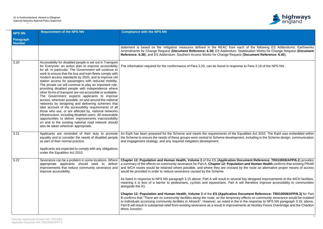### A1 in Northumberland: Alnwick to Ellingham National Networks National Policy Statement Accordance Table



| <b>NPS NN</b>              | <b>Requirement of the NPS NN</b>                                                                                                                                                                                                                                                                                                                                                                                                                                                                                                                                                                                                                                                                                                                                                                                                                                                                                                                                                                                                          | <b>Compliance with the NPS NN</b>                                                                                                                                                                                                                                                                                                                                                                                                                                                                                                                                        |
|----------------------------|-------------------------------------------------------------------------------------------------------------------------------------------------------------------------------------------------------------------------------------------------------------------------------------------------------------------------------------------------------------------------------------------------------------------------------------------------------------------------------------------------------------------------------------------------------------------------------------------------------------------------------------------------------------------------------------------------------------------------------------------------------------------------------------------------------------------------------------------------------------------------------------------------------------------------------------------------------------------------------------------------------------------------------------------|--------------------------------------------------------------------------------------------------------------------------------------------------------------------------------------------------------------------------------------------------------------------------------------------------------------------------------------------------------------------------------------------------------------------------------------------------------------------------------------------------------------------------------------------------------------------------|
| Paragraph<br><b>Number</b> |                                                                                                                                                                                                                                                                                                                                                                                                                                                                                                                                                                                                                                                                                                                                                                                                                                                                                                                                                                                                                                           |                                                                                                                                                                                                                                                                                                                                                                                                                                                                                                                                                                          |
|                            |                                                                                                                                                                                                                                                                                                                                                                                                                                                                                                                                                                                                                                                                                                                                                                                                                                                                                                                                                                                                                                           | statement is based on the mitigation measures defined in the REAC from each of the following ES Addendums: Earthworks<br>Amendments for Change Request (Document Reference: 6.36) ES Addendum: Stabilisation Works for Change Request (Document<br>Reference: 6.38); and ES Addendum: Southern Access Works for Change Request (Document Reference: 6.40).                                                                                                                                                                                                               |
| 3.20                       | Accessibility for disabled people is set out in Transport<br>for Everyone: an action plan to improve accessibility<br>for all. In particular: The Government will continue to<br>work to ensure that the bus and train fleets comply with<br>modern access standards by 2020, and to improve rail<br>station access for passengers with reduced mobility.<br>The private car will continue to play an important role,<br>providing disabled people with independence where<br>other forms of transport are not accessible or available.<br>The Government expects applicants to improve<br>access, wherever possible, on and around the national<br>networks by designing and delivering schemes that<br>take account of the accessibility requirements of all<br>those who use, or are affected by, national networks<br>infrastructure, including disabled users. All reasonable<br>opportunities to deliver improvements inaccessibility<br>on and to the existing national road network should<br>also be taken wherever appropriate. | The information required for the conformance of Para 3.20, can be found in response to Para 3.19 of the NPS NN.                                                                                                                                                                                                                                                                                                                                                                                                                                                          |
| 3.21                       | Applicants are reminded of their duty to promote<br>equality and to consider the needs of disabled people<br>as part of their normal practice.<br>Applicants are expected to comply with any obligations<br>under the Equalities Act 2010.                                                                                                                                                                                                                                                                                                                                                                                                                                                                                                                                                                                                                                                                                                                                                                                                | An EqIA has been prepared for the Scheme and meets the requirements of the Equalities Act 2010. The EqIA was embedded within<br>the Scheme to ensure the needs of these groups were central to Scheme development, including in the Scheme design, communication<br>and engagement strategy, and any required mitigation development.                                                                                                                                                                                                                                    |
| 3.22                       | Severance can be a problem in some locations. Where<br>appropriate applicants should seek to deliver<br>improvements that reduce community severance and<br>improve accessibility.                                                                                                                                                                                                                                                                                                                                                                                                                                                                                                                                                                                                                                                                                                                                                                                                                                                        | Chapter 12: Population and Human Health, Volume 2 of the ES (Application Document Reference: TR010059/APP/6.2) provides<br>a summary of the effects on community severance for Part A. Chapter 12: Population and Human Health confirms that existing PRoW<br>and WCH routes would be retained where possible, and where they are crossed by the route an alternative proper means of access<br>would be provided in order to reduce severance caused by the Scheme.                                                                                                     |
|                            |                                                                                                                                                                                                                                                                                                                                                                                                                                                                                                                                                                                                                                                                                                                                                                                                                                                                                                                                                                                                                                           | As listed in response to NPS NN paragraph 3.15 above, Part A will result in several key designed improvements to the WCH facilities,<br>meaning it is less of a barrier to pedestrians, cyclists and equestrians. Part A will therefore improve accessibility to communities<br>alongside the A1.                                                                                                                                                                                                                                                                        |
|                            |                                                                                                                                                                                                                                                                                                                                                                                                                                                                                                                                                                                                                                                                                                                                                                                                                                                                                                                                                                                                                                           | Chapter 12: Population and Human Health, Volume 3 of the ES (Application Document Reference: TR010059/APP/6.3) for Part<br>B confirms that "There are no community facilities along the route, so the temporary effects on community severance would be isolated<br>to individuals accessing community facilities in Alnwick". However, as noted in the in the response to NPS NN paragraph 3.19, above,<br>Part B will result in substantial relief from existing severance as a result in improvements at Heckley Fence Overbridge and the Charlton<br>Mires Junction. |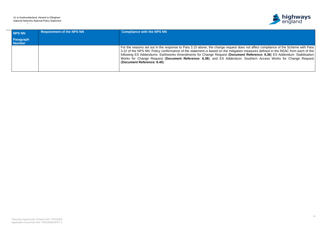### A1 in Northumberland: Alnwick to Ellingham National Networks National Policy Statement Accordance Table



| NPS NN                     | <b>Requirement of the NPS NN</b> | <b>Compliance with the NPS NN</b>                                                                                                                                                                                                                                                                                                                                                                                                                                                                                                                |
|----------------------------|----------------------------------|--------------------------------------------------------------------------------------------------------------------------------------------------------------------------------------------------------------------------------------------------------------------------------------------------------------------------------------------------------------------------------------------------------------------------------------------------------------------------------------------------------------------------------------------------|
| Paragraph<br><b>Number</b> |                                  |                                                                                                                                                                                                                                                                                                                                                                                                                                                                                                                                                  |
|                            |                                  | For the reasons set out in the response to Para 3.15 above, the change request does not affect compliance of the Scheme with Para<br>3.22 of the NPS NN. Policy conformance of the statement is based on the mitigation measures defined in the REAC from each of the<br>following ES Addendums: Earthworks Amendments for Change Request (Document Reference: 6.36) ES Addendum: Stabilisation<br>Works for Change Request (Document Reference: 6.38); and ES Addendum: Southern Access Works for Change Request<br>(Document Reference: 6.40). |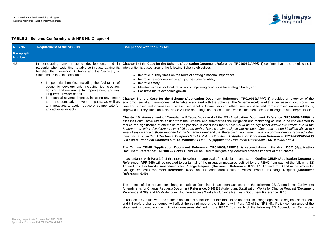

**COMBIADER 33 OF THE SCHEME (10059/APP/7.1)** confirms that the strategic case for

affic; and

**R010059/APP/7.1)** provides an overview of the economic would lead to a decrease in lost productive rs would benefit from improved journey reliability, imaintenance and mileage related depreciation.

## **TABLE 2 - Scheme Conformity with NPS NN Chapter 4**

The **Outline CEMP** (**Application Document Reference: TR010059/APP/7.3**) is secured through the **draft DCO** (**Application** ed adverse impacts of the Scheme.

In accordance with Para 3.2 of this table, following the approval of the design changes, the **Outline CEMP** (**Application Document** ined by the REAC from each of the following ES Addendums: Earthworks Amendments for Change Request (**Document Reference: 6.36**) ES Addendum: Stabilisation Works for **Access Works for Change Request (Document** 

d in the following ES Addendums: Earthworks Amendments for Change Request (**Document Reference: 6.36)** ES Addendum: Stabilisation Works for Change Request (**Document (Document Reference: 6.40).** 

result in change against the original assessment, a 4.3 of the NPS NN. Policy conformance of the th of the following ES Addendums: Earthworks

| <b>NPS NN</b>                     | <b>Requirement of the NPS NN</b>                                                                                                                                                                                                                                                                                                                                                                                                                                                                                                                                                       | <b>Compliance with the NPS NN</b>                                                                                                                                                                                                                                                                                                                                                                                                                                                                                                                                                                                                                                                                                                                                                                                                                                                                                                                                                                                                                                                                                                                                                                                                                                                                                                                                                                                                                                                                                                                                                                                                                                                                                                                                                                                                                                                                                                                                                                                                                                                                                                                                                                                                                                                                                                                                                                                                            |
|-----------------------------------|----------------------------------------------------------------------------------------------------------------------------------------------------------------------------------------------------------------------------------------------------------------------------------------------------------------------------------------------------------------------------------------------------------------------------------------------------------------------------------------------------------------------------------------------------------------------------------------|----------------------------------------------------------------------------------------------------------------------------------------------------------------------------------------------------------------------------------------------------------------------------------------------------------------------------------------------------------------------------------------------------------------------------------------------------------------------------------------------------------------------------------------------------------------------------------------------------------------------------------------------------------------------------------------------------------------------------------------------------------------------------------------------------------------------------------------------------------------------------------------------------------------------------------------------------------------------------------------------------------------------------------------------------------------------------------------------------------------------------------------------------------------------------------------------------------------------------------------------------------------------------------------------------------------------------------------------------------------------------------------------------------------------------------------------------------------------------------------------------------------------------------------------------------------------------------------------------------------------------------------------------------------------------------------------------------------------------------------------------------------------------------------------------------------------------------------------------------------------------------------------------------------------------------------------------------------------------------------------------------------------------------------------------------------------------------------------------------------------------------------------------------------------------------------------------------------------------------------------------------------------------------------------------------------------------------------------------------------------------------------------------------------------------------------------|
| <b>Paragraph</b><br><b>Number</b> |                                                                                                                                                                                                                                                                                                                                                                                                                                                                                                                                                                                        |                                                                                                                                                                                                                                                                                                                                                                                                                                                                                                                                                                                                                                                                                                                                                                                                                                                                                                                                                                                                                                                                                                                                                                                                                                                                                                                                                                                                                                                                                                                                                                                                                                                                                                                                                                                                                                                                                                                                                                                                                                                                                                                                                                                                                                                                                                                                                                                                                                              |
| 4.3                               | considering any proposed development, and in<br>particular when weighting its adverse impacts against its<br>benefits, the Examining Authority and the Secretary of<br>State should take into account:<br>Its potential benefits, including the facilitation of<br>economic development, including job creation,<br>housing and environmental improvement, and any<br>long-term or wider benefits<br>Its potential adverse impacts, including any longer<br>term and cumulative adverse impacts, as well as<br>any measures to avoid, reduce or compensate for<br>any adverse impacts. | Chapter 3 of the Case for the Scheme (Application Document Reference: TR010<br>intervention is based around the following Scheme objectives;<br>Improve journey times on the route of strategic national importance;<br>$\bullet$<br>Improve network resilience and journey time reliability;<br>Improve safety;<br>Maintain access for local traffic whilst improving conditions for strategic tra<br>Facilitate future economic growth.<br>Chapter 5 of the Case for the Scheme (Application Document Reference: TI<br>economic, social and environmental benefits associated with the Scheme. The Sch<br>time and subsequent increase in business user benefits. Commuters and other user<br>improved journey times and associated vehicle operating costs such as fuel, vehicle<br>Chapter 16: Assessment of Cumulative Effects, Volume 4 of the ES (Applicati<br>assesses cumulative effects arising from the Scheme and summarises the mitigation<br>reduce the significance of effects as far as possible. It concludes that "There would<br>Scheme and 'other development'. In addition, no further likely combined significant<br>level of significance of those reported for the Scheme alone" and that therefore "no<br>than that set out in Part A Technical Chapters 5 to 15, Volume 2 of the ES (Applica<br>and Part B Technical Chapters 5 to 15, Volume 3 of the ES (Application Docume<br>The Outline CEMP (Application Document Reference: TR010059/APP/7.3) is<br>Document Reference: TR010059/APP/3.1) and will be used to mitigate any identified<br>In accordance with Para 3.2 of this table, following the approval of the design changed<br>Reference: APP-346) will be updated to contain all of the mitigation measures defi<br>Addendums: Earthworks Amendments for Change Request (Document Referenc<br>Change Request (Document Reference: 6.38); and ES Addendum: Southern A<br>Reference: 6.40).<br>The impact of the request for changes made at Deadline 4 has been assessed<br>Amendments for Change Request (Document Reference: 6.36) ES Addendum: Sta<br><b>Reference: 6.38); and ES Addendum: Southern Access Works for Change Request</b><br>In relation to Cumulative Effects, these documents conclude that the impacts do not<br>and t therefore change request will affect the compliance of the Scheme with Para<br>statement is based on the mitigation measures defined in the REAC from each |

**Chapter 16: Assessment of Cumulative Effects, Volume 4** of the ES (**Application Document Reference: TR010059/APP/6.4**) ion and monitoring actions to be implemented to Id be no significant cumulative effects due to the *Scheme and 'other development'. In addition, no further likely combined significant residual effects have been identified above the further mitigation or monitoring is required, other than that set out in Part A Technical Chapters 5 to 15, Volume 2 of the ES (Application Document Reference: TR010059/APP/6.2) and Part B Technical Chapters 5 to 15, Volume 3 of the ES (Application Document Reference: TR010059/APP/6.3)".*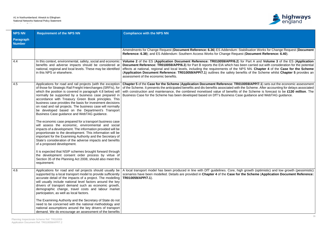### A1 in Northumberland: Alnwick to Ellingham National Networks National Policy Statement Accordance Table



| <b>NPS NN</b>                     | <b>Requirement of the NPS NN</b>                                                                                                                                                                                                                                                                                                                                                                                                                                                                                                                                                                                                                                                                                                                                                                                                                                                                                                                                                                                                                                  | <b>Compliance with the NPS NN</b>                                                                                                                                                                                                                                                                                                                                                                                                                                                                                                                                |
|-----------------------------------|-------------------------------------------------------------------------------------------------------------------------------------------------------------------------------------------------------------------------------------------------------------------------------------------------------------------------------------------------------------------------------------------------------------------------------------------------------------------------------------------------------------------------------------------------------------------------------------------------------------------------------------------------------------------------------------------------------------------------------------------------------------------------------------------------------------------------------------------------------------------------------------------------------------------------------------------------------------------------------------------------------------------------------------------------------------------|------------------------------------------------------------------------------------------------------------------------------------------------------------------------------------------------------------------------------------------------------------------------------------------------------------------------------------------------------------------------------------------------------------------------------------------------------------------------------------------------------------------------------------------------------------------|
| <b>Paragraph</b><br><b>Number</b> |                                                                                                                                                                                                                                                                                                                                                                                                                                                                                                                                                                                                                                                                                                                                                                                                                                                                                                                                                                                                                                                                   |                                                                                                                                                                                                                                                                                                                                                                                                                                                                                                                                                                  |
|                                   |                                                                                                                                                                                                                                                                                                                                                                                                                                                                                                                                                                                                                                                                                                                                                                                                                                                                                                                                                                                                                                                                   | Amendments for Change Request (Document Reference: 6.36) ES Addendum: Stabilisation Works for Change Request (Document<br>Reference: 6.38); and ES Addendum: Southern Access Works for Change Request (Document Reference: 6.40).                                                                                                                                                                                                                                                                                                                                |
| 4.4                               | In this context, environmental, safety, social and economic<br>benefits and adverse impacts should be considered at<br>national, regional and local levels. These may be identified<br>in this NPS or elsewhere.                                                                                                                                                                                                                                                                                                                                                                                                                                                                                                                                                                                                                                                                                                                                                                                                                                                  | Volume 2 of the ES (Application Document Reference: TR010059/APP/6.2) for Part A and Volume 3 of the ES (Application<br>Document Reference: TR010059/APP/6.3) for Part B reports the EIA which has been carried out with consideration for the potential<br>effects at national, regional and local levels, including the requirements of the NPS NN. Chapter 4 of the Case for the Scheme<br>(Application Document Reference: TR010059/APP/7.1) outlines the safety benefits of the Scheme whilst Chapter 5 provides an<br>assessment of the economic benefits. |
| 4.5                               | Applications for road and rail projects (with the exception<br>of those for Strategic Rail Freight Interchanges (SRFIs), for<br>which the position is covered in paragraph 4.8 below) will<br>normally be supported by a business case prepared in<br>accordance with Treasury Green Book principles. This<br>business case provides the basis for investment decisions<br>on road and rail projects. The business case will normally<br>be developed based on the Department's Transport<br>Business Case guidance and WebTAG guidance.<br>The economic case prepared for a transport business case<br>will assess the economic, environmental and social<br>impacts of a development. The information provided will be<br>proportionate to the development. This information will be<br>important for the Examining Authority and the Secretary of<br>State's consideration of the adverse impacts and benefits<br>of a proposed development.<br>It is expected that NSIP schemes brought forward through<br>the development consent order process by virtue of | Chapter 5 of the Case for the Scheme (Application Document Reference: TR010059/APP/7.1) sets out the economic assessment<br>of the Scheme. It presents the anticipated benefits and dis-benefits associated with the Scheme. After accounting for delays associated<br>with construction and maintenance, the combined monetised value of benefits of the Scheme is forecast to be £130 million. The<br>Business Case for the Scheme has been developed based on DfT's Business Case guidance and WebTAG guidance.                                               |
| 4.6                               | Section 35 of the Planning Act 2008, should also meet this<br>requirement.<br>Applications for road and rail projects should usually be                                                                                                                                                                                                                                                                                                                                                                                                                                                                                                                                                                                                                                                                                                                                                                                                                                                                                                                           | A local transport model has been produced in line with DfT guidelines. Core, high growth (optimistic) and low growth (pessimistic)                                                                                                                                                                                                                                                                                                                                                                                                                               |
|                                   | supported by a local transport model to provide sufficiently<br>accurate detail of the impacts of a project. The modelling<br>will usually include national level factors around the key<br>drivers of transport demand such as economic growth,<br>demographic change, travel costs and labour market<br>participation, as well as local factors.                                                                                                                                                                                                                                                                                                                                                                                                                                                                                                                                                                                                                                                                                                                | scenarios have been modelled. Details are provided in Chapter 4 of the Case for the Scheme (Application Document Reference:<br>TR010059/APP/7.1).                                                                                                                                                                                                                                                                                                                                                                                                                |
|                                   | The Examining Authority and the Secretary of State do not<br>need to be concerned with the national methodology and<br>national assumptions around the key drivers of transport<br>demand. We do encourage an assessment of the benefits                                                                                                                                                                                                                                                                                                                                                                                                                                                                                                                                                                                                                                                                                                                                                                                                                          |                                                                                                                                                                                                                                                                                                                                                                                                                                                                                                                                                                  |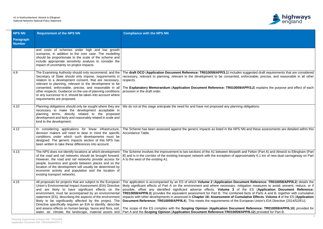

**suggested draft requirements that are considered** enforceable, precise, and reasonable in all other

**APP/3.2**) explains the purpose and effect of each

obligations.

NN and these assessments are detailed within this

and Felton (Part A) and Alnwick to Ellingham (Part oximately 6.1 km of new dual carriageway on Part

ment Reference: TR010059/APP/6.2) details the igation measures to avoid, prevent, reduce, or if possible, offset any identified significant adverse effects. **Volume 3** of the ES (**Application Document Reference:** d facts of Parts A and B, together with cumulative **indumized in assessed in all assessed in all ative Effects, Volume 4** of the ES (Application uropean Union's EIA Directive (2014/52/EU).

nt Reference: TR010059/APP/6.10) provided for APP/6.12) provided for Part B.

| <b>NPS NN</b>              | <b>Requirement of the NPS NN</b>                                                                                                                                                                                                                                                                                                                                                                                                                                                                                                                     | <b>Compliance with the NPS NN</b>                                                                                                                                                                                                                                                                                                                                                                                                                                                                                                                                                                                                                                  |
|----------------------------|------------------------------------------------------------------------------------------------------------------------------------------------------------------------------------------------------------------------------------------------------------------------------------------------------------------------------------------------------------------------------------------------------------------------------------------------------------------------------------------------------------------------------------------------------|--------------------------------------------------------------------------------------------------------------------------------------------------------------------------------------------------------------------------------------------------------------------------------------------------------------------------------------------------------------------------------------------------------------------------------------------------------------------------------------------------------------------------------------------------------------------------------------------------------------------------------------------------------------------|
| Paragraph<br><b>Number</b> |                                                                                                                                                                                                                                                                                                                                                                                                                                                                                                                                                      |                                                                                                                                                                                                                                                                                                                                                                                                                                                                                                                                                                                                                                                                    |
|                            | and costs of schemes under high and low growth<br>scenarios, in addition to the core case. The modelling<br>should be proportionate to the scale of the scheme and<br>include appropriate sensitivity analysis to consider the<br>impact of uncertainty on project impacts.                                                                                                                                                                                                                                                                          |                                                                                                                                                                                                                                                                                                                                                                                                                                                                                                                                                                                                                                                                    |
| 4.9                        | The Examining Authority should only recommend, and the<br>Secretary of State should only impose, requirements in<br>relation to a development consent, that are necessary,<br>relevant to planning, relevant to the development to be<br>consented, enforceable, precise, and reasonable in all<br>other respects. Guidance on the use of planning conditions<br>or any successor to it, should be taken into account where<br>requirements are proposed.                                                                                            | The draft DCO (Application Document Reference: TR010059/APP/3.1) includes<br>necessary, relevant to planning, relevant to the development to be consented, en<br>respects.<br>The Explanatory Memorandum (Application Document Reference: TR010059/<br>provision in the draft order.                                                                                                                                                                                                                                                                                                                                                                               |
| 4.10                       | Planning obligations should only be sought where they are<br>necessary to make the development acceptable in<br>planning terms, directly related to the proposed<br>development and fairly and reasonably related in scale and<br>kind to the development.                                                                                                                                                                                                                                                                                           | We do not at this stage anticipate the need for and have not proposed any planning                                                                                                                                                                                                                                                                                                                                                                                                                                                                                                                                                                                 |
| 4.12                       | In considering applications for linear infrastructure,<br>decision makers will need to bear in mind the specific<br>conditions under which such developments must be<br>designed. The generic impacts section of this NPS has<br>been written to take these differences into account.                                                                                                                                                                                                                                                                | The Scheme has been assessed against the generic impacts as listed in the NPS N<br>Accordance Table.                                                                                                                                                                                                                                                                                                                                                                                                                                                                                                                                                               |
| 4.13                       | of the road and rail networks should be brought forward.<br>However, the road and rail networks provide access for<br>people, business and goods between places and so the<br>location of the development will usually be determined by<br>economic activity and population and the location of<br>existing transport networks.                                                                                                                                                                                                                      | The NPS does not identify locations at which development   The Scheme involves the improvement to two sections of the A1 between Morpeth at<br>B) and is in the corridor of the existing transport network with the exception of appro<br>A to the west of the existing A1.                                                                                                                                                                                                                                                                                                                                                                                        |
| 4.15                       | All proposals for projects that are subject to the European<br>Union's Environmental Impact Assessment (EIA) Directive<br>and are likely to have significant effects on the<br>environment, must be accompanied by an environmental<br>statement (ES), describing the aspects of the environment<br>likely to be significantly affected by the project. The<br>Directive specifically requires an EIA to identify, describe<br>and assess effects on human beings, fauna and flora, soil,<br>water, air, climate, the landscape, material assets and | The application is accompanied by an ES of which Volume 2 (Application Docur<br>likely significant effects of Part A on the environment and where necessary, miti<br>possible, offset any identified significant adverse effects. Volume 3 of<br><b>TR010059/APP/6.3</b> ) provides the equivalent assessment for Part B. The combined<br>impacts with other developments in assessed in Chapter 16: Assessment of Cum<br>Document Reference: TR010059/APP/6.4). This meets the requirements of the Eu<br>The scope of the ES complies with the Scoping Opinion (Application Documer<br>Part A and the Scoping Opinion (Application Document Reference: TR010059/A |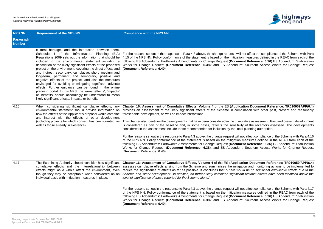

not affect the compliance of the Scheme with Para  $\overline{\phantom{a}}$  measures defined in the REAC from each of the nt Reference: 6.36) ES Addendum: Stabilisation Southern Access Works for Change Request

**tion Document Reference: TR010059APP/6.4)** ination with other past, present and reasonably

lative assessment. Past and present development of the receptors assessed. The developments i planning authorities.

ot affect compliance of the Scheme with Para 4.16 neasures defined in the REAC from each of the nt Reference: 6.36) ES Addendum: Stabilisation Southern Access Works for Change Request

**Chapter 16: Assessment Procetal Example 24 of the ES (2010)** Document Reference: TR010059/APP/6.4 ion and monitoring actions to be implemented to Id be no significant cumulative effects due to the *Scheme and 'other development'. In addition, no further likely combined significant residual effects have been identified above the*

ot affect compliance of the Scheme with Para 4.17 of anceled in the NEAC from each of the measures defined in the REAC from each of the nt Reference: 6.36) ES Addendum: Stabilisation Southern Access Works for Change Request

| <b>NPS NN</b>              | <b>Requirement of the NPS NN</b>                                                                                                                                                                                                                                                                                                                                                                                                                                                                                                                                                                                                                                                                                                                                                                                                     | <b>Compliance with the NPS NN</b>                                                                                                                                                                                                                                                                                                                                                                                                                                                                                                                                                                                                                                                                                                                                                                                                                                |
|----------------------------|--------------------------------------------------------------------------------------------------------------------------------------------------------------------------------------------------------------------------------------------------------------------------------------------------------------------------------------------------------------------------------------------------------------------------------------------------------------------------------------------------------------------------------------------------------------------------------------------------------------------------------------------------------------------------------------------------------------------------------------------------------------------------------------------------------------------------------------|------------------------------------------------------------------------------------------------------------------------------------------------------------------------------------------------------------------------------------------------------------------------------------------------------------------------------------------------------------------------------------------------------------------------------------------------------------------------------------------------------------------------------------------------------------------------------------------------------------------------------------------------------------------------------------------------------------------------------------------------------------------------------------------------------------------------------------------------------------------|
| Paragraph<br><b>Number</b> |                                                                                                                                                                                                                                                                                                                                                                                                                                                                                                                                                                                                                                                                                                                                                                                                                                      |                                                                                                                                                                                                                                                                                                                                                                                                                                                                                                                                                                                                                                                                                                                                                                                                                                                                  |
|                            | cultural heritage, and the interaction between them.<br>Schedule 4 of the Infrastructure Planning (EIA)<br>Regulations 2009 sets out the information that should be<br>included in the environmental statement including a<br>description of the likely significant effects of the proposed<br>project on the environment, covering the direct effects and<br>any indirect, secondary, cumulative, short, medium and<br>long-term, permanent and temporary, positive and<br>negative effects of the project, and also the measures<br>envisaged for avoiding or mitigating significant adverse<br>effects. Further guidance can be found in the online<br>planning portal. In this NPS, the terms 'effects', 'impacts'<br>or 'benefits' should accordingly be understood to mean<br>likely significant effects, impacts or benefits. | For the reasons set out in the response to Para 4.3 above, the change request will n<br>4.15 of the NPS NN. Policy conformance of the statement is based on the mitigation<br>following ES Addendums: Earthworks Amendments for Change Request (Documer<br>Works for Change Request (Document Reference: 6.38); and ES Addendum:<br>(Document Reference: 6.40).                                                                                                                                                                                                                                                                                                                                                                                                                                                                                                  |
| 4.16                       | When considering significant cumulative effects, any<br>environmental statement should provide information on<br>how the effects of the Applicant's proposal would combine<br>and interact with the effects of other development<br>(including projects for which consent has been granted, as<br>well as those already in existence).                                                                                                                                                                                                                                                                                                                                                                                                                                                                                               | Chapter 16: Assessment of Cumulative Effects, Volume 4 of the ES (Application<br>provides an assessment of the likely significant effects of the Scheme in combi<br>foreseeable development, as well as impact interactions.<br>This chapter also identifies the developments that have been considered in the cumul<br>is considered as part of the baseline and, in some cases, reflects the sensitivity<br>considered in the assessment include those recommended for inclusion by the local<br>For the reasons set out in the response to Para 4.3 above, the change request will no<br>of the NPS NN. Policy conformance of the statement is based on the mitigation n<br>following ES Addendums: Earthworks Amendments for Change Request (Documer<br>Works for Change Request (Document Reference: 6.38); and ES Addendum:<br>(Document Reference: 6.40). |
| 4.17                       | The Examining Authority should consider how significant<br>cumulative effects and the interrelationship between<br>effects might as a whole affect the environment, even<br>though they may be acceptable when considered on an<br>individual basis with mitigation measures in place.                                                                                                                                                                                                                                                                                                                                                                                                                                                                                                                                               | Chapter 16: Assessment of Cumulative Effects, Volume 4 of the ES (Applicat<br>assesses cumulative effects arising from the Scheme and summarises the mitigati<br>reduce the significance of effects as far as possible. It concludes that "There woul<br>Scheme and 'other development'. In addition, no further likely combined significan<br>level of significance of those reported for the Scheme alone."<br>For the reasons set out in the response to Para 4.3 above, the change request will no<br>of the NPS NN. Policy conformance of the statement is based on the mitigation not<br>following ES Addendums: Earthworks Amendments for Change Request (Documer<br>Works for Change Request (Document Reference: 6.38); and ES Addendum:<br>(Document Reference: 6.40).                                                                                 |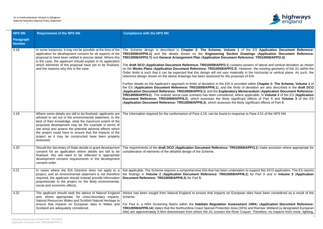

If the ES Application Document Reference: **TR010059/APP/6.1)** and the details shown on the **Engineering Section Drawings** (**Application Document Reference: TR010059/APP/2.7)** and **General Arrangement Plan** (**Application Document Reference: TR010059/APP/2.4)**

powers of lateral and vertical deviation as shown wever, the existing geometry of the A1 within the  $\gamma$  in the horizontal or vertical plane. As such, the

led within Chapter 2: The Scheme, Volume 1 of of deviation are also described in the draft DCO (**Application Document Reference: TR010059/APP/3.1**) and the **Explanatory Memorandum** (**Application Document Reference:** applicable, in **Volume 2** of the ES (**Application** nt effects of Part A and Volume 3 of the ES **V** significant effects of Part B.

e to Para 4.51 of the NPS NN.

**9/APP/3.1**) make provision where appropriate for

en to support this DCO application. The ES reports **6.2**) for Part A and in **Volume 3** (Application

an sites have been considered as a result of the

**Form A, A, a Habitation Document Reference:** PA) and Ramsar Wetland (a designated European oquet. Therefore, no impacts from noise, lighting,

| <b>NPS NN</b>                     | <b>Requirement of the NPS NN</b>                                                                                                                                                                                                                                                                                                                                                                                                          | <b>Compliance with the NPS NN</b>                                                                                                                                                                                                                                                                                                                                                                                                                                                                                                                                                                                                                                                                                                                                                                                                                                                                                                                                                                                                                                                                                                                                                  |
|-----------------------------------|-------------------------------------------------------------------------------------------------------------------------------------------------------------------------------------------------------------------------------------------------------------------------------------------------------------------------------------------------------------------------------------------------------------------------------------------|------------------------------------------------------------------------------------------------------------------------------------------------------------------------------------------------------------------------------------------------------------------------------------------------------------------------------------------------------------------------------------------------------------------------------------------------------------------------------------------------------------------------------------------------------------------------------------------------------------------------------------------------------------------------------------------------------------------------------------------------------------------------------------------------------------------------------------------------------------------------------------------------------------------------------------------------------------------------------------------------------------------------------------------------------------------------------------------------------------------------------------------------------------------------------------|
| <b>Paragraph</b><br><b>Number</b> |                                                                                                                                                                                                                                                                                                                                                                                                                                           |                                                                                                                                                                                                                                                                                                                                                                                                                                                                                                                                                                                                                                                                                                                                                                                                                                                                                                                                                                                                                                                                                                                                                                                    |
| 4.18                              | In some instances, it may not be possible at the time of the<br>application for development consent for all aspects of the<br>proposal to have been settled in precise detail. Where this<br>is the case, the applicant should explain in its application<br>which elements of the proposal have yet to be finalised,<br>and the reasons why this is the case.                                                                            | The Scheme design is described in Chapter 2: The Scheme, Volume 1 of the E<br>TR010059/APP/6.1) and the details shown on the Engineering Section Drawings<br>TR010059/APP/2.7) and General Arrangement Plan (Application Document Reference:<br>The draft DCO (Application Document Reference: TR010059/APP/3.1) contains powers<br>on the Works Plans (Application Document Reference: TR010059/APP/2.3). However, t<br>Order limits is such that it can be expected that this design will not vary materially in the<br>reference design shown on the above drawings has been assessed for the purposes of EIA.<br>Further details on the Applicant's approach to limits of deviation in the EIA is provided withi<br>the ES (Application Document Reference: TR010059/APP/6.1), and the limits of deviat<br>(Application Document Reference: TR010059/APP/3.1) and the Explanatory Memorand<br><b>TR010059/APP/3.2</b> ). The realistic worst-case scenario has been considered, where applica<br>Document Reference: TR010059/APP/6.2), which assesses the likely significant effect<br>(Application Document Reference: TR010059/APP/6.3), which assesses the likely signific |
| 4.19                              | Where some details are still to be finalised, applicants are<br>advised to set out in the environmental statement, to the<br>best of their knowledge, what the maximum extent of the<br>proposed development may be (for example in terms of<br>site area) and assess the potential adverse effects which<br>the project could have to ensure that the impacts of the<br>project as it may be constructed have been properly<br>assessed. | The information required for the conformance of Para 4,19, can be found in response to Par                                                                                                                                                                                                                                                                                                                                                                                                                                                                                                                                                                                                                                                                                                                                                                                                                                                                                                                                                                                                                                                                                         |
| 4.20                              | finalised, this will need to be reflected in appropriate<br>development consent requirements in the development<br>consent order.                                                                                                                                                                                                                                                                                                         | Should the Secretary of State decide to grant development   The requirements of the draft DCO (Application Document Reference: TR010059/APP/3<br>consent for an application where details are still to be   consideration of elements of the detailed design of the Scheme.                                                                                                                                                                                                                                                                                                                                                                                                                                                                                                                                                                                                                                                                                                                                                                                                                                                                                                        |
| 4.21                              | In cases where the EIA Directive does not apply to a<br>project, and an environmental statement is not therefore<br>required, the applicant should instead provide information<br>proportionate to the project on the likely environmental,<br>social and economic effects.                                                                                                                                                               | Not applicable. The Scheme requires a comprehensive EIA that has been undertaken to sup<br>the findings in Volume 2 (Application Document Reference: TR010059/APP/6.2) for<br>Document Reference: TR010059/APP/6.3) for Part B.                                                                                                                                                                                                                                                                                                                                                                                                                                                                                                                                                                                                                                                                                                                                                                                                                                                                                                                                                    |
| 4.22                              | The applicant should seek the advice of Natural England<br>and, where appropriate, for cross-boundary impacts,<br>Natural Resources Wales and Scottish Natural Heritage to<br>Scotland are adequately considered.                                                                                                                                                                                                                         | Advice has been sought from Natural England to ensure that impacts on European sites<br>Scheme.<br>ensure that impacts on European sites in Wales and   For Part A, a HRA Screening Matrix within the Habitats Regulation Assessment (HR.<br>TR010059/APP/6.14) states that the Northumbria Coast Special Protection Area (SPA) and I<br>Site) are approximately 9.5km downstream from where the A1 crosses the River Coquet. T                                                                                                                                                                                                                                                                                                                                                                                                                                                                                                                                                                                                                                                                                                                                                    |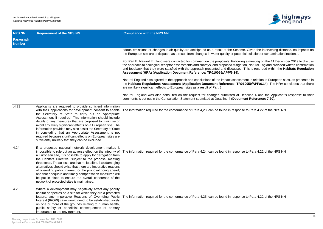

| <b>NPS NN</b>              | <b>Requirement of the NPS NN</b>                                                                                                                                                                                                                                                                                                                                                                                                                                                                                                                                                                            | <b>Compliance with the NPS NN</b>                                                                                                                                                                                                                                                                                                                                                                                                                                                                                                                                                                                                                                                                                                                                                                                                                                                                                                                                                                                                                                                                                                                                                                                                                                                                                                                  |
|----------------------------|-------------------------------------------------------------------------------------------------------------------------------------------------------------------------------------------------------------------------------------------------------------------------------------------------------------------------------------------------------------------------------------------------------------------------------------------------------------------------------------------------------------------------------------------------------------------------------------------------------------|----------------------------------------------------------------------------------------------------------------------------------------------------------------------------------------------------------------------------------------------------------------------------------------------------------------------------------------------------------------------------------------------------------------------------------------------------------------------------------------------------------------------------------------------------------------------------------------------------------------------------------------------------------------------------------------------------------------------------------------------------------------------------------------------------------------------------------------------------------------------------------------------------------------------------------------------------------------------------------------------------------------------------------------------------------------------------------------------------------------------------------------------------------------------------------------------------------------------------------------------------------------------------------------------------------------------------------------------------|
| Paragraph<br><b>Number</b> |                                                                                                                                                                                                                                                                                                                                                                                                                                                                                                                                                                                                             |                                                                                                                                                                                                                                                                                                                                                                                                                                                                                                                                                                                                                                                                                                                                                                                                                                                                                                                                                                                                                                                                                                                                                                                                                                                                                                                                                    |
|                            |                                                                                                                                                                                                                                                                                                                                                                                                                                                                                                                                                                                                             | odour, emissions or changes in air quality are anticipated as a result of the Scheme. Given the intervening distance, no impacts on<br>the European site are anticipated as a result from changes in water quality or potential pollution or contamination incidents.<br>For Part B, Natural England were contacted for comment on the proposals. Following a meeting on the 11 December 2019 to discuss<br>the approach to ecological receptor assessments and surveys, and proposed mitigation, Natural England provided written confirmation<br>and feedback that they were satisfied with the approach presented and discussed. This is recorded within the Habitats Regulation<br>Assessment (HRA) (Application Document Reference: TR010059/APP/6.14).<br>Natural England also agreed to the approach and conclusions of the impact assessment in relation to European sites, as presented in<br>the Habitats Regulations Assessment (Application Document Reference: TR010059/APP/6.14). The HRA concludes that there<br>are no likely significant effects to European sites as a result of Part B.<br>Natural England was also consulted on the request for changes submitted at Deadline 4 and the Applicant's response to their<br>comments is set out in the Consultation Statement submitted at Deadline 4 (Document Reference: 7.20). |
| .4.23                      | Applicants are required to provide sufficient information<br>with their applications for development consent to enable<br>the Secretary of State to carry out an Appropriate<br>Assessment if required. This information should include<br>details of any measures that are proposed to minimise or<br>avoid any likely significant effects on a European site. The<br>information provided may also assist the Secretary of State<br>in concluding that an Appropriate Assessment is not<br>required because significant effects on European sites are<br>sufficiently unlikely that they can be excluded. | The information required for the conformance of Para 4,23, can be found in response to Para 4.22 of the NPS NN                                                                                                                                                                                                                                                                                                                                                                                                                                                                                                                                                                                                                                                                                                                                                                                                                                                                                                                                                                                                                                                                                                                                                                                                                                     |
| 4.24                       | If a proposed national network development makes it<br>a European site, it is possible to apply for derogation from<br>the Habitats Directive, subject to the proposal meeting<br>three tests. These tests are that no feasible, less damaging<br>alternatives should exist, that there are imperative reasons<br>of overriding public interest for the proposal going ahead,<br>and that adequate and timely compensation measures will<br>be put in place to ensure the overall coherence of the<br>network of protected sites is maintained.                                                             | impossible to rule out an adverse effect on the integrity of The information required for the conformance of Para 4,24, can be found in response to Para 4.22 of the NPS NN                                                                                                                                                                                                                                                                                                                                                                                                                                                                                                                                                                                                                                                                                                                                                                                                                                                                                                                                                                                                                                                                                                                                                                        |
| 4.25                       | Where a development may negatively affect any priority<br>habitat or species on a site for which they are a protected<br>feature, any Imperative Reasons of Overriding Public<br>Interest (IROPI) case would need to be established solely<br>on one or more of the grounds relating to human health,<br>public safety or beneficial consequences of primary<br>importance to the environment.                                                                                                                                                                                                              | The information required for the conformance of Para 4,25, can be found in response to Para 4.22 of the NPS NN                                                                                                                                                                                                                                                                                                                                                                                                                                                                                                                                                                                                                                                                                                                                                                                                                                                                                                                                                                                                                                                                                                                                                                                                                                     |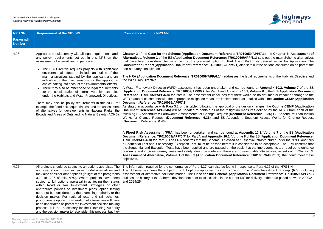

**Chapter 3 Chapter 3: Assessment of Alappig.1** sets out the main Scheme alternatives d Part B as detailed within this Application. The **Consultation Report** (**Application Document Reference: TR010059/APP/5.1**) also sets out the options consulted on as part of the

**Reference: Haba endinglerication Blanch** Reference: **A** equirements of the Habitats Directive and

be found at **Appendix 10.2, Volume 7** of the ES (**Application Document Reference: TR010059/APP/6.7**) for Part A and **Appendix 10.2, Volume 8** of the ES (**Application Document** would be no detrimental impact or change to the As detailed within the **Outline CEMP** (**Application** 

As stated in accordance with Para 3.2 of this table, following the approval of the design changes, the **Outline CEMP** (**Application** neasures defined by the REAC from each of the ent Reference: 6.36) ES Addendum: Stabilisation Southern Access Works for Change Request

**pendix 10.1, Volume 7** of the ES (Application **8** of the ES (Application Document Reference: Essential Infrastructure" under the NPPF and thus nsidered to be acceptable. The FRA confirms that is that the improvements are required to enhance reasonable alternatives, as set out in **Chapter 3: Assessment Christof 2010 12 or the ESS (2010059/APP/6.1)**, that could meet these

sponse to Para 4.26 of the NPS NN the Roads Investment Strategy (RIS) including tion Document Reference: TR010059/APP/7.1) IS for delivery in the road period between 2020/21

| <b>NPS NN</b>                     | <b>Requirement of the NPS NN</b>                                                                                                                                                                                                                                                                                                                                                                                                                                                                                                                                                                                                                                                                                                                                                                                                                                             | <b>Compliance with the NPS NN</b>                                                                                                                                                                                                                                                                                                                                                                                                                                                                                                                                                                                                                                                                                                                                                                                                                                                                                                                                                                                                                                                                                                                                                                                                                                                                                                                                                                                                                                                                                                                                                                                                                                                                                                                                                                                                         |
|-----------------------------------|------------------------------------------------------------------------------------------------------------------------------------------------------------------------------------------------------------------------------------------------------------------------------------------------------------------------------------------------------------------------------------------------------------------------------------------------------------------------------------------------------------------------------------------------------------------------------------------------------------------------------------------------------------------------------------------------------------------------------------------------------------------------------------------------------------------------------------------------------------------------------|-------------------------------------------------------------------------------------------------------------------------------------------------------------------------------------------------------------------------------------------------------------------------------------------------------------------------------------------------------------------------------------------------------------------------------------------------------------------------------------------------------------------------------------------------------------------------------------------------------------------------------------------------------------------------------------------------------------------------------------------------------------------------------------------------------------------------------------------------------------------------------------------------------------------------------------------------------------------------------------------------------------------------------------------------------------------------------------------------------------------------------------------------------------------------------------------------------------------------------------------------------------------------------------------------------------------------------------------------------------------------------------------------------------------------------------------------------------------------------------------------------------------------------------------------------------------------------------------------------------------------------------------------------------------------------------------------------------------------------------------------------------------------------------------------------------------------------------------|
| <b>Paragraph</b><br><b>Number</b> |                                                                                                                                                                                                                                                                                                                                                                                                                                                                                                                                                                                                                                                                                                                                                                                                                                                                              |                                                                                                                                                                                                                                                                                                                                                                                                                                                                                                                                                                                                                                                                                                                                                                                                                                                                                                                                                                                                                                                                                                                                                                                                                                                                                                                                                                                                                                                                                                                                                                                                                                                                                                                                                                                                                                           |
| 4.26                              | Applicants should comply with all legal requirements and<br>any policy requirements set out in this NPS on the<br>assessment of alternatives. In particular:<br>The EIA Directive requires projects with significant<br>$\bullet$<br>environmental effects to include an outline of the<br>main alternatives studied by the applicant and an<br>indication of the main reasons for the applicant's<br>choice, taking into account the environmental effects.<br>There may also be other specific legal requirements<br>for the consideration of alternatives, for example,<br>under the Habitats and Water Framework Directives.<br>There may also be policy requirements in this NPS, for<br>example the flood risk sequential test and the assessment<br>of alternatives for developments in National Parks, the<br>Broads and Areas of Outstanding Natural Beauty (AONB). | Chapter 2 of the Case for the Scheme (Application Document Reference: TRO<br>Alternatives, Volume 1 of the ES (Application Document Reference: TR010059<br>that have been considered before arriving at the preferred option for Part A and<br><b>Consultation Report (Application Document Reference: TR010059/APP/5.1)</b> als<br>non-statutory consultation<br>The HRA (Application Document Reference: TR010059/APP/6.14) addresses the<br>the Wild Birds Directive.<br>A Water Framework Directive (WFD) assessment has been undertaken and can b<br>(Application Document Reference: TR010059/APP/6.7) for Part A and Appendix 1<br><b>Reference: TR010059/APP/6.8)</b> for Part B. The assessment concludes that there<br>WFD status of catchments with the appropriate mitigation measures implemented, a<br>Document Reference: TR010059/APP/7.3).<br>As stated in accordance with Para 3.2 of this table, following the approval of the c<br><b>Document Reference: APP-346)</b> will be updated to contain all of the mitigation m<br>following ES Addendums: Earthworks Amendments for Change Request (Docume<br>Works for Change Request (Document Reference: 6.38); and ES Addendum.<br>(Document Reference: 6.40).<br>A Flood Risk Assessment (FRA) has been undertaken and can be found at Ap<br>Document Reference: TR010059/APP/6.7) for Part A and Appendix 10.1, Volume<br>TR010059/APP/6.8) for Part B. The FRA confirms that the Scheme is classed as "E<br>a Sequential Test and if necessary, Exception Test, must be passed before it is cor<br>the Sequential and Exception Tests have been applied and are passed on the basi<br>resilience and improve journey times and safety along the route and there are no<br>Assessment of Alternative, Volume 1 of the ES (Application Document Refere<br>objectives. |
| 4.27                              | All projects should be subject to an options appraisal. The<br>appraisal should consider viable modal alternatives and<br>may also consider other options (in light of the paragraphs<br>3.23 to 3.27 of this NPS). Where projects have been<br>subject to full options appraisal in achieving their status<br>within Road or Rail Investment Strategies or other<br>appropriate policies or investment plans, option testing<br>need not be considered by the examining authority or the<br>decision maker. For national road and rail schemes,<br>proportionate option consideration of alternatives will have<br>been undertaken as part of the investment decision making<br>process. It is not necessary for the Examining Authority<br>and the decision maker to reconsider this process, but they                                                                     | The information required for the conformance of Para 4,27, can also be found in res<br>The Scheme has been the subject of a full options appraisal prior to inclusion in<br>assessment of alternative solutions/modes. The Case for the Scheme (Applicat<br>outlines the history of the Scheme development prior to its inclusion in the current R<br>and 2024/25.                                                                                                                                                                                                                                                                                                                                                                                                                                                                                                                                                                                                                                                                                                                                                                                                                                                                                                                                                                                                                                                                                                                                                                                                                                                                                                                                                                                                                                                                        |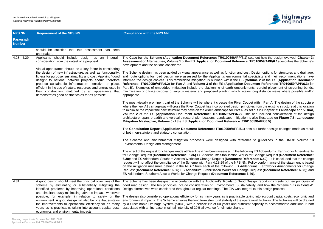

7.1) sets out how the design evolved. Chapter 3: **Ace: TR010059/APP/6.1**) describes the Scheme's

cost. Design options for structures and drainage, ntal specialists and their recommendations have **information choices. This 'embedded mitigation' is operated S** (*Volume 2 of the ES (Application Document* **Reference: TR010059/APP/6.3) for A and A and A settem** inkments, careful placement of screening bunds, etains long distance views where possible and/or

Coquet within Part A. The design of the structure principles from the existing structure at this location to as set out in Chapter 7: Landscape and Visual, This has included consideration of the design tion is also illustrated on Figure 7.8: Landscape  $$ 

1) sets out further design changes made as result

Brence to guidelines in the DMRB Volume 10

pllowing ES Addendums: Earthworks Amendments for Change Request (**Document Reference: 6.36)** ES Addendum: Stabilisation Works for Change Request (**Document Reference: Reference: 6.40)**. It is concluded that the change NN. Policy conformance of the statement is based ddendums: Earthworks Amendments for Change ange Request (**Document Reference: 6.38**); and

od Design' report which sets out ten principles of tainability' and how the Scheme 'Fits in Context'. integral to this design process.

le taking into account capital costs, economic and operational highway. The highways will be drained ficient capacity to accommodate additional runoff

| <b>NPS NN</b>                     | <b>Requirement of the NPS NN</b>                                                                                                                                                                                                                                                                                                                                                                                                                                                                                                                                                        | <b>Compliance with the NPS NN</b>                                                                                                                                                                                                                                                                                                                                                                                                                                                                                                                                                                                                                                                                                                                                                                                                                                                                                                                                                                                                                                                                                                                                                                                                                                                                                                                                                                                                                                                                                                                                                                                                                                                                                                                                                                                                                                                                                                                                                                                                                                                                                                                                                                                                                                                               |
|-----------------------------------|-----------------------------------------------------------------------------------------------------------------------------------------------------------------------------------------------------------------------------------------------------------------------------------------------------------------------------------------------------------------------------------------------------------------------------------------------------------------------------------------------------------------------------------------------------------------------------------------|-------------------------------------------------------------------------------------------------------------------------------------------------------------------------------------------------------------------------------------------------------------------------------------------------------------------------------------------------------------------------------------------------------------------------------------------------------------------------------------------------------------------------------------------------------------------------------------------------------------------------------------------------------------------------------------------------------------------------------------------------------------------------------------------------------------------------------------------------------------------------------------------------------------------------------------------------------------------------------------------------------------------------------------------------------------------------------------------------------------------------------------------------------------------------------------------------------------------------------------------------------------------------------------------------------------------------------------------------------------------------------------------------------------------------------------------------------------------------------------------------------------------------------------------------------------------------------------------------------------------------------------------------------------------------------------------------------------------------------------------------------------------------------------------------------------------------------------------------------------------------------------------------------------------------------------------------------------------------------------------------------------------------------------------------------------------------------------------------------------------------------------------------------------------------------------------------------------------------------------------------------------------------------------------------|
| <b>Paragraph</b><br><b>Number</b> |                                                                                                                                                                                                                                                                                                                                                                                                                                                                                                                                                                                         |                                                                                                                                                                                                                                                                                                                                                                                                                                                                                                                                                                                                                                                                                                                                                                                                                                                                                                                                                                                                                                                                                                                                                                                                                                                                                                                                                                                                                                                                                                                                                                                                                                                                                                                                                                                                                                                                                                                                                                                                                                                                                                                                                                                                                                                                                                 |
|                                   | should be satisfied that this assessment has been<br>undertaken.                                                                                                                                                                                                                                                                                                                                                                                                                                                                                                                        |                                                                                                                                                                                                                                                                                                                                                                                                                                                                                                                                                                                                                                                                                                                                                                                                                                                                                                                                                                                                                                                                                                                                                                                                                                                                                                                                                                                                                                                                                                                                                                                                                                                                                                                                                                                                                                                                                                                                                                                                                                                                                                                                                                                                                                                                                                 |
| $4.28 - 4.29$                     | Applicants should include design as an integral<br>consideration from the outset of a proposal.<br>Visual appearance should be a key factor in considering<br>the design of new infrastructure, as well as functionality,<br>fitness for purpose, sustainability and cost. Applying "good<br>design" to national network projects should therefore<br>produce sustainable infrastructure sensitive to place,<br>efficient in the use of natural resources and energy used in  <br>their construction, matched by an appearance that<br>demonstrates good aesthetics as far as possible. | The Case for the Scheme (Application Document Reference: TR010059/APP/7.1) sets<br>Assessment of Alternatives, Volume 1 of the ES (Application Document Reference: TRO<br>development and the options considered.<br>The Scheme design has been guided by visual appearance as well as function and cost. De<br>and route options for road design were assessed by the Applicant's environmental spec<br>informed the design choices. This 'embedded mitigation' is outlined within the ES (Volun<br>Reference: TR010059/APP/6.2) for Part A and Volume 3 of the ES (Application Docum<br>Part B). Examples of embedded mitigation include the slackening of earth embankments<br>minimisation of off-site disposal of surplus material and proposed planting which retains loo<br>appropriate.<br>The most visually prominent part of the Scheme will be where it crosses the River Coquet<br>where the new A1 carriageway will cross the River Coquet has incorporated design principles<br>to minimise the impact the new structure may have on the wider landscape for Part A, as set of<br>Volume 2 of the ES (Application Document Reference: TR010059/APP/6.2). This ha<br>architecture, span, breadth and vertical structural pier locations. Landscape mitigation is al<br>Mitigation Masterplan, Volume 5 of the ES (Application Document Reference: TR01005<br>The Consultation Report (Application Document Reference: TR010059/APP/5.1) sets o<br>of both non-statutory and statutory consultation.<br>The Scheme and environmental mitigation proposals were designed with reference to<br>Environmental Design and Management.<br>The effect of the request for changes made at Deadline 4 has been assessed in the following E<br>for Change Request (Document Reference: 6.36) ES Addendum: Stabilisation Works for C<br>6.38); and ES Addendum: Southern Access Works for Change Request (Document Referen<br>request will not affect the compliance of the Scheme with Para 4.28-29 of the NPS NN. Polic<br>on the mitigation measures defined in the REAC from each of the following ES Addendun<br>Request (Document Reference: 6.36) ES Addendum: Stabilisation Works for Change Red<br>ES Addendum: Southern Access Works for Change Request (Document Reference: 6.40). |
| 4.31                              | A good design should meet the principal objectives of the<br>scheme by eliminating or substantially mitigating the<br>identified problems by improving operational conditions<br>and simultaneously minimising adverse impacts wherever<br>possible, for example, in relation to safety or the<br>environment. A good design will also be one that sustains<br>the improvements to operational efficiency for as many<br>years as is practicable, taking into account capital cost,<br>economics and environmental impacts.                                                             | The Scheme has been designed in accordance with the Applicant's 'Roads to Good Desig<br>good road design. The ten principles include consideration of 'Environmental Sustainability<br>Design alternatives were considered throughout at regular meetings. The EIA was integral to<br>The design also considered operational efficiency for as many years as is practicable taking<br>environmental impacts. The Scheme ensures the long term structural stability of the operation<br>by a Sustainable Drainage System (SuDS) with a service life of 60 years and sufficient ca<br>associated with an increase in rainfall intensity of 20% allowance for climate change.                                                                                                                                                                                                                                                                                                                                                                                                                                                                                                                                                                                                                                                                                                                                                                                                                                                                                                                                                                                                                                                                                                                                                                                                                                                                                                                                                                                                                                                                                                                                                                                                                      |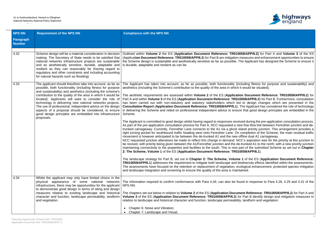

**59/APP/6.2)** for Part A and **Volume 3** of the ES easures and enhancement opportunities to ensure e Applicant has designed the Scheme to ensure it

uding fitness for purpose and sustainability) and would be situated).

**Document Reference: TR010059/APP/6.2) for 059/APP/6.3**) for Part B. Furthermore, consultation to design changes which are presented in the **Consultation Report** (**Application Document Reference: TR010059/APP/5.1**). The Applicant has considered the role of technology that good design principles are embedded in the

ed during the pre-application consultation process. free-flow link between Fenrother junction and deand priority junction. This arrangement provides a ompletion of the Scheme, the main residual traffic fline dual A1 carriageway.

C's aspiration was for the priority at this junction to runked A1 to the north; with a new priority junction art of the submitted Scheme as set out in Chapter **2: The Scheme, Volume 1** of the ES (**Application Document Reference: TR010059/APP/6.1**).

of the ES (Application Document Reference: diversity effects identified within the assessments. logical enhancement, protected species mitigation

d in response to Para 4.28, 4.29 and 4.31 of the

Int Reference: TR010059/APP/6.2) for Part A and Part B identify design and mitigation measures in landform and vegetation:

| <b>NPS NN</b>                     | <b>Requirement of the NPS NN</b>                                                                                                                                                                                                                                                                                                                                                                                                                                                                                                                                              | <b>Compliance with the NPS NN</b>                                                                                                                                                                                                                                                                                                                                                                                                                                                                                                                                                                                                                                                                                                                                                                                                                                                                                                                                                                                                                                                                                                                                                                                                                                                                                                                                                                                                                                                                                                                                                                                                                                                                                                                                                                                                                                       |
|-----------------------------------|-------------------------------------------------------------------------------------------------------------------------------------------------------------------------------------------------------------------------------------------------------------------------------------------------------------------------------------------------------------------------------------------------------------------------------------------------------------------------------------------------------------------------------------------------------------------------------|-------------------------------------------------------------------------------------------------------------------------------------------------------------------------------------------------------------------------------------------------------------------------------------------------------------------------------------------------------------------------------------------------------------------------------------------------------------------------------------------------------------------------------------------------------------------------------------------------------------------------------------------------------------------------------------------------------------------------------------------------------------------------------------------------------------------------------------------------------------------------------------------------------------------------------------------------------------------------------------------------------------------------------------------------------------------------------------------------------------------------------------------------------------------------------------------------------------------------------------------------------------------------------------------------------------------------------------------------------------------------------------------------------------------------------------------------------------------------------------------------------------------------------------------------------------------------------------------------------------------------------------------------------------------------------------------------------------------------------------------------------------------------------------------------------------------------------------------------------------------------|
| <b>Paragraph</b><br><b>Number</b> |                                                                                                                                                                                                                                                                                                                                                                                                                                                                                                                                                                               |                                                                                                                                                                                                                                                                                                                                                                                                                                                                                                                                                                                                                                                                                                                                                                                                                                                                                                                                                                                                                                                                                                                                                                                                                                                                                                                                                                                                                                                                                                                                                                                                                                                                                                                                                                                                                                                                         |
| 4.32                              | Scheme design will be a material consideration in decision<br>making. The Secretary of State needs to be satisfied that<br>national networks infrastructure projects are sustainable<br>and as aesthetically sensitive, durable, adaptable and<br>resilient as they can reasonably be (having regard to<br>regulatory and other constraints and including accounting<br>for natural hazards such as flooding).                                                                                                                                                                | Outlined within Volume 2 the ES (Application Document Reference: TR010059/AI<br>(Application Document Reference: TR010059/APP/6.3) for Part B are mitigation measure-<br>the Scheme design is sustainable and aesthetically sensitive as far as possible. The Ap<br>is durable, adaptable and resilient as can be.                                                                                                                                                                                                                                                                                                                                                                                                                                                                                                                                                                                                                                                                                                                                                                                                                                                                                                                                                                                                                                                                                                                                                                                                                                                                                                                                                                                                                                                                                                                                                      |
| 4.33                              | The applicant should therefore take into account, as far as<br>possible, both functionality (including fitness for purpose<br>and sustainability) and aesthetics (including the scheme's<br>contribution to the quality of the area in which it would be<br>located). Applicants will want to consider the role of<br>technology in delivering new national networks projects.<br>The use of professional, independent advice on the design<br>aspects of a proposal should be considered, to ensure<br>good design principles are embedded into infrastructure<br>proposals. | The Applicant has taken into account, as far as possible, both functionality (including<br>aesthetics (including the Scheme's contribution to the quality of the area in which it woul<br>The aesthetic requirements are assessed within Volume 2 of the ES (Application Do<br>Part A and within Volume 3 of the ES (Application Document Reference: TR010059/A<br>has been carried out with non-statutory and statutory stakeholders which led to d<br>Consultation Report (Application Document Reference: TR010059/APP/5.1). The Application<br>in delivering the Scheme and relied on professional independent advice to ensure that<br>Scheme.<br>The Applicant is committed to good design whilst having regard to responses received du<br>As part of the pre-application consultation process for Part A, NCC requested a new free<br>trunked carriageway. Currently, Fenrother Lane connects to the A1 via a ghost island p<br>right turning pocket for southbound traffic heading west onto Fenrother Lane. On completed<br>movement is however anticipated to be between the de-trunked A1 and the new offline<br>NCC requested junction alterations be made to reflect this change in demand. NCC's as<br>be revised, with priority being given between the A1/Fenrother junction and the de-trunk<br>maintaining connectivity to the properties and facilities to the south. This is now part of<br>2: The Scheme, Volume 1 of the ES (Application Document Reference: TR010059/A<br>The landscape strategy for Part B, set out in Chapter 2: The Scheme, Volume 1 of<br><b>TR010059/APP/6.1</b> ) addresses the requirement to mitigate both landscape and biodiver<br>The assessments have focused on the retention or replacement of vegetation, ecological<br>and landscape integration and screening to ensure the quality of the area is maintained. |
| 4.34                              | Whilst the applicant may only have limited choice in the<br>physical appearance of some national networks<br>infrastructure, there may be opportunities for the applicant<br>to demonstrate good design in terms of siting and design<br>measures relative to existing landscape and historical<br>character and function, landscape permeability, landform<br>and vegetation.                                                                                                                                                                                                | The information required to confirm conformance with Para 4,34, can also be found in<br>NPS NN.<br>The chapters set out below in relation to Volume 2 of the ES (Application Document R<br>Volume 3 of the ES (Application Document Reference: TR010059/APP/6.3) for Part<br>relation to landscape and historical character and function, landscape permeability, land<br>Chapter 6: Noise and Vibration;<br>Chapter 7: Landscape and Visual;                                                                                                                                                                                                                                                                                                                                                                                                                                                                                                                                                                                                                                                                                                                                                                                                                                                                                                                                                                                                                                                                                                                                                                                                                                                                                                                                                                                                                           |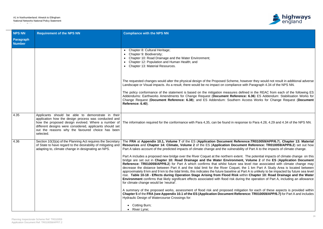

owever they would not result in additional adverse with Paragraph 4.34 of the NPS NN.

fined in the REAC from each of the following ES ice: 6.36) ES Addendum: Stabilisation Works for Access Works for Change Request (Document

onse to Para 4.28, 4.29 and 4.34 of the NPS NN.

The **FRA** at **Appendix 10.1, Volume 7** of the ES (**Application Document Reference:TR010059/APP/6.7**), **Chapter 13: Material Reference: TR010059/APP/6.2)** set out how Ity of Part A to the impacts of climate change.

. The potential impacts of climate change on this bridge are set out in **Chapter 10: Road Drainage and the Water Environment, Volume 2** of the **ES** (**Application Document Reference: TR00** is consisted with climate change may the 1 km Part A Study Area is located between Part A is unlikely to be impacted by future sea level ithin Chapter 10: Road Drainage and the Water **ng the operation of Part A, including an allowance** 

ation for each of these aspects is provided within **France: TR010059/APP/6.7)** for Part A and includes

| <b>NPS NN</b>                     | <b>Requirement of the NPS NN</b>                                                                                                                                                                                                       | <b>Compliance with the NPS NN</b>                                                                                                                                                                                                                                                                                                                                                                                                                                                                    |
|-----------------------------------|----------------------------------------------------------------------------------------------------------------------------------------------------------------------------------------------------------------------------------------|------------------------------------------------------------------------------------------------------------------------------------------------------------------------------------------------------------------------------------------------------------------------------------------------------------------------------------------------------------------------------------------------------------------------------------------------------------------------------------------------------|
| <b>Paragraph</b><br><b>Number</b> |                                                                                                                                                                                                                                        |                                                                                                                                                                                                                                                                                                                                                                                                                                                                                                      |
|                                   |                                                                                                                                                                                                                                        | Chapter 8: Cultural Heritage;<br>$\bullet$<br>Chapter 9: Biodiversity;<br>Chapter 10: Road Drainage and the Water Environment;<br>Chapter 12: Population and Human Health; and<br>Chapter 13: Material Resources.                                                                                                                                                                                                                                                                                    |
|                                   |                                                                                                                                                                                                                                        | The requested changes would alter the physical design of the Proposed Scheme, ho<br>Landscape or Visual impacts. As a result, there would be no impact on compliance                                                                                                                                                                                                                                                                                                                                 |
|                                   |                                                                                                                                                                                                                                        | The policy conformance of the statement is based on the mitigation measures det<br>Addendums: Earthworks Amendments for Change Request (Document Referend<br>Change Request (Document Reference: 6.38); and ES Addendum: Southern /<br>Reference: 6.40).                                                                                                                                                                                                                                             |
| 4.35                              | Applicants should be able to demonstrate in their<br>application how the design process was conducted and<br>different designs were considered, applicants should set<br>out the reasons why the favoured choice has been<br>selected. | how the proposed design evolved. Where a number of The information required for the conformance with Para 4,35, can be found in respo                                                                                                                                                                                                                                                                                                                                                                |
| 4.36                              | Section 10(3)(a) of the Planning Act requires the Secretary<br>of State to have regard to the desirability of mitigating and<br>adapting to, climate change in designating an NPS.                                                     | The FRA at Appendix 10.1, Volume 7 of the ES (Application Document Referent<br>Resources and Chapter 14: Climate, Volume 2 of the ES (Application Docume<br>Part A takes account of the predicted impacts of climate change and the vulnerabilit<br>Part A includes a proposed new bridge over the River Coquet at the northern extent<br>bridge are set out in Chapter 10: Road Drainage and the Water Environment<br>Reference: TR010059/APP/6.2) for Part A which confirms that whilst future sea |
|                                   |                                                                                                                                                                                                                                        | decrease the distance between Part A and the tidal limit for the River Coquet, t<br>approximately 8 km and 9 km to the tidal limits, this indicates the future baseline at P<br>rise. Table 10-18 - Effects during Operation Stage Arising from Flood Risk wi<br><b>Environment</b> confirms that likely significant effects associated with flood risk durin<br>for climate change would be 'neutral'.                                                                                              |
|                                   |                                                                                                                                                                                                                                        | A summary of the proposed works, assessment of flood risk and proposed mitiga<br>Chapter 5 of the FRA (see Appendix 10.1 of the ES (Application Document Refer<br>Hydraulic Design of Watercourse Crossings for:                                                                                                                                                                                                                                                                                     |
|                                   |                                                                                                                                                                                                                                        | Cotting Burn;<br>River Lyne;                                                                                                                                                                                                                                                                                                                                                                                                                                                                         |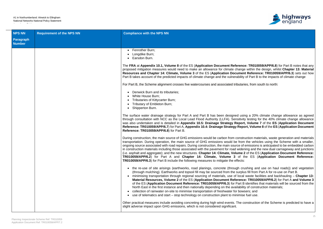

**nce: TR010059/APP/6.8**) for Part B notes that any nge within the design, whilst **Chapter 13: Material Reference: TR010059/APP/6.3**) sets out how ity of Part B to the impacts of climate change

aries, from south to north:

sing a 20% climate change allowance as agreed rity testing for the 40% climate change allowance ort, Volume 7 of the ES (Application Document **Reference: TR010059/APP/6.7**) for Part A, **Appendix 10.4: Drainage Strategy Report, Volume 8** of the **ES** (**Application Document**

struction materials, waste generation and materials om the vehicles using the Scheme with a smaller, of emissions is anticipated to be embedded carbon lening and the new dual carriageway and junctions (i.e. asphalt and aggregate); and the new structures. **Chapter 14: Climate, Volume 2** of the ES (**Application Document Reference:** the ES (**Application Document Reference:** 

rushing and use on haul roads)) and vegetation blus fill from Part A for re-use on Part B.

al waste facilities and backhauling – **Chapter 13: Material Resolution Bolume 3** of the ES (**Application Docume 3** B identifies that materials will be sourced from the ility of construction materials;

wsers; and

se fuel use.

construction of the Scheme is predicted to have a

| <b>NPS NN</b>                     | <b>Requirement of the NPS NN</b> | <b>Compliance with the NPS NN</b>                                                                                                                                                                                                                                                                                                                                                                                                                                                                                                                                                                                                                                                  |
|-----------------------------------|----------------------------------|------------------------------------------------------------------------------------------------------------------------------------------------------------------------------------------------------------------------------------------------------------------------------------------------------------------------------------------------------------------------------------------------------------------------------------------------------------------------------------------------------------------------------------------------------------------------------------------------------------------------------------------------------------------------------------|
| <b>Paragraph</b><br><b>Number</b> |                                  |                                                                                                                                                                                                                                                                                                                                                                                                                                                                                                                                                                                                                                                                                    |
|                                   |                                  | Fenrother Burn;<br>$\bullet$<br>Longdike Burn;<br>Earsdon Burn.<br>$\bullet$                                                                                                                                                                                                                                                                                                                                                                                                                                                                                                                                                                                                       |
|                                   |                                  | The FRA at Appendix 10.1, Volume 8 of the ES (Application Document Referenc<br>proposed mitigation measures would need to make an allowance for climate change<br>Resources and Chapter 14: Climate, Volume 3 of the ES (Application Documen<br>Part B takes account of the predicted impacts of climate change and the vulnerability                                                                                                                                                                                                                                                                                                                                              |
|                                   |                                  | For Part B, the Scheme alignment crosses five watercourses and associated tributari                                                                                                                                                                                                                                                                                                                                                                                                                                                                                                                                                                                                |
|                                   |                                  | Denwick Burn and its tributaries;<br>$\bullet$<br>White House Burn;<br>$\bullet$<br>Tributaries of Kittycarter Burn;<br>Tributary of Embleton Burn;<br>Shipperton Burn.<br>$\bullet$                                                                                                                                                                                                                                                                                                                                                                                                                                                                                               |
|                                   |                                  | The surface water drainage strategy for Part A and Part B has been designed usir<br>through consultation with NCC as the Local Lead Flood Authority (LLFA). Sensitivit<br>was also undertaken and is detailed in Appendix 10.5: Drainage Strategy Report<br>Reference: TR010059/APP/6.7) for Part A, Appendix 10.4: Drainage Strategy Repo<br>Reference: TR010059/APP/6.8) for Part B.                                                                                                                                                                                                                                                                                             |
|                                   |                                  | During construction, the main source of GHG emissions would be carbon from constri<br>transportation. During operation, the main source of GHG emissions would be from<br>ongoing source associated with road repairs. During construction, the main source of<br>in construction materials including those associated with the pavement for road wider<br>(i.e. asphalt and aggregate); and the new structures. Chapter 14: Climate, Volume 2<br>TR010059/APP/6.2) for Part A and Chapter 14: Climate, Volume 3 of tl<br><b>TR010059/APP/6.3)</b> for Part B include the following measures to mitigate the effects:                                                              |
|                                   |                                  | • the re-use of site arisings (earthworks, road planings, concrete (through cru<br>(through mulching). Earthworks and topsoil fill may be sourced from the surplu<br>minimising transportation through regional sourcing of materials, use of local<br>Material Resources, Volume 2 of the ES (Application Document Reference<br>of the ES (Application Document Reference: TR010059/APP/6.3) for Part B<br>North East in the first instance and then nationally depending on the availabilit<br>collection of rainwater on-site to minimise transportation of freshwater for bows<br>use of telematics and start – stop technology on construction plant to minimise<br>$\bullet$ |
|                                   |                                  | Other practical measures include avoiding concreting during high wind events. The co<br>slight adverse impact upon GHG emissions, which is not considered significant.                                                                                                                                                                                                                                                                                                                                                                                                                                                                                                             |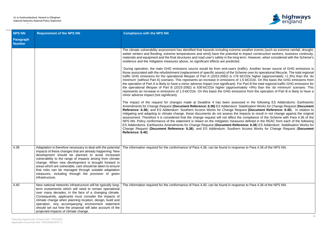

weather events (such as extreme rainfall, drought, impact construction workers, business continuity, rm. However, when considered with the Scheme's

affic). Another lesser source of GHG emissions is  $em\acute{e}$  over its operational lifecycle. The total regional tCO2e higher (approximately +1.3%) than the 'do 5 ktCO2e. On this basis the GHG emissions from Part B the total regional traffic GHG emissions for tely +9%) than the 'do minimum' scenario. This ons from the operation of Part B is likely to have a

ed in the following ES Addendums: Earthworks Amendments for Change Request (**Document Reference: 6.36)** ES Addendum: Stabilisation Works for Change Request (**Document Reference: 6.40**). In relation to npacts to result in not change against the original compliance of the Scheme with Para 4.36 of the es defined in the REAC from each of the following ence: 6.36) ES Addendum: Stabilisation Works for Change Request (**Document Reference: 6.38**); and ES Addendum: Southern Access Works for Change Request (**Document**

se to Para 4,36 of the NPS NN.

se to Para 4.36 of the NPS NN.

| <b>NPS NN</b>              | <b>Requirement of the NPS NN</b>                                                                                                                                                                                                                                                                                                                                                                                                                                                                 | <b>Compliance with the NPS NN</b>                                                                                                                                                                                                                                                                                                                                                                                                                                                                                                                                                                                                                                                                                                                                                                                                                                                                                                                                                                                                                                                                                                                                                                                                                                                                                                                                                                                                                                                                                                                                                                                                                                                                                  |
|----------------------------|--------------------------------------------------------------------------------------------------------------------------------------------------------------------------------------------------------------------------------------------------------------------------------------------------------------------------------------------------------------------------------------------------------------------------------------------------------------------------------------------------|--------------------------------------------------------------------------------------------------------------------------------------------------------------------------------------------------------------------------------------------------------------------------------------------------------------------------------------------------------------------------------------------------------------------------------------------------------------------------------------------------------------------------------------------------------------------------------------------------------------------------------------------------------------------------------------------------------------------------------------------------------------------------------------------------------------------------------------------------------------------------------------------------------------------------------------------------------------------------------------------------------------------------------------------------------------------------------------------------------------------------------------------------------------------------------------------------------------------------------------------------------------------------------------------------------------------------------------------------------------------------------------------------------------------------------------------------------------------------------------------------------------------------------------------------------------------------------------------------------------------------------------------------------------------------------------------------------------------|
| Paragraph<br><b>Number</b> |                                                                                                                                                                                                                                                                                                                                                                                                                                                                                                  |                                                                                                                                                                                                                                                                                                                                                                                                                                                                                                                                                                                                                                                                                                                                                                                                                                                                                                                                                                                                                                                                                                                                                                                                                                                                                                                                                                                                                                                                                                                                                                                                                                                                                                                    |
|                            |                                                                                                                                                                                                                                                                                                                                                                                                                                                                                                  | The climate vulnerability assessment has identified that hazards including extreme w<br>wetter winters and flooding, extreme temperatures and wind) have the potential to i<br>materials and equipment and the final structures and road user's safety in the long ter<br>resilience and the mitigation measures above, no significant effects are predicted.<br>During operation, the main GHG emissions source would be from end-users (traf<br>those associated with the refurbishment (replacement of specific assets) of the Scher<br>traffic GHG emissions for the operational lifespan of Part A (2023-2082) is 178 kt<br>minimum' (without Part A) scenario. This represents an increase in emissions of 1.5<br>the operation of Part A is likely to have a minor adverse impact (not significant). For<br>the operational lifespan of Part B (2023-2082) is 630 ktCO2e higher (approximat<br>represents an increase in emissions of 1.5 ktCO2e. On this basis the GHG emission<br>minor adverse impact (not significant).<br>The impact of the request for changes made at Deadline 4 has been assesse<br>Amendments for Change Request (Document Reference: 6.36) ES Addendum: Sta<br>Reference: 6.38); and ES Addendum: Southern Access Works for Change Reque<br>mitigating and adapting to climate change, these documents do not assess the im<br>assessment. Therefore it is considered that the change request will not affect the<br>NPS NN. Policy conformance of the statement is reliant on the mitigation measures<br>ES Addendums: Earthworks Amendments for Change Request (Document Referer<br>Change Request (Document Reference: 6.38); and ES Addendum: Southern A<br>Reference: 6.40). |
| 4.38                       | Adaptation is therefore necessary to deal with the potential<br>impacts of these changes that are already happening. New<br>development should be planned to avoid increased<br>vulnerability to the range of impacts arising from climate<br>change. When new development is brought forward in<br>areas which are vulnerable, care should be taken to ensure<br>that risks can be managed through suitable adaptation<br>measures, including through the provision of green<br>infrastructure. | The information required for the conformance of Para 4,38, can be found in respons                                                                                                                                                                                                                                                                                                                                                                                                                                                                                                                                                                                                                                                                                                                                                                                                                                                                                                                                                                                                                                                                                                                                                                                                                                                                                                                                                                                                                                                                                                                                                                                                                                 |
| 4.40                       | New national networks infrastructure will be typically long-<br>term investments which will need to remain operational<br>over many decades, in the face of a changing climate.<br>Consequently, applicants must consider the impacts of<br>climate change when planning location, design, build and<br>operation. Any accompanying environment statement<br>should set out how the proposal will take account of the<br>projected impacts of climate change.                                    | The information required for the conformance of Para 4,40, can be found in respons                                                                                                                                                                                                                                                                                                                                                                                                                                                                                                                                                                                                                                                                                                                                                                                                                                                                                                                                                                                                                                                                                                                                                                                                                                                                                                                                                                                                                                                                                                                                                                                                                                 |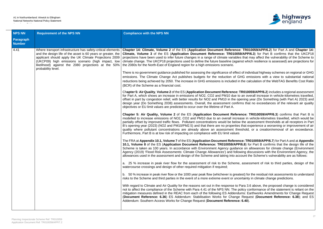

**TR010059/APP/6.2)** for Part A and **Chapter 14: APP/6.3**) for Part B confirms that the UKCP18 that may affect the vulnerability of the Scheme to st which resilience is assessed) are projections for

of individual highway schemes on regional or GHG G emissions with a view to substantial national ne calculation of the WebTAG Benefits Cost Ratio

**2010059/APP/6.2**) includes a regional assessment an overall increase in vehicle-kilometres travelled, ning year (Do Something (with Part A) 2023) and s that no exceedances of the relevant air quality

**ce: TR010059/APP/6.3)** confirms that Part B is se in vehicle-kilometres travelled, which would be he assessment thresholds at all receptors in Part hat experience a worsening or improvement of air hold, or a creation/removal of an exceedance.

**P. TR010059/APP/6.7**) for Part A and at **Appendix 10.8)** for Part B confirms that the design life of the on allowances for climate change (Environment ng discussions with the Environment Agency, the ant the Scheme's vulnerability are as follows:

assessment of risk to third parties, design of the

st) for the residual risk assessments to understand tainty in climate change predictions.

ra 3.6 above, the proposed change is considered cy conformance of the statement is reliant on the ns: Earthworks Amendments for Change Request Request (Document Reference: 6.38); and ES

| <b>NPS NN</b>              | <b>Requirement of the NPS NN</b>                                                                                                                                                                                                                                                                                         | <b>Compliance with the NPS NN</b>                                                                                                                                                                                                                                                                                                                                                                                                                                                                                                                                                                                                                                                                                                                                                                                                                                                                                                                                                                                                                                                                                                                                                                                                                                                                                                                                                                                                                                                                                                                                                                                                                                                                                                                                                                                                                                                                                                                                                                                                                                                                                                                                                                                                                                                                                                                                                                                                                                                                                                                                                                                                                                                                                                                                                                                                                                                                                                                                                                                         |
|----------------------------|--------------------------------------------------------------------------------------------------------------------------------------------------------------------------------------------------------------------------------------------------------------------------------------------------------------------------|---------------------------------------------------------------------------------------------------------------------------------------------------------------------------------------------------------------------------------------------------------------------------------------------------------------------------------------------------------------------------------------------------------------------------------------------------------------------------------------------------------------------------------------------------------------------------------------------------------------------------------------------------------------------------------------------------------------------------------------------------------------------------------------------------------------------------------------------------------------------------------------------------------------------------------------------------------------------------------------------------------------------------------------------------------------------------------------------------------------------------------------------------------------------------------------------------------------------------------------------------------------------------------------------------------------------------------------------------------------------------------------------------------------------------------------------------------------------------------------------------------------------------------------------------------------------------------------------------------------------------------------------------------------------------------------------------------------------------------------------------------------------------------------------------------------------------------------------------------------------------------------------------------------------------------------------------------------------------------------------------------------------------------------------------------------------------------------------------------------------------------------------------------------------------------------------------------------------------------------------------------------------------------------------------------------------------------------------------------------------------------------------------------------------------------------------------------------------------------------------------------------------------------------------------------------------------------------------------------------------------------------------------------------------------------------------------------------------------------------------------------------------------------------------------------------------------------------------------------------------------------------------------------------------------------------------------------------------------------------------------------------------------|
| Paragraph<br><b>Number</b> |                                                                                                                                                                                                                                                                                                                          |                                                                                                                                                                                                                                                                                                                                                                                                                                                                                                                                                                                                                                                                                                                                                                                                                                                                                                                                                                                                                                                                                                                                                                                                                                                                                                                                                                                                                                                                                                                                                                                                                                                                                                                                                                                                                                                                                                                                                                                                                                                                                                                                                                                                                                                                                                                                                                                                                                                                                                                                                                                                                                                                                                                                                                                                                                                                                                                                                                                                                           |
| 4.41                       | Where transport infrastructure has safety-critical elements<br>and the design life of the asset is 60 years or greater, the<br>applicant should apply the UK Climate Projections 2009<br>(UKCP09) high emissions scenario (high impact, low<br>likelihood) against the 2080 projections at the 50%<br>probability level. | Chapter 14: Climate, Volume 2 of the ES (Application Document Reference: TR01<br>Climate, Volume 3 of the ES (Application Document Reference: TR010059/APP)<br>projections have been used to infer future changes in a range of climate variables that r<br>climate change. The UKCP18 projections used to define the future baseline (against whi<br>the 2080s for the North-East of England region for a high emissions scenario.<br>There is no government guidance published for assessing the significance of effect of indi-<br>emissions. The Climate Change Act publishes budgets for the reduction of GHG en<br>reductions being achieved by 2050. The increase in GHG emissions is included in the ca<br>(BCR) of the Scheme as a financial cost.<br>Chapter 5: Air Quality, Volume 2 of the ES (Application Document Reference: TR0100<br>for Part A, which shows an increase in emissions of NO2, CO2 and PM10 due to an ov<br>offset in part by congestion relief, with better results for NO2 and PM10 in the opening<br>design year (Do Something 2038) assessments. Overall, the assessment confirms tha<br>objectives or EU limit values are predicted to occur over the lifetime of Part A.<br>Chapter 5: Air Quality, Volume 2 of the ES (Application Document Reference: 7<br>modelled to increase emissions of NO2, CO2 and PM10 due to an overall increase in<br>partially offset by improved traffic flows. Pollutant concentrations would be below the as<br>B's opening year (2023) (NO2 and PM10/PM2.5) and that there are no properties that example 3<br>quality where pollutant concentrations are already above an assessment threshold,<br>Furthermore, Part B is at low risk of impacting on compliance with EU limit values<br>The FRA at Appendix 10.1, Volume 7 of the ES (Application Document Reference: TR<br>10.1, Volume 8 of the ES (Application Document Reference: TR010059/APP/6.8) for<br>Scheme is taken as 100 years. In accordance with Environment Agency guidance on a<br>Agency (2019) 'Flood Risk Assessments: Climate Change Allowances') and following di<br>allowances used in the assessment and design of the Scheme and taking into account the<br>a. 25 % increase in peak river flow for the assessment of risk to the Scheme, asses<br>watercourse crossings and design of other required mitigation if required;<br>b. 50 % increase in peak river flow or the 1000 year peak flow (whichever is greatest) for<br>risks to the Scheme and third parties in the event of a more extreme event or uncertainty<br>With regard to Climate and Air Quality for the reasons set out in the response to Para 3.<br>not to affect the compliance of the Scheme with Para 4.41 of the NPS NN. The policy co<br>mitigation measures defined in the REAC from each of the following ES Addendums: Ea<br>(Document Reference: 6.36) ES Addendum: Stabilisation Works for Change Reque<br>Addendum: Southern Access Works for Change Request (Document Reference: 6.40). |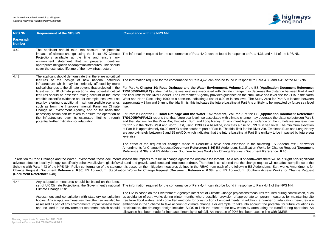

 $\epsilon$ e to Para 4.36 and 4.41 of the NPS NN.

ponse to Para 4,36 and 4,41 of the NPS NN.

of the ES (Application Document Reference: **Parable funture inconse** intertual and integrated with a side changer in a side rise in and the cumulative sea level rise for 2115 in the North vel. The Study Area for Part A is located between art A is unlikely to be impacted by future sea level

of the ES (Application Document Reference: nange may decrease the distance between Part B Agency guidance on the cumulative sea level rise  $\frac{3}{5}$  of 0.99 m in sea level. The minimum elevation for the River Aln, Embleton Burn and Long Nanny at Part B is unlikely to be impacted by future sea

d in the following ES Addendums: Earthworks Amendments for Change Request (**Document Reference: 6.36)** ES Addendum: Stabilisation Works for Change Request (**Document Reference: 6.40). Reference: 6.40**).

of earthworks there will be a slight non-significant e change request will not affect compliance of the ing ES Addendums: Earthworks Amendments for n: Southern Access Works for Change Request

ponse to Para 4.41 of the NPS NN.

ions/measures required during construction, such ropriate temporary measures for maintaining site n addition, a number of adaptation measures are into account the potential for future variations in ks by attenuating the runoff during operation. An s been used in line with DMRB.

| <b>NPS NN</b>              | <b>Requirement of the NPS NN</b>                                                                                                                                                                                                                                                                                                                                                                                                                                                                                                                                                                                                                                                                                                                                                      | <b>Compliance with the NPS NN</b>                                                                                                                                                                                                                                                                                                                                                                                                                                                                                                                                                                                                                                                                                                                                                                                                                                                                                                                                                                                                                                                                                                                                                                                                                                                                                                         |
|----------------------------|---------------------------------------------------------------------------------------------------------------------------------------------------------------------------------------------------------------------------------------------------------------------------------------------------------------------------------------------------------------------------------------------------------------------------------------------------------------------------------------------------------------------------------------------------------------------------------------------------------------------------------------------------------------------------------------------------------------------------------------------------------------------------------------|-------------------------------------------------------------------------------------------------------------------------------------------------------------------------------------------------------------------------------------------------------------------------------------------------------------------------------------------------------------------------------------------------------------------------------------------------------------------------------------------------------------------------------------------------------------------------------------------------------------------------------------------------------------------------------------------------------------------------------------------------------------------------------------------------------------------------------------------------------------------------------------------------------------------------------------------------------------------------------------------------------------------------------------------------------------------------------------------------------------------------------------------------------------------------------------------------------------------------------------------------------------------------------------------------------------------------------------------|
| Paragraph<br><b>Number</b> |                                                                                                                                                                                                                                                                                                                                                                                                                                                                                                                                                                                                                                                                                                                                                                                       |                                                                                                                                                                                                                                                                                                                                                                                                                                                                                                                                                                                                                                                                                                                                                                                                                                                                                                                                                                                                                                                                                                                                                                                                                                                                                                                                           |
| 4.42                       | The applicant should take into account the potential<br>impacts of climate change using the latest UK Climate<br>Projections available at the time and ensure any<br>environment statement that is prepared identifies<br>appropriate mitigation or adaptation measures. This should<br>cover the estimated lifetime of the new infrastructure.                                                                                                                                                                                                                                                                                                                                                                                                                                       | The information required for the conformance of Para 4,42, can be found in respons                                                                                                                                                                                                                                                                                                                                                                                                                                                                                                                                                                                                                                                                                                                                                                                                                                                                                                                                                                                                                                                                                                                                                                                                                                                        |
| 4.43                       | The applicant should demonstrate that there are no critical<br>features of the design of new national networks<br>infrastructure which may be seriously affected by more<br>radical changes to the climate beyond that projected in the<br>latest set of UK climate projections. Any potential critical<br>features should be assessed taking account of the latest<br>credible scientific evidence on, for example, sea level rise<br>(e.g. by referring to additional maximum credible scenarios<br>such as from the Intergovernmental Panel on Climate<br>Change or Environment Agency) and on the basis that<br>necessary action can be taken to ensure the operation of<br>the infrastructure over its estimated lifetime through<br>potential further mitigation or adaptation. | The information required for the conformance of Para 4,42, can also be found in res<br>For Part A, Chapter 10: Road Drainage and the Water Environment, Volume 2<br>TR010059/APP/6.2) states that future sea level rise associated with climate change<br>the tidal limit for the River Coquet. The Environment Agency provides guidance on t<br>West and North East using 1990 as a baseline, indicating a rise of 0.99 m in sea level<br>approximately 8 km and 9 km to the tidal limits, this indicates the future baseline at P<br>rise.<br>For Part B Chapter 10: Road Drainage and the Water Environment, Volume 3<br>TR010059/APP/6.3) reports that that future sea level rise associated with climate ch<br>and the tidal limit for the River Aln, Embleton Burn and Long Nanny. Environment A<br>for 2115 in the North West and North East, using 1990 as a baseline, indicates a rist<br>of Part B is approximately 60.09 mAOD at the southern part of Part B. The tidal limit to<br>are approximately between 5 and 25 mAOD, which indicates that the future baseline<br>level rise.<br>The effect of the request for changes made at Deadline 4 have been assesse<br>Amendments for Change Request (Document Reference: 6.36) ES Addendum: Sta<br>Reference: 6.38); and ES Addendum: Southern Access Works for Change Request |
|                            | (Document Reference: 6.40).                                                                                                                                                                                                                                                                                                                                                                                                                                                                                                                                                                                                                                                                                                                                                           | In relation to Road Drainage and the Water Environment, these documents assess the impacts to result in change against the original assessment. As a result<br>adverse effect on local hydrology, specifically cohesive alluvium, glaciofluvial sand and gravel, sandstone and limestone bedrock. Therefore is considered that the<br>Scheme with Para 4.43 of the NPS NN. Policy conformance of the statement is based on the mitigation measures defined in the REAC from each of the followi<br>Change Request (Document Reference: 6.36) ES Addendum: Stabilisation Works for Change Request (Document Reference: 6.38); and ES Addendun                                                                                                                                                                                                                                                                                                                                                                                                                                                                                                                                                                                                                                                                                              |
| 4.44                       | Any adaptation measures should be based on the latest<br>set of UK Climate Projections, the Government's national<br>Climate Change Risk.                                                                                                                                                                                                                                                                                                                                                                                                                                                                                                                                                                                                                                             | The information required for the conformance of Para 4,44, can also be found in res                                                                                                                                                                                                                                                                                                                                                                                                                                                                                                                                                                                                                                                                                                                                                                                                                                                                                                                                                                                                                                                                                                                                                                                                                                                       |
|                            | Assessment and consultation with statutory consultation<br>bodies. Any adaptation measures must themselves also be<br>assessed as part of any environmental impact assessment<br>and included in the environment statement, which should                                                                                                                                                                                                                                                                                                                                                                                                                                                                                                                                              | The EIA is based on the Environment Agency's latest set of Climate Change projection<br>as avoidance of earthworks during winter months where possible; provision of appi<br>free from flood waters; and controlled methods for construction of embankments. In<br>embedded in the Scheme to take account of climate change. For example, to take<br>precipitation, the drainage design includes SuDS to limit the effect of the new work<br>allowance has been made for increased intensity of rainfall. An increase of 20% has                                                                                                                                                                                                                                                                                                                                                                                                                                                                                                                                                                                                                                                                                                                                                                                                          |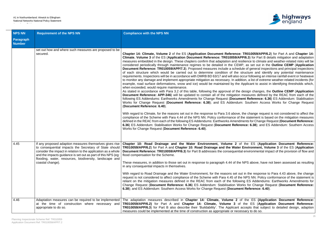

secured. **Chapter 14: Climate, Volume 2** of the ES (**Application Document Reference: TR010059/APP/6.2**) for Part A and **Chapter 14: P/6.3**) for Part B details mitigation and adaptation lience to climate and weather-related risks will be <sup>2</sup>, as set out in the **Outline CEMP** (**Application** le of general inspections and principal inspections ructure and identify any potential maintenance cur following an intense rainfall event or heatwave on, a list of extreme weather-related incidents (for pplicant to assist in identifying thresholds which,

lesign changes, the **Outline CEMP** (Application neasures defined by the REAC from each of the nt Reference: 6.36) ES Addendum: Stabilisation Southern Access Works for Change Request

he change request is not considered to affect the e statement is based on the mitigation measures lents for Change Request (**Document Reference: fice: 6.38**); and ES Addendum: Southern Access

the ES (Application Document Reference: **Environment, Volume 3** of the ES (Application environmental impact of the provision of flow and

NPS above, have not been assessed as resulting

in the response to Para 4.43 above, the change NPS NN. Policy conformance of the statement is ig ES Addendums: Earthworks Amendments for Change Request (**Document Reference: 6.36**) ES Addendum: Stabilisation Works for Change Request (**Document Reference: Reference: 6.40).** 

the ES (Application Document Reference: **TR010059/APP/6.2)** for Part A and **Chapter 14: Climate, Volume 3** of the ES (**Application Document Reference:** ccepts that subject to detailed design, adaption sary to do so.

| <b>NPS NN</b>              | <b>Requirement of the NPS NN</b>                                                                                                                                                                                                                                                                                                  | <b>Compliance with the NPS NN</b>                                                                                                                                                                                                                                                                                                                                                                                                                                                                                                                                                                                                                                                                                                                                                                                                                                                                                                                                                                                                                                                                                                                                                                                                                                                                                                                                                                                                                                                                                                                                                  |
|----------------------------|-----------------------------------------------------------------------------------------------------------------------------------------------------------------------------------------------------------------------------------------------------------------------------------------------------------------------------------|------------------------------------------------------------------------------------------------------------------------------------------------------------------------------------------------------------------------------------------------------------------------------------------------------------------------------------------------------------------------------------------------------------------------------------------------------------------------------------------------------------------------------------------------------------------------------------------------------------------------------------------------------------------------------------------------------------------------------------------------------------------------------------------------------------------------------------------------------------------------------------------------------------------------------------------------------------------------------------------------------------------------------------------------------------------------------------------------------------------------------------------------------------------------------------------------------------------------------------------------------------------------------------------------------------------------------------------------------------------------------------------------------------------------------------------------------------------------------------------------------------------------------------------------------------------------------------|
| Paragraph<br><b>Number</b> |                                                                                                                                                                                                                                                                                                                                   |                                                                                                                                                                                                                                                                                                                                                                                                                                                                                                                                                                                                                                                                                                                                                                                                                                                                                                                                                                                                                                                                                                                                                                                                                                                                                                                                                                                                                                                                                                                                                                                    |
|                            | set out how and where such measures are proposed to be<br>secured.                                                                                                                                                                                                                                                                | Chapter 14: Climate, Volume 2 of the ES (Application Document Reference:<br>Climate, Volume 3 of the ES (Application Document Reference: TR010059/APF<br>measures embedded in the design. These chapters confirm that adaptation and resi<br>considered periodically through maintenance regimes to be detailed in the CEMP<br>Document Reference: TR010059/APP/7.3). Proposed measures include a schedul<br>of each structure which would be carried out to determine condition of the sti<br>requirements. Inspections will be in accordance with DMRB BD 63/17 and will also oc<br>to monitor any damage and implement appropriate mitigation as necessary. In additional<br>example, road surface deformations, snow and ice) would be maintained by the A<br>when exceeded, would require maintenance.<br>As stated in accordance with Para 3.2 of this table, following the approval of the d<br>Document Reference: APP-346) will be updated to contain all of the mitigation m<br>following ES Addendums: Earthworks Amendments for Change Request (Documer<br>Works for Change Request (Document Reference: 6.38); and ES Addendum:<br>(Document Reference: 6.40).<br>With regard to Climate, for the reasons set out in the response to Para 3.6 above, tl<br>compliance of the Scheme with Para 4.44 of the NPS NN. Policy conformance of the<br>defined in the REAC from each of the following ES Addendums: Earthworks Amendme<br>6.36) ES Addendum: Stabilisation Works for Change Request (Document Referer<br>Works for Change Request (Document Reference: 6.40). |
| 4.45                       | If any proposed adaption measures themselves gives rise<br>to consequential impacts the Secretary of State should<br>consider the impact in relation to the application as a whole<br>and the impacts guidance is set out as part of this NPS (eg:<br>flooding, water, resources, biodiversity, landscape and<br>coastal change). | Chapter 10: Road Drainage and the Water Environment, Volume 2 of<br>TR010059/APP/6.2) for Part A and Chapter 10: Road Drainage and the Water E<br>Document Reference: TR010059/APP/6.3) for Part B addresses the consequential<br>flood compensation for the Scheme.<br>These measures, in addition to those set out in response to paragraph 4.44 of the N<br>in any consequential impacts in themselves.<br>With regard to Road Drainage and the Water Environment, for the reasons set out<br>request is not considered to affect compliance of the Scheme with Para 4.45 of the<br>reliant on the mitigation measures defined in the REAC from each of the followin<br>Change Request (Document Reference: 6.36) ES Addendum: Stabilisation Worl<br>6.38); and ES Addendum: Southern Access Works for Change Request (Document                                                                                                                                                                                                                                                                                                                                                                                                                                                                                                                                                                                                                                                                                                                                                 |
| 4.46                       | Adaptation measures can be required to be implemented<br>at the time of construction where necessary and<br>appropriate to do so.                                                                                                                                                                                                 | The adaptation measures described in Chapter 14: Climate, Volume 2 of<br>TR010059/APP/6.2) for Part A and Chapter 14: Climate, Volume 3 of<br>TR010059/APP/6.3) for Part B also describe their 'Buildability'. The Applicant ad<br>measures could be implemented at the time of construction as appropriate or neces                                                                                                                                                                                                                                                                                                                                                                                                                                                                                                                                                                                                                                                                                                                                                                                                                                                                                                                                                                                                                                                                                                                                                                                                                                                               |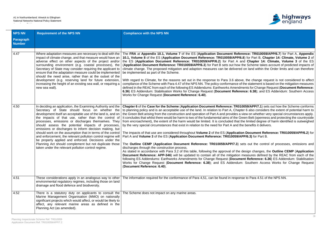

**FIRA 20.10059/APP/6.7)** for Part A, **Appendix 8**) for Part B, Chapter 14: Climate, Volume 2 of **d Chapter 14: Climate, Volume 3** of the ES (**Application Document Reference: TR010059/APP/6.3**) for Part B sets out how the Scheme takes account of predicted impacts of on land within the Order limits and can therefore

e, the change request is not considered to affect  $\ddot{a}$  ine statement is based on the mitigation measures lents for Change Request (**Document Reference: nce: 6.38**); and ES Addendum: Southern Access

**059/APP/7.1**) sets out how the Scheme conforms er 6 also considers the extent of potential harm to iew on whether very special circumstances apply. een Belt (openness and protecting the countryside e limited degree of harm identified is outweighed benefits it delivers.

n Document Reference: TR010059/APP/6.2) for P/6.3) for Part B.

ets out the control of processes, emissions and

lesign changes, the **Outline CEMP** (**Application** neasures defined by the REAC from each of the nt Reference: 6.36<sup>)</sup> ES Addendum: Stabilisation Southern Access Works for Change Request

the to Para 4,51 of the NPS NN.

| <b>NPS NN</b>              | <b>Requirement of the NPS NN</b>                                                                                                                                                                                                                                                                                                                                                                                                                                                                                                                                                                                                                                                                                | <b>Compliance with the NPS NN</b>                                                                                                                                                                                                                                                                                                                                                                                                                                                                                                                                                                                                                                                                                                                                                                                                                                                                                                                                                                                                                                                                                                                                                                         |
|----------------------------|-----------------------------------------------------------------------------------------------------------------------------------------------------------------------------------------------------------------------------------------------------------------------------------------------------------------------------------------------------------------------------------------------------------------------------------------------------------------------------------------------------------------------------------------------------------------------------------------------------------------------------------------------------------------------------------------------------------------|-----------------------------------------------------------------------------------------------------------------------------------------------------------------------------------------------------------------------------------------------------------------------------------------------------------------------------------------------------------------------------------------------------------------------------------------------------------------------------------------------------------------------------------------------------------------------------------------------------------------------------------------------------------------------------------------------------------------------------------------------------------------------------------------------------------------------------------------------------------------------------------------------------------------------------------------------------------------------------------------------------------------------------------------------------------------------------------------------------------------------------------------------------------------------------------------------------------|
| Paragraph<br><b>Number</b> |                                                                                                                                                                                                                                                                                                                                                                                                                                                                                                                                                                                                                                                                                                                 |                                                                                                                                                                                                                                                                                                                                                                                                                                                                                                                                                                                                                                                                                                                                                                                                                                                                                                                                                                                                                                                                                                                                                                                                           |
| 4.47                       | Where adaptation measures are necessary to deal with the<br>impact of climate change, and that measure would have an<br>adverse effect on other aspects of the project and/or<br>surrounding environment (e.g. coastal processes), the<br>Secretary of State may consider requiring the applicant to<br>ensure that the adaptation measure could be implemented<br>should the need arise, rather than at the outset of the<br>development (e.g. reserving land for future extension,<br>increasing the height of an existing sea wall, or requiring a<br>new sea wall).                                                                                                                                         | The FRA at Appendix 10.1, Volume 7 of the ES (Application Document Refere<br>10.1, Volume 8 of the ES (Application Document Reference: TR010059/APP/6.8<br>the ES (Application Document Reference: TR010059/APP/6.2) for Part A an<br>(Application Document Reference: TR010059/APP/6.3) for Part B sets out how the<br>climate change. The proposed mitigation and adaption measures can be delivered<br>be implemented as part of the Scheme.<br>With regard to Climate, for the reasons set out in the response to Para 3.6 above<br>compliance of the Scheme with Para 4.47 of the NPS NN. The policy conformance of t<br>defined in the REAC from each of the following ES Addendums: Earthworks Amendme<br>6.36) ES Addendum: Stabilisation Works for Change Request (Document Referen<br>Works for Change Request (Document Reference: 6.40).                                                                                                                                                                                                                                                                                                                                                      |
| 4.50                       | In deciding an application, the Examining Authority and the<br>Secretary of State should focus on whether the<br>development itself an acceptable use of the land is, and on<br>the impacts of that use, rather than the control of<br>processes, emissions or discharges themselves. They<br>should assess the potential impacts of processes,<br>emissions or discharges to inform decision making, but<br>should work on the assumption that in terms of the control<br>and enforcement, the relevant pollution control regime will<br>be properly applied and enforced. Decisions under the<br>Planning Act should complement but not duplicate those<br>taken under the relevant pollution control regime. | Chapter 6 of the Case for the Scheme (Application Document Reference: TR010<br>to planning policy and is an acceptable use of the land. In relation to Part A, Chapte<br>the Green Belt arising from the construction and operation of Part A and provides a vi<br>It concludes that whilst there would be harm to two of the fundamental aims of the Gre<br>from encroachment), the extent of the harm would be limited. It is concluded that th<br>by the very special circumstances that exist in relation to the need for Part A and the<br>The impacts of that use are considered throughout Volume 2 of the ES (Application<br>Part A and Volume 3 of the ES (Application Document Reference: TR010059/AP<br>The Outline CEMP (Application Document Reference: TR010059/APP/7.3) se<br>discharges through the construction process.<br>As stated in accordance with Para 3.2 of this table, following the approval of the d<br>Document Reference: APP-346) will be updated to contain all of the mitigation m<br>following ES Addendums: Earthworks Amendments for Change Request (Documer<br>Works for Change Request (Document Reference: 6.38); and ES Addendum:<br>(Document Reference: 6.40). |
| 4.51                       | These considerations apply in an analogous way to other<br>environmental regulatory regimes, including those on land<br>drainage and flood defence and biodiversity.                                                                                                                                                                                                                                                                                                                                                                                                                                                                                                                                            | The information required for the conformance of Para 4,51, can be found in respons                                                                                                                                                                                                                                                                                                                                                                                                                                                                                                                                                                                                                                                                                                                                                                                                                                                                                                                                                                                                                                                                                                                        |
| 4.52                       | There is a statutory duty on applicants to consult the<br>Marine Management Organisation (MMO) on nationally<br>significant projects which would affect, or would be likely to<br>affect, any relevant marine areas as defined in the<br>Planning Act (as amended).                                                                                                                                                                                                                                                                                                                                                                                                                                             | The Scheme does not impact on any marine areas.                                                                                                                                                                                                                                                                                                                                                                                                                                                                                                                                                                                                                                                                                                                                                                                                                                                                                                                                                                                                                                                                                                                                                           |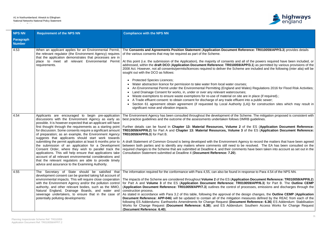

## ference: TR010059/APP/3.3) provides details

all of the powers required have been included, or **APP/3.1**) as permitted by various provisions of the e are included and the following (inter alia) will be

- Wales) Regulations 2016 for Flood Risk Activities;
- are in place (if required).;
- nt into a public sewer;
- (LA)) for construction sites which may result in

cheme. The mitigation proposed is consistent with MRB guidelines.

of the ES (Application Document Reference: of the ES (**Application Document Reference:** 

ency to record the matters that have been agreed be resolved. The EA has been consulted on the nts have been taken into account as set out in the

response to Para 4.54 of the NPS NN.

**The Scheme are considered throughout the ES (2 of the ES (2 of the ES (2 of the ES (2 of the ES (2 of the ES ( 10059/APP/6.3**) for Part B. The Outline CEMP rocesses, emissions and discharges through the

lesign changes, the **Outline CEMP** (Application neasures defined by the REAC from each of the **nt Reference: 6.36**) ES Addendum: Stabilisation Southern Access Works for Change Request

| <b>NPS NN</b>              | <b>Requirement of the NPS NN</b>                                                                                                                                                                                                                                                                                                                                                                                                                                                                                                                                                                                                                                                                                                                                                                                                              | <b>Compliance with the NPS NN</b>                                                                                                                                                                                                                                                                                                                                                                                                                                                                                                                                                                                                                                                                                                                                                                                                                                                                                                                                                                                                                               |
|----------------------------|-----------------------------------------------------------------------------------------------------------------------------------------------------------------------------------------------------------------------------------------------------------------------------------------------------------------------------------------------------------------------------------------------------------------------------------------------------------------------------------------------------------------------------------------------------------------------------------------------------------------------------------------------------------------------------------------------------------------------------------------------------------------------------------------------------------------------------------------------|-----------------------------------------------------------------------------------------------------------------------------------------------------------------------------------------------------------------------------------------------------------------------------------------------------------------------------------------------------------------------------------------------------------------------------------------------------------------------------------------------------------------------------------------------------------------------------------------------------------------------------------------------------------------------------------------------------------------------------------------------------------------------------------------------------------------------------------------------------------------------------------------------------------------------------------------------------------------------------------------------------------------------------------------------------------------|
| Paragraph<br><b>Number</b> |                                                                                                                                                                                                                                                                                                                                                                                                                                                                                                                                                                                                                                                                                                                                                                                                                                               |                                                                                                                                                                                                                                                                                                                                                                                                                                                                                                                                                                                                                                                                                                                                                                                                                                                                                                                                                                                                                                                                 |
| 4.53                       | When an applicant applies for an Environmental Permit,<br>the relevant regulator (the Environment Agency) requires<br>that the application demonstrates that processes are in<br>place to meet all relevant Environmental Permit<br>requirements.                                                                                                                                                                                                                                                                                                                                                                                                                                                                                                                                                                                             | The Consents and Agreements Position Statement (Application Document Referent<br>of the various consents that may be required as part of the Scheme.<br>At this point (i.e. the submission of the Application), the majority of consents and all of<br>addressed, within the draft DCO (Application Document Reference: TR010059/APP<br>2008 Act. However, not all consents/permits/licences required to deliver the Scheme a<br>sought out with the DCO as follows:<br><b>Protected Species Licences;</b><br>Water abstraction licence for permission to take water from local water courses;<br>An Environmental Permit under the Environmental Permitting (England and Wa<br>Land Drainage Consent for works, in, under or over any relevant watercourses;<br>Waste exemptions to ensure waste exemptions for re-use of material on site are<br>A Trade effluent consent: to obtain consent for discharge of any trade effluent in<br>Section 61 agreement obtain agreement (if requested by Local Authority (L)<br>significant noise and vibration impacts. |
| 4.54                       | Applicants are encouraged to begin pre-application<br>discussions with the Environment Agency as early as<br>possible. It is however expected that an applicant will have<br>first thought through the requirements as a starting point<br>for discussion. Some consents require a significant amount  <br>of preparation; as an example, the Environment Agency<br>suggests that applicants should start work towards<br>submitting the permit application at least 6 months prior to<br>the submission of an application for a Development<br>Consent Order, where they wish to parallel track the<br>applications. This will help ensure that applications take<br>account of all relevant environmental considerations and<br>that the relevant regulators are able to provide timely<br>advice and assurance to the Examining Authority. | The Environment Agency has been consulted throughout the development of the Sche<br>best practice guidelines and the outcome of the assessments undertaken follows DMR<br>Further details can be found in Chapter 13: Material Resources, Volume 2 of<br>TR010059/APP/6.2) for Part A and Chapter 13: Material Resources, Volume 3 of<br>TR010059/APP/6.3) for Part B.<br>A draft Statement of Common Ground is being developed with the Environment Agend<br>between both parties and to identify any matters where comments still need to be r<br>required changes to the Scheme that are submitted at Deadline 4, and their comments<br>Consultation Statement submitted at Deadline 4 (Document Reference: 7.20).                                                                                                                                                                                                                                                                                                                                           |
| 4.55                       | The Secretary of State should be satisfied that<br>development consent can be granted taking full account of<br>environmental impacts. This will require close cooperation<br>with the Environment Agency and/or the pollution control<br>authority, and other relevant bodies, such as the MMO,<br>Natural England, Drainage Boards, and water and<br>sewerage undertakers, to ensure that in the case of<br>potentially polluting developments:                                                                                                                                                                                                                                                                                                                                                                                             | The information required for the conformance with Para 4,55, can also be found in resp<br>The impacts of the Scheme are considered throughout Volume 2 of the ES (Application<br>for Part A and Volume 3 of the ES (Application Document Reference: TR0100<br>(Application Document Reference: TR010059/APP/7.3) outlines the control of prod<br>construction process.<br>As stated in accordance with Para 3.2 of this table, following the approval of the des<br><b>Document Reference: APP-046)</b> will be updated to contain all of the mitigation mean<br>following ES Addendums: Earthworks Amendments for Change Request (Document<br>Works for Change Request (Document Reference: 6.38); and ES Addendum: S<br>(Document Reference: 6.40).                                                                                                                                                                                                                                                                                                           |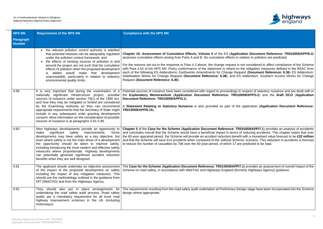

**Chapter 16: Assessment of Cumulative Effects, Volume 4** of the ES (**Application Document Reference: TR010059/APP/6.4**) lation to pollution are predicted.

ot considered to affect compliance of the Scheme he mitigation measures defined in the REAC from est (Document Reference: 6.36) ES Addendum: Addendum: Southern Access Works for Change

respect of statutory nuisance and are dealt with in the **Explanatory Memorandum** (**Application Document Reference: TR010059/APP/3.2**) and the **draft DCO** (**Application**

application (Application Document Reference:

**10059/APP/7.1**) provides an analysis of accidents reducing accidents. This chapter states that over with a monetised value forecast to be £32 million e' scenario. This reduction in accidents is forecast predicted to be fatal.

**1**) provides an assessment of overall impact of the erly Highways Agency) guidance.

ign stage have been incorporated into the Scheme

| <b>NPS NN</b>                     | <b>Requirement of the NPS NN</b>                                                                                                                                                                                                                                                                                                                                                                                                                                                                                                   | <b>Compliance with the NPS NN</b>                                                                                                                                                                                                                                                                                                                                                                                                                                                                                                                    |
|-----------------------------------|------------------------------------------------------------------------------------------------------------------------------------------------------------------------------------------------------------------------------------------------------------------------------------------------------------------------------------------------------------------------------------------------------------------------------------------------------------------------------------------------------------------------------------|------------------------------------------------------------------------------------------------------------------------------------------------------------------------------------------------------------------------------------------------------------------------------------------------------------------------------------------------------------------------------------------------------------------------------------------------------------------------------------------------------------------------------------------------------|
| <b>Paragraph</b><br><b>Number</b> |                                                                                                                                                                                                                                                                                                                                                                                                                                                                                                                                    |                                                                                                                                                                                                                                                                                                                                                                                                                                                                                                                                                      |
|                                   | the relevant pollution control authority is satisfied<br>that potential releases can be adequately regulated<br>under the pollution control framework; and<br>the effects of existing sources of pollution in and<br>around the project are not such that the cumulative<br>effects of pollution when the proposed development<br>added would<br>make that development<br>is.<br>unacceptable, particularly in relation to statutory<br>environmental quality limits.                                                              | Chapter 16: Assessment of Cumulative Effects, Volume 4 of the ES (Applicat<br>assesses cumulative effects arising from Parts A and B. No cumulative effects in rel<br>For the reasons set out in the response to Para 4.3 above, the change request is no<br>with Para 4.54 of the NPS NN. Policy conformance of the statement is reliant on the<br>each of the following ES Addendums: Earthworks Amendments for Change Reque<br>Stabilisation Works for Change Request (Document Reference: 6.38); and ES /<br>Request (Document Reference: 6.40). |
| 4.58                              | It is very important that during the examination of a<br>nationally significant infrastructure project, possible<br>sources of nuisance under section 79(1) of the 1990 Act,<br>and how they may be mitigated or limited are considered<br>by the Examining Authority so they can recommend<br>appropriate requirements that the Secretary of State might<br>include in any subsequent order granting development<br>consent. More information on the consideration of possible<br>sources of nuisance is at paragraphs 5.81-5.89. | Potential sources of nuisance have been considered with regard to proceedings in r<br>the Explanatory Memorandum (Application Document Reference: TR0100<br>Document Reference: TR010059/APP/3.1).<br>A Statement Relating to Statutory Nuisance is also provided as part of the a<br>TR010059/APP/6.15).                                                                                                                                                                                                                                            |
| 4.60                              | New highways developments provide an opportunity to<br>make<br>significant<br>safety<br>improvements.<br>Some<br>developments may have safety as a key objective, but<br>even where safety is not the main driver of a development<br>the opportunity should be taken to improve safety,<br>including introducing the most modern and effective safety<br>measures where proportionate. Highway developments<br>can potentially generate significant accident reduction<br>benefits when they are well designed.                   | Chapter 5 of the Case for the Scheme (Application Document Reference: TR01<br>and concludes overall that the Scheme would have a beneficial impact in terms of<br>the 60-year appraisal period, the Scheme will provide an accident reduction benefit<br>and that the Scheme will save 414 accidents when compared to the 'without Scheme<br>to reduce the number of casualties by 708 over the 60-year period, of which 17 are                                                                                                                      |
| 4.61                              | The applicant should undertake an objective assessment<br>of the impact of the proposed development on safety<br>including the impact of any mitigation measures. This<br>should use the methodology outlined in the guidance from<br>DfT (WebTAG) and from the Highways Agency.                                                                                                                                                                                                                                                   | The Case for the Scheme (Application Document Reference: TR010059/APP/7.1<br>Scheme on road safety, in accordance with WebTAG and Highways England (forme                                                                                                                                                                                                                                                                                                                                                                                            |
| 4.62                              | They should also put in place arrangements for<br>undertaking the road safety audit process. Road safety<br>audits are a mandatory requirement for all trunk road<br>highway improvement schemes in the UK (including<br>motorways).                                                                                                                                                                                                                                                                                               | The requirements resulting from the road safety audit undertaken at Preliminary Desi<br>design where appropriate.                                                                                                                                                                                                                                                                                                                                                                                                                                    |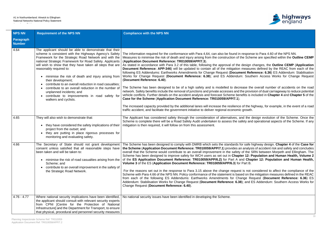

esponse to Para 4.60 of the NPS NN. ne Scheme are specified within the **Outline CEMP** 

lesign changes, the **Outline CEMP** (**Application** measures defined by the REAC from each of the ent Reference: 6.36) ES Addendum: Stabilisation Southern Access Works for Change Request

ase the overall number of accidents on the road ne provision of dual carriageway to reduce potential efits is included in **Chapter 4** and **Chapter 5** of the

of the highway, for example, in the event of a road

ad the design evolution of the Scheme. Once the fety and operational aspects of the Scheme. If any

f safe highway design. **Chapter 4** of the **Case for** analysis of accident risk and safety and concludes of the SRN between Morpeth and Ellingham. The er 12: Population and Human Health, Volume 2 <mark>nd **Chapter 12: Population and Human Health,**<br>Part B.</mark>

is not considered to affect the compliance of the ed on the mitigation measures defined in the REAC nge Request (Document Reference: 6.36) ES and ES Addendum: Southern Access Works for

| <b>NPS NN</b>                     | <b>Requirement of the NPS NN</b>                                                                                                                                                                                                                                                                                                                                                                                                                                                                                                                                                                                                              | <b>Compliance with the NPS NN</b>                                                                                                                                                                                                                                                                                                                                                                                                                                                                                                                                                                                                                                                                                                                                                                                                                                                                                                                                                                                                                                                                                                                                                                                            |
|-----------------------------------|-----------------------------------------------------------------------------------------------------------------------------------------------------------------------------------------------------------------------------------------------------------------------------------------------------------------------------------------------------------------------------------------------------------------------------------------------------------------------------------------------------------------------------------------------------------------------------------------------------------------------------------------------|------------------------------------------------------------------------------------------------------------------------------------------------------------------------------------------------------------------------------------------------------------------------------------------------------------------------------------------------------------------------------------------------------------------------------------------------------------------------------------------------------------------------------------------------------------------------------------------------------------------------------------------------------------------------------------------------------------------------------------------------------------------------------------------------------------------------------------------------------------------------------------------------------------------------------------------------------------------------------------------------------------------------------------------------------------------------------------------------------------------------------------------------------------------------------------------------------------------------------|
| <b>Paragraph</b><br><b>Number</b> |                                                                                                                                                                                                                                                                                                                                                                                                                                                                                                                                                                                                                                               |                                                                                                                                                                                                                                                                                                                                                                                                                                                                                                                                                                                                                                                                                                                                                                                                                                                                                                                                                                                                                                                                                                                                                                                                                              |
| 4.64                              | The applicant should be able to demonstrate that their<br>scheme is consistent with the Highways Agency's Safety<br>Framework for the Strategic Road Network and with the<br>national Strategic Framework for Road Safety. Applicants<br>will wish to show that they have taken all steps that are<br>reasonably required to:<br>minimise the risk of death and injury arising from<br>$\bullet$<br>their development;<br>contribute to an overall reduction in road casualties;<br>contribute to an overall reduction in the number of<br>unplanned incidents; and<br>contribute to improvements in road safety for<br>walkers and cyclists. | The information required for the conformance with Para 4,64, can also be found in respons<br>Measures to minimise the risk of death and injury arising from the construction of the Sche<br>(Application Document Reference: TR010059/APP/7.3).<br>As stated in accordance with Para 3.2 of this table, following the approval of the design of<br><b>Document Reference: APP-346)</b> will be updated to contain all of the mitigation measure<br>following ES Addendums: Earthworks Amendments for Change Request (Document Refort<br>Works for Change Request (Document Reference: 6.38); and ES Addendum: South<br>(Document Reference: 6.40).<br>The Scheme has been designed to be of a high safety and is modelled to decrease the<br>network. Safety benefits include the removal of junctions and private accesses and the provist<br>vehicle conflicts. Further details on the accident analysis and forecast Scheme benefits is ir<br>Case for the Scheme (Application Document Reference: TR010059/APP/7.1).<br>The increased capacity provided by the additional lanes will increase the resilience of the h<br>traffic accident, and facilitate the government initiative to deliver regional economic growth. |
| 4.65                              | They will also wish to demonstrate that:<br>they have considered the safety implications of their<br>project from the outset; and<br>they are putting in place rigorous processes for<br>$\bullet$<br>monitoring and evaluating safety.                                                                                                                                                                                                                                                                                                                                                                                                       | The Applicant has considered safety through the consideration of alternatives, and the c<br>Scheme is complete there will be a Road Safety Audit undertaken to assess the safety and<br>mitigation is then required, it will follow on from this assessment.                                                                                                                                                                                                                                                                                                                                                                                                                                                                                                                                                                                                                                                                                                                                                                                                                                                                                                                                                                 |
| 4.66                              | The Secretary of State should not grant development<br>consent unless satisfied that all reasonable steps have<br>been taken and will be taken to:<br>minimise the risk of road casualties arising from the<br>$\bullet$<br>Scheme; and<br>contribute to an overall improvement in the safety of<br>the Strategic Road Network.                                                                                                                                                                                                                                                                                                               | The Scheme has been designed to comply with DMRB which sets the standards for safe h<br>the Scheme (Application Document Reference: TR010059/APP/7.1) provides an analysi<br>overall that the Scheme would contribute to an overall improvement in the safety of the S<br>Scheme has been designed to improve safety for WCH users as set out in Chapter 12: P<br>of the ES Application Document Reference: TR010059/APP/6.2) for Part A and Chap<br>Volume 3 of the ES (Application Document Reference: TR010059/APP/6.3) for Part B.<br>For the reasons set out in the response to Para 3.15 above the change request is not of<br>Scheme with Para 4.66 of the NPS NN. Policy conformance of the statement is based on the<br>from each of the following ES Addendums: Earthworks Amendments for Change Re<br>Addendum: Stabilisation Works for Change Request (Document Reference: 6.38); and E<br>Change Request (Document Reference: 6.40).                                                                                                                                                                                                                                                                            |
| $4.76 - 4.77$                     | Where national security implications have been identified,<br>the applicant should consult with relevant security experts<br>from CPNI [Centre for the Protection of National<br>Infrastructure] and the Department for Transport, to ensure<br>that physical, procedural and personnel security measures                                                                                                                                                                                                                                                                                                                                     | No national security issues have been identified in developing the Scheme.                                                                                                                                                                                                                                                                                                                                                                                                                                                                                                                                                                                                                                                                                                                                                                                                                                                                                                                                                                                                                                                                                                                                                   |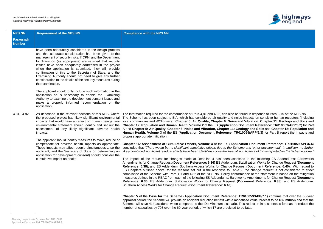

ound in response to Para 3.15 of the NPS NN. impacts on sensitive human receptors (including d Vibration, Chapter 11: Geology and Soils and **CHAPTER 12: Population Buman Health Property** Compart **Iogy and Soils and Chapter 12: Population and 0059/APP/6.3)** for Part B report the impacts and

| <b>NPS NN</b>              | <b>Requirement of the NPS NN</b>                                                                                                                                                                                                                                                                                                                                                                                                                                                                                                                                   | <b>Compliance with the NPS NN</b>                                                                                                                                                                                                                                                                                                                                                                                                                                                                                                                                                                                                                                                                                                                                                                                                                                                                                                                                        |
|----------------------------|--------------------------------------------------------------------------------------------------------------------------------------------------------------------------------------------------------------------------------------------------------------------------------------------------------------------------------------------------------------------------------------------------------------------------------------------------------------------------------------------------------------------------------------------------------------------|--------------------------------------------------------------------------------------------------------------------------------------------------------------------------------------------------------------------------------------------------------------------------------------------------------------------------------------------------------------------------------------------------------------------------------------------------------------------------------------------------------------------------------------------------------------------------------------------------------------------------------------------------------------------------------------------------------------------------------------------------------------------------------------------------------------------------------------------------------------------------------------------------------------------------------------------------------------------------|
| Paragraph<br><b>Number</b> |                                                                                                                                                                                                                                                                                                                                                                                                                                                                                                                                                                    |                                                                                                                                                                                                                                                                                                                                                                                                                                                                                                                                                                                                                                                                                                                                                                                                                                                                                                                                                                          |
|                            | have been adequately considered in the design process<br>and that adequate consideration has been given to the<br>management of security risks. If CPNI and the Department<br>for Transport (as appropriate) are satisfied that security<br>issues have been adequately addressed in the project<br>when the application is submitted, they will provide<br>confirmation of this to the Secretary of State, and the<br>Examining Authority should not need to give any further<br>consideration to the details of the security measures during<br>the examination. |                                                                                                                                                                                                                                                                                                                                                                                                                                                                                                                                                                                                                                                                                                                                                                                                                                                                                                                                                                          |
|                            | The applicant should only include such information in the<br>application as is necessary to enable the Examining<br>Authority to examine the development consent issues and<br>make a properly informed recommendation on the<br>application.                                                                                                                                                                                                                                                                                                                      |                                                                                                                                                                                                                                                                                                                                                                                                                                                                                                                                                                                                                                                                                                                                                                                                                                                                                                                                                                          |
| $4.81 - 4.82$              | As described in the relevant sections of this NPS, where<br>the proposed project has likely significant environmental<br>impacts that would have an effect on human beings, any<br>environmental statement should identify and set out the<br>assessment of any likely significant adverse health<br>impacts.                                                                                                                                                                                                                                                      | The information required for the conformance of Para 4,81 and 4.82, can also be found in<br>The Scheme has been subject to EIA, which has considered air quality and noise impac<br>local communities and WCH users). Chapter 5: Air Quality, Chapter 6: Noise and Vibra<br>Chapter 12: Population and Human Health, Volume 2 of the ES (Application Documer<br>A and Chapter 5: Air Quality, Chapter 6: Noise and Vibration, Chapter 11: Geology an<br>Human Health, Volume 3 of the ES (Application Document Reference: TR010059/A<br>propose appropriate mitigation.                                                                                                                                                                                                                                                                                                                                                                                                  |
|                            | The applicant should identify measures to avoid, reduce or<br>compensate for adverse health impacts as appropriate.<br>These impacts may affect people simultaneously, so the<br>applicant, and the Secretary of State (in determining an<br>application for development consent) should consider the<br>cumulative impact on health.                                                                                                                                                                                                                              | Chapter 16: Assessment of Cumulative Effects, Volume 4 of the ES (Application De<br>concludes that "There would be no significant cumulative effects due to the Scheme and<br>likely combined significant residual effects have been identified above the level of significan<br>The impact of the request for changes made at Deadline 4 has been assessed in t<br>Amendments for Change Request (Document Reference: 6.36) ES Addendum: Stabilisat<br>Reference: 6.38); and ES Addendum: Southern Access Works for Change Request (Do<br>ES Chapters outlined above, for the reasons set out in the response to Table 2, the c<br>compliance of the Scheme with Para 4.1 and 4.82 of the NPS NN. Policy conformance of<br>measures defined in the REAC from each of the following ES Addendums: Earthworks Am<br>Reference: 6.36) ES Addendum: Stabilisation Works for Change Request (Documer<br>Southern Access Works for Change Request (Document Reference: 6.40). |
|                            |                                                                                                                                                                                                                                                                                                                                                                                                                                                                                                                                                                    | Chapter 5 of the Case for the Scheme (Application Document Reference: TR01005<br>appraisal period, the Scheme will provide an accident reduction benefit with a monetised va<br>Scheme will save 414 accidents when compared to the 'Do Minimum' scenario. This redu<br>number of casualties by 708 over the 60-year period, of which 17 are predicted to be fatal.                                                                                                                                                                                                                                                                                                                                                                                                                                                                                                                                                                                                      |

**Chapter 16: Assessment of Cumulative Effects, Volume 4** of the ES (**Application Document Reference: TR010059/APP/6.4**) concludes that "*There would be no significant cumulative effects due to the Scheme and 'other development'. In addition, no further likely combined significant residual effects have been identified above the level of significance of those reported for the Scheme alone."*

ed in the following ES Addendums: Earthworks Amendments for Change Request (**Document Reference: 6.36)** ES Addendum: Stabilisation Works for Change Request (**Document** est (Document Reference: 6.40). With regard to  $\sum_{k=1}^{\infty}$ , the change request is not considered to affect  $\alpha$  ance of the statement is based on the mitigation rks Amendments for Change Request (**Document**) **Reference: 6.38**); and ES Addendum:

**R010059/APP/7.1**) confirms that over the 60-year tised value forecast to be £32 million and that the his reduction in accidents is forecast to reduce the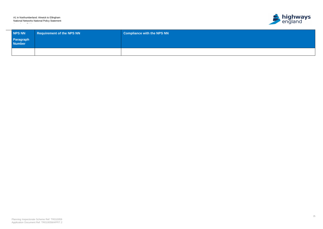$\overline{\phantom{a}}$ 

35



| NPS NN                     | <b>Requirement of the NPS NN</b> | Compliance with the NPS NN $^{\dagger}$ |
|----------------------------|----------------------------------|-----------------------------------------|
| <b>Paragraph</b><br>Number |                                  |                                         |
|                            |                                  |                                         |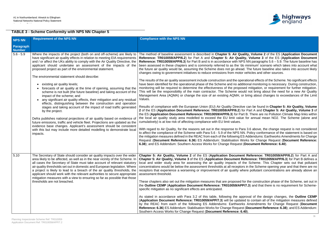

**ality, Volume 2** of the ES (Application Document **Reference: TR010059/APP/6.2**) for Part A and **Chapter 5: Air Quality, Volume 3** of the ES (**Application Document S NN paragraphs 5.6 – 5.9. The future baseline has** minimum' scenario which takes into account what t. The future baseline also takes into account likely. vehicles and other sources.

rational effects of the Scheme. No significant effects itional monitoring is necessary. During construction, ed mitigation, or requirement for further mitigation. Ild not bring about the need for a new Air Quality bring about changes to exceedances of the Limit

Re can be found in Chapter 5: Air Quality, Volume **2** or Part A and Chapter 5: Air Quality, Volume 3 of rt B. There are no Pollution Climate Map links within for annual mean NO2. The Scheme (alone and

ra 3.6 above, the change request is not considered N. Policy conformance of the statement is based on S Addendums: Earthworks Amendments for Change orks for Change Request (Document Reference: **(Document Reference: 6.40).** 

**t Reference: TR010059/APP/6.2)** for Part A and **eference: TR010059/APP/6.3**) for Part B defines a the Scheme. This Chapter sets out that pollutant is in the Scheme opening year and that there are no receptollutant concentrations are already above an

for the construction phase of the Scheme, set out in **P/7.3)** and that there is no requirement for Scheme-

broval of the design changes, the **Outline CEMP Application and Reference: Application designed to contain all of the mitigation measures defined** by the REAC from each of the following ES Addendums: Earthworks Amendments for Change Request (**Document (Document Reference: 6.38); and ES Addendum:** 

# **TABLE 3 - Scheme Conformity with NPS NN Chapter 5**

| NPS NN                     | <b>Requirement of the NPS NN</b>                                                                                                                                                                                                                                                                                                                                                                                                                                                                                                                                                                                                                                                                                                                                                                                                                                                                                                                                                                                                                                                                                                                                                            | <b>Compliance with the NPS NN</b>                                                                                                                                                                                                                                                                                                                                                                                                                                                                                                                                                                                                                                                                                                                                                                                                                                                                                                                                                                                                                                                                                                                                                                                                                                                                                                                                                                                                                                                                                                                                                                                                                                                  |
|----------------------------|---------------------------------------------------------------------------------------------------------------------------------------------------------------------------------------------------------------------------------------------------------------------------------------------------------------------------------------------------------------------------------------------------------------------------------------------------------------------------------------------------------------------------------------------------------------------------------------------------------------------------------------------------------------------------------------------------------------------------------------------------------------------------------------------------------------------------------------------------------------------------------------------------------------------------------------------------------------------------------------------------------------------------------------------------------------------------------------------------------------------------------------------------------------------------------------------|------------------------------------------------------------------------------------------------------------------------------------------------------------------------------------------------------------------------------------------------------------------------------------------------------------------------------------------------------------------------------------------------------------------------------------------------------------------------------------------------------------------------------------------------------------------------------------------------------------------------------------------------------------------------------------------------------------------------------------------------------------------------------------------------------------------------------------------------------------------------------------------------------------------------------------------------------------------------------------------------------------------------------------------------------------------------------------------------------------------------------------------------------------------------------------------------------------------------------------------------------------------------------------------------------------------------------------------------------------------------------------------------------------------------------------------------------------------------------------------------------------------------------------------------------------------------------------------------------------------------------------------------------------------------------------|
| Paragraph<br><b>Number</b> |                                                                                                                                                                                                                                                                                                                                                                                                                                                                                                                                                                                                                                                                                                                                                                                                                                                                                                                                                                                                                                                                                                                                                                                             |                                                                                                                                                                                                                                                                                                                                                                                                                                                                                                                                                                                                                                                                                                                                                                                                                                                                                                                                                                                                                                                                                                                                                                                                                                                                                                                                                                                                                                                                                                                                                                                                                                                                                    |
| $5.6 - 5.9$                | Where the impacts of the project (both on and off-scheme) are likely to<br>have significant air quality effects in relation to meeting EIA requirements<br>and / or affect the UKs ability to comply with the Air Quality Directive, the<br>applicant should undertake an assessment of the impacts of the<br>proposed project as part of the environmental statement.<br>The environmental statement should describe:<br>existing air quality levels;<br>forecasts of air quality at the time of opening, assuming that the<br>scheme is not built (the future baseline) and taking account of the<br>impact of the scheme; and<br>any significant air quality effects, their mitigation and any residual<br>effects, distinguishing between the construction and operation<br>stages and taking account of the impact of road traffic generated<br>by the project.<br>Defra publishes national projections of air quality based on evidence of<br>future emissions, traffic and vehicle fleet. Projections are updated as the<br>evidence base changes. Applicant's assessment should be consistent<br>with this but may include more detailed modelling to demonstrate local<br>impacts. | The method of baseline assessment is described in Chapter 5: Air Quality<br>Reference: TR010059/APP/6.2) for Part A and Chapter 5: Air Quality,<br>Reference: TR010059/APP/6.3) for Part B and is in accordance with NPS N<br>been assessed in these chapters and is commonly referred to as the 'do mi<br>the future air quality would be, assuming the Scheme does not go ahead. T<br>changes owing to government initiatives to reduce emissions from motor ver-<br>The results of the air quality assessment include construction and the operation<br>have been identified for the operational phase of the Scheme and no additior<br>monitoring will be required to determine the effectiveness of the proposed<br>This will be the responsibility of the main contractor. The Scheme would a<br>Management Area (AQMA) or change the size of an existing AQMA; or bri<br>Values.<br>Results of compliance with the European Union (EU) Air Quality Directive ca<br>2 of the ES (Application Document Reference: TR010059/APP/6.2) for P<br>the ES (Application Document Reference: TR010059/APP/6.3) for Part B.<br>the local air quality study area modelled to exceed the EU limit value for<br>cumulatively) is at low risk of affecting compliance with EU limit values.<br>With regard to Air Quality, for the reasons set out in the response to Para 3<br>to affect the compliance of the Scheme with Para 5.6 - 5.9 of the NPS NN. P<br>the mitigation measures defined in the REAC from each of the following ES Ad<br>Request (Document Reference: 6.36) ES Addendum: Stabilisation Works<br>6.38); and ES Addendum: Southern Access Works for Change Request (Do |
| 5.10                       | The Secretary of State should consider air quality impacts over the wider<br>area likely to be affected, as well as in the near vicinity of the Scheme. In<br>all cases the Secretary of State must take account of relevant statutory<br>air quality thresholds set out in domestic and European legislation. Where<br>a project is likely to lead to a breach of the air quality thresholds, the<br>applicant should work with the relevant authorities to secure appropriate<br>mitigation measures with a view to ensuring so far as possible that those<br>thresholds are not breached.                                                                                                                                                                                                                                                                                                                                                                                                                                                                                                                                                                                                | Chapter 5: Air Quality, Volume 2 of the ES (Application Document R<br>Chapter 5: Air Quality, Volume 3 of the ES (Application Document Refer<br>local and wider study area for assessing the air quality impacts of the<br>concentrations would be below the assessment thresholds at all receptors in<br>receptors that experience a worsening or improvement of air quality where<br>assessment threshold.<br>These chapters also set out the mitigation measures that are proposed for the<br>the Outline CEMP (Application Document Reference: TR010059/APP/7.<br>specific mitigation as no significant effects are anticipated.<br>As stated in accordance with Para 3.2 of this table, following the approv<br>(Application Document Reference: TR010059/APP/7.3) will be updated to<br>by the REAC from each of the following ES Addendums: Earthworks A<br>Reference: 6.36) ES Addendum: Stabilisation Works for Change Request (D<br>Southern Access Works for Change Request (Document Reference: 6.40).                                                                                                                                                                                                                                                                                                                                                                                                                                                                                                                                                                                                                                                                 |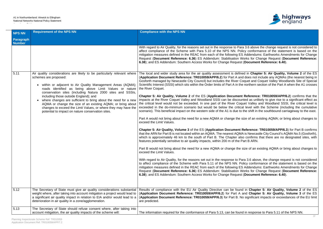

a 3.6 above the change request is not considered to icy conformance of the statement is based on the Addendums: Earthworks Amendments for Change **Porks for Change Request (Document Reference: (Document Reference: 6.40).** 

ed in Chapter 5: Air Quality, Volume 2 of the ES (**Application Document Reference: TR010059/APP/6.2**) for Part A and does not include any AQMAs (the nearest being in oquet and Coquet Valley Woodlands Site of Special Internate interest interest interest interest interestion of the Part A when the A1 crosses

**Reference: TR010059/APP/6.2)** confirms that the nted as unlikely to give rise to a significant effect as uet Valley and Woodland SSSI, the critical level is al level with the Scheme (including the cumulative the shift in the southbound carriageway to the east.

size of an existing AQMA; or bring about changes to

**Reference: TR010059/APP/6.3**) for Part B confirms A is Newcastle City Council's AQMA No.5 (Gosforth), so confirms that there are no designated sites, with Part B ARN.

size of an existing AQMA or bring about changes to

Ira 3.6 above, the change request is not considered olicy conformance of the statement is based on the Addendums: Earthworks Amendments for Change **Porks for Change Request (Document Reference: (Document Reference: 6.40).** 

d in Chapter 5: Air Quality, Volume 2 of the ES and Chapter 5: Air Quality, Volume 3 of the ES (**Application Document Reference: TR010059/APP/6.3**) for Part B. No significant impacts or exceedances of the EU limit

| <b>NPS NN</b>              | <b>Requirement of the NPS NN</b>                                                                                                                                                                                                                                                                                                                                                                                                                                                                                                                                                                                  | <b>Compliance with the NPS NN</b>                                                                                                                                                                                                                                                                                                                                                                                                                                                                                                                                                                                                                                                                                                                                                                                                                                                                                                                                                                                                                                                                                                                                                                                                                                                                                                                                                                                                                                                                                                                                                           |
|----------------------------|-------------------------------------------------------------------------------------------------------------------------------------------------------------------------------------------------------------------------------------------------------------------------------------------------------------------------------------------------------------------------------------------------------------------------------------------------------------------------------------------------------------------------------------------------------------------------------------------------------------------|---------------------------------------------------------------------------------------------------------------------------------------------------------------------------------------------------------------------------------------------------------------------------------------------------------------------------------------------------------------------------------------------------------------------------------------------------------------------------------------------------------------------------------------------------------------------------------------------------------------------------------------------------------------------------------------------------------------------------------------------------------------------------------------------------------------------------------------------------------------------------------------------------------------------------------------------------------------------------------------------------------------------------------------------------------------------------------------------------------------------------------------------------------------------------------------------------------------------------------------------------------------------------------------------------------------------------------------------------------------------------------------------------------------------------------------------------------------------------------------------------------------------------------------------------------------------------------------------|
| Paragraph<br><b>Number</b> |                                                                                                                                                                                                                                                                                                                                                                                                                                                                                                                                                                                                                   |                                                                                                                                                                                                                                                                                                                                                                                                                                                                                                                                                                                                                                                                                                                                                                                                                                                                                                                                                                                                                                                                                                                                                                                                                                                                                                                                                                                                                                                                                                                                                                                             |
|                            |                                                                                                                                                                                                                                                                                                                                                                                                                                                                                                                                                                                                                   | With regard to Air Quality, for the reasons set out in the response to Para<br>affect compliance of the Scheme with Para 5.10 of the NPS NN. Poli<br>mitigation measures defined in the REAC from each of the following ES<br>Request (Document Reference: 6.36) ES Addendum: Stabilisation W<br>6.38); and ES Addendum: Southern Access Works for Change Request                                                                                                                                                                                                                                                                                                                                                                                                                                                                                                                                                                                                                                                                                                                                                                                                                                                                                                                                                                                                                                                                                                                                                                                                                           |
| 5.11                       | Air quality considerations are likely to be particularly relevant where<br>schemes are proposed:<br>within or adjacent to Air Quality Management Areas (AQMA);<br>$\bullet$<br>roads identified as being above Limit Values or nature<br>conservation sites (including Natura 2000 sites and SSSIs,<br>including those outside England); and<br>where changes are sufficient to bring about the need for a new<br>$\bullet$<br>AQMA or change the size of an existing AQMA; or bring about<br>changes to exceed the Limit Values, or where they may have the<br>potential to impact on nature conservation sites. | The local and wider study area for the air quality assessment is define<br>(Application Document Reference: TR010059/APP/6.2) for Part A and<br>Gosforth managed by Newcastle City Council) but includes the River Co<br>Scientific Interest (SSSI) which sits within the Order limits of Part A in the<br>the River Coquet.<br>Chapter 5: Air Quality, Volume 2 of the ES (Application Document<br>impacts at the River Coquet Valley and Woodland SSSI can be discour<br>the critical level would not be exceeded. In one part of the River Coqu<br>exceeded in the do-minimum scenario but would be below the critica<br>scenario). This beneficial impact on the western side of the A1 is due to<br>Part A would not bring about the need for a new AQMA or change the s<br>exceed the Limit Values.<br>Chapter 5: Air Quality, Volume 3 of the ES (Application Document F<br>that the ARN for Part B is not located within an AQMA. The nearest AQMA<br>which is approximately 46 km to the south of Part B. The Chapter alse<br>features potentially sensitive to air quality impacts, within 200 m of the P<br>Part B would not bring about the need for a new AQMA or change the s<br>exceed the Limit Values.<br>With regard to Air Quality, for the reasons set out in the response to Pa<br>to affect compliance of the Scheme with Para 5.11 of the NPS NN. Po<br>mitigation measures defined in the REAC from each of the following ES<br>Request (Document Reference: 6.36) ES Addendum: Stabilisation W<br>6.38); and ES Addendum: Southern Access Works for Change Request |
| 5.12                       | The Secretary of State must give air quality considerations substantial<br>weight where, after taking into account mitigation a project would lead to<br>a significant air quality impact in relation to EIA and/or would lead to a<br>deterioration in air quality in a zone/agglomeration.                                                                                                                                                                                                                                                                                                                      | Results of compliance with the EU Air Quality Directive can be found<br>(Application Document Reference: TR010059/APP/6.2) for Part A a<br>(Application Document Reference: TR010059/APP/6.3) for Part B. No<br>are predicted.                                                                                                                                                                                                                                                                                                                                                                                                                                                                                                                                                                                                                                                                                                                                                                                                                                                                                                                                                                                                                                                                                                                                                                                                                                                                                                                                                              |
| 5.13                       | The Secretary of State should refuse consent where, after taking into<br>account mitigation, the air quality impacts of the scheme will:                                                                                                                                                                                                                                                                                                                                                                                                                                                                          | The information required for the conformance of Para 5.13, can be found                                                                                                                                                                                                                                                                                                                                                                                                                                                                                                                                                                                                                                                                                                                                                                                                                                                                                                                                                                                                                                                                                                                                                                                                                                                                                                                                                                                                                                                                                                                     |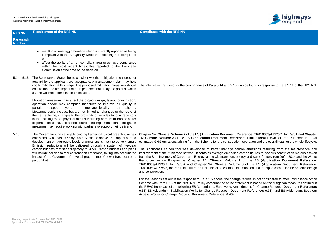

## In be found in response to Para 5.11 of the NPS NN.

| <b>NPS NN</b>       | <b>Requirement of the NPS NN</b>                                                                                                                                                                                                                                                                                                                                                                                                                                                                                                                                                                                                                                                                                                                                                                                                                                                                                                                                         | <b>Compliance with the NPS NN</b>                                                                                                                                                                                                                                                                                                                                                                                                                                                                                                                                                                                                                                                                                                                                                                                                                                                                                                                                                                                                                                                                                                                                                                                                                                                                                                                                                                                                                                                                                                                                                                                                                                                             |
|---------------------|--------------------------------------------------------------------------------------------------------------------------------------------------------------------------------------------------------------------------------------------------------------------------------------------------------------------------------------------------------------------------------------------------------------------------------------------------------------------------------------------------------------------------------------------------------------------------------------------------------------------------------------------------------------------------------------------------------------------------------------------------------------------------------------------------------------------------------------------------------------------------------------------------------------------------------------------------------------------------|-----------------------------------------------------------------------------------------------------------------------------------------------------------------------------------------------------------------------------------------------------------------------------------------------------------------------------------------------------------------------------------------------------------------------------------------------------------------------------------------------------------------------------------------------------------------------------------------------------------------------------------------------------------------------------------------------------------------------------------------------------------------------------------------------------------------------------------------------------------------------------------------------------------------------------------------------------------------------------------------------------------------------------------------------------------------------------------------------------------------------------------------------------------------------------------------------------------------------------------------------------------------------------------------------------------------------------------------------------------------------------------------------------------------------------------------------------------------------------------------------------------------------------------------------------------------------------------------------------------------------------------------------------------------------------------------------|
| Paragraph<br>Number |                                                                                                                                                                                                                                                                                                                                                                                                                                                                                                                                                                                                                                                                                                                                                                                                                                                                                                                                                                          |                                                                                                                                                                                                                                                                                                                                                                                                                                                                                                                                                                                                                                                                                                                                                                                                                                                                                                                                                                                                                                                                                                                                                                                                                                                                                                                                                                                                                                                                                                                                                                                                                                                                                               |
|                     | result in a zone/agglomeration which is currently reported as being<br>compliant with the Air Quality Directive becoming non-compliant;<br>or<br>affect the ability of a non-compliant area to achieve compliance<br>$\bullet$<br>within the most recent timescales reported to the European<br>Commission at the time of the decision.                                                                                                                                                                                                                                                                                                                                                                                                                                                                                                                                                                                                                                  |                                                                                                                                                                                                                                                                                                                                                                                                                                                                                                                                                                                                                                                                                                                                                                                                                                                                                                                                                                                                                                                                                                                                                                                                                                                                                                                                                                                                                                                                                                                                                                                                                                                                                               |
|                     | 5.14 - 5.15 The Secretary of State should consider whether mitigation measures put<br>forward by the applicant are acceptable. A management plan may help<br>codify mitigation at this stage. The proposed mitigation measures should<br>ensure that the net impact of a project does not delay the point at which<br>a zone will meet compliance timescales.<br>Mitigation measures may affect the project design, layout, construction,<br>operation and/or may comprise measures to improve air quality in<br>pollution hotspots beyond the immediate locality of the scheme.<br>Measures could include, but are not limited to, changes to the route of<br>the new scheme, changes to the proximity of vehicles to local receptors<br>in the existing route, physical means including barriers to trap or better<br>disperse emissions, and speed control. The implementation of mitigation<br>measures may require working with partners to support their delivery. | The information required for the conformance of Para 5.14 and 5.15, can be found in response to Para 5.11 of the NPS NN.                                                                                                                                                                                                                                                                                                                                                                                                                                                                                                                                                                                                                                                                                                                                                                                                                                                                                                                                                                                                                                                                                                                                                                                                                                                                                                                                                                                                                                                                                                                                                                      |
| 5.16                | The Government has a legally binding framework to cut greenhouse gas<br>emissions by at least 80% by 2050. As stated above, the impact of road<br>development on aggregate levels of emissions is likely to be very small.<br>Emission reductions will be delivered through a system of five-year<br>carbon budgets that set a trajectory to 2050. Carbon budgets and plans<br>will include policies to reduce transport emissions, taking into account the<br>impact of the Government's overall programme of new infrastructure as<br>part of that.                                                                                                                                                                                                                                                                                                                                                                                                                    | Chapter 14: Climate, Volume 2 of the ES (Application Document Reference: TR010059/APP/6.2) for Part A and Chapter<br>14: Climate, Volume 3 of the ES (Application Document Reference: TR010059/APP/6.3) for Part B reports the total<br>estimated GHG emissions arising from the Scheme for the construction, operation and the overall total for the whole lifecycle.<br>The Applicant's carbon tool was developed to better manage carbon emissions resulting from the maintenance and<br>improvement of the trunk road network. It contains average embodied carbon figures for various construction materials taken<br>from the Bath Inventory of Carbon and Energy, along with transport, energy and waste factors from Defra 2014 and the Waste<br>Resources Action Programme. Chapter 14: Climate, Volume 2 of the ES (Application Document Reference:<br>TR010059/APP/6.2) for Part A and Chapter 14: Climate, Volume 3 of the ES (Application Document Reference:<br>TR010059/APP/6.3) for Part B identifies the inclusion of an estimate of embodied and transport carbon for the Scheme design<br>and construction.<br>For the reasons set out in the response to Para 3.6 above, the change request is not considered to affect compliance of the<br>Scheme with Para 5.16 of the NPS NN. Policy conformance of the statement is based on the mitigation measures defined in<br>the REAC from each of the following ES Addendums: Earthworks Amendments for Change Request (Document Reference:<br>6.36) ES Addendum: Stabilisation Works for Change Request (Document Reference: 6.38); and ES Addendum: Southern<br>Access Works for Change Request (Document Reference: 6.40). |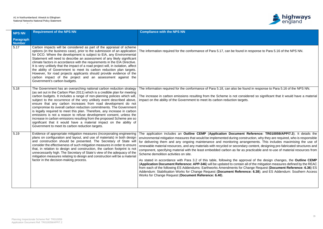

| <b>NPS NN</b>              | <b>Requirement of the NPS NN</b>                                                                                                                                                                                                                                                                                                                                                                                                                                                                                                                                                                                                                                                                                                                                                                      | <b>Compliance with the NPS NN</b>                                                                                                                                                                                                                                                                                                                                                                                                                                                                                                                                                                                                                                  |
|----------------------------|-------------------------------------------------------------------------------------------------------------------------------------------------------------------------------------------------------------------------------------------------------------------------------------------------------------------------------------------------------------------------------------------------------------------------------------------------------------------------------------------------------------------------------------------------------------------------------------------------------------------------------------------------------------------------------------------------------------------------------------------------------------------------------------------------------|--------------------------------------------------------------------------------------------------------------------------------------------------------------------------------------------------------------------------------------------------------------------------------------------------------------------------------------------------------------------------------------------------------------------------------------------------------------------------------------------------------------------------------------------------------------------------------------------------------------------------------------------------------------------|
| Paragraph<br><b>Number</b> |                                                                                                                                                                                                                                                                                                                                                                                                                                                                                                                                                                                                                                                                                                                                                                                                       |                                                                                                                                                                                                                                                                                                                                                                                                                                                                                                                                                                                                                                                                    |
| 5.17                       | Carbon impacts will be considered as part of the appraisal of scheme<br>options (in the business case), prior to the submission of an application<br>for DCO. Where the development is subject to EIA, any Environmental<br>Statement will need to describe an assessment of any likely significant<br>climate factors in accordance with the requirements in the EIA Directive.<br>It is very unlikely that the impact of a road project will, in isolation, affect<br>the ability of Government to meet its carbon reduction plan targets.<br>However, for road projects applicants should provide evidence of the<br>carbon impact of the project and an assessment against the<br>Government's carbon budgets.                                                                                    | The information required for the conformance of Para 5.17, can be found in response to Para 5.16 of the NPS NN.                                                                                                                                                                                                                                                                                                                                                                                                                                                                                                                                                    |
| 5.18                       | The Government has an overarching national carbon reduction strategy<br>(as set out in the Carbon Plan 2011) which is a credible plan for meeting<br>carbon budgets. It includes a range of non-planning policies which will,<br>subject to the occurrence of the very unlikely event described above,<br>ensure that any carbon increases from road development do not<br>compromise its overall carbon reduction commitments. The Government<br>is legally required to meet this plan. Therefore, any increase in carbon<br>emissions is not a reason to refuse development consent, unless the<br>increase in carbon emissions resulting from the proposed Scheme are so<br>significant that it would have a material impact on the ability of<br>Government to meet its carbon reduction targets. | The information required for the conformance of Para 5.18, can also be found in response to Para 5.16 of the NPS NN.<br>The increase in carbon emissions resulting from the Scheme is not considered so significant that it would have a material<br>impact on the ability of the Government to meet its carbon reduction targets.                                                                                                                                                                                                                                                                                                                                 |
| 5.19                       | Evidence of appropriate mitigation measures (incorporating engineering<br>plans on configuration and layout, and use of materials) in both design<br>and construction should be presented. The Secretary of State will<br>consider the effectiveness of such mitigation measures in order to ensure<br>that, in relation to design and construction, the carbon footprint is not<br>unnecessarily high. The Secretary of State's view of the adequacy of the<br>mitigation measures relating to design and construction will be a material<br>factor in the decision-making process.                                                                                                                                                                                                                  | The application includes an Outline CEMP (Application Document Reference: TR010059/APP/7.3). It details the<br>environmental mitigation measures that would be implemented during construction, why they are required, who is responsible<br>for delivering them and any ongoing maintenance and monitoring arrangements. This includes maximising the use of<br>renewable material resources, and any materials with recycled or secondary content, designing pre-fabricated structures and<br>component, specifying material with the least embedded carbon as far as practicable and re-use of material resources from<br>Scheme demolition activities on site. |
|                            |                                                                                                                                                                                                                                                                                                                                                                                                                                                                                                                                                                                                                                                                                                                                                                                                       | As stated in accordance with Para 3.2 of this table, following the approval of the design changes, the Outline CEMP<br>(Application Document Reference: APP-346) will be updated to contain all of the mitigation measures defined by the REAC<br>from each of the following ES Addendums: Earthworks Amendments for Change Request (Document Reference: 6.36) ES<br>Addendum: Stabilisation Works for Change Request (Document Reference: 6.38); and ES Addendum: Southern Access<br>Works for Change Request (Document Reference: 6.40).                                                                                                                         |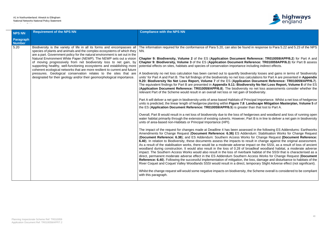

found in response to Para 5.22 and 5.23 of the NPS

**Chapter 8: Biodiversity, Chapter 22 of the External Part A and Part A and Reference: TR010059/APP/6.2**) for Part A and **Chapter 9: Biodiversity, Volume 3** of the ES (**Application Document Reference: TR010059APP/6.3**) for Part B assess ce including indirect effects.

iodiversity losses and gains in terms of 'biodiversity ss calculations for Part A are presented in **Appendix 9.20: Biodiversity No Net Loss Report, Volume 7** of the ES (**Application Document Reference: TR010059/APP/6.7**). diversity No Net Loss Report, Volume 8 of the ES **Application Document Reference: Transference: Transference: The biodiversity no net loss assessments consider whether the** in of biodiversity.

of Principal Importance. Whilst a net loss of hedgerow **8: Landscape Mitigation Masterplan, Volume 5 of** ater than that lost to Part A.

 $\theta$  hedgerows and woodland and loss of running open er, Part B is in line to deliver a net gain in biodiversity

sessed in the following ES Addendums: Earthworks **Addendum: Stabilisation Works for Change Request** (**Document Reference: 6.38**); and ES Addendum: Southern Access Works for Change Request **(Document Reference:** to result in change against the original assessment. se impact on the SSSI, as a result of loss of ancient of broadleaf woodland habitat, a moderate adverse erbank habitat of the SSSI that is characterised as a ern Access Works for Change Request (Document **Reference: 6.40**). Following the successful implementation of mitigation, the loss, damage and disturbance to habitats of the ct, temporary Slight Adverse effect (not significant).

ity, the Scheme overall is considered to be compliant

| <b>NPS NN</b>              | <b>Requirement of the NPS NN</b>                                                                                                                                                                                                                                                                                                                                                                                                                                                                                                                                                                                                                                                   | <b>Compliance with the NPS NN</b>                                                                                                                                                                                                                                                                                                                                                                                                                                                                                                                                                                                                                                                                                                                                                                                                                                                                                                                                                                                                                                                                                                                                                                                                                                                                                                                                                                                                                                                                                                                                                                                                                                                                                                                                                                                                                                                                                                                                                                                                                                                                          |
|----------------------------|------------------------------------------------------------------------------------------------------------------------------------------------------------------------------------------------------------------------------------------------------------------------------------------------------------------------------------------------------------------------------------------------------------------------------------------------------------------------------------------------------------------------------------------------------------------------------------------------------------------------------------------------------------------------------------|------------------------------------------------------------------------------------------------------------------------------------------------------------------------------------------------------------------------------------------------------------------------------------------------------------------------------------------------------------------------------------------------------------------------------------------------------------------------------------------------------------------------------------------------------------------------------------------------------------------------------------------------------------------------------------------------------------------------------------------------------------------------------------------------------------------------------------------------------------------------------------------------------------------------------------------------------------------------------------------------------------------------------------------------------------------------------------------------------------------------------------------------------------------------------------------------------------------------------------------------------------------------------------------------------------------------------------------------------------------------------------------------------------------------------------------------------------------------------------------------------------------------------------------------------------------------------------------------------------------------------------------------------------------------------------------------------------------------------------------------------------------------------------------------------------------------------------------------------------------------------------------------------------------------------------------------------------------------------------------------------------------------------------------------------------------------------------------------------------|
| Paragraph<br><b>Number</b> |                                                                                                                                                                                                                                                                                                                                                                                                                                                                                                                                                                                                                                                                                    |                                                                                                                                                                                                                                                                                                                                                                                                                                                                                                                                                                                                                                                                                                                                                                                                                                                                                                                                                                                                                                                                                                                                                                                                                                                                                                                                                                                                                                                                                                                                                                                                                                                                                                                                                                                                                                                                                                                                                                                                                                                                                                            |
| 5.20                       | Biodiversity is the variety of life in all its forms and encompasses all<br>species of plants and animals and the complex ecosystems of which they<br>are a part. Government policy for the natural environment is set out in the<br>Natural Environment White Paper (NEWP). The NEWP sets out a vision<br>of moving progressively from net biodiversity loss to net gain, by<br>supporting healthy, well-functioning ecosystems and establishing more<br>coherent ecological networks that are more resilient to current and future<br>pressures. Geological conservation relates to the sites that are<br>designated for their geology and/or their geomorphological importance. | The information required for the conformance of Para 5.20, can also be<br>NN.<br>Chapter 9: Biodiversity, Volume 2 of the ES (Application Docume<br>Chapter 9: Biodiversity, Volume 3 of the ES (Application Document<br>potential effects on sites, habitats and species of conservation importane<br>A biodiversity no net loss calculation has been carried out to quantify b<br>units' for Part A and Part B. The full findings of the biodiversity no net los<br>9.20: Biodiversity No Net Loss Report, Volume 7 of the ES (Applic<br>The equivalent findings for Part B are presented in Appendix 9.11: Biod<br>(Application Document Reference: TR010059/APP/6.8). The biodive<br>relevant Part of the Scheme would result in an overall net loss or net gain<br>Part A will deliver a net gain in biodiversity units of area-based Habitats of<br>units is predicted, the linear length of hedgerow planting within Figure 7.<br>the ES (Application Document Reference: TR010059/APP/6.5) is great<br>Overall, Part B would result in a net loss of biodiversity due to the loss of<br>water habitat primarily through the extension of existing culverts. Howeve<br>units of area-based non-Habitats or Principal Importance (HPI).<br>The impact of the request for changes made at Deadline 4 has been as<br>Amendments for Change Request (Document Reference: 6.36) ES A<br>(Document Reference: 6.38); and ES Addendum: Southern Access V<br>6.40). In relation to Biodiversity, these documents assess the impacts to<br>As a result of the stabilisation works, there would be a moderate adversed<br>woodland during construction. It would also result in the loss of 0.28 or<br>impact. The Southern Access Works would also result in the loss of rive<br>direct, permanent moderate adverse effect in the ES Addendum Souther<br>Reference: 6.40). Following the successful implementation of mitigation<br>River Coquet and Coquet Valley Woodlands SSSI would result in a dired<br>Whilst the change request will would some negative impacts on biodivers<br>with this paragraph. |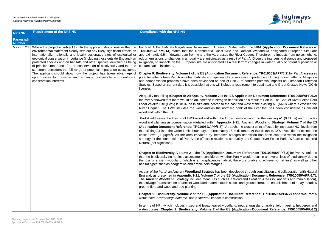

**For Part A the HRA (Application Document Reference:** amsar Wetland (a designated European Site) are Coquet. Therefore, no impacts from noise, lighting, Part A. Given the intervening distance and proposed om changes in water quality or potential pollution or

**Reference: TR010059/APP/6.2**) for Part A assesses tion importance including indirect effects. Mitigation address potential impacts on European Protected ement to obtain bat and Great Crested Newt (GCN)

**cation Document Reference: TR010059/APP/6.2)** as a result of Part A. The Coquet River Felton Park west of the existing A1 (ARN) where it crosses the of the river that has been considered as ancient

adjacent to the existing A1 (0.41 ha) and provides Ancient Woodland Strategy, Volume 7 of the ES closest point affected by increased NO<sub>x</sub> levels from ance. At this distance, NO<sub>x</sub> levels do not exceed the deposition has been captured within the mitigation and Coquet River Felton Park LWS are considered

**Reference: TR010059/APP/6.2) for Part A confirms** would result in an overall loss of biodiversity due to ore unable to achieve no net loss) as well as other

d through consultation and collaboration with Natural **England, as present in Appendix 1.21, 2010059/APP/6.7** of the ES (*Ation Document Reference: TR010059/APP/6.7***).** and Creation Area (soil analysis and manipulation), d ground flora), the establishment of a hay meadow

### **Reference: TR010059/APP/6.2) confirms** Part A

Itral grassland, arable field margins, hedgerow and ation Document Reference: TR010059/APP/6.2)

| <b>NPS NN</b>              | <b>Requirement of the NPS NN</b>                                                                                                                                                                                                                                                                                                                                                                                                                                                                                                                                                                                                                                                                                     | <b>Compliance with the NPS NN</b>                                                                                                                                                                                                                                                                                                                                                                                                                                                                                                                                                                                                                                                                                                        |
|----------------------------|----------------------------------------------------------------------------------------------------------------------------------------------------------------------------------------------------------------------------------------------------------------------------------------------------------------------------------------------------------------------------------------------------------------------------------------------------------------------------------------------------------------------------------------------------------------------------------------------------------------------------------------------------------------------------------------------------------------------|------------------------------------------------------------------------------------------------------------------------------------------------------------------------------------------------------------------------------------------------------------------------------------------------------------------------------------------------------------------------------------------------------------------------------------------------------------------------------------------------------------------------------------------------------------------------------------------------------------------------------------------------------------------------------------------------------------------------------------------|
| Paragraph<br><b>Number</b> |                                                                                                                                                                                                                                                                                                                                                                                                                                                                                                                                                                                                                                                                                                                      |                                                                                                                                                                                                                                                                                                                                                                                                                                                                                                                                                                                                                                                                                                                                          |
| $5.22 - 5.23$              | Where the project is subject to EIA the applicant should ensure that the<br>environmental statement clearly sets out any likely significant effects on<br>internationally, nationally and locally designated sites of ecological or<br>geological conservation importance (including those outside England) on<br>protected species and on habitats and other species identified as being<br>of principal importance for the conservation of biodiversity and that the<br>statement considers the full range of potential impacts on ecosystems.<br>The applicant should show how the project has taken advantage of<br>opportunities to conserve and enhance biodiversity and geological<br>conservation interests. | For Part A the Habitats Regulations Assessment Screening Matrix with<br>TR010059/APP/6.14) states that the Northumbria Coast SPA and Ra<br>approximately 9.5km downstream from where the A1 crosses the River<br>odour, emissions or changes in air quality are anticipated as a result of P<br>mitigation, no impacts on the European site are anticipated as a result from<br>contamination incidents.<br><b>Chapter 9: Biodiversity, Volume 2 of the ES (Application Document R</b><br>potential effects from Part A on sites, habitats and species of conservat<br>and compensation proposals have been developed as part of Part A to<br>Species. Based on current data it is possible that this will include a requir<br>licenses. |
|                            |                                                                                                                                                                                                                                                                                                                                                                                                                                                                                                                                                                                                                                                                                                                      | Air quality modelling (Chapter 5: Air Quality, Volume 2 of the ES Applion<br>for Part A showed that there would be an increase in nitrogen deposition<br>Local Wildlife Site (LWS) is 18.02 ha in size and located to the east and<br>River Coquet, The LWS includes the woodland on the northern bank<br>woodland within the ES.                                                                                                                                                                                                                                                                                                                                                                                                        |
|                            |                                                                                                                                                                                                                                                                                                                                                                                                                                                                                                                                                                                                                                                                                                                      | Part A addresses the loss of all LWS woodland within the Order Limits<br>woodland planting as compensation (detailed within Appendix 9.21: A<br>(Application Document Reference: TR010059/APP/6.7)). As such, the<br>the existing A1 is at the Order Limits boundary, approximately 15 m dista<br>critical level (30 $\mu$ g/m <sup>3</sup> ). As the area impacted by increased nitrogen c<br>strategy for the construction of Part A, the effects in relation to air quality<br>Neutral (not significant).                                                                                                                                                                                                                             |
|                            |                                                                                                                                                                                                                                                                                                                                                                                                                                                                                                                                                                                                                                                                                                                      | Chapter 9: Biodiversity, Volume 2 of the ES (Application Document F<br>that the biodiversity no net loss assessment considered whether Part A<br>the loss of ancient woodland (which is an irreplaceable habitat, therefore<br>habitat types such as hedgerows and arable field margins.                                                                                                                                                                                                                                                                                                                                                                                                                                                 |
|                            |                                                                                                                                                                                                                                                                                                                                                                                                                                                                                                                                                                                                                                                                                                                      | As part of the Part A an Ancient Woodland Strategy has been developed<br>England, as presented in Appendix 9.21, Volume 7 of the ES (Applicantly<br>The Ancient Woodland Strategy includes measures such as a Woodla<br>the salvage / translocation of ancient woodland material (such as soil and<br>ground flora and woodland tree planting.                                                                                                                                                                                                                                                                                                                                                                                           |
|                            |                                                                                                                                                                                                                                                                                                                                                                                                                                                                                                                                                                                                                                                                                                                      | Chapter 9: Biodiversity. Volume 2 of the ES (Application Document<br>would have a "very large adverse" and a "neutral" impact in construction.                                                                                                                                                                                                                                                                                                                                                                                                                                                                                                                                                                                           |
|                            |                                                                                                                                                                                                                                                                                                                                                                                                                                                                                                                                                                                                                                                                                                                      | In terms of HPI, which includes mixed and broad-leaved woodland, neu<br>watercourses, Chapter 9: Biodiversity. Volume 2 of the ES (Applic:                                                                                                                                                                                                                                                                                                                                                                                                                                                                                                                                                                                               |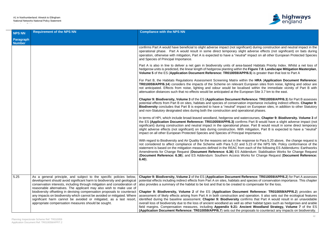

ficant) during construction and neutral impact in the that a diverse effects (not significant) on bats during ral" impact on all other European Protected Species

based Habitats Priority Index. Whilst a net loss of the Figure 7.8: Landscape Mitigation Masterplan, **PP/6.5**) is greater than that lost to Part A

**thin the HRA (Application Document Reference: European sites from noise, lighting and odour are** lised within the immediate vicinity of Part B with attenuation distances such that the east.

**Reference: TR010059/APP/6.3**) for Part B assesses on importance including indirect effects. **Chapter 9: Biodiversity** concludes that *addition* to other Statutory rational phases.

atercourses, Chapter 9: Biodiversity. Volume 3 of **The Example Example Bocation Bocation Biggior Confirms Part B would have a slight adverse impact (not** ase. Part B would result in some direct temporary n mitigation, Part B is expected to have a "*neutral*" il Importance.

esponse to Para 5.20 above, the change request is nd 5.23 of the NPS NN. Policy conformance of the m each of the following ES Addendums: Earthworks ddendum: Stabilisation Works for Change Request **Vorks for Change Request (Document Reference:** 

**Reference: TR010059/APP/6.2**) for Part A assesses nd species of conservation importance. This chapter to compensate for the loss.

**Chapter 8: Biodiversity, Chapter 22 of the ES (Application Document Reference: TR010059/APP/6.2**) provides an d operation. It also sets out the ecological features onfirms that Part A would result in an unavoidable s other habitat types such as hedgerows and arable **ncient Woodland Strategy, Volume 7** of the ES roposals to counteract any impacts on biodiversity.

| <b>NPS NN</b>              | <b>Requirement of the NPS NN</b>                                                                                                                                                                                                                                                                                                                                                                                                                                                                                                                                                        | <b>Compliance with the NPS NN</b>                                                                                                                                                                                                                                                                                                                                                                                                                                                                                                                                                                                 |
|----------------------------|-----------------------------------------------------------------------------------------------------------------------------------------------------------------------------------------------------------------------------------------------------------------------------------------------------------------------------------------------------------------------------------------------------------------------------------------------------------------------------------------------------------------------------------------------------------------------------------------|-------------------------------------------------------------------------------------------------------------------------------------------------------------------------------------------------------------------------------------------------------------------------------------------------------------------------------------------------------------------------------------------------------------------------------------------------------------------------------------------------------------------------------------------------------------------------------------------------------------------|
| Paragraph<br><b>Number</b> |                                                                                                                                                                                                                                                                                                                                                                                                                                                                                                                                                                                         |                                                                                                                                                                                                                                                                                                                                                                                                                                                                                                                                                                                                                   |
|                            |                                                                                                                                                                                                                                                                                                                                                                                                                                                                                                                                                                                         | confirms Part A would have beneficial to slight adverse impact (not signit<br>operational phase. Part A would result in some direct temporary slig<br>operation, otherwise with mitigation, Part A is expected to have a "neutri-<br>and Species of Principal Importance.                                                                                                                                                                                                                                                                                                                                         |
|                            |                                                                                                                                                                                                                                                                                                                                                                                                                                                                                                                                                                                         | Part A is also in line to deliver a net gain in biodiversity units of area-<br>hedgerow units is predicted, the linear length of hedgerow planting within<br>Volume 5 of the ES (Application Document Reference: TR010059/AP                                                                                                                                                                                                                                                                                                                                                                                      |
|                            |                                                                                                                                                                                                                                                                                                                                                                                                                                                                                                                                                                                         | For Part B, the Habitats Regulations Assessment Screening Matrix wit<br>TR010059/APP/6.14) considers the impacts of the Scheme on relevant<br>not anticipated. Effects from noise, lighting and odour would be loca<br>attenuation distances such that no effects would be anticipated at the Eu                                                                                                                                                                                                                                                                                                                  |
|                            |                                                                                                                                                                                                                                                                                                                                                                                                                                                                                                                                                                                         | Chapter 9: Biodiversity, Volume 3 of the ES (Application Document R<br>potential effects from Part B on sites, habitats and species of conservation<br><b>Biodiversity</b> concludes that Part B is expected to have a " <i>neutral</i> " impar-<br>and non-Statutory designated sites during both the construction and ope                                                                                                                                                                                                                                                                                       |
|                            |                                                                                                                                                                                                                                                                                                                                                                                                                                                                                                                                                                                         | In terms of HPI, which include broad-leaved woodland, hedgerow and way<br>the ES (Application Document Reference: TR010059/APP/6.3) confir<br>significant) during construction and neutral impact in the operational ph<br>slight adverse effects (not significant) on bats during construction. With<br>impact on all other European Protected Species and Species of Principa                                                                                                                                                                                                                                   |
|                            |                                                                                                                                                                                                                                                                                                                                                                                                                                                                                                                                                                                         | With regard to Biodiversity and Air Quality for the reasons set out in the re<br>not considered to affect compliance of the Scheme with Para 5.22 and<br>statement is based on the mitigation measures defined in the REAC from<br>Amendments for Change Request (Document Reference: 6.36) ES Ad<br>(Document Reference: 6.38); and ES Addendum: Southern Access W<br>$6.40$ ).                                                                                                                                                                                                                                  |
| 5.25                       | As a general principle, and subject to the specific policies below,<br>development should avoid significant harm to biodiversity and geological<br>conservation interests, including through mitigation and consideration of<br>reasonable alternatives. The applicant may also wish to make use of<br>biodiversity offsetting in devising compensation proposals to counteract<br>any impacts on biodiversity which cannot be avoided or mitigated. Where<br>significant harm cannot be avoided or mitigated, as a last resort,<br>appropriate compensation measures should be sought. | Chapter 9: Biodiversity, Volume 2 of the ES (Application Document R<br>potential effects including indirect effects from Part A on sites, habitats are<br>also provides a summary of the habitat to be lost and that to be created to<br>Chapter 9: Biodiversity, Volume 2 of the ES (Application Docum<br>assessment of likely effects arising from Part A in both construction and<br>identified during the baseline assessment. Chapter 9: Biodiversity co<br>overall loss of biodiversity due to the loss of ancient woodland as well as<br>field margins. Compensation measures, including Appendix 9.21: Ar |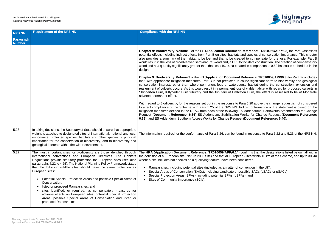

**Reference: TR010059/APP/6.3**) for Part B assesses nd species of conservation importance. This chapter ad to compensate for the loss. For example, Part B facilitate construction. The creation of compensatory ed in comparison to 0.69 ha lost) is embedded in the

**Ceference: TR010059/APP/6.3**) for Part B concludes ause significant harm to biodiversity and geological rse habitat during the construction, extension and of viable habitat with regard for proposed culverts in on Burn, the effect is assessed to be of Moderate

ra 5.20 above the change request is not considered blicy conformance of the statement is based on the Addendums: Earthworks Amendments for Change **Porks for Change Request (Document Reference: (Document Reference: 6.40).** 

I in response to Para 5.22 and 5.23 of the NPS NN.

onfirms that the designations listed below fall within If Sites within 10 km of the Scheme, and up to 30 km

nvention in the UK); ssible SACs (cSACs or pSACs);

| <b>NPS NN</b>              | <b>Requirement of the NPS NN</b>                                                                                                                                                                                                                                                                                                                                                                                                                                                                                                                                                                                                                                                                                                                 | <b>Compliance with the NPS NN</b>                                                                                                                                                                                                                                                                                                                                                                                                                                                                                                         |
|----------------------------|--------------------------------------------------------------------------------------------------------------------------------------------------------------------------------------------------------------------------------------------------------------------------------------------------------------------------------------------------------------------------------------------------------------------------------------------------------------------------------------------------------------------------------------------------------------------------------------------------------------------------------------------------------------------------------------------------------------------------------------------------|-------------------------------------------------------------------------------------------------------------------------------------------------------------------------------------------------------------------------------------------------------------------------------------------------------------------------------------------------------------------------------------------------------------------------------------------------------------------------------------------------------------------------------------------|
| Paragraph<br><b>Number</b> |                                                                                                                                                                                                                                                                                                                                                                                                                                                                                                                                                                                                                                                                                                                                                  |                                                                                                                                                                                                                                                                                                                                                                                                                                                                                                                                           |
|                            |                                                                                                                                                                                                                                                                                                                                                                                                                                                                                                                                                                                                                                                                                                                                                  | Chapter 9: Biodiversity, Volume 3 of the ES (Application Document Referend<br>potential effects including indirect effects from Part B on sites, habitats and speci<br>also provides a summary of the habitat to be lost and that to be created to cor<br>would result in the loss of broad-leaved semi-natural woodland, a HPI, to facilitate<br>woodland at a quantity significantly greater than that lost (10.14 ha created in cor<br>design.                                                                                         |
|                            |                                                                                                                                                                                                                                                                                                                                                                                                                                                                                                                                                                                                                                                                                                                                                  | Chapter 9: Biodiversity, Volume 3 of the ES (Application Document Reference<br>that, with appropriate mitigation measures, Part B is not predicted to cause sig<br>conservation interests other than where permanent loss of watercourse habi<br>realignment of culverts occurs. As this would result in a permanent loss of viable<br>Shipperton Burn, Kittycarter Burn tributary and the tributary of Embleton Burn<br>adverse permanent effect.                                                                                        |
|                            |                                                                                                                                                                                                                                                                                                                                                                                                                                                                                                                                                                                                                                                                                                                                                  | With regard to Biodiversity, for the reasons set out in the response to Para 5.20<br>to affect compliance of the Scheme with Para 5.25 of the NPS NN. Policy con<br>mitigation measures defined in the REAC from each of the following ES Addeno<br>Request (Document Reference: 6.36) ES Addendum: Stabilisation Works for<br>6.38); and ES Addendum: Southern Access Works for Change Request (Docun                                                                                                                                    |
| 5.26                       | In taking decisions, the Secretary of State should ensure that appropriate<br>weight is attached to designated sites of international, national and local<br>importance, protected species, habitats and other species of principal<br>importance for the conservation of biodiversity, and to biodiversity and<br>geological interests within the wider environment.                                                                                                                                                                                                                                                                                                                                                                            | The information required for the conformance of Para 5.26, can be found in resp                                                                                                                                                                                                                                                                                                                                                                                                                                                           |
| 5.27                       | The most important sites for biodiversity are those identified through<br>international conventions and European Directives. The Habitats<br>Regulations provide statutory protection for European sites (see also<br>paragraphs 4.22 to 4.25). The National Planning Policy Framework states<br>that the following wildlife sites should have the same protection as<br>European sites:<br>Potential Special Protection Areas and possible Special Areas of<br>Conservation;<br>listed or proposed Ramsar sites; and<br>sites identified, or required, as compensatory measures for<br>adverse effects on European sites, potential Special Protection<br>Areas, possible Special Areas of Conservation and listed or<br>proposed Ramsar sites. | The HRA (Application Document Reference: TR010059/APP/6.14) confirms<br>the definition of a European site (Natura 2000 Site) and that all European Sites w<br>where a site includes bat species as a qualifying feature, have been considered:<br>Ramsar sites, including potential sites (included as a matter of conventior<br>Special Areas of Conservation (SACs), including candidate or possible SA<br>Special Protection Areas (SPAs), including potential SPAs (pSPAs); and<br>Sites of Community Importance (SCIs).<br>$\bullet$ |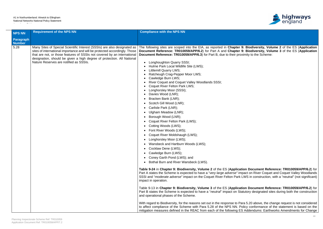

mitigation measures defined in the REAC from each of the following ES Addendums: Earthworks Amendments for Change

| <b>NPS NN</b>              | <b>Requirement of the NPS NN</b>                                                                                                                                                                                                                                                                                                                       | <b>Compliance with the NPS NN</b>                                                                                                                                                                                                                                                                                                                                                                                                                                                                                                                                                                                                                                                                                                                                                                                                                                                                                                                                                                                                                                                                                                                                                                                                                                                                                                                                                                                                                                                                                                                                                                                                                                                                                                                                                                                                                                                                                                                                                                                                                                                                                      |
|----------------------------|--------------------------------------------------------------------------------------------------------------------------------------------------------------------------------------------------------------------------------------------------------------------------------------------------------------------------------------------------------|------------------------------------------------------------------------------------------------------------------------------------------------------------------------------------------------------------------------------------------------------------------------------------------------------------------------------------------------------------------------------------------------------------------------------------------------------------------------------------------------------------------------------------------------------------------------------------------------------------------------------------------------------------------------------------------------------------------------------------------------------------------------------------------------------------------------------------------------------------------------------------------------------------------------------------------------------------------------------------------------------------------------------------------------------------------------------------------------------------------------------------------------------------------------------------------------------------------------------------------------------------------------------------------------------------------------------------------------------------------------------------------------------------------------------------------------------------------------------------------------------------------------------------------------------------------------------------------------------------------------------------------------------------------------------------------------------------------------------------------------------------------------------------------------------------------------------------------------------------------------------------------------------------------------------------------------------------------------------------------------------------------------------------------------------------------------------------------------------------------------|
| Paragraph<br><b>Number</b> |                                                                                                                                                                                                                                                                                                                                                        |                                                                                                                                                                                                                                                                                                                                                                                                                                                                                                                                                                                                                                                                                                                                                                                                                                                                                                                                                                                                                                                                                                                                                                                                                                                                                                                                                                                                                                                                                                                                                                                                                                                                                                                                                                                                                                                                                                                                                                                                                                                                                                                        |
| 5.28                       | Many Sites of Special Scientific Interest (SSSIs) are also designated as<br>sites of international importance and will be protected accordingly. Those<br>that are not, or those features of SSSIs not covered by an international<br>designation, should be given a high degree of protection. All National<br>Nature Reserves are notified as SSSIs. | The following sites are scoped into the EIA, as reported in Chapter 9: Biodiversity, Volume 2 of the ES (Application<br>Document Reference: TR010059/APP/6.2) for Part A and Chapter 9: Biodiversity, Volume 3 of the ES (Application<br>Document Reference: TR010059/APP/6.3) for Part B, due to their proximity to the Scheme:<br>Longhoughton Quarry SSSI;<br>$\bullet$<br>Hulme Park Local Wildlife Site (LWS);<br><b>Littlemill Quarry LWS;</b><br>Ratcheugh Crag-Pepper Moor LWS;<br>Cawledge Burn LWS;<br>River Coquet and Coquet Valley Woodlands SSSI;<br>Coquet River Felton Park LWS;<br>Longhorsley Moor (SSSI);<br>Davies Wood (LNR);<br>Bracken Bank (LNR);<br>$\bullet$<br>Scotch Gill Wood (LNR);<br>Carlisle Park (LNR);<br>Ulgham Meadow (LNR);<br>Borough Wood (LNR);<br>Coquet River Felton Park (LWS);<br>Cotting Woods (LWS);<br>Font River Woods (LWS);<br>$\bullet$<br>Coquet River Moldshaugh (LWS);<br>Longhorsley Moor (LWS);<br>Wansbeck and Hartburn Woods (LWS);<br>$\bullet$<br>• Cocklaw Dene (LWS);<br>• Cawledge Burn (LWS);<br>• Coney Garth Pond (LWS); and<br>Bothal Burn and River Wansbeck (LWS).<br>$\bullet$<br>Table 9-24 in Chapter 9: Biodiversity, Volume 2 of the ES (Application Document Reference: TR010059/APP/6.2) for<br>Part A states the Scheme is expected to have a "very large adverse" impact on River Coquet and Coquet Valley Woodlands<br>SSSI and "moderate adverse" impact on the Coquet River Felton Park LWS in construction, with a "neutral" (not significant)<br>impact in operation.<br>Table 9-13 in Chapter 9: Biodiversity, Volume 3 of the ES (Application Document Reference: TR010059/APP/6.2) for<br>Part B states the Scheme is expected to have a " <i>neutral</i> " impact on Statutory designated sites during both the construction<br>and operational phases of the Scheme.<br>With regard to Biodiversity, for the reasons set out in the response to Para 5.20 above, the change request is not considered<br>to affect compliance of the Scheme with Para 5.28 of the NPS NN. Policy conformance of the statement is based on the |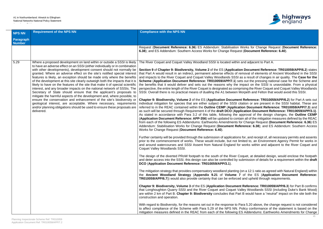

**Porks for Change Request (Document Reference: 6.38**); and ES Addendum: Southern Access Works for Change Request (**Document Reference: 6.40**).

nd adjacent to Part A.

**Document Reference: TR010059/APP/6.2) states** noval of elements of Ancient Woodland in the SSSI a result of changes in air quality. The **Case for the Scheme (Application Document Reference: Application Contract Application** pact on the SSSI is unavoidable. From a physical endective. the entire tength of the River Coquet is designed as considered as concreted as contained as consider rpeth and Felton that would avoid this SSSI.

**Reference: TR010059/APP/6.2) for Part A sets out** ation or are present in the SSSI habitat. These are on Document Reference: TR010059/APP/7.3) and as such will be secured through Requirement 4 of the **draft DCO** (**Application Document Reference: TR010059/APP/3.1)**. proval of the design changes, the **Outline CEMP** (**Application Document Reference: APP-356**) will be updated to contain all of the mitigation measures defined by the REAC Change Request (Document Reference: 6.36) ES rence: 6.38); and ES Addendum: Southern Access

for, and receipt of, all necessary permits and assents ited to, an Environment Agency Permit for works in works within and adjacent to the River Coquet and

quet, at detailed design, would enclose the footpath omission of details for a requirement within the **draft** 

on a 12:1 ratio as agreed with Natural England) within of the **ES** (Application Document Reference: and upheld through requirements.

**Reference: TR010059/APP/6.3) for Part B confirms** ey Woodlands SSSI (including Duke's Bank Wood) B would have a "*neutral*" impact on the site both the

ra 5.20 above, the change request is not considered blicy conformance of the statement is based on the Addendums: Earthworks Amendments for Change

| <b>NPS NN</b>              | <b>Requirement of the NPS NN</b>                                                                                                                                                                                                                                                                                                                                                                                                                                                                                                                                                                                                                                                                                                                                                                                                                                                                                                                                                                                            | <b>Compliance with the NPS NN</b>                                                                                                                                                                                                                                                                                                                                                                                                                                                                                                                                                                                                                                                                                                                                                                                                                                                                                                                                                                                                                                                                                                                                                                                                                                                                                                                                                                                                                                                                                                                                                                                                                                                                                                                                                                                                                                                                                                                                                                                                                                                                                                                                                                                                                                                                                                                                                                                                                                          |
|----------------------------|-----------------------------------------------------------------------------------------------------------------------------------------------------------------------------------------------------------------------------------------------------------------------------------------------------------------------------------------------------------------------------------------------------------------------------------------------------------------------------------------------------------------------------------------------------------------------------------------------------------------------------------------------------------------------------------------------------------------------------------------------------------------------------------------------------------------------------------------------------------------------------------------------------------------------------------------------------------------------------------------------------------------------------|----------------------------------------------------------------------------------------------------------------------------------------------------------------------------------------------------------------------------------------------------------------------------------------------------------------------------------------------------------------------------------------------------------------------------------------------------------------------------------------------------------------------------------------------------------------------------------------------------------------------------------------------------------------------------------------------------------------------------------------------------------------------------------------------------------------------------------------------------------------------------------------------------------------------------------------------------------------------------------------------------------------------------------------------------------------------------------------------------------------------------------------------------------------------------------------------------------------------------------------------------------------------------------------------------------------------------------------------------------------------------------------------------------------------------------------------------------------------------------------------------------------------------------------------------------------------------------------------------------------------------------------------------------------------------------------------------------------------------------------------------------------------------------------------------------------------------------------------------------------------------------------------------------------------------------------------------------------------------------------------------------------------------------------------------------------------------------------------------------------------------------------------------------------------------------------------------------------------------------------------------------------------------------------------------------------------------------------------------------------------------------------------------------------------------------------------------------------------------|
| Paragraph<br><b>Number</b> |                                                                                                                                                                                                                                                                                                                                                                                                                                                                                                                                                                                                                                                                                                                                                                                                                                                                                                                                                                                                                             |                                                                                                                                                                                                                                                                                                                                                                                                                                                                                                                                                                                                                                                                                                                                                                                                                                                                                                                                                                                                                                                                                                                                                                                                                                                                                                                                                                                                                                                                                                                                                                                                                                                                                                                                                                                                                                                                                                                                                                                                                                                                                                                                                                                                                                                                                                                                                                                                                                                                            |
|                            |                                                                                                                                                                                                                                                                                                                                                                                                                                                                                                                                                                                                                                                                                                                                                                                                                                                                                                                                                                                                                             | Request (Document Reference: 6.36) ES Addendum: Stabilisation W<br>6.38); and ES Addendum: Southern Access Works for Change Request                                                                                                                                                                                                                                                                                                                                                                                                                                                                                                                                                                                                                                                                                                                                                                                                                                                                                                                                                                                                                                                                                                                                                                                                                                                                                                                                                                                                                                                                                                                                                                                                                                                                                                                                                                                                                                                                                                                                                                                                                                                                                                                                                                                                                                                                                                                                        |
| 5.29                       | Where a proposed development on land within or outside a SSSI is likely<br>to have an adverse effect on an SSSI (either individually or in combination<br>with other developments), development consent should not normally be<br>granted. Where an adverse effect on the site's notified special interest<br>features is likely, an exception should be made only where the benefits<br>of the development at this site clearly outweigh both the impacts that it is<br>likely to have on the features of the site that make it of special scientific<br>interest, and any broader impacts on the national network of SSSIs. The<br>Secretary of State should ensure that the applicant's proposals to<br>mitigate the harmful aspects of the development and, where possible, to<br>ensure the conservation and enhancement of the site's biodiversity or<br>geological interest, are acceptable. Where necessary, requirements<br>and/or planning obligations should be used to ensure these proposals are<br>delivered. | The River Coquet and Coquet Valley Woodland SSSI is located within a<br>Section 9 of Chapter 9: Biodiversity, Volume 2 of the ES (Application<br>that Part A would result in an indirect, permanent adverse effects of ren<br>and impacts to the River Coquet and Coquet Valley Woodlands SSSI as<br>Scheme (Application Document Reference: TR010059/APP/7.1) sets<br>the benefits that it would deliver and sets out the reasons why the im<br>perspective, the entire length of the River Coquet is designated as comprist<br>SSSI. Overall there is no practical means of dualling the A1 between Mo<br><b>Chapter 9: Biodiversity, Volume 2 of the ES (Application Document)</b><br>individual mitigation for species that are either subject of the SSSI cita<br>referred to in the REAC contained within the Outline CEMP (Application<br>as such will be secured through Requirement 4 of the draft DCO (Applic<br>As stated in accordance with Para 3.2 of this table, following the app<br>(Application Document Reference: APP-356) will be updated to contain<br>from each of the following ES Addendums: Earthworks Amendments for<br>Addendum: Stabilisation Works for Change Request (Document Refer<br>Works for Change Request (Document Reference: 6.40).<br>Further certainty will be provided through the submission of applications for<br>prior to the commencement of works. These would include, but not limi<br>and around watercourses and SSSI Assent from Natural England for v<br>Coquet Valley Woodlands SSSI.<br>The design of the diverted PRoW footpath to the south of the River Coord<br>and deter access into the SSSI, this design can also be controlled by sub<br>DCO (Application Document Reference: TR010059/APP/3.1).<br>The mitigation strategy that provides compensatory woodland planting (or<br>the Ancient Woodland Strategy (Appendix 9.21 of Volume 7<br>TR010059/APP/6.7)) would also provide certainty that can be enforced a<br>Chapter 9: Biodiversity, Volume 3 of the ES (Application Document I<br>that Longhoughton Quarry SSSI and the River Coquet and Coquet Valle<br>are within 2 km of Part B. Chapter 9: Biodiversity concludes that Part I<br>construction and operation.<br>With regard to Biodiversity, for the reasons set out in the response to Par<br>to affect compliance of the Scheme with Para 5.29 of the NPS NN. Po<br>mitigation measures defined in the REAC from each of the following ES |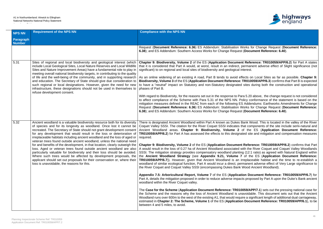

**Porks for Change Request (Document Reference: 6.38**); and ES Addendum: Southern Access Works for Change Request (**Document Reference: 6.40**).

**Reference: TR010059/APP/6.2)** for Part A states bermanent adverse effect of Slight significance (not

fects on Local Sites as far as possible. Chapter 9: **TR010059/APP/6.3**) confirms that Part B is expected sites during both the construction and operational

ra 5.20 above, the change request is not considered blicy conformance of the statement is based on the Addendums: Earthworks Amendments for Change **Porks for Change Request (Document Reference: (Document Reference: 6.40).** 

Bank Wood. This is located in the valley of the River hat components of the site include semi-natural and of the ES (Application Document Reference: ted site and mitigation and compensation measures

**Reference: TR010059/APP/6.2) confirms that Part** vith the River Coquet and Coquet Valley Woodlands  $sg(12:1 \text{ ratio})$  as agreed with Natural England within of the **ES** (Application Document Reference: Treplaceable habitat and the time to re-establish a manent adverse effect of Very Large significance to Wood Ancient Woodland).

**Appendix 7.5: Appendix Reference: TR010059/APP/6.7) for** ts proposed by Part A upon the Duke's Bank ancient

**059/APP/7.1**) sets out the pressing national case for avoidable. This document sets out that the Ancient ire a significant length of additional dual carriageway, **1 Document Reference: TR010059/APP/6.1**), to be

| <b>NPS NN</b>                     | <b>Requirement of the NPS NN</b>                                                                                                                                                                                                                                                                                                                                                                                                                                                                                                                                                                                                                                                                                                                                                                                                                                                               | <b>Compliance with the NPS NN</b>                                                                                                                                                                                                                                                                                                                                                                                                                                                                                                                                                                                                                                                                                                                                                                                                                                                                                                                                                                                                                                                                                                                                                                                                                                                                                                                                                                                                                                         |
|-----------------------------------|------------------------------------------------------------------------------------------------------------------------------------------------------------------------------------------------------------------------------------------------------------------------------------------------------------------------------------------------------------------------------------------------------------------------------------------------------------------------------------------------------------------------------------------------------------------------------------------------------------------------------------------------------------------------------------------------------------------------------------------------------------------------------------------------------------------------------------------------------------------------------------------------|---------------------------------------------------------------------------------------------------------------------------------------------------------------------------------------------------------------------------------------------------------------------------------------------------------------------------------------------------------------------------------------------------------------------------------------------------------------------------------------------------------------------------------------------------------------------------------------------------------------------------------------------------------------------------------------------------------------------------------------------------------------------------------------------------------------------------------------------------------------------------------------------------------------------------------------------------------------------------------------------------------------------------------------------------------------------------------------------------------------------------------------------------------------------------------------------------------------------------------------------------------------------------------------------------------------------------------------------------------------------------------------------------------------------------------------------------------------------------|
| <b>Paragraph</b><br><b>Number</b> |                                                                                                                                                                                                                                                                                                                                                                                                                                                                                                                                                                                                                                                                                                                                                                                                                                                                                                |                                                                                                                                                                                                                                                                                                                                                                                                                                                                                                                                                                                                                                                                                                                                                                                                                                                                                                                                                                                                                                                                                                                                                                                                                                                                                                                                                                                                                                                                           |
|                                   |                                                                                                                                                                                                                                                                                                                                                                                                                                                                                                                                                                                                                                                                                                                                                                                                                                                                                                | Request (Document Reference: 6.36) ES Addendum: Stabilisation Works for<br>6.38); and ES Addendum: Southern Access Works for Change Request (Docu                                                                                                                                                                                                                                                                                                                                                                                                                                                                                                                                                                                                                                                                                                                                                                                                                                                                                                                                                                                                                                                                                                                                                                                                                                                                                                                         |
| 5.31                              | Sites of regional and local biodiversity and geological interest (which<br>include Local Geological Sites, Local Nature Reserves and Local Wildlife<br>Sites and Nature Improvement Areas) have a fundamental role to play in<br>meeting overall national biodiversity targets, in contributing to the quality<br>of life and the well-being of the community, and in supporting research<br>and education. The Secretary of State should give due consideration to<br>such regional or local designations. However, given the need for new<br>infrastructure, these designations should not be used in themselves to<br>refuse development consent.                                                                                                                                                                                                                                           | Chapter 9: Biodiversity, Volume 2 of the ES (Application Document Refe<br>that it is considered that Part A would, at worst, result in an indirect, perman<br>significant) to on regional and local sites of biodiversity and geological interest.<br>As an online widening of an existing A road, Part B tends to avoid effects of<br>Biodiversity, Volume 3 of the ES (Application Document Reference: TR010<br>to have a "neutral" impact on Statutory and non-Statutory designated sites<br>phases of Part B.<br>With regard to Biodiversity, for the reasons set out in the response to Para 5.20<br>to affect compliance of the Scheme with Para 5.31 of the NPS NN. Policy co<br>mitigation measures defined in the REAC from each of the following ES Adde<br>Request (Document Reference: 6.36) ES Addendum: Stabilisation Works for<br>6.38); and ES Addendum: Southern Access Works for Change Request (Docu                                                                                                                                                                                                                                                                                                                                                                                                                                                                                                                                                   |
| 5.32                              | Ancient woodland is a valuable biodiversity resource both for its diversity<br>of species and for its longevity as woodland. Once lost it cannot be<br>recreated. The Secretary of State should not grant development consent<br>for any development that would result in the loss or deterioration of<br>irreplaceable habitats including ancient woodland and the loss of aged or<br>veteran trees found outside ancient woodland, unless the national need<br>for and benefits of the development, in that location, clearly outweigh the<br>loss. Aged or veteran trees found outside ancient woodland are also<br>particularly valuable for biodiversity and their loss should be avoided.<br>Where such trees would be affected by development proposals, the<br>applicant should set out proposals for their conservation or, where their<br>loss is unavoidable, the reasons for this. | There is designated Ancient Woodland within Part A known as Dukes Bank W<br>Coquet Valley SSSI. The citation for the River Coquet SSSI indicates that con<br>Ancient Woodland areas. Chapter 9: Biodiversity, Volume 2 of the<br><b>TR010059/APP/6.2)</b> for Part A has assessed the effects to this designated site<br>required.<br>Chapter 9: Biodiversity, Volume 2 of the ES (Application Document Referent<br>A would result in the loss of 0.27 ha of Ancient Woodland associated with the<br>SSSI. The mitigation strategy provides compensatory woodland planting (12:1<br>the Ancient Woodland Strategy (see Appendix 9.21, Volume 7 of the<br><b>TR010059/APP/6.7).</b> However, given that Ancient Woodland is an irreplace<br>woodland of similar ecological function, Part A would incur a direct, permanen<br>the River Coquet and Coquet Valley SSSI (encompassing Dukes Bank Wood /<br>Appendix 7.5: Arboricultural Report, Volume 7 of the ES (Application Do<br>Part A, details the mitigation proposed in order to reduce adverse impacts prop<br>woodland within the River Coquet valley.<br>The Case for the Scheme (Application Document Reference: TR010059/AF<br>the Scheme and the reasons why the loss of Ancient Woodland is unavoidal<br>Woodland runs over 600m to the west of the existing A1, that would require a signal<br>estimated in Chapter 2: The Scheme, Volume 1 of the ES (Application Docu<br>between 4 and 5 miles, to avoid. |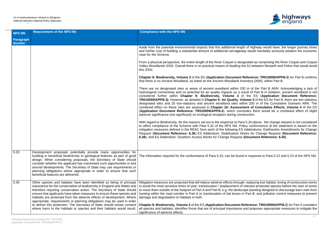

th of highway would have, the longer journey times ay would inevitably seriously weaken the economic

ignated as comprising the River Coquet and Coquet he A1 between Morpeth and Felton that would avoid

**Reference: TR010059/APP/6.3**) for Part B confirms ventory (AWI), within Part B.

00 m of the Part B ARN. Acknowledging a lack of esult of Part B in isolation, ancient woodland is not of the ES (Application Document Reference: **plume 3** of the ES for Part B, there are two statutory. thin 200 m of the Cumulative Scenario ARN. The ment of Cumulative Effects, Volume 4 of the ES cludes there would be a combined effect of slight

ra 5.20 above, the change request is not considered blicy conformance of the statement is based on the Addendums: Earthworks Amendments for Change **Porks for Change Request (Document Reference: (Document Reference: 6.40).** 

d in response to Para 5.22 and 5.23 of the NPS NN.

gh: replacing lost habitat; timing of construction works relevant protected species before the start of works ape planting designed to discourage barn owls from in Part B; and pollution control measures to prevent

**Ceference: TR010059/APP/6.2**) for Part A considers and proposes appropriate measures to mitigate the

| <b>NPS NN</b>              | <b>Requirement of the NPS NN</b>                                                                                                                                                                                                                                                                                                                                                                                                                                                                                                                                                                               | <b>Compliance with the NPS NN</b>                                                                                                                                                                                                                                                                                                                                                                                                                                                                                                                                                                                                                    |
|----------------------------|----------------------------------------------------------------------------------------------------------------------------------------------------------------------------------------------------------------------------------------------------------------------------------------------------------------------------------------------------------------------------------------------------------------------------------------------------------------------------------------------------------------------------------------------------------------------------------------------------------------|------------------------------------------------------------------------------------------------------------------------------------------------------------------------------------------------------------------------------------------------------------------------------------------------------------------------------------------------------------------------------------------------------------------------------------------------------------------------------------------------------------------------------------------------------------------------------------------------------------------------------------------------------|
| Paragraph<br><b>Number</b> |                                                                                                                                                                                                                                                                                                                                                                                                                                                                                                                                                                                                                |                                                                                                                                                                                                                                                                                                                                                                                                                                                                                                                                                                                                                                                      |
|                            |                                                                                                                                                                                                                                                                                                                                                                                                                                                                                                                                                                                                                | Aside from the potential environmental impacts that this additional length of high<br>and further cost of building a substantial amount of additional carriageway would<br>case for the Scheme.                                                                                                                                                                                                                                                                                                                                                                                                                                                      |
|                            |                                                                                                                                                                                                                                                                                                                                                                                                                                                                                                                                                                                                                | From a physical perspective, the entire length of the River Coquet is designated a<br>Valley Woodlands SSSI. Overall there is no practical means of dualling the A1 be<br>this SSSI.                                                                                                                                                                                                                                                                                                                                                                                                                                                                 |
|                            |                                                                                                                                                                                                                                                                                                                                                                                                                                                                                                                                                                                                                | Chapter 9: Biodiversity, Volume 3 of the ES (Application Document Referend<br>that there is no Ancient Woodland, as listed on the Ancient Woodland Inventory (                                                                                                                                                                                                                                                                                                                                                                                                                                                                                       |
|                            |                                                                                                                                                                                                                                                                                                                                                                                                                                                                                                                                                                                                                | There are no designated sites or areas of ancient woodland within 200 m of<br>hydrological connectivity and no potential for air quality impacts as a result of F<br>considered further within Chapter 9: Biodiversity, Volume 3 of the E<br>TR010059/APP/6.3). However, as detailed in Chapter 5: Air Quality. Volume 3<br>designated sites and 20 non-statutory and ancient woodland sites within 200<br>combined effect on these sites are assessed in Chapter 16: Assessment of<br>(Application Document Reference: TR010059/APP/6.4), which concludes th<br>adverse significance (not significant) on ecological receptors during construction. |
|                            |                                                                                                                                                                                                                                                                                                                                                                                                                                                                                                                                                                                                                | With regard to Biodiversity, for the reasons set out in the response to Para 5.20 al<br>to affect compliance of the Scheme with Para 5.32 of the NPS NN. Policy conf<br>mitigation measures defined in the REAC from each of the following ES Addend<br>Request (Document Reference: 6.36) ES Addendum: Stabilisation Works for<br>6.38); and ES Addendum: Southern Access Works for Change Request (Docum                                                                                                                                                                                                                                           |
|                            |                                                                                                                                                                                                                                                                                                                                                                                                                                                                                                                                                                                                                |                                                                                                                                                                                                                                                                                                                                                                                                                                                                                                                                                                                                                                                      |
| 5.33                       | Development proposals potentially provide many opportunities for<br>building in beneficial biodiversity or geological features as part of good<br>design. When considering proposals, the Secretary of State should<br>consider whether the applicant has maximised such opportunities in and<br>around developments. The Secretary of State may use requirements or<br>planning obligations where appropriate in order to ensure that such<br>beneficial features are delivered.                                                                                                                              | The information required for the conformance of Para 5.33, can be found in responent                                                                                                                                                                                                                                                                                                                                                                                                                                                                                                                                                                 |
| 5.35                       | Other species and habitats have been identified as being of principal<br>importance for the conservation of biodiversity in England and Wales and<br>therefore requiring conservation action. The Secretary of State should<br>ensure that applicants have taken measures to ensure these species and<br>habitats are protected from the adverse effects of development. Where<br>appropriate, requirements or planning obligations may be used in order<br>to deliver this protection. The Secretary of State should refuse consent<br>where harm to the habitats or species and their habitats would result, | Mitigation measures are proposed that will reduce adverse effects through: replac<br>to avoid the most sensitive times of year; translocation / displacement of relevant<br>to move them outside of the footprint of Part A and Part B; e.g. the landscape plan<br>hunting within the road corridor in Part A or translocation of bat boxes in Part B<br>damage and degradation to habitats in both.<br>Chapter 9: Biodiversity, Volume 2 of the ES (Application Document Reference<br>all species and habitats, identifies those that are of principal importance and prop<br>significance of adverse effects.                                      |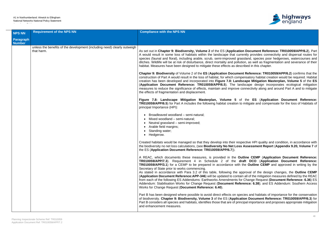

n Document Reference: TR010059/APP/6.2), Part ently provides connectivity and dispersal routes for ssland, species poor hedgerows, watercourses and on, as well as fragmentation and severance of their ribed in this chapter.

**it Reference: TR010059/APP/6.2) confirms that the** ensatory habitat creation would be required. Habitat **cape Mitigation Masterplan, Volume 5** of the ES (**Application Document Reference: TR010059/APP/6.5**). The landscape design incorporates ecological mitigation onnectivity along and around Part A and to mitigate

**Figure 7.8: Landscape Mitigation Masterplan, Volume 5** of the **ES** (**Application Document Reference:** mitigate and compensate for the loss of Habitats of

ective HPI quality and condition, in accordance with **Assessment Report (Appendix 9.20, Volume 7** of

**A Reacherm document Reference:** is application Document Reference: **TR010059/APP/7.3**). Requirement 4 in Schedule 2 of the **draft DCO** (**Application Document Reference:** the **Outline CEMP** and approved in writing by the

proval of the design changes, the **Outline CEMP**  $\overline{\phantom{a}}$  all of the mitigation measures defined by the REAC **Change Request (Document Reference: 6.36) ES** rence: 6.38); and ES Addendum: Southern Access

cies and habitats of importance for the conservation ion Document Reference: TR010059/APP/6.3) for ipal importance and proposes appropriate mitigation

| <b>NPS NN</b>                     | <b>Requirement of the NPS NN</b>                                                       | <b>Compliance with the NPS NN</b>                                                                                                                                                                                                                                                                                                                                                                                                                                                                                                                                                                     |
|-----------------------------------|----------------------------------------------------------------------------------------|-------------------------------------------------------------------------------------------------------------------------------------------------------------------------------------------------------------------------------------------------------------------------------------------------------------------------------------------------------------------------------------------------------------------------------------------------------------------------------------------------------------------------------------------------------------------------------------------------------|
| <b>Paragraph</b><br><b>Number</b> |                                                                                        |                                                                                                                                                                                                                                                                                                                                                                                                                                                                                                                                                                                                       |
|                                   | unless the benefits of the development (including need) clearly outweigh<br>that harm. | As set out in Chapter 9: Biodiversity, Volume 2 of the ES (Application<br>A would result in some loss of habitats within the landscape that curre<br>species (faunal and floral), including arable, scrub, semi-improved gras<br>ditches. Wildlife will be at risk of disturbance, direct mortality and pollution<br>habitat. Measures have been designed to mitigate these effects as describle<br>Chapter 9: Biodiversity of Volume 2 of the ES (Application Document                                                                                                                               |
|                                   |                                                                                        | construction of Part A would result in the loss of habitat, for which compe<br>creation has been developed and incorporated into Figure 7.8: Lands<br>(Application Document Reference: TR010059/APP/6.5). The land<br>measures to reduce the significance of effects, maintain and improve contain-<br>the effects of fragmentation and displacement.                                                                                                                                                                                                                                                 |
|                                   |                                                                                        | Figure 7.8: Landscape Mitigation Masterplan, Volume 5 of<br><b>TR010059/APP/6.5)</b> for Part A includes the following habitat creation to<br>principal Importance (HPI):                                                                                                                                                                                                                                                                                                                                                                                                                             |
|                                   |                                                                                        | • Broadleaved woodland – semi-natural;<br>• Mixed woodland - semi-natural;<br>Neutral grassland – semi-improved;<br>Arable field margins;<br>Standing water;<br>• Hedgerow.                                                                                                                                                                                                                                                                                                                                                                                                                           |
|                                   |                                                                                        | Created habitats would be managed so that they develop into their respe<br>the biodiversity no net loss calculations, (see Biodiversity No Net Loss.<br>the ES (Application Document Reference: TR010059/APP/6.7)).                                                                                                                                                                                                                                                                                                                                                                                   |
|                                   |                                                                                        | A REAC, which documents these measures, is provided in the Out<br>TR010059/APP/7.3). Requirement 4 in Schedule 2 of the dra<br>TR010059/APP/3.1) for a CEMP to be prepared in accordance with tl<br>Secretary of State prior to works commencing.<br>As stated in accordance with Para 3.2 of this table, following the app<br>(Application Document Reference: APP-346) will be updated to contain<br>from each of the following ES Addendums: Earthworks Amendments for<br>Addendum: Stabilisation Works for Change Request (Document Refer<br>Works for Change Request (Document Reference: 6.40). |
|                                   |                                                                                        | Part B has been designed where possible to avoid direct effects on spectra.<br>of biodiversity. Chapter 9: Biodiversity, Volume 3 of the ES (Applicati<br>Part B considers all species and habitats, identifies those that are of principart<br>and enhancement measures.                                                                                                                                                                                                                                                                                                                             |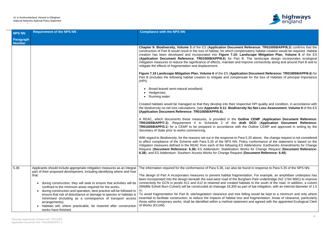

**t Reference: TR010059/APP/6.3**) confirms that the ensatory habitat creation would be required. Habitat andscape Mitigation Plan, Volume 6 of the ES (**Application Document Reference: TR010059/APP/6.6**) for Part B. The landscape design incorporates ecological mprove connectivity along and around Part B and to

**fion Document Reference: TR010059/APP/6.6) for** sate for the loss of Habitats of principal Importance

ective HPI quality and condition, in accordance with **sity No Net Loss Assessment, Volume 8** of the ES

**A Reacherm CEMP** (Application Document Reference: **TR00 Application Document Reference:** the Outline CEMP and approved in writing by the

ra 5.20 above, the change request is not considered blicy conformance of the statement is based on the Addendums: Earthworks Amendments for Change Vorks for Change Request (**Document Reference: (Document Reference: 6.40).** 

found in response to Para 5.35 of the NPS NN.

entation. For example, an amphibian underpass has rgham Park underbridge (NZ 1784 9681) to improve bitats to the south of the road. In addition, a culvert part of bat mitigation, with an internal diameter of 1.5

felling would be kept to a minimum and only where and fragmentation. Areas of clearance, particularly nent and agreed with the appointed Ecological Clerk

| <b>NPS NN</b>              | <b>Requirement of the NPS NN</b>                                                                                                                                                                                                                                                                                                                                                                                                                                                                                                                                                                                                                        | <b>Compliance with the NPS NN</b>                                                                                                                                                                                                                                                                                                                                                                                                                                                                                                                                                                                                               |
|----------------------------|---------------------------------------------------------------------------------------------------------------------------------------------------------------------------------------------------------------------------------------------------------------------------------------------------------------------------------------------------------------------------------------------------------------------------------------------------------------------------------------------------------------------------------------------------------------------------------------------------------------------------------------------------------|-------------------------------------------------------------------------------------------------------------------------------------------------------------------------------------------------------------------------------------------------------------------------------------------------------------------------------------------------------------------------------------------------------------------------------------------------------------------------------------------------------------------------------------------------------------------------------------------------------------------------------------------------|
| Paragraph<br><b>Number</b> |                                                                                                                                                                                                                                                                                                                                                                                                                                                                                                                                                                                                                                                         |                                                                                                                                                                                                                                                                                                                                                                                                                                                                                                                                                                                                                                                 |
|                            |                                                                                                                                                                                                                                                                                                                                                                                                                                                                                                                                                                                                                                                         | Chapter 9: Biodiversity, Volume 3 of the ES (Application Document<br>construction of Part B would result in the loss of habitat, for which competent<br>creation has been developed and incorporated into Figure 7.10: La<br>(Application Document Reference: TR010059/APP/6.6) for Part E<br>mitigation measures to reduce the significance of effects, maintain and in<br>mitigate the effects of fragmentation and displacement.                                                                                                                                                                                                             |
|                            |                                                                                                                                                                                                                                                                                                                                                                                                                                                                                                                                                                                                                                                         | Figure 7.10 Landscape Mitigation Plan, Volume 6 of the ES (Applicat<br>Part B (includes the following habitat creation to mitigate and compens<br>(HPI):                                                                                                                                                                                                                                                                                                                                                                                                                                                                                        |
|                            |                                                                                                                                                                                                                                                                                                                                                                                                                                                                                                                                                                                                                                                         | • Broad-leaved semi-natural woodland;<br>Hedgerows;<br>• Running water                                                                                                                                                                                                                                                                                                                                                                                                                                                                                                                                                                          |
|                            |                                                                                                                                                                                                                                                                                                                                                                                                                                                                                                                                                                                                                                                         | Created habitats would be managed so that they develop into their resp<br>the biodiversity no net loss calculations, (see Appendix 9.11: Biodivers<br>(Application Document Reference: TR010059/APP/6.8).                                                                                                                                                                                                                                                                                                                                                                                                                                       |
|                            |                                                                                                                                                                                                                                                                                                                                                                                                                                                                                                                                                                                                                                                         | A REAC, which documents these measures, is provided in the Our<br>TR010059/APP/7.3). Requirement 4 in Schedule 2 of the dra<br>TR010059/APP/3.1) for a CEMP to be prepared in accordance with<br>Secretary of State prior to works commencing.                                                                                                                                                                                                                                                                                                                                                                                                  |
|                            |                                                                                                                                                                                                                                                                                                                                                                                                                                                                                                                                                                                                                                                         | With regard to Biodiversity, for the reasons set out in the response to Par<br>to affect compliance of the Scheme with Para 5.35 of the NPS NN. Po<br>mitigation measures defined in the REAC from each of the following ES<br>Request (Document Reference: 6.36) ES Addendum: Stabilisation W<br>6.38); and ES Addendum: Southern Access Works for Change Request                                                                                                                                                                                                                                                                              |
| 5.36                       | Applicants should include appropriate mitigation measures as an integral<br>part of their proposed development, including identifying where and how<br>that:<br>during construction, they will seek to ensure that activities will be<br>٠<br>confined to the minimum areas required for the works;<br>during construction and operation, best practice will be followed to<br>$\bullet$<br>ensure that risk of disturbance or damage to species or habitats is<br>minimised (including as a consequence of transport access<br>arrangements);<br>habitats will, where practicable, be restored after construction<br>$\bullet$<br>works have finished; | The information required for the conformance of Para 5.36, can also be<br>The design of Part A incorporates measures to prevent habitat fragme<br>been incorporated into the design beneath the east-west road of the Bur<br>connectivity for GCN in ponds A11 and A12 to retained and created ha<br>(Wildlife Eshott Burn Culvert) will be constructed at chainage 18,300 as p<br>m.<br>To avoid fragmentation for Part B, site/vegetation clearance and tree f<br>essential to facilitate construction, to reduce the impacts of habitat loss<br>those within temporary works, shall be identified within a method statem<br>of Works (ECoW). |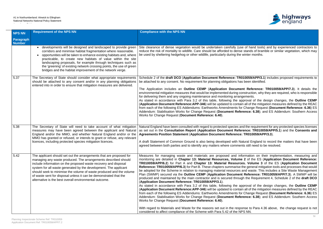

e of hand tools) and by experienced contractors to stands of bramble or similar vegetation, which may winter months.

Schedule 2 of the **draft DCO** (**Application Document Reference: TR010059/APP/3.1**) includes proposed requirements to s been identified.

nt Reference: TR010059/APP/7.3). It details the enstruction, why they are required, who is responsible gements.

be stated in accordance with Para 3.2 of the **SEMP**  $\overline{\phantom{a}}$  all of the mitigation measures defined by the REAC from Change Request (Document Reference: 6.36) ES rence: 6.38); and ES Addendum: Southern Access

nd the requirement for any protected species licenses as set out in the **Consultation Report** (**Application Document Reference: TR010059/APP/5.1**) and the **Consents and Agreements Position Statement** (**Application Document Reference: TR010059/APP/3.3**).

atural England to record the matters that have been ats still need to be resolved.

ormation on their implementation, measuring and 2 of the ES (Application Document Reference: **Res. Volume 3** of the ES (**Application Document** the general mitigation tools and processes that would and waste. This includes a Site Waste Management Reference: TR010059/APP/7.3). A SWMP will be ph the Requirement 4, Schedule 2 of the **draft DCO** 

pproval of the design changes, the **Outline CEMP**  $\overline{\phantom{a}}$  all of the mitigation measures defined by the REAC from Change Request (Document Reference: 6.36) ES rence: 6.38); and ES Addendum: Southern Access

onse to Para 4.36 above, the change request is not

| <b>NPS NN</b>              | <b>Requirement of the NPS NN</b>                                                                                                                                                                                                                                                                                                                                                                                                                                                   | <b>Compliance with the NPS NN</b>                                                                                                                                                                                                                                                                                                                                                                                                                                                                                                                                                                                                                                                                                                                                                                                                                                                                                                                                                                                                                                                                                                          |
|----------------------------|------------------------------------------------------------------------------------------------------------------------------------------------------------------------------------------------------------------------------------------------------------------------------------------------------------------------------------------------------------------------------------------------------------------------------------------------------------------------------------|--------------------------------------------------------------------------------------------------------------------------------------------------------------------------------------------------------------------------------------------------------------------------------------------------------------------------------------------------------------------------------------------------------------------------------------------------------------------------------------------------------------------------------------------------------------------------------------------------------------------------------------------------------------------------------------------------------------------------------------------------------------------------------------------------------------------------------------------------------------------------------------------------------------------------------------------------------------------------------------------------------------------------------------------------------------------------------------------------------------------------------------------|
| Paragraph<br><b>Number</b> |                                                                                                                                                                                                                                                                                                                                                                                                                                                                                    |                                                                                                                                                                                                                                                                                                                                                                                                                                                                                                                                                                                                                                                                                                                                                                                                                                                                                                                                                                                                                                                                                                                                            |
|                            | developments will be designed and landscaped to provide green<br>corridors and minimise habitat fragmentation where reasonable.<br>opportunities will be taken to enhance existing habitats and, where<br>practicable, to create new habitats of value within the site<br>landscaping proposals, for example through techniques such as<br>the 'greening' of existing network crossing points, the use of green<br>bridges and the habitat improvement of the network verge.       | Site clearance of dense vegetation would be undertaken carefully (use of has<br>reduce the risk of mortality to wildlife. Care should be afforded to dense stand<br>be used by sheltering hedgehog or other wildlife, particularly during the winter                                                                                                                                                                                                                                                                                                                                                                                                                                                                                                                                                                                                                                                                                                                                                                                                                                                                                       |
| 5.37                       | The Secretary of State should consider what appropriate requirements<br>should be attached to any consent and/or in any planning obligations<br>entered into in order to ensure that mitigation measures are delivered.                                                                                                                                                                                                                                                            | Schedule 2 of the draft DCO (Application Document Reference: TR010059<br>be attached to any consent. No requirement for planning obligations has been<br>The Application includes an Outline CEMP (Application Document Ref<br>environmental mitigation measures that would be implemented during construct<br>for delivering them and any ongoing maintenance and monitoring arrangemen<br>As stated in accordance with Para 3.2 of this table, following the approval<br>(Application Document Reference: APP-346) will be updated to contain all of<br>from each of the following ES Addendums: Earthworks Amendments for Changer<br>Addendum: Stabilisation Works for Change Request (Document Reference:<br>Works for Change Request (Document Reference: 6.40).                                                                                                                                                                                                                                                                                                                                                                      |
| 5.38                       | The Secretary of State will need to take account of what mitigation<br>measures may have been agreed between the applicant and Natural<br>England and/or the MMO, and whether Natural England and/or or the<br>MMO has granted or refused, or intends to grant or refuse, any relevant<br>licences, including protected species mitigation licences.                                                                                                                               | Natural England have been consulted with regard to protected species and the r<br>as set out in the Consultation Report (Application Document Reference:<br><b>Agreements Position Statement (Application Document Reference: TR01</b><br>A draft Statement of Common Ground is also being developed with Natural E<br>agreed between both parties and to identify any matters where comments still                                                                                                                                                                                                                                                                                                                                                                                                                                                                                                                                                                                                                                                                                                                                        |
| 5.42                       | The applicant should set out the arrangements that are proposed for<br>managing any waste produced. The arrangements described should<br>include information on the proposed waste recovery and disposal<br>system for all waste generated by the development. The applicant<br>should seek to minimise the volume of waste produced and the volume<br>of waste sent for disposal unless it can be demonstrated that the<br>alternative is the best overall environmental outcome. | Measures for managing waste and materials are proposed and information<br>monitoring are detailed in Chapter 13: Material Resources, Volume 2 of<br>TR010059/APP/6.2) for Part A and Chapter 13: Material Resources. Vo<br>Reference: TR010059/APP/6.3) for Part B. These chapters summarise the ger<br>be adopted for the Scheme in relation to managing material resources and wa<br>Plan (SWMP) secured via the Outline CEMP (Application Document Refer<br>produced and maintained by the main contractor and is secured through the<br>(Application Document Reference: TR010059/APP/3.1).<br>As stated in accordance with Para 3.2 of this table, following the approval<br>(Application Document Reference: APP-346) will be updated to contain all of<br>from each of the following ES Addendums: Earthworks Amendments for Chang<br>Addendum: Stabilisation Works for Change Request (Document Reference:<br>Works for Change Request (Document Reference: 6.40).<br>With regard to Materials and Waste for the reasons set out in the response to<br>considered to affect compliance of the Scheme with Para 5.42 of the NPS NN. |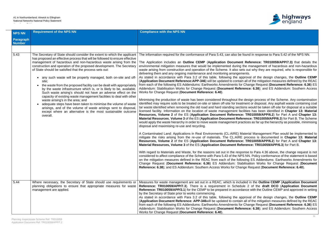

found in response to Para 5.42 of the NPS NN.

Reference: TR010059/APP/7.3) that details the the management of hazardous and non-hazardous ets out why they are required, who is responsible for

pproval of the design changes, the **Outline CEMP** (**Application Document Reference:APP-346**) will be updated to contain all of the mitigation measures defined by the REAC from Change Request (Document Reference: 6.36) ES rence: 6.38); and ES Addendum: Southern Access

design process of the Scheme. Any contamination tment or disposal. Any asphalt waste containing coal ons would be taken off-site for disposal at a suitable cilities has been identified in **Chapter 13: Material Resource 23 Orier ES (2010) For EX 23:** TR010059/APP/6.2) for Part A and Chapter 13: **Material Resource: TR010059/APP/6.3**) for Part B. The Scheme actices as far up the hierarchy as possible, minimising

laterial Management Plan would be implemented to process is documented in **Chapter 13: Material Resource 23 Orier ES (2) For EX (2) SET A and Chapter 13: Arence: TR010059/APP/6.3**) for Part B.

onse to Para 4.36 above, the change request is not S NN. Policy conformance of the statement is based owing ES Addendums: Earthworks Amendments for bilisation Works for Change Request (Document **Request (Document Reference: 6.40).** 

Ided in the Outline CEMP (Application Document **Reference: TR010059/APP/7.3**). There is a requirement in Schedule 2 of the **draft DCO** (**Application Document** lance with the Outline CEMP and approved in writing

pproval of the design changes, the **Outline CEMP** all of the mitigation measures defined by the REAC **Change Request (Document Reference: 6.36) ES** rence: 6.38); and ES Addendum: Southern Access

| <b>NPS NN</b>              | <b>Requirement of the NPS NN</b>                                                                                                                                                                                                                                                                                                                                                                                                                                                                                                                                                                                                                                                                                                                                                                                                                                                                                                                                                       | <b>Compliance with the NPS NN</b>                                                                                                                                                                                                                                                                                                                                                                                                                                                                                                                                                                                                                                                                                                                                                                                                                                                                                                                                                                                                                                                                                                                                                                                                                                                                                                                                                                                                                                                                                                                                                                                                                                                                                                                                                                                                                                                                                                                                                                                                                                                  |
|----------------------------|----------------------------------------------------------------------------------------------------------------------------------------------------------------------------------------------------------------------------------------------------------------------------------------------------------------------------------------------------------------------------------------------------------------------------------------------------------------------------------------------------------------------------------------------------------------------------------------------------------------------------------------------------------------------------------------------------------------------------------------------------------------------------------------------------------------------------------------------------------------------------------------------------------------------------------------------------------------------------------------|------------------------------------------------------------------------------------------------------------------------------------------------------------------------------------------------------------------------------------------------------------------------------------------------------------------------------------------------------------------------------------------------------------------------------------------------------------------------------------------------------------------------------------------------------------------------------------------------------------------------------------------------------------------------------------------------------------------------------------------------------------------------------------------------------------------------------------------------------------------------------------------------------------------------------------------------------------------------------------------------------------------------------------------------------------------------------------------------------------------------------------------------------------------------------------------------------------------------------------------------------------------------------------------------------------------------------------------------------------------------------------------------------------------------------------------------------------------------------------------------------------------------------------------------------------------------------------------------------------------------------------------------------------------------------------------------------------------------------------------------------------------------------------------------------------------------------------------------------------------------------------------------------------------------------------------------------------------------------------------------------------------------------------------------------------------------------------|
| Paragraph<br><b>Number</b> |                                                                                                                                                                                                                                                                                                                                                                                                                                                                                                                                                                                                                                                                                                                                                                                                                                                                                                                                                                                        |                                                                                                                                                                                                                                                                                                                                                                                                                                                                                                                                                                                                                                                                                                                                                                                                                                                                                                                                                                                                                                                                                                                                                                                                                                                                                                                                                                                                                                                                                                                                                                                                                                                                                                                                                                                                                                                                                                                                                                                                                                                                                    |
|                            |                                                                                                                                                                                                                                                                                                                                                                                                                                                                                                                                                                                                                                                                                                                                                                                                                                                                                                                                                                                        |                                                                                                                                                                                                                                                                                                                                                                                                                                                                                                                                                                                                                                                                                                                                                                                                                                                                                                                                                                                                                                                                                                                                                                                                                                                                                                                                                                                                                                                                                                                                                                                                                                                                                                                                                                                                                                                                                                                                                                                                                                                                                    |
| 5.43                       | The Secretary of State should consider the extent to which the applicant<br>has proposed an effective process that will be followed to ensure effective<br>management of hazardous and non-hazardous waste arising from the<br>construction and operation of the proposed development. The Secretary<br>of State should be satisfied that the process sets out:<br>any such waste will be properly managed, both on-site and off-<br>site;<br>the waste from the proposed facility can be dealt with appropriately<br>by the waste infrastructure which is, or is likely to be, available.<br>Such waste arising's should not have an adverse effect on the<br>capacity of existing waste management facilities to deal with other<br>waste arising's in the area; and<br>adequate steps have been taken to minimise the volume of waste<br>arisings, and of the volume of waste arisings sent to disposal,<br>except where an alternative is the most sustainable outcome<br>overall. | The information required for the conformance of Para 5.43, can also be found<br>The Application includes an Outline CEMP (Application Document Ref<br>environmental mitigation measures that would be implemented during the n<br>waste arising from construction and operation of the Scheme. It also sets ou<br>delivering them and any ongoing maintenance and monitoring arrangements.<br>As stated in accordance with Para 3.2 of this table, following the approva<br>(Application Document Reference:APP-346) will be updated to contain all o<br>from each of the following ES Addendums: Earthworks Amendments for Chai<br>Addendum: Stabilisation Works for Change Request (Document Reference<br>Works for Change Request (Document Reference: 6.40).<br>Minimising the production of waste has been considered throughout the desi<br>identified may require soils to be treated on-site or taken off-site for treatment<br>tar waste identified when removing the old road and hard standing sections w<br>licensed facility. Information on the location of waste management facilities<br>Resources, Volume 2 of the ES (Application Document Reference: TR<br>Material Resources, Volume 3 of the ES (Application Document Referenc<br>would apply the waste hierarchy in order to move waste management practices<br>disposal and maximising re-use and recycling.<br>A Contaminated Land: Applications in Real Environments (CL:AIRE) Materia<br>mitigate the risks arising from the re-use of materials. The CL:AIRE proc<br>Resources, Volume 2 of the ES (Application Document Reference: TR<br>Material Resources, Volume 3 of the ES (Application Document Referend<br>With regard to Materials and Waste, for the reasons set out in the response<br>considered to affect compliance of the Scheme with Para 5.43 of the NPS NN<br>on the mitigation measures defined in the REAC from each of the following<br>Change Request (Document Reference: 6.36) ES Addendum: Stabilisat<br>Reference: 6.38); and ES Addendum: Southern Access Works for Change R |
| 5.44                       | Where necessary, the Secretary of State should use requirements or<br>planning obligations to ensure that appropriate measures for waste<br>management are applied.                                                                                                                                                                                                                                                                                                                                                                                                                                                                                                                                                                                                                                                                                                                                                                                                                    | Measures for waste management are set out in a REAC, which is included in<br>Reference: TR010059/APP/7.3). There is a requirement in Schedule 2<br>Reference: TR010059/APP/3.1) for the CEMP to be prepared in accordance<br>by the Secretary of State prior to works commencing.<br>As stated in accordance with Para 3.2 of this table, following the approva<br>(Application Document Reference: APP-346 will be updated to contain all of<br>from each of the following ES Addendums: Earthworks Amendments for Chair<br>Addendum: Stabilisation Works for Change Request (Document Reference<br>Works for Change Request (Document Reference: 6.40).                                                                                                                                                                                                                                                                                                                                                                                                                                                                                                                                                                                                                                                                                                                                                                                                                                                                                                                                                                                                                                                                                                                                                                                                                                                                                                                                                                                                                          |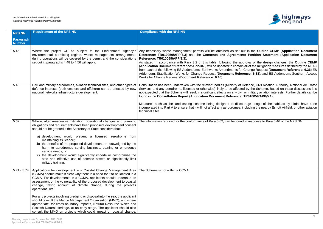

### **Anglerity management management in the Outline CEMP** (Application Document **Reference: TR010059/APP/7.3**) and the **Consents and Agreements Position Statement** (**Application Document**

| <b>NPS NN</b>              | <b>Requirement of the NPS NN</b>                                                                                                                                                                                                                                                                                                                                                                                                                                                                                                                                                                                                                                                                                                                                                                  | <b>Compliance with the NPS NN</b>                                                                                                                                                                                                                                                                                                                                                                                                                                                                                                                                                                                                                                                                                                                                                                                                                                         |
|----------------------------|---------------------------------------------------------------------------------------------------------------------------------------------------------------------------------------------------------------------------------------------------------------------------------------------------------------------------------------------------------------------------------------------------------------------------------------------------------------------------------------------------------------------------------------------------------------------------------------------------------------------------------------------------------------------------------------------------------------------------------------------------------------------------------------------------|---------------------------------------------------------------------------------------------------------------------------------------------------------------------------------------------------------------------------------------------------------------------------------------------------------------------------------------------------------------------------------------------------------------------------------------------------------------------------------------------------------------------------------------------------------------------------------------------------------------------------------------------------------------------------------------------------------------------------------------------------------------------------------------------------------------------------------------------------------------------------|
| Paragraph<br><b>Number</b> |                                                                                                                                                                                                                                                                                                                                                                                                                                                                                                                                                                                                                                                                                                                                                                                                   |                                                                                                                                                                                                                                                                                                                                                                                                                                                                                                                                                                                                                                                                                                                                                                                                                                                                           |
|                            |                                                                                                                                                                                                                                                                                                                                                                                                                                                                                                                                                                                                                                                                                                                                                                                                   |                                                                                                                                                                                                                                                                                                                                                                                                                                                                                                                                                                                                                                                                                                                                                                                                                                                                           |
| 5.45                       | environmental permitting regime, waste management arrangements<br>during operations will be covered by the permit and the considerations<br>set out in paragraphs 4.48 to 4.56 will apply.                                                                                                                                                                                                                                                                                                                                                                                                                                                                                                                                                                                                        | Where the project will be subject to the Environment Agency's Any necessary waste management permits will be obtained as set out in the Outline CEMP (Application Document<br>Reference: TR010059/APP/7.3) and the Consents and Agreements Position Statement (Application Document<br><b>Reference: TR010059/APP/3.3).</b><br>As stated in accordance with Para 3.2 of this table, following the approval of the design changes, the Outline CEMP<br>(Application Document Reference: APP-346) will be updated to contain all of the mitigation measures defined by the REAC<br>from each of the following ES Addendums: Earthworks Amendments for Change Request (Document Reference: 6.36) ES<br>Addendum: Stabilisation Works for Change Request (Document Reference: 6.38); and ES Addendum: Southern Access<br>Works for Change Request (Document Reference: 6.40). |
| 5.46                       | Civil and military aerodromes, aviation technical sites, and other types of<br>defence interests (both onshore and offshore) can be affected by new<br>national networks infrastructure development.                                                                                                                                                                                                                                                                                                                                                                                                                                                                                                                                                                                              | Consultation has been undertaken with the relevant bodies (Ministry of Defence, Civil Aviation Authority, National Air Traffic<br>Services and any aerodrome, licensed or otherwise) likely to be affected by the Scheme. Based on these discussions it is<br>not expected that the Scheme will result in significant effects on any civil or military aviation interests. Further details can be<br>found in the Consultation Report (Application Document Reference: TR010059/APP/5.1).<br>Measures such as the landscaping scheme being designed to discourage usage of the habitats by birds, have been<br>incorporated into Part A to ensure that it will not affect any aerodromes, including the nearby Eshott Airfield, or other aviation<br>technical sites.                                                                                                     |
| 5.62                       | Where, after reasonable mitigation, operational changes and planning<br>obligations and requirements have been proposed, development consent<br>should not be granted if the Secretary of State considers that:<br>a) development would prevent a licensed aerodrome from<br>maintaining its licence;<br>b) the benefits of the proposed development are outweighed by the<br>harm to aerodromes serving business, training or emergency<br>service needs; or<br>c) the development would significantly impede or compromise the<br>safe and effective use of defence assets or significantly limit<br>military training.                                                                                                                                                                         | The information required for the conformance of Para 5.62, can be found in response to Para 5.46 of the NPS NN.                                                                                                                                                                                                                                                                                                                                                                                                                                                                                                                                                                                                                                                                                                                                                           |
| $5.71 - 5.74$              | Applications for development in a Coastal Change Management Area   The Scheme is not within a CCMA.<br>(CCMA) should make it clear why there is a need for it to be located in a<br>CCMA. For developments in a CCMA, applicants should undertake an<br>assessment of the vulnerability of the proposed development to coastal<br>change, taking account of climate change, during the project's<br>operational life.<br>For any projects involving dredging or disposal into the sea, the applicant<br>should consult the Marine Management Organisation (MMO), and where<br>appropriate, for cross-boundary impacts, Natural Resource Wales and<br>Scottish Natural Heritage, at an early stage. The applicant should also<br>consult the MMO on projects which could impact on coastal change, |                                                                                                                                                                                                                                                                                                                                                                                                                                                                                                                                                                                                                                                                                                                                                                                                                                                                           |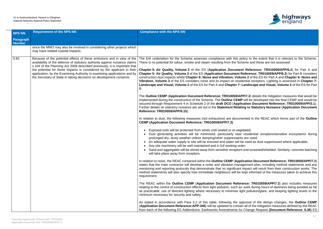

pproval of the design changes, the **Outline CEMP**  $\overline{\phantom{a}}$  all of the mitigation measures defined by the REAC

| <b>NPS NN</b>              | <b>Requirement of the NPS NN</b>                                                                                                                                                                                                                                                                                                                                                                                                                                | <b>Compliance with the NPS NN</b>                                                                                                                                                                                                                                                                                                                                                                                                                                                                                                                                                                                                                                                                                                                                                                                                                                                                                                                                                                                                                                                                                                                                                                                                                                                                                                                                                                                                                                                                                                                                                                                                                                                                                                                                                                                                                                                                                                                                                                                                                                                                                                                                                                                                                                                                                                                                                                                                                                                                                                                                                                                                                                                                                                                                                                                                                                                                                                                                                                                                                                                                                                                                                                                                                                                                                                                                                                                                                                                                                                                                                                |
|----------------------------|-----------------------------------------------------------------------------------------------------------------------------------------------------------------------------------------------------------------------------------------------------------------------------------------------------------------------------------------------------------------------------------------------------------------------------------------------------------------|--------------------------------------------------------------------------------------------------------------------------------------------------------------------------------------------------------------------------------------------------------------------------------------------------------------------------------------------------------------------------------------------------------------------------------------------------------------------------------------------------------------------------------------------------------------------------------------------------------------------------------------------------------------------------------------------------------------------------------------------------------------------------------------------------------------------------------------------------------------------------------------------------------------------------------------------------------------------------------------------------------------------------------------------------------------------------------------------------------------------------------------------------------------------------------------------------------------------------------------------------------------------------------------------------------------------------------------------------------------------------------------------------------------------------------------------------------------------------------------------------------------------------------------------------------------------------------------------------------------------------------------------------------------------------------------------------------------------------------------------------------------------------------------------------------------------------------------------------------------------------------------------------------------------------------------------------------------------------------------------------------------------------------------------------------------------------------------------------------------------------------------------------------------------------------------------------------------------------------------------------------------------------------------------------------------------------------------------------------------------------------------------------------------------------------------------------------------------------------------------------------------------------------------------------------------------------------------------------------------------------------------------------------------------------------------------------------------------------------------------------------------------------------------------------------------------------------------------------------------------------------------------------------------------------------------------------------------------------------------------------------------------------------------------------------------------------------------------------------------------------------------------------------------------------------------------------------------------------------------------------------------------------------------------------------------------------------------------------------------------------------------------------------------------------------------------------------------------------------------------------------------------------------------------------------------------------------------------------|
| Paragraph<br><b>Number</b> |                                                                                                                                                                                                                                                                                                                                                                                                                                                                 |                                                                                                                                                                                                                                                                                                                                                                                                                                                                                                                                                                                                                                                                                                                                                                                                                                                                                                                                                                                                                                                                                                                                                                                                                                                                                                                                                                                                                                                                                                                                                                                                                                                                                                                                                                                                                                                                                                                                                                                                                                                                                                                                                                                                                                                                                                                                                                                                                                                                                                                                                                                                                                                                                                                                                                                                                                                                                                                                                                                                                                                                                                                                                                                                                                                                                                                                                                                                                                                                                                                                                                                                  |
|                            | since the MMO may also be involved in considering other projects which<br>may have related coastal impacts.                                                                                                                                                                                                                                                                                                                                                     |                                                                                                                                                                                                                                                                                                                                                                                                                                                                                                                                                                                                                                                                                                                                                                                                                                                                                                                                                                                                                                                                                                                                                                                                                                                                                                                                                                                                                                                                                                                                                                                                                                                                                                                                                                                                                                                                                                                                                                                                                                                                                                                                                                                                                                                                                                                                                                                                                                                                                                                                                                                                                                                                                                                                                                                                                                                                                                                                                                                                                                                                                                                                                                                                                                                                                                                                                                                                                                                                                                                                                                                                  |
| 5.82                       | Because of the potential effects of these emissions and in view of the<br>availability of the defence of statutory authority against nuisance claims<br>s.104 of the Planning Act 2008 described previously, it is important that<br>the potential for these impacts is considered by the applicant in their<br>application, by the Examining Authority in examining applications and by<br>the Secretary of State in taking decisions on development consents. | The EIA undertaken for the Scheme assesses compliance with this policy to the extent that it is relevant to the Scheme.<br>There is no potential for odour, smoke and steam resulting from the Scheme and these are not assessed.<br>Chapter 5: Air Quality, Volume 2 of the ES (Application Document Reference: TR010059/APP/6.2) for Part A and<br>Chapter 5: Air Quality, Volume 3 of the ES (Application Document Reference: TR010059/APP/6.3) for Part B considers<br>construction dust impacts whilst Chapter 6: Noise and Vibration, Volume 2 of the ES for Part A and Chapter 6: Noise and<br>Vibration, Volume 3 of the ES considers noise and its impact on residential receptors. Lighting is assessed in Chapter 7:<br>Landscape and Visual, Volume 2 of the ES for Part A and Chapter 7: Landscape and Visual, Volume 3 of the ES for Part<br>В.<br>The Outline CEMP (Application Document Reference: TR010059/APP/7.3) details the mitigation measures that would be<br>implemented during the construction of the Scheme. The Outline CEMP will be developed into the final CEMP and would be<br>secured through Requirement 4 in Schedule 2 of the draft DCO (Application Document Reference: TR010059/APP/3.1).<br>Further details on statutory nuisance are set out in the Statement Relating to Statutory Nuisance (Application Document<br>Reference: TR010059/APP/6.15).<br>In relation to dust, the following measures (not exhaustive) are documented in the REAC which forms part of the <b>Outline</b><br><b>CEMP (Application Document Reference: TR010059/APP/7.3)</b><br>Exposed soils will be protected from winds until sealed or re-vegetated;<br>• Dust generating activities will be minimised, particularly near residential receptors/sensitive ecosystems during<br>prolonged dry, dusty weather unless damping/other suppressants are used;<br>An adequate water supply to site will be ensured and water will be used as dust suppressant where applicable;<br>$\bullet$<br>Any site machinery will be well maintained and in full working order;<br>• Sand and aggregates will be stored away from sensitive receptors and screened/shielded. Similarly, concrete batching<br>will take place away from receptors.<br>In relation to noise, the REAC contained within the Outline CEMP (Application Document Reference: TR010059/APP/7.3)<br>states that the main contractor will develop a noise and vibration management plan, including method statements and any<br>monitoring and reporting protocols that demonstrate that no significant impact will result from their construction works. The<br>method statements will also specify how immediate neighbours will be kept informed of the measures taken to achieve this<br>requirement.<br>The REAC within the Outline CEMP (Application Document Reference: TR010059/APP/7.3) also includes measures<br>relating to the control of construction effects from light pollution, such as: work during hours of darkness being avoided as far<br>as practicable; use of directed lighting where necessary to minimise light pollution/glare; and keeping lighting levels to the<br>minimum necessary for security and safety.<br>As stated in accordance with Para 3.2 of this table, following the approval of the design changes, the Outline CEMP<br>(Application Document Reference: APP-346) will be updated to contain all of the mitigation measures defined by the REAC<br>from each of the following ES Addendums: Earthworks Amendments for Change Request (Document Reference: 6.36) ES |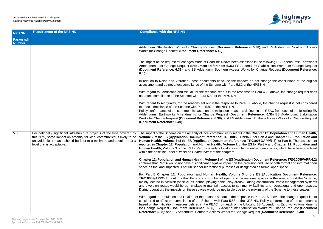

rence: 6.38); and ES Addendum: Southern Access

ssessed in the following ES Addendums: Earthworks **Addendum: Stabilisation Works for Change Request** Vorks for Change Request (Document Reference:

acts do not change the conclusions of the original of the NPS NN.

oonse to Para 4.28 above, the change request does

Ira 3.6 above, the change request is not considered

es defined in the REAC from each of the following ES ent Reference: 6.36) ES Addendum: Stabilisation **Indum: Southern Access Works for Change Request** 

in the Chapter 12: Population and Human Health, **PP/6.2**) for Part A and Chapter 12: Population and **Le: TR010059/APP/6.3**) for Part B. The assessment the ES for Part A and Chapter 12: Population and high-quality open spaces, which have been identified

**Cation Document Reference: TR010059/APP/6.2** provision and use of both formal and informal open esignated as formal open space.

**3** of the ES (Application Document Reference: creational spaces in the area around the Scheme, ). During construction, traffic management systems munity facilities and recreational and open spaces. to the proximity of the Scheme to these spaces.

| <b>NPS NN</b>              | <b>Requirement of the NPS NN</b>                                                                                                                                                                                                                        | <b>Compliance with the NPS NN</b>                                                                                                                                                                                                                                                                                                                                                                                                     |
|----------------------------|---------------------------------------------------------------------------------------------------------------------------------------------------------------------------------------------------------------------------------------------------------|---------------------------------------------------------------------------------------------------------------------------------------------------------------------------------------------------------------------------------------------------------------------------------------------------------------------------------------------------------------------------------------------------------------------------------------|
| Paragraph<br><b>Number</b> |                                                                                                                                                                                                                                                         |                                                                                                                                                                                                                                                                                                                                                                                                                                       |
|                            |                                                                                                                                                                                                                                                         | Addendum: Stabilisation Works for Change Request (Document Refer<br>Works for Change Request (Document Reference: 6.40).                                                                                                                                                                                                                                                                                                              |
|                            |                                                                                                                                                                                                                                                         | The impact of the request for changes made at Deadline 4 have been as<br>Amendments for Change Request (Document Reference: 6.36) ES A<br>(Document Reference: 6.38); and ES Addendum: Southern Access W<br>$6.40$ ).                                                                                                                                                                                                                 |
|                            |                                                                                                                                                                                                                                                         | In relation to Noise and Vibration, these documents conclude the impa<br>assessment and do not affect compliance of the Scheme with Para 5.82                                                                                                                                                                                                                                                                                         |
|                            |                                                                                                                                                                                                                                                         | With regard to Landscape and Visual, for the reasons set out in the resp<br>not affect compliance of the Scheme with Para 5.82 of the NPS NN.                                                                                                                                                                                                                                                                                         |
|                            |                                                                                                                                                                                                                                                         | With regard to Air Quality, for the reasons set out in the response to Pa<br>to affect compliance of the Scheme with Para 5.82 of the NPS NN.<br>Policy conformance of the statement is based on the mitigation measures<br>Addendums: Earthworks Amendments for Change Request (Docume<br>Works for Change Request (Document Reference: 6.38); and ES Adder<br>(Document Reference: 6.40).                                           |
| 5.83                       | For nationally significant infrastructure projects of the type covered by<br>this NPS, some impact on amenity for local communities is likely to be<br>unavoidable. Impacts should be kept to a minimum and should be at a<br>level that is acceptable. | The impact of the Scheme on the amenity of local communities is set out<br>Volume 2 of the ES (Application Document Reference: TR010059/AF<br>Human Health, Volume 3 of the ES (Application Document Reference<br>reported in Chapter 12: Population and Human Health, Volume 2 of t<br>Human Health, Volume 3 of the ES for Part B considers local areas of h<br>within the baseline under 'Effects on Communities' of the chapters. |
|                            |                                                                                                                                                                                                                                                         | Chapter 12: Population and Human Health, Volume 2 of the ES (Appli<br>confirms that Part A would not have a significant negative impact on the<br>space as the land impacted is not utilised for recreational purposes or de                                                                                                                                                                                                          |
|                            |                                                                                                                                                                                                                                                         | For Part B Chapter 12: Population and Human Health, Volume 3<br>TR010059/APP/6.3) confirms that there are a number of open and real<br>mainly located in Alnwick (sport clubs, school playing fields, play areas)<br>and diversion routes would be put in place to maintain access to comre<br>During operation, the impacts on these spaces would be negligible due to                                                               |
|                            |                                                                                                                                                                                                                                                         | With regard to Population and Health, for the reasons set out in the resp<br>considered to affect the compliance of the Scheme with Para 5.83 of the<br>based on the mitigation measures defined in the REAC from each of the<br>for Change Request (Document Reference: 6.36) ES Addendum: Sta<br><b>Reference: 6.38); and ES Addendum: Southern Access Works for Channel</b>                                                        |

onse to Para 3.15 above, the change request is not ne NPS NN. Policy conformance of the statement is following ES Addendums: Earthworks Amendments for Change Request (**Document Reference: 6.36**) ES Addendum: Stabilisation Works for Change Request (**Document Reference: 6.38**); and ES Addendum: Southern Access Works for Change Request (**Document Reference: 6.40**).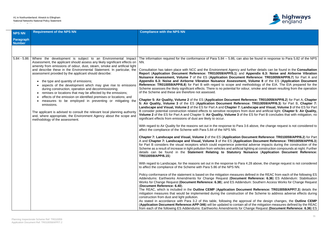

also be found in response to Para 5.82 of the NPS

nd further details can be found in the **Consultation Reportaliat Mockuptical Auplication Budgers** Appendix 6.3: Noise and Airborne Vibration **nt Reference: TR010059/APP/6.7)** for Part A and **Application 6.3: Application Document** methodology of the EIA. The EIA prepared for the odour, smoke and steam resulting from the operation

**Reference: TR010059/APP/6.2) for Part A, Chapter 5: Air Quality, Volume 3** of the ES (**Application Document Reference: TR010059/APP/6.3**) for Part B, **Chapter 7: Landscape and Visual, Volume 3** of the ES for Part Fom dust and artificial light. **Chapter 5: Air Quality**, the ES for Part B concludes that with mitigation, no

3.6 above, the change request is not considered to

**Document Reference: TR010059/APP/6.2) for Part** A and **Chapter 7: Landscape and Visual, Volume 3** of the ES (**Application Document Reference: TR010059/APP/6.3**) ntial adverse impacts during the construction of the I lighting at construction compounds at night. Further **Nuisance (Application Document Reference:** 

ra 4.28 above, the change request is not considered

es defined in the REAC from each of the following ES ent Reference: 6.36) ES Addendum: Stabilisation **Indum: Southern Access Works for Change Request** 

ument Reference: TR010059/APP/7.3) details the n of the Scheme to address adverse effects during

pproval of the design changes, the **Outline CEMP** <sup>1</sup><br>all of the mitigation measures defined by the REAC **Change Request (Document Reference: 6.36) ES** 

| <b>NPS NN</b>                     | <b>Requirement of the NPS NN</b>                                                                                                                                                                                                                                                                                                                                                                                                                                                                                                                                                                                                                                                                                                                                                                                                                                                                                                               | <b>Compliance with the NPS NN</b>                                                                                                                                                                                                                                                                                                                                                                                                                                                                                                                                                                                                                                                                                                                                                                                                                                                                                                                                                                                                                                                                                                                                                                                                                                                                                                                                                                                                                                                                                                                                                                                                                                                                                                                                                                                                                                                                                                                                                                                                                                                                                                                                                                                                                                                                                                                                                         |
|-----------------------------------|------------------------------------------------------------------------------------------------------------------------------------------------------------------------------------------------------------------------------------------------------------------------------------------------------------------------------------------------------------------------------------------------------------------------------------------------------------------------------------------------------------------------------------------------------------------------------------------------------------------------------------------------------------------------------------------------------------------------------------------------------------------------------------------------------------------------------------------------------------------------------------------------------------------------------------------------|-------------------------------------------------------------------------------------------------------------------------------------------------------------------------------------------------------------------------------------------------------------------------------------------------------------------------------------------------------------------------------------------------------------------------------------------------------------------------------------------------------------------------------------------------------------------------------------------------------------------------------------------------------------------------------------------------------------------------------------------------------------------------------------------------------------------------------------------------------------------------------------------------------------------------------------------------------------------------------------------------------------------------------------------------------------------------------------------------------------------------------------------------------------------------------------------------------------------------------------------------------------------------------------------------------------------------------------------------------------------------------------------------------------------------------------------------------------------------------------------------------------------------------------------------------------------------------------------------------------------------------------------------------------------------------------------------------------------------------------------------------------------------------------------------------------------------------------------------------------------------------------------------------------------------------------------------------------------------------------------------------------------------------------------------------------------------------------------------------------------------------------------------------------------------------------------------------------------------------------------------------------------------------------------------------------------------------------------------------------------------------------------|
| <b>Paragraph</b><br><b>Number</b> |                                                                                                                                                                                                                                                                                                                                                                                                                                                                                                                                                                                                                                                                                                                                                                                                                                                                                                                                                |                                                                                                                                                                                                                                                                                                                                                                                                                                                                                                                                                                                                                                                                                                                                                                                                                                                                                                                                                                                                                                                                                                                                                                                                                                                                                                                                                                                                                                                                                                                                                                                                                                                                                                                                                                                                                                                                                                                                                                                                                                                                                                                                                                                                                                                                                                                                                                                           |
|                                   |                                                                                                                                                                                                                                                                                                                                                                                                                                                                                                                                                                                                                                                                                                                                                                                                                                                                                                                                                |                                                                                                                                                                                                                                                                                                                                                                                                                                                                                                                                                                                                                                                                                                                                                                                                                                                                                                                                                                                                                                                                                                                                                                                                                                                                                                                                                                                                                                                                                                                                                                                                                                                                                                                                                                                                                                                                                                                                                                                                                                                                                                                                                                                                                                                                                                                                                                                           |
| $5.84 - 5.86$                     | Where the development is subject to an Environmental Impact<br>Assessment, the applicant should assess any likely significant effects on<br>amenity from emissions of odour, dust, steam, smoke and artificial light<br>and describe these in the Environmental Statement. In particular, the<br>assessment provided by the applicant should describe:<br>the type and quantity of emissions;<br>$\bullet$<br>aspects of the development which may give rise to emissions<br>during construction, operation and decommissioning;<br>remises or locations that may be affected by the emissions;<br>$\bullet$<br>effects of the emission on identified premises or locations; and<br>measures to be employed in preventing or mitigating the<br>emissions.<br>The applicant is advised to consult the relevant local planning authority<br>and, where appropriate, the Environment Agency about the scope and<br>methodology of the assessment. | The information required for the conformance of Para $5.84 - 5.86$ , can<br>NN.<br>Consultation has taken place with NCC and the Environment Agency are<br>Report (Application Document Reference: TR010059/APP/5.1) and<br>Nuisance Assessment, Volume 7 of the ES (Application Documer<br>Appendix 6.3: Noise and Airborne Vibration Nuisance Assessmer<br>Reference: TR010059/APP/6.8) for Part B with regard to scope and r<br>Scheme assesses the likely significant effects. There is no potential for o<br>of the Scheme and these are therefore not assessed.<br>Chapter 5: Air Quality, Volume 2 of the ES (Application Document R<br>5: Air Quality, Volume 3 of the ES (Application Document Refere<br>Landscape and Visual, Volume 2 of the ES for Part A and Chapter 7: L<br>B consider potential construction related effects to sensitive receptors from<br>Volume 2 of the ES for Part A and Chapter 5: Air Quality, Volume 3 of<br>significant effects from emissions of dust are likely to occur.<br>With regard to Air Quality for the reasons set out in the response to Para<br>affect the compliance of the Scheme with Para 5.84 of the NPS NN.<br>Chapter 7: Landscape and Visual, Volume 2 of the ES (Application D<br>A and Chapter 7: Landscape and Visual, Volume 3 of the ES (Applic<br>for Part B considers the visual receptors which could experience poten<br>Scheme as a result of increase in light pollution from vehicles and artificial<br>details can be found in the Statement Relating to Statutory<br>TR010059/APP/6.15)<br>With regard to Landscape, for the reasons set out in the response to Par<br>to affect the compliance of the Scheme with Para 5.86 of the NPS NN.<br>Policy conformance of the statement is based on the mitigation measures<br>Addendums: Earthworks Amendments for Change Request (Docume<br>Works for Change Request (Document Reference: 6.38); and ES Adder<br>(Document Reference: 6.40).<br>The REAC, which is included in the Outline CEMP (Application Docu<br>mitigation measures that would be implemented during the construction<br>construction from dust and light pollution.<br>As stated in accordance with Para 3.2 of this table, following the app<br>(Application Document Reference: APP-346) will be updated to contain<br>from each of the following ES Addendums: Earthworks Amendments for |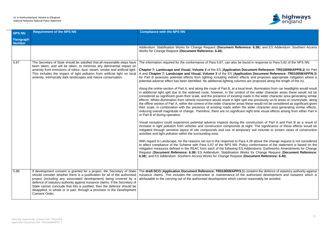

rence: 6.38); and ES Addendum: Southern Access

found in response to Para 5.82 of the NPS NN.

**Document Reference: TR010059/APP/6.2) for Part** cation Document Reference: TR010059/APP/6.3) fects and proposes appropriate mitigation where a ns are proposed along the length of the A1.

al level, illumination from car headlights would result xt of the wider character areas these would not be roads in the wider character area generating similar spill into previously un-lit areas of countryside, along as these would not be considered as significant given he wider character area generating similar effects, nt night time visual effects arising from either Part A

ne construction of Part A and Part B as a result of at night. The significance of these effects would be orary soil mounds to screen views of construction

ra 4.28 above the change request is not considered blicy conformance of the statement is based on the Addendums: Earthworks Amendments for Change **/orks for Change Request (Document Reference: (Document Reference: 6.40).** 

**()** contains the defence of statutory authority against ne authorised development and nuisance which is not reasonably be avoided.

| <b>NPS NN</b>              | <b>Requirement of the NPS NN</b>                                                                                                                                                                                                                                                                                                                                                                                                                                                   | <b>Compliance with the NPS NN</b>                                                                                                                                                                                                                                                                                                                                                                                                                                                                                                                                                                                                                                                                                                                                                                                                                                                                                                                                                                                                                                                                                                                                                                                                                                                                                                                                                                                                                                                                                                                                                                                                                     |
|----------------------------|------------------------------------------------------------------------------------------------------------------------------------------------------------------------------------------------------------------------------------------------------------------------------------------------------------------------------------------------------------------------------------------------------------------------------------------------------------------------------------|-------------------------------------------------------------------------------------------------------------------------------------------------------------------------------------------------------------------------------------------------------------------------------------------------------------------------------------------------------------------------------------------------------------------------------------------------------------------------------------------------------------------------------------------------------------------------------------------------------------------------------------------------------------------------------------------------------------------------------------------------------------------------------------------------------------------------------------------------------------------------------------------------------------------------------------------------------------------------------------------------------------------------------------------------------------------------------------------------------------------------------------------------------------------------------------------------------------------------------------------------------------------------------------------------------------------------------------------------------------------------------------------------------------------------------------------------------------------------------------------------------------------------------------------------------------------------------------------------------------------------------------------------------|
| Paragraph<br><b>Number</b> |                                                                                                                                                                                                                                                                                                                                                                                                                                                                                    |                                                                                                                                                                                                                                                                                                                                                                                                                                                                                                                                                                                                                                                                                                                                                                                                                                                                                                                                                                                                                                                                                                                                                                                                                                                                                                                                                                                                                                                                                                                                                                                                                                                       |
|                            |                                                                                                                                                                                                                                                                                                                                                                                                                                                                                    | Addendum: Stabilisation Works for Change Request (Document Refer<br>Works for Change Request (Document Reference: 6.40).                                                                                                                                                                                                                                                                                                                                                                                                                                                                                                                                                                                                                                                                                                                                                                                                                                                                                                                                                                                                                                                                                                                                                                                                                                                                                                                                                                                                                                                                                                                              |
| 5.87                       | The Secretary of State should be satisfied that all reasonable steps have<br>been taken, and will be taken, to minimise any detrimental impact on<br>amenity from emissions of odour, dust, steam, smoke and artificial light.<br>This includes the impact of light pollution from artificial light on local<br>amenity, intrinsically dark landscapes and nature conservation.                                                                                                    | The information required for the conformance of Para 5.87, can also be f<br>Chapter 7: Landscape and Visual, Volume 2 of the ES (Application D<br>A and Chapter 7: Landscape and Visual, Volume 3 of the ES (Applic<br>for Part B assesses potential effects from lighting including indirect eff<br>potential adverse effect has been identified. No additional lighting columi<br>Along the online section of Part A, and along the route of Part B, at a local<br>in additional light spill due to the widened route, however, in the contex<br>considered as significant given their scale, and the presence of existing<br>effects. Whilst illumination from vehicle movement would result in light s<br>the offline section of Part A, within the context of the wider character area<br>their scale, in combination with the presence of existing roads within the<br>reducing overall magnitude of change. Therefore, there are no significar<br>or Part B of during operation.<br>Visual receptors could experience potential adverse impacts during the<br>increase in light pollution from vehicles and construction compounds a<br>mitigated through sensitive layout of site compounds and use of temp<br>activities and light pollution within the surrounding area.<br>With regard to Landscape, for the reasons set out in the response to Par<br>to affect compliance of the Scheme with Para 5.87 of the NPS NN. Po<br>mitigation measures defined in the REAC from each of the following ES<br>Request (Document Reference: 6.36) ES Addendum: Stabilisation W<br>6.38); and ES Addendum: Southern Access Works for Change Request |
| 5.88                       | If development consent is granted for a project, the Secretary of State<br>should consider whether there is a justification for all of the authorised<br>project (including any associated development) being covered by a<br>defence of statutory authority against nuisance claims. If the Secretary of<br>State cannot conclude that this is justified, then the defence should be<br>disapplied, in whole or in part, through a provision in the Development<br>Consent Order. | The draft DCO (Application Document Reference: TR010059/APP/3.1<br>nuisance claims. This includes the construction or maintenance of the<br>attributable to the carrying out of the authorised development which canre                                                                                                                                                                                                                                                                                                                                                                                                                                                                                                                                                                                                                                                                                                                                                                                                                                                                                                                                                                                                                                                                                                                                                                                                                                                                                                                                                                                                                                |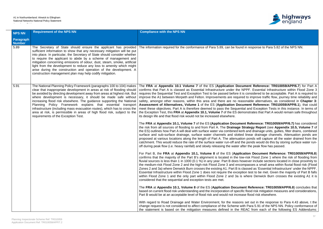

d in response to Para 5.82 of the NPS NN.

ument Reference: TR010059/APP/6.7) for Part A NPPF. Essential Infrastructure within Flood Zone 3 is considered to be acceptable. Part A is required to ed to improve traffic flow, journey time reliability and asonable alternatives, as considered in **Chapter 3: ument Reference: TR010059/APP/6.1)**, that could ial and Exception Tests in this instance. In terms of nonstrates that Part A would remain safe throughout

**FRA** and **FRA** and **FRA** and **RA** *PHP/6.7*) has considered **Strategy Report (see Appendix 10.5, Volume 7** of rb and drainage units, gullies, filter drains, combined d linear drainage channels. Attenuation ponds are on ponds will capture all the water drained from the he ponds would do this by storing surface water runfter the peak flow has passed.

Fraa B, the Part B, the Beart 20.10059/APP/6.8<sup>1</sup> of the Essenge: TR010059/APP/6.8<sup>1</sup> w-risk Flood Zone 1 where the risk of flooding from owever include sections located in close proximity to mpasses a small area within fluvial flood risk (Flood lassed as 'Essential Infrastructure' under the NPPF. tion test to be met. Given the majority of Part B falls where Denwick Burn crosses the existing A1 it is

**Ent Reference: TR010059/APP/6.8**) concludes that fic flood risk mitigation measures and considerations, ase flood risk elsewhere.

s set out in the response to Para 4.43 above, t the  $\alpha$ ith Para 5.91 of the NPS NN. Policy conformance of REAC from each of the following ES Addendums:

| <b>NPS NN</b>              | <b>Requirement of the NPS NN</b>                                                                                                                                                                                                                                                                                                                                                                                                                                                                                                                                                                                                       | <b>Compliance with the NPS NN</b>                                                                                                                                                                                                                                                                                                                                                                                                                                                                                                                                                                                                                                   |
|----------------------------|----------------------------------------------------------------------------------------------------------------------------------------------------------------------------------------------------------------------------------------------------------------------------------------------------------------------------------------------------------------------------------------------------------------------------------------------------------------------------------------------------------------------------------------------------------------------------------------------------------------------------------------|---------------------------------------------------------------------------------------------------------------------------------------------------------------------------------------------------------------------------------------------------------------------------------------------------------------------------------------------------------------------------------------------------------------------------------------------------------------------------------------------------------------------------------------------------------------------------------------------------------------------------------------------------------------------|
| Paragraph<br><b>Number</b> |                                                                                                                                                                                                                                                                                                                                                                                                                                                                                                                                                                                                                                        |                                                                                                                                                                                                                                                                                                                                                                                                                                                                                                                                                                                                                                                                     |
| 5.89                       | The Secretary of State should ensure the applicant has provided<br>sufficient information to show that any necessary mitigation will be put<br>into place. In particular, the Secretary of State should consider whether<br>to require the applicant to abide by a scheme of management and<br>mitigation concerning emissions of odour, dust, steam, smoke, artificial<br>light from the development to reduce any loss to amenity which might<br>arise during the construction and operation of the development. A<br>construction management plan may help codify mitigation.                                                       | The information required for the conformance of Para 5.89, can be found                                                                                                                                                                                                                                                                                                                                                                                                                                                                                                                                                                                             |
| 5.91                       | The National Planning Policy Framework (paragraphs 100 to 104) makes<br>clear that inappropriate development in areas at risk of flooding should<br>be avoided by directing development away from areas at highest risk. But<br>where development is necessary, it should be made safe without<br>increasing flood risk elsewhere. The guidance supporting the National<br>Planning Policy Framework explains that essential transport<br>infrastructure (including mass evacuation routes), which has to cross the<br>area at risk, is permissible in areas of high flood risk, subject to the<br>requirements of the Exception Test. | The FRA at Appendix 10.1 Volume 7 of the ES (Application Docu<br>confirms that Part A is classed as Essential Infrastructure under the N<br>requires the Sequential Test and Exception Test to be passed before it is<br>improve the A1 between Morpeth and Felton. Improvements are require<br>safety, amongst other reasons, within this area and there are no rea<br>Assessment of Alternatives, Volume 1 of the ES (Application Docu<br>meet these objectives. Part A is therefore deemed to pass the Sequent<br>the Exception Test, this FRA at Appendix 10.1, Volume 7 of the ES den<br>its design life and that flood risk would not be increased elsewhere. |
|                            |                                                                                                                                                                                                                                                                                                                                                                                                                                                                                                                                                                                                                                        | The FRA at Appendix 10.1, Volume 7 of the ES (Application Docume<br>the risk from all sources of flooding to and from Part A. The Drainage \$<br>the ES) outlines how Part A will deal with surface water via combined ket<br>surface and sub-surface drainage, surface water channels and slotted<br>proposed at various locations along the length of Part A. The attenuation<br>catchment. This would reduce the rate of the surface water run-off and the<br>off during peak flow (i.e. heavy rainfall) and slowly releasing the water af                                                                                                                       |
|                            |                                                                                                                                                                                                                                                                                                                                                                                                                                                                                                                                                                                                                                        | For Part B, the FRA at Appendix 10.1, Volume 8 of the ES (Applic<br>confirms that the majority of the Part B's alignment is located in the low<br>fluvial sources is less than 1 in 1000 (0.1 %) in any year. Part B does ho<br>the medium-risk Flood Zone 2 and the high-risk Flood Zone 3 and encor<br>Zones 2 and 3a) where Denwick Burn crosses the existing A1. Part B is c<br>Essential Infrastructure within Flood Zone 1 does not require the except<br>within Flood Zone 1 and the only part within Flood Zone 2 and 3a is<br>considered that the sequential and exception tests are met.                                                                  |
|                            |                                                                                                                                                                                                                                                                                                                                                                                                                                                                                                                                                                                                                                        | The FRA at Appendix 10.1, Volume 8 of the ES (Application Docume<br>based on current flood risk understanding and the incorporation of specifi<br>Part B would be at an acceptable level of flood risk and would not increa                                                                                                                                                                                                                                                                                                                                                                                                                                         |
|                            |                                                                                                                                                                                                                                                                                                                                                                                                                                                                                                                                                                                                                                        | With regard to Road Drainage and Water Environment, for the reasons<br>change request is not considered to affect compliance of the Scheme wi<br>the statement is based on the mitigation measures defined in the R                                                                                                                                                                                                                                                                                                                                                                                                                                                 |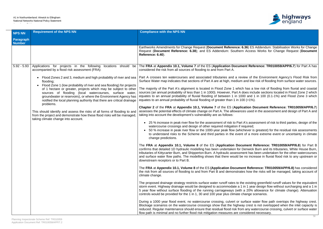Accordance Table



**6.36) ES Addendum: Stabilisation Works for Change** Request (**Document Reference: 6.38**); and ES Addendum: Southern Access Works for Change Request (**Document**

### **Fend Reference: TR010059/APP/6.7)** for Part A has

riew of the Environment Agency's Flood Risk from and low risk of flooding from surface water sources.

h has a low risk of flooding from fluvial and coastal does include sections located in Flood Zone 2 which 00 and 1 in 100 (0.1-1%) and Flood Zone 3 which  $0 (>= 1\%).$ 

**Cation Document Reference: TR010059/APP/6.7)** es used in the assessment and design of Part A and

A's assessment of risk to third parties, design of the

chever is greatest) for the residual risk assessments to understand risks to the Scheme and the Scheme event or uncertainty in climate

**ument Reference: TR010059/APP/6.8)** for Part B Denwick Burn and its tributaries, White House Burn, ent has been undertaken for the other watercourses no increase in fluvial flood risk to any upstream or

**FRA** and **FRA** and **RA** and **RA** and **R** and **RP** (Application Domain Reference: TR010059/APP/6.8) has considered es how the risks will be managed, taking account of

e existing greenfield runoff values for the equivalent in 1 year design flow without surcharging and a 1 in a 20% allowance for climate change). Attenuation change scenarios.

urface water flow path overtops the highway crest. Becage scenarios over to watercourse in the supercourse is not overtopped when the inlet capacity is n any watercourse crossing, culvert or surface water path is minimal and increasure functions and and an interaction measure.

| <b>NPS NN</b>              | <b>Requirement of the NPS NN</b>                                                                                                                                                                                                                                                                                                                                                                                                                                                                                                                                                                                                                                                                                                                                  | <b>Compliance with the NPS NN</b>                                                                                                                                                                                                                                                                                                                                                                                                                                                                                                                                                                                                                                                                                                                                                                                                                                                                                                                                                                                                                                  |
|----------------------------|-------------------------------------------------------------------------------------------------------------------------------------------------------------------------------------------------------------------------------------------------------------------------------------------------------------------------------------------------------------------------------------------------------------------------------------------------------------------------------------------------------------------------------------------------------------------------------------------------------------------------------------------------------------------------------------------------------------------------------------------------------------------|--------------------------------------------------------------------------------------------------------------------------------------------------------------------------------------------------------------------------------------------------------------------------------------------------------------------------------------------------------------------------------------------------------------------------------------------------------------------------------------------------------------------------------------------------------------------------------------------------------------------------------------------------------------------------------------------------------------------------------------------------------------------------------------------------------------------------------------------------------------------------------------------------------------------------------------------------------------------------------------------------------------------------------------------------------------------|
| Paragraph<br><b>Number</b> |                                                                                                                                                                                                                                                                                                                                                                                                                                                                                                                                                                                                                                                                                                                                                                   |                                                                                                                                                                                                                                                                                                                                                                                                                                                                                                                                                                                                                                                                                                                                                                                                                                                                                                                                                                                                                                                                    |
|                            |                                                                                                                                                                                                                                                                                                                                                                                                                                                                                                                                                                                                                                                                                                                                                                   | Earthworks Amendments for Change Request (Document Reference: 6.36) ES<br>Request (Document Reference: 6.38); and ES Addendum: Southern Acces<br>Reference: 6.40).                                                                                                                                                                                                                                                                                                                                                                                                                                                                                                                                                                                                                                                                                                                                                                                                                                                                                                 |
| $5.92 - 5.93$              | Applications for projects in the following locations should be<br>accompanied by a flood risk assessment (FRA):<br>Flood Zones 2 and 3, medium and high probability of river and sea<br>flooding;<br>Flood Zone 1 (low probability of river and sea flooding) for projects<br>of 1 hectare or greater, projects which may be subject to other<br>sources of flooding (local watercourses, surface water,<br>groundwater or reservoirs), or where the Environment Agency has<br>notified the local planning authority that there are critical drainage<br>problems.<br>This should identify and assess the risks of all forms of flooding to and<br>from the project and demonstrate how these flood risks will be managed,<br>taking climate change into account. | The FRA at Appendix 10.1, Volume 7 of the ES (Application Document Ref<br>considered the risk from all sources of flooding to and from Part A.<br>Part A crosses ten watercourses and associated tributaries and a review of the<br>Surface Water map indicates that sections of Part A are at high, medium and low<br>The majority of the Part A's alignment is located in Flood Zone 1 which has a<br>sources (an annual probability of less than 1 in 1000). However, Part A does inc<br>equates to an annual probability of fluvial flooding of between 1 in 1000 and<br>equates to an annual probability of fluvial flooding of greater than 1 in 100 (>1%<br>Chapter 2 of the FRA at Appendix 10.1, Volume 7 of the ES (Application D<br>assesses the potential effects of climate change on Part A. The allowances used<br>taking into account the development's vulnerability are as follows:<br>25 % increase in peak river flow for the assessment of risk to Part A's ass<br>watercourse crossings and design of other required mitigation if required; |
|                            |                                                                                                                                                                                                                                                                                                                                                                                                                                                                                                                                                                                                                                                                                                                                                                   | 50 % increase in peak river flow or the 1000-year peak flow (whichever is<br>to understand risks to the Scheme and third parties in the event of a m<br>change predictions.<br>The FRA at Appendix 10.1, Volume 8 of the ES (Application Document I<br>confirms that detailed 1D hydraulic modelling has been undertaken for Denwick<br>tributaries of Kittycarter Burn, and Shipperton Burn. A hydraulic assessment has<br>and surface water flow paths. The modelling shows that there would be no increased<br>downstream receptors or to Part B.                                                                                                                                                                                                                                                                                                                                                                                                                                                                                                               |
|                            |                                                                                                                                                                                                                                                                                                                                                                                                                                                                                                                                                                                                                                                                                                                                                                   | The FRA at Appendix 10.1, Volume 8 of the ES (Application Document Refe<br>the risk from all sources of flooding to and from Part B and demonstrates how to<br>climate change.<br>The proposed drainage strategy restricts surface water runoff rates to the existir<br>storm event. Highway drainage would be designed to accommodate a 1 in 1 year<br>5 year flow without surface flooding of the running carriageways (with a 20%<br>controls would be provided for the 1 in 1, 30 and 100 year plus climate change s<br>During a 1000 year flood event, no watercourse crossing, culvert or surface v<br>Blockage scenarios on the watercourse crossings show that the highway crest<br>reduced. Regular maintenance should ensure that residual flood risk from any wa<br>flow path is minimal and no further flood risk mitigation measures are considered                                                                                                                                                                                                   |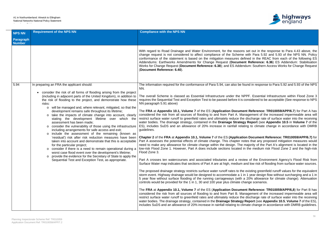

Is set out in the response to Para 4.43 above, the e with Para 5.92 and 5.93 of the NPS NN. Policy efined in the REAC from each of the following ES **nt Reference: 6.36) ES Addendum: Stabilisation** ndum: Southern Access Works for Change Request

found in response to Para 5.92 and 5.93 of the NPS

IPPF. Essential Infrastructure within Flood Zone 3 considered to be acceptable (See response to NPS

**Ent Reference: TR010059/APP/6.7)** for Part A has anagement of the increased impermeable area will e discharge rate of surface water into the receiving gy Report (see Appendix 10.5 in Volume 7 of the ating to climate change in accordance with DMRB

**ion Document Reference: TR010059/APP/6.7)** for otes that any proposed mitigation measures would majority of the Part A's alignment is located in the in the medium risk Flood Zone 2 and the high-risk

iew of the Environment Agency's Flood Risk from and low risk of flooding from surface water sources.

e existing greenfield runoff values for the equivalent in 1 year design flow without surcharging and a 1 in a 20% allowance for climate change). Attenuation hange scenarios.

**Ent Reference: TR010059/APP/6,8)** for Part B has anagement of the increased impermeable area will e discharge rate of surface water into the receiving **Report (see Appendix 10.5, Volume 7** of the ES), imate change in accordance with DMRB guidelines.

| <b>NPS NN</b>              | <b>Requirement of the NPS NN</b>                                                                                                                                                                                                                                                                                                                                                                                                                                                                                                                                                                                                                                                                                                                                                                                                                                                                                                                                                                                                                                                                                                                                               | <b>Compliance with the NPS NN</b>                                                                                                                                                                                                                                                                                                                                                                                                                                                                                                                                                                                                                                                                                                                                                                                                                                                                                                                                                                                                                                                                                                                                                                                                                                                                                                                                                                                                                                                                                              |
|----------------------------|--------------------------------------------------------------------------------------------------------------------------------------------------------------------------------------------------------------------------------------------------------------------------------------------------------------------------------------------------------------------------------------------------------------------------------------------------------------------------------------------------------------------------------------------------------------------------------------------------------------------------------------------------------------------------------------------------------------------------------------------------------------------------------------------------------------------------------------------------------------------------------------------------------------------------------------------------------------------------------------------------------------------------------------------------------------------------------------------------------------------------------------------------------------------------------|--------------------------------------------------------------------------------------------------------------------------------------------------------------------------------------------------------------------------------------------------------------------------------------------------------------------------------------------------------------------------------------------------------------------------------------------------------------------------------------------------------------------------------------------------------------------------------------------------------------------------------------------------------------------------------------------------------------------------------------------------------------------------------------------------------------------------------------------------------------------------------------------------------------------------------------------------------------------------------------------------------------------------------------------------------------------------------------------------------------------------------------------------------------------------------------------------------------------------------------------------------------------------------------------------------------------------------------------------------------------------------------------------------------------------------------------------------------------------------------------------------------------------------|
| Paragraph<br><b>Number</b> |                                                                                                                                                                                                                                                                                                                                                                                                                                                                                                                                                                                                                                                                                                                                                                                                                                                                                                                                                                                                                                                                                                                                                                                |                                                                                                                                                                                                                                                                                                                                                                                                                                                                                                                                                                                                                                                                                                                                                                                                                                                                                                                                                                                                                                                                                                                                                                                                                                                                                                                                                                                                                                                                                                                                |
|                            |                                                                                                                                                                                                                                                                                                                                                                                                                                                                                                                                                                                                                                                                                                                                                                                                                                                                                                                                                                                                                                                                                                                                                                                | With regard to Road Drainage and Water Environment, for the reason<br>change request is not considered to affect compliance of the Scheme<br>conformance of the statement is based on the mitigation measures de<br>Addendums: Earthworks Amendments for Change Request (Docume<br>Works for Change Request (Document Reference: 6.38); and ES Adder<br>(Document Reference: 6.40).                                                                                                                                                                                                                                                                                                                                                                                                                                                                                                                                                                                                                                                                                                                                                                                                                                                                                                                                                                                                                                                                                                                                            |
| 5.94                       | In preparing an FRA the applicant should:<br>consider the risk of all forms of flooding arising from the project<br>$\bullet$<br>(including in adjacent parts of the United Kingdom), in addition to<br>the risk of flooding to the project, and demonstrate how these<br>risks:<br>will be managed and, where relevant, mitigated, so that the<br>$\circ$<br>development remains safe throughout its lifetime;<br>take the impacts of climate change into account, clearly<br>stating the development lifetime over which the<br>assessment has been made;<br>consider the vulnerability of those using the infrastructure<br>$\circ$<br>including arrangements for safe access and exit;<br>include the assessment of the remaining (known as<br>$\circ$<br>'residual') risk after risk reduction measures have been<br>taken into account and demonstrate that this is acceptable<br>for the particular project;<br>consider if there is a need to remain operational during a<br>worst case flood event over the development's lifetime;<br>provide the evidence for the Secretary of State to apply the<br>$\circ$<br>Sequential Test and Exception Test, as appropriate. | The information required for the conformance of Para 5.94, can also be for-<br>NN.<br>The overall Scheme is classed as Essential Infrastructure under the N<br>requires the Sequential Test and Exception Test to be passed before it is<br>NN paragraph 5.91 above)<br>The FRA at Appendix 10.1, Volume 7 of the ES (Application Docume<br>considered the risk from all sources of flooding to and from Part A. Ma<br>restrict surface water runoff to greenfield rates and ultimately reduce the<br>water bodies. The drainage strategy, contained in the Drainage Strateg<br>ES), includes SuDS and an allowance of 20% increase in rainfall rela<br>guidelines.<br>Chapter 2 of the FRA at Appendix 10.1, Volume 7 of the ES (Applicati<br>Part A assesses the potential effects of climate change. This chapter no<br>need to make any allowance for climate change within the design. The<br>low-risk Flood Zone 1. However, Part A does include sections located i<br>Flood Zone 3.<br>Part A crosses ten watercourses and associated tributaries and a revi<br>Surface Water map indicates that sections of Part A are at high, medium<br>The proposed drainage strategy restricts surface water runoff rates to the<br>storm event. Highway drainage would be designed to accommodate a 1<br>5 year flow without surface flooding of the running carriageways (with<br>controls would be provided for the 1 in 1, 30 and 100 year plus climate cl<br>The FRA at Appendix 10.1, Volume 7 of the ES (Application Docume |
|                            |                                                                                                                                                                                                                                                                                                                                                                                                                                                                                                                                                                                                                                                                                                                                                                                                                                                                                                                                                                                                                                                                                                                                                                                | considered the risk from all sources of flooding to and from Part B. Ma<br>restrict surface water runoff to greenfield rates and ultimately reduce the<br>water bodies. The drainage strategy, contained in the Drainage Strategy<br>includes SuDS and an allowance of 20% increase in rainfall relating to cli                                                                                                                                                                                                                                                                                                                                                                                                                                                                                                                                                                                                                                                                                                                                                                                                                                                                                                                                                                                                                                                                                                                                                                                                                |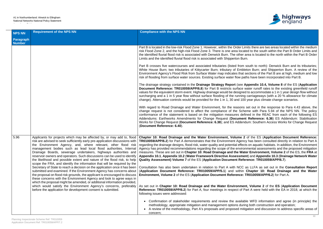

I imits there are two areas located within the medium ated to the south within the Part B Order Limits and r area is located to the north within the Part B Order

n south to north): Denwick Burn and its tributaries; Meton Burn; and Shipperton Burn. A review of the t sections of the Part B are at high, medium and low aths have been incorporated into Part B.

Appendix 10.4, Volume 8 of the ES (Application **Document Reference: TR0010** is water runoff rates to the existing greenfield runoff ed to accommodate a 1 in 1 year design flow without ng carriageways (with a 20 % allowance for climate 00 year plus climate change scenarios.

Is set out in the response to Para 4.43 above, the heme with Para 5.94 of the NPS NN. The policy efined in the REAC from each of the following ES ent Reference: 6.36) ES Addendum: Stabilisation ndum: Southern Access Works for Change Request

**2** of the ES (Application Document Reference: ncy has been consulted directly in relation to Part A ects on aquatic habitats, In addition, the Environment onmental assessments and the proposed mitigation ater Environment, Volume 2 of the ES, the FRA at **Appendix 10.3 (Drainage Network Water Framework Direction** ference: TR010059/APP/6.7).

as LLFA as set out in the **Consultation Report** (**Application Document Reference: TR010059/APP/5.1**) and within **Chapter 10: Road Drainage and the Water TR010059/APP/6.2**) for Part A.

**As set out in Chapter 10: Application Document** Part A were held with the EA in 2018, at which the

able WFD information and agree (in principle) the ring both construction and operation; itigation and discussion to address specific areas of

| <b>NPS NN</b>                     | <b>Requirement of the NPS NN</b>                                                                                                                                                                                                                                                                                                                                                                                                                                                                                                                                                                                                                                                                                                                                                                                                                                                                                                                                                                                                                                                                                                | <b>Compliance with the NPS NN</b>                                                                                                                                                                                                                                                                                                                                                                                                                                                                                                                                                                                                                                                                                                            |
|-----------------------------------|---------------------------------------------------------------------------------------------------------------------------------------------------------------------------------------------------------------------------------------------------------------------------------------------------------------------------------------------------------------------------------------------------------------------------------------------------------------------------------------------------------------------------------------------------------------------------------------------------------------------------------------------------------------------------------------------------------------------------------------------------------------------------------------------------------------------------------------------------------------------------------------------------------------------------------------------------------------------------------------------------------------------------------------------------------------------------------------------------------------------------------|----------------------------------------------------------------------------------------------------------------------------------------------------------------------------------------------------------------------------------------------------------------------------------------------------------------------------------------------------------------------------------------------------------------------------------------------------------------------------------------------------------------------------------------------------------------------------------------------------------------------------------------------------------------------------------------------------------------------------------------------|
| <b>Paragraph</b><br><b>Number</b> |                                                                                                                                                                                                                                                                                                                                                                                                                                                                                                                                                                                                                                                                                                                                                                                                                                                                                                                                                                                                                                                                                                                                 |                                                                                                                                                                                                                                                                                                                                                                                                                                                                                                                                                                                                                                                                                                                                              |
|                                   |                                                                                                                                                                                                                                                                                                                                                                                                                                                                                                                                                                                                                                                                                                                                                                                                                                                                                                                                                                                                                                                                                                                                 | Part B is located in the low-risk Flood Zone 1. However, within the Order Limi<br>risk Flood Zone 2, and the high-risk Flood Zone 3. There is one area located<br>the identified fluvial flood risk is associated with Denwick Burn. The other are<br>Limits and the identified fluvial flood risk is associated with Shipperton Burn.<br>Part B crosses five watercourses and associated tributaries (listed from so<br>White House Burn; two tributaries of Kittycarter Burn; tributary of Embleto<br>Environment Agency's Flood Risk from Surface Water map indicates that se<br>risk of flooding from surface water sources. Existing surface water flow path<br>The drainage strategy contained in the Drainage Strategy Report (see Ap |
|                                   |                                                                                                                                                                                                                                                                                                                                                                                                                                                                                                                                                                                                                                                                                                                                                                                                                                                                                                                                                                                                                                                                                                                                 | Document Reference: TR010059/APP/6.8) for Part B restricts surface was<br>values for the equivalent storm event. Highway drainage would be designed to<br>surcharging and a 1 in 5 year flow without surface flooding of the running or<br>change). Attenuation controls would be provided for the 1 in 1, 30 and 100 y                                                                                                                                                                                                                                                                                                                                                                                                                      |
|                                   |                                                                                                                                                                                                                                                                                                                                                                                                                                                                                                                                                                                                                                                                                                                                                                                                                                                                                                                                                                                                                                                                                                                                 | With regard to Road Drainage and Water Environment, for the reasons so<br>change request is not considered to affect the compliance of the Schen<br>conformance of the statement is based on the mitigation measures define<br>Addendums: Earthworks Amendments for Change Request (Document<br>Works for Change Request (Document Reference: 6.38); and ES Addendu<br>(Document Reference: 6.40).                                                                                                                                                                                                                                                                                                                                           |
| 5.96                              | Applicants for projects which may be affected by, or may add to, flood<br>risk are advised to seek sufficiently early pre-application discussions with<br>the Environment Agency, and, where relevant, other flood risk<br>management bodies such as lead local flood authorities, Internal<br>Drainage Boards, sewerage undertakers, highways authorities and<br>reservoir owners and operators. Such discussions can be used to identify<br>the likelihood and possible extent and nature of the flood risk, to help<br>scope the FRA, and identify the information that will be required by the<br>Secretary of State to reach a decision on the application once it has been<br>submitted and examined. If the Environment Agency has concerns about<br>the proposal on flood risk grounds, the applicant is encouraged to discuss<br>these concerns with the Environment Agency and look to agree ways in<br>which the proposal might be amended, or additional information provided,<br>which would satisfy the Environment Agency's concerns, preferably<br>before the application for development consent is submitted. | Chapter 10: Road Drainage and the Water Environment, Volume 2 of<br><b>TR010059/APP/6.2)</b> for Part A demonstrates that the Environment Agency<br>regarding the drainage designs, flood risk, water quality and potential effects<br>Agency has provided recommendations regarding the scope of the environm<br>measures. These are set out in Chapter 10: Road Drainage and the Water<br>Appendix 10.1, Appendix 10.2 (Water Framework Directive Assessment<br>Quality Assessment) Volume 7 of the ES (Application Document Refere                                                                                                                                                                                                        |
|                                   |                                                                                                                                                                                                                                                                                                                                                                                                                                                                                                                                                                                                                                                                                                                                                                                                                                                                                                                                                                                                                                                                                                                                 | Consultation has also been undertaken in relation to Part A with NCC as<br>(Application Document Reference: TR010059/APP/5.1) and within C<br>Environment, Volume 2 of the ES (Application Document Reference: TF                                                                                                                                                                                                                                                                                                                                                                                                                                                                                                                            |
|                                   |                                                                                                                                                                                                                                                                                                                                                                                                                                                                                                                                                                                                                                                                                                                                                                                                                                                                                                                                                                                                                                                                                                                                 | As set out in Chapter 10: Road Drainage and the Water Environment,<br>Reference: TR010059/APP/6.2) for Part A, four meetings in respect of Part<br>following issues were addressed:                                                                                                                                                                                                                                                                                                                                                                                                                                                                                                                                                          |
|                                   |                                                                                                                                                                                                                                                                                                                                                                                                                                                                                                                                                                                                                                                                                                                                                                                                                                                                                                                                                                                                                                                                                                                                 | • Confirmation of stakeholder requirements and review the available<br>methodology, appropriate mitigation and management options during<br>A review of the methodology, Part A's proposals and proposed mitiga<br>$\bullet$<br>concern;                                                                                                                                                                                                                                                                                                                                                                                                                                                                                                     |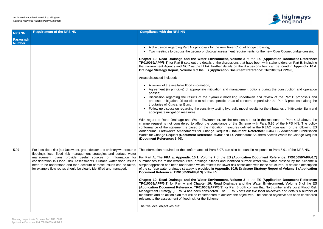

et bridge crossing; irements for the new River Coquet bridge crossing.

**3** of the ES (Application Document Reference: at have been with stakeholders on Part B, including discussions held can be found in **Appendix 10.4: Praint Reference: TR010059/APP/6.8**).

ment options during the construction and operation

dertaken and review of the Part B proposals and oncern, in particular the Part B proposals along the

odel results for the tributaries of Kittycarter Burn and

ns set out in the response to Para 4.43 above, the cheme with Para 5.96 of the NPS NN. The policy lefined in the REAC from each of the following  $ES$ ent Reference: 6.36) ES Addendum: Stabilisation **Primer and Comment Reference: 6.38**<br>Ferrers Reference: 8.3988 and Espanishing Request

found in response to Para 5.91 of the NPS NN.

| <b>NPS NN</b>              | <b>Requirement of the NPS NN</b>                                                                                                                                                                                                                                                                                                                      | <b>Compliance with the NPS NN</b>                                                                                                                                                                                                                                                                                                                                                                                                                                                                         |
|----------------------------|-------------------------------------------------------------------------------------------------------------------------------------------------------------------------------------------------------------------------------------------------------------------------------------------------------------------------------------------------------|-----------------------------------------------------------------------------------------------------------------------------------------------------------------------------------------------------------------------------------------------------------------------------------------------------------------------------------------------------------------------------------------------------------------------------------------------------------------------------------------------------------|
| Paragraph<br><b>Number</b> |                                                                                                                                                                                                                                                                                                                                                       |                                                                                                                                                                                                                                                                                                                                                                                                                                                                                                           |
|                            |                                                                                                                                                                                                                                                                                                                                                       | • A discussion regarding Part A's proposals for the new River Coqu<br>• Two meetings to discuss the geomorphological assessment requi                                                                                                                                                                                                                                                                                                                                                                     |
|                            |                                                                                                                                                                                                                                                                                                                                                       | Chapter 10: Road Drainage and the Water Environment, Volume<br>TR010059/APP/6.3) for Part B sets out the details of the discussions the<br>the Environment Agency and NCC as the LLFA. Further details on the<br>Drainage Strategy Report, Volume 8 of the ES (Application Docume                                                                                                                                                                                                                         |
|                            |                                                                                                                                                                                                                                                                                                                                                       | Areas discussed included:                                                                                                                                                                                                                                                                                                                                                                                                                                                                                 |
|                            |                                                                                                                                                                                                                                                                                                                                                       | • A review of the available flood information;<br>• Agreement (in principle) of appropriate mitigation and managen<br>phases;<br>Discussion regarding the results of the hydraulic modelling un<br>proposed mitigation; Discussions to address specific areas of co<br>tributaries of Kittycarter Burn.<br>Follow up discussion regarding the sensitivity testing hydraulic mo<br>appropriate mitigation measures.<br>With regard to Road Drainage and Water Environment, for the reasor                  |
|                            |                                                                                                                                                                                                                                                                                                                                                       | change request is not considered to affect the compliance of the Sc<br>conformance of the statement is based on the mitigation measures do<br>Addendums: Earthworks Amendments for Change Request (Docume<br>Works for Change Request (Document Reference: 6.38); and ES Adde<br>(Document Reference: 6.40).                                                                                                                                                                                              |
| 5.97                       | flooding), local flood risk management strategies and surface water<br>management plans provide useful sources of information for<br>consideration in Flood Risk Assessments. Surface water flood issues<br>need to be understood and then account of these issues can be taken,<br>for example flow routes should be clearly identified and managed. | For local flood risk (surface water, groundwater and ordinary watercourse   The information required for the conformance of Para 5.97, can also be<br>For Part A, The FRA at Appendix 10.1, Volume 7 of the ES (Applic<br>summarises the minor watercourses, drainage ditches and identified s<br>simpler approach has been undertaken which reflects the lower risk asset<br>of the surface water drainage strategy is provided in Appendix 10.5: Dr<br>Document Reference: TR010059/APP/6.3) of the ES. |
|                            |                                                                                                                                                                                                                                                                                                                                                       | Chapter 10: Road Drainage and the Water Environment, Volume<br>TR010059/APP/6.2) for Part A and Chapter 10: Road Drainage an<br>(Application Document Reference: TR010059/APP/6.3) for Part B boos<br>Management Strategy (LFRMS) has been considered. The LFRMS set<br>measures and an action plan that will be implemented to achieve the ob<br>relevant to the assessment of flood risk for the Scheme.<br>The five local objectives are:                                                              |

For Part A, The **FRA** at **Appendix 10.1, Volume 7** of the ES (**Application Document Reference: TR010059/APP/6.7**) surface water flow paths crossed by the Scheme a sociated with these structures. A detailed description of the surface water drainage strategy is provided in **Appendix 10.5: Drainage Strategy Report** of **Volume 3** (**Application**

**2** of the ES (Application Document Reference: **TR0100** for **Romangely** in **Part A** and the ES oth confirm that Northumberland's Local Flood Risk ets out five local objectives and details a number of pjectives. The second objective has been considered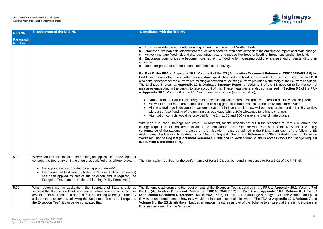

humberland.

ideration to the anticipated impact of climate change. elihood of flooding throughout Northumberland. creasing public awareness and understanding their

**ion Document Reference: TR010059/APP/6.8)** for tified surface water flow paths crossed by Part B. It ulverts provides a summary of their current condition. of Volume 8 of the ES goes on to list the control ures are also summarised in **Section 5.8** of the FRA haustive);

es via grassed detention basins where required; off values for the equivalent storm event;

sign flow without surcharging; and a 1 in 5 year flow allowance for climate change);

year events plus climate change.

ns set out in the response to Para 4.43 above, the cheme with Para 5.97 of the NPS NN. The policy lefined in the REAC from each of the following  $ES$ ent Reference: 6.36) ES Addendum: Stabilisation **Praction: Southern Access Works for Change Request** 

d in response to Para 5.91 of the NPS NN.

detailed in the FRA at Appendix 10.1, Volume 7 of Part A and Appendix 10.1, Volume 8 of the ES The drainage strategy details the volumes and peak ewhere. The FRA at **Appendix 10.1, Volume 7** and of the Scheme to ensure that there is no increase in

| <b>NPS NN</b>              | <b>Requirement of the NPS NN</b>                                                                                                                                                                                                                                                                                                                                                                                       | <b>Compliance with the NPS NN</b>                                                                                                                                                                                                                                                                                                                                                                                                                                                                                                                                                                                                                                                                                                                                                                                                                                                                                                                                                                                   |
|----------------------------|------------------------------------------------------------------------------------------------------------------------------------------------------------------------------------------------------------------------------------------------------------------------------------------------------------------------------------------------------------------------------------------------------------------------|---------------------------------------------------------------------------------------------------------------------------------------------------------------------------------------------------------------------------------------------------------------------------------------------------------------------------------------------------------------------------------------------------------------------------------------------------------------------------------------------------------------------------------------------------------------------------------------------------------------------------------------------------------------------------------------------------------------------------------------------------------------------------------------------------------------------------------------------------------------------------------------------------------------------------------------------------------------------------------------------------------------------|
| Paragraph<br><b>Number</b> |                                                                                                                                                                                                                                                                                                                                                                                                                        |                                                                                                                                                                                                                                                                                                                                                                                                                                                                                                                                                                                                                                                                                                                                                                                                                                                                                                                                                                                                                     |
|                            |                                                                                                                                                                                                                                                                                                                                                                                                                        | Improve knowledge and understanding of flood risk throughout North<br>a.<br>b. Promote sustainable development to reduce local flood risk with consent<br>c. Actively manage flood risk and drainage infrastructure to reduce like<br>d. Encourage communities to become more resilient to flooding by ine<br>concerns.<br>e. Be better prepared for flood events and post flood recovery.                                                                                                                                                                                                                                                                                                                                                                                                                                                                                                                                                                                                                          |
|                            |                                                                                                                                                                                                                                                                                                                                                                                                                        | For Part B, the FRA at Appendix 10.1, Volume 8 of the ES (Applicati<br>Part B summarises the minor watercourses, drainage ditches and ident<br>also considers whether the culverts are existing or new and for existing cu<br>The Drainage Strategy at Appendix 10.4: Drainage Strategy Report<br>measures embedded in the design to take account of this. These measures<br>at Appendix 10.1, Volume 8 of the ES. Such measures include (not exhappendix 10.1, Volume 8 of the ES. Such measures include<br>• Runoff from the Part B is discharged into the existing watercourse<br>• Allowable runoff rates are restricted to the existing greenfield rund<br>Highway drainage is designed to accommodate a 1 in 1 year des<br>without surface flooding of the running carriageways (with a 20%<br>Attenuation controls would be provided for the 1 in 1, 30 and 100<br>With regard to Road Drainage and Water Environment, for the reason<br>change request is not considered to affect the compliance of the Sc |
|                            |                                                                                                                                                                                                                                                                                                                                                                                                                        | conformance of the statement is based on the mitigation measures de<br>Addendums: Earthworks Amendments for Change Request (Docume<br>Works for Change Request (Document Reference: 6.38); and ES Adde<br>(Document Reference: 6.40).                                                                                                                                                                                                                                                                                                                                                                                                                                                                                                                                                                                                                                                                                                                                                                               |
| 5.98                       | Where flood risk is a factor in determining an application for development<br>consent, the Secretary of State should be satisfied that, where relevant:<br>the application is supported by an appropriate FRA;<br>the Sequential Test (see the National Planning Policy Framework)<br>has been applied as part of site selection and, if required, the<br>Exception Test (see the National Planning Policy Framework). | The information required for the conformance of Para 5.98, can be found                                                                                                                                                                                                                                                                                                                                                                                                                                                                                                                                                                                                                                                                                                                                                                                                                                                                                                                                             |
| 5.99                       | When determining an application, the Secretary of State should be<br>satisfied that flood risk will not be increased elsewhere and only consider<br>development appropriate in areas at risk of flooding where (informed by<br>a flood risk assessment, following the Sequential Test and, if required,<br>the Exception Test), it can be demonstrated that:                                                           | The Scheme's adherence to the requirements of the Exception Test is on<br>the ES (Application Document Reference: TR010059/APP/6.7) for<br>(Application Document Reference: TR010059/APP/6.8) for Part B. T<br>flow rates and demonstrates how they would not increase flood risk else<br><b>Volume 8</b> of the ES details the embedded mitigation measures as part of<br>flood risk as a result of the Scheme.                                                                                                                                                                                                                                                                                                                                                                                                                                                                                                                                                                                                    |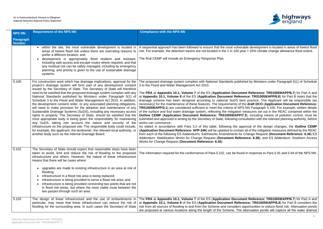

rable development is located in areas of lowest flood rear + 25% climate change allowance flood extent.

shed by Ministers under Paragraph 5(1) of Schedule

**Reada FRA** and **FRA** and **FRA** and **FRA** 20.10059/APP/6.7) for Part A and **rence: TR010059/APP/6.8**) for Part B notes that the est practice. The Applicant will be responsible (as the draft DCO (Application Document Reference: **S NN Paragraph 5.100. For example, written details** measures set out in the REAC contained within the **(7.3)**, including means of pollution control, must be nsultation with the relevant planning authority, before

pproval of the design changes, the **Outline CEMP** ...<br>in all of the mitigation measures defined by the REAC from Change Request (Document Reference: 6.36) ES rence: 6.38); and ES Addendum: Southern Access

nd in response to Para 5.91 and 5.94 of the NPS NN.

**Reada FRA** and **RA** and **R** and **FRA** and **FRA** and **R** and **R** rence: TR010059/APP/6.8) for Part B considers the opportunities to reduce flood risk. Attenuation ponds attenuation ponds will capture all the water drained

| <b>NPS NN</b>              | <b>Requirement of the NPS NN</b>                                                                                                                                                                                                                                                                                                                                                                                                                                                                                                                                                                                                                                                                                                                                                                                                                                                                                                                                                                                                                                                                                 | <b>Compliance with the NPS NN</b>                                                                                                                                                                                                                                                                                                                                                                                                                                                                                                                                                                                                                                                                                                                                                                                                                                                                                                                                                                                                                                                      |
|----------------------------|------------------------------------------------------------------------------------------------------------------------------------------------------------------------------------------------------------------------------------------------------------------------------------------------------------------------------------------------------------------------------------------------------------------------------------------------------------------------------------------------------------------------------------------------------------------------------------------------------------------------------------------------------------------------------------------------------------------------------------------------------------------------------------------------------------------------------------------------------------------------------------------------------------------------------------------------------------------------------------------------------------------------------------------------------------------------------------------------------------------|----------------------------------------------------------------------------------------------------------------------------------------------------------------------------------------------------------------------------------------------------------------------------------------------------------------------------------------------------------------------------------------------------------------------------------------------------------------------------------------------------------------------------------------------------------------------------------------------------------------------------------------------------------------------------------------------------------------------------------------------------------------------------------------------------------------------------------------------------------------------------------------------------------------------------------------------------------------------------------------------------------------------------------------------------------------------------------------|
| <b>Paragraph</b><br>Number |                                                                                                                                                                                                                                                                                                                                                                                                                                                                                                                                                                                                                                                                                                                                                                                                                                                                                                                                                                                                                                                                                                                  |                                                                                                                                                                                                                                                                                                                                                                                                                                                                                                                                                                                                                                                                                                                                                                                                                                                                                                                                                                                                                                                                                        |
|                            | within the site, the most vulnerable development is located in<br>areas of lowest flood risk unless there are overriding reasons to<br>prefer a different location; and<br>development is appropriately flood resilient and resistant,<br>including safe access and escape routes where required, and that<br>any residual risk can be safely managed, including by emergency<br>planning; and priority is given to the use of sustainable drainage<br>systems.                                                                                                                                                                                                                                                                                                                                                                                                                                                                                                                                                                                                                                                  | A sequential approach has been followed to ensure that the most vulner<br>risk. For example, the detention basins are not located in the 1 in 100 ye<br>The final CEMP will include an Emergency Response Plan.                                                                                                                                                                                                                                                                                                                                                                                                                                                                                                                                                                                                                                                                                                                                                                                                                                                                        |
| 5.100                      | For construction work which has drainage implications, approval for the<br>project's drainage system will form part of any development consent<br>issued by the Secretary of State. The Secretary of State will therefore<br>need to be satisfied that the proposed drainage system complies with any<br>National Standards published by Ministers under Paragraph 5(1) of<br>Schedule 3 to the Flood and Water Management Act 2010. In addition,<br>the development consent order, or any associated planning obligations,<br>will need to make provision for the adoption and maintenance of any<br>Sustainable Drainage Systems (SuDS), including any necessary access<br>rights to property. The Secretary of State, should be satisfied that the<br>most appropriate body is being given the responsibility for maintaining<br>any SuDS, taking into account the nature and security of the<br>infrastructure on the proposed site. The responsible body could include,<br>for example, the applicant, the landowner, the relevant local authority, or<br>another body such as the Internal Drainage Board. | The proposed drainage system complies with National Standards publis<br>3 to the Flood and Water Management Act 2010.<br>The FRA at Appendix 10.1, Volume 7 of the ES (Application Docum<br>at Appendix 10.1, Volume 8 of the ES (Application Document Refer<br>drainage scheme has been designed according to national SuDS be<br>necessary) for the maintenance of these features. The requirements of t<br>TR010059/APP/3.1) are considered sufficient to meet the criteria of NP<br>of the surface and foul water drainage system, reflecting the mitigation<br>Outline CEMP (Application Document Reference: TR010059/APP/<br>submitted and approved in writing by the Secretary of State, following cor<br>works can commence.<br>As stated in accordance with Para 3.2 of this table, following the ap<br>(Application Document Reference: APP-346) will be updated to contai<br>from each of the following ES Addendums: Earthworks Amendments for<br>Addendum: Stabilisation Works for Change Request (Document Refer<br>Works for Change Request (Document Reference: 6.40). |
| 5.102                      | The Secretary of State should expect that reasonable steps have been<br>taken to avoid, limit and reduce the risk of flooding to the proposed<br>infrastructure and others. However, the nature of linear infrastructure<br>means that there will be cases where:<br>upgrades are made to existing infrastructure in an area at risk of<br>$\bullet$<br>flooding;<br>infrastructure in a flood risk area is being replaced;<br>$\bullet$<br>infrastructure is being provided to serve a flood risk area; and<br>$\bullet$<br>infrastructure is being provided connecting two points that are not<br>$\bullet$<br>in flood risk areas, but where the most viable route between the<br>two passes through such an area.                                                                                                                                                                                                                                                                                                                                                                                            | The information required for the conformance of Para 5.102, can be four                                                                                                                                                                                                                                                                                                                                                                                                                                                                                                                                                                                                                                                                                                                                                                                                                                                                                                                                                                                                                |
| 5.103                      | The design of linear infrastructure and the use of embankments in<br>particular, may mean that linear infrastructure can reduce the risk of<br>flooding for the surrounding area. In such cases the Secretary of State                                                                                                                                                                                                                                                                                                                                                                                                                                                                                                                                                                                                                                                                                                                                                                                                                                                                                           | The FRA at Appendix 10.1, Volume 7 of the ES (Application Docum<br>at Appendix 10.1, Volume 8 of the ES (Application Document Refer<br>risk from all sources of flooding to and from the Scheme and considers<br>are proposed at various locations along the length of the Scheme. The                                                                                                                                                                                                                                                                                                                                                                                                                                                                                                                                                                                                                                                                                                                                                                                                 |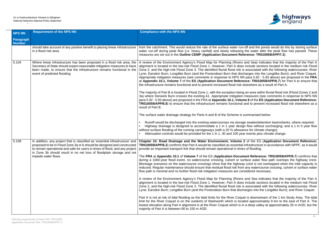Accordance Table



n-off and the ponds would do this by storing surface g the water after the peak flow has passed. These measures are set out in the **Outline CEMP** (**Application Document Reference: TR010059/APP/7.3**).

s and Sea) indicates that the majority of the Part A alignment is include sections located in the medium risk Flood is associated with the following watercourses: River charges into the Longdike Burn); and River Coquet. IN para 5.92 - 5.93 above) are proposed in the FRA **rence: TR010059/APP/6.7**) for Part A to ensure that elsewhere as a result of Part A.

ig an area within fluvial flood risk (Flood Zones 2 and n measures (see comments in response to NPS NN. **ime 8** of the ES (Application Document Reference: and to prevent increased flood risk elsewhere as a

summarised below:

ge swales/detention basins/tanks, where required; ign flow without surcharging; and a 1 in 5 year flow ance for climate change); ear events plus climate change.

**2** of the ES (Application Document Reference: al infrastructure in accordance with NPPF, as it would es of floodina.

**ment Reference: TR010059/APP/6.7**) confirms that urface water flow path overtops the highway crest. ay crest is not overtopped when the inlet capacity is m any watercourse crossing, culvert or surface water  $on side red necessary.$ 

is and Sea indicates that the majority of the Part A es include sections located in the medium risk Flood is associated with the following watercourses: River charges into the Longdike Burn); and River Coquet.

Let is downstream of the 1 km Study Area. The tidal ated approximately 9 km to the east of Part A. The in a deep valley at approximately 35 m AOD, but the

| <b>NPS NN</b>              | <b>Requirement of the NPS NN</b>                                                                                                                                                                                                                                                                                                        | <b>Compliance with the NPS NN</b>                                                                                                                                                                                                                                                                                                                                                                                                                                                                                                                                                                                                                                                                                                                                                                                                                                                                                                                                                                                                                                                                                                                                                                                                  |
|----------------------------|-----------------------------------------------------------------------------------------------------------------------------------------------------------------------------------------------------------------------------------------------------------------------------------------------------------------------------------------|------------------------------------------------------------------------------------------------------------------------------------------------------------------------------------------------------------------------------------------------------------------------------------------------------------------------------------------------------------------------------------------------------------------------------------------------------------------------------------------------------------------------------------------------------------------------------------------------------------------------------------------------------------------------------------------------------------------------------------------------------------------------------------------------------------------------------------------------------------------------------------------------------------------------------------------------------------------------------------------------------------------------------------------------------------------------------------------------------------------------------------------------------------------------------------------------------------------------------------|
| Paragraph<br><b>Number</b> |                                                                                                                                                                                                                                                                                                                                         |                                                                                                                                                                                                                                                                                                                                                                                                                                                                                                                                                                                                                                                                                                                                                                                                                                                                                                                                                                                                                                                                                                                                                                                                                                    |
|                            | should take account of any positive benefit to placing linear infrastructure<br>in a flood risk area.                                                                                                                                                                                                                                   | from the catchment. This would reduce the rate of the surface water rur<br>water run-off during peak flow (i.e. heavy rainfall) and slowly releasing<br>measures are set out in the Outline CEMP (Application Document Re                                                                                                                                                                                                                                                                                                                                                                                                                                                                                                                                                                                                                                                                                                                                                                                                                                                                                                                                                                                                          |
| 5.104                      | Where linear infrastructure has been proposed in a flood risk area, the<br>Secretary of State should expect reasonable mitigation measures to have<br>been made, to ensure that the infrastructure remains functional in the<br>event of predicted flooding.                                                                            | A review of the Environment Agency's Flood Map for Planning (Rivers<br>alignment is located in the low-risk Flood Zone 1. However, Part A doe<br>Zone 2, and the high-risk Flood Zone 3. The identified fluvial flood risk<br>Lyne; Earsdon Burn; Longdike Burn (and the Poxtondean Burn that dis<br>Appropriate mitigation measures (see comments in response to NPS N<br>at Appendix 10.1, Volume 7 of the ES (Application Document Refer<br>the infrastructure remains functional and to prevent increased flood risk<br>The majority of Part B is located in Flood Zone 1, with the exception bein<br>3a) where Denwick Burn crosses the existing A1. Appropriate mitigation<br>para 5.92 - 5.93 above) are proposed in the FRA at Appendix 10.1, Volu<br>TR010059/APP/6.8) to ensure that the infrastructure remains functional<br>result of Part B.<br>The surface water drainage strategy for Parts A and B of the Scheme is<br>Runoff would be discharged into the existing watercourses via stora<br>Highway drainage is designed to accommodate a 1 in 1 year desi-<br>without surface flooding of the running carriageways (with a 20 % alloway<br>Attenuation controls would be provided for the 1 in 1, 30 and 100 ye |
| 5.109                      | In addition, any project that is classified as 'essential infrastructure' and<br>proposed to be in Flood Zone 3a or b should be designed and constructed<br>to remain operational and safe for users in times of flood; and any project<br>in Zone 3b should result in no net loss of floodplain storage and not<br>impede water flows. | Chapter 10: Road Drainage and the Water Environment, Volume<br>TR010059/APP/6.2) confirms that Part A would be classified as essentia<br>provide an important transport link that should remain operational in time<br>The FRA at Appendix 10.1 of Volume 7 of the ES (Application Docur<br>during a 1000-year flood event, no watercourse crossing, culvert or so<br>Blockage scenarios on the watercourse crossings show that the highwa<br>reduced. Regular maintenance should ensure that residual flood risk fror<br>flow path is minimal and no further flood risk mitigation measures are co<br>A review of the Environment Agency's Flood Map for Planning (Rivers<br>alignment is located in the low-risk Flood Zone 1. However, Part A doe<br>Zone 2, and the high-risk Flood Zone 3. The identified fluvial flood risk<br>Lyne; Earsdon Burn; Longdike Burn (and the Poxtondean Burn that disc<br>Part A is not at risk of tidal flooding as the tidal limits for the River Coqu<br>limit for the River Coquet is on the outskirts of Warkworth which is loct<br>lowest elevation along Part A alignment is at the River Coquet which is i<br>majority of Part A is between 80 to 150 m AOD.                            |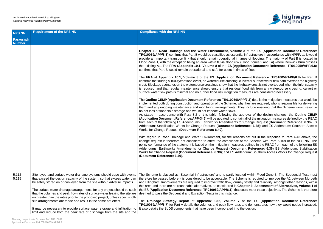

**3** of the ES (Application Document Reference: I infrastructure in accordance with NPPF, as it would nes of flooding. The maiority of Part B is located in Flood Zones 2 and 3a) where Denwick Burn crosses the existing A1. The **FRA** (**Appendix 10.1, Volume 8** of the **ES** (**Application Document Reference: TR010059/APP/6.8**)

**ament Reference: TR010059/APP/6.8)** for Part B lvert or surface water flow path overtops the highway hway crest is not overtopped when the inlet capacity lood risk from any watercourse crossing, culvert or asures are considered necessary.

**P/7.3**) details the mitigation measures that would be they are required, who is responsible for delivering y include ensuring that the Scheme would result in

proval of the design changes, the **Outline CEMP Application Containt Reference:** All of the REAC is all of the mitigation measures defined by the REAC Change Request (Document Reference: 6.36) ES ence: 6.38); and ES Addendum: Southern Access

is set out in the response to Para 4.43 above, the the Scheme with Para 5.109 of the NPS NN. The s defined in the REAC from each of the following ES **nt Reference: 6.36) ES Addendum: Stabilisation** ndum: Southern Access Works for Change Request

ed within Flood Zone 3. The Sequential Test must me is required to improve the A1 between Morpeth safety and reliability, amongst other reasons, within **there areas areas areas in reasonable and there in the and there in the 20 reasonable and the 20 reasonable 1 The Example ES (***Dout along the Scheme is therefore* 

of the **ES** (**Application Document Reference:** and demonstrates how they would not be increased. e design.

| <b>NPS NN</b>              | <b>Requirement of the NPS NN</b>                                                                                                                                                                                               | <b>Compliance with the NPS NN</b>                                                                                                                                                                                                                                                                                                                                                                                                                                                                                                                                                                                                                                                                                                                                                                                                                                                                                                                                                                                                                                                                                                                                                                                                                                                                                                                                                                                                                                                                                                                                                                                                                                                                                                                                                                                                                                                                                                                                                                                                                                                              |
|----------------------------|--------------------------------------------------------------------------------------------------------------------------------------------------------------------------------------------------------------------------------|------------------------------------------------------------------------------------------------------------------------------------------------------------------------------------------------------------------------------------------------------------------------------------------------------------------------------------------------------------------------------------------------------------------------------------------------------------------------------------------------------------------------------------------------------------------------------------------------------------------------------------------------------------------------------------------------------------------------------------------------------------------------------------------------------------------------------------------------------------------------------------------------------------------------------------------------------------------------------------------------------------------------------------------------------------------------------------------------------------------------------------------------------------------------------------------------------------------------------------------------------------------------------------------------------------------------------------------------------------------------------------------------------------------------------------------------------------------------------------------------------------------------------------------------------------------------------------------------------------------------------------------------------------------------------------------------------------------------------------------------------------------------------------------------------------------------------------------------------------------------------------------------------------------------------------------------------------------------------------------------------------------------------------------------------------------------------------------------|
| Paragraph<br><b>Number</b> |                                                                                                                                                                                                                                |                                                                                                                                                                                                                                                                                                                                                                                                                                                                                                                                                                                                                                                                                                                                                                                                                                                                                                                                                                                                                                                                                                                                                                                                                                                                                                                                                                                                                                                                                                                                                                                                                                                                                                                                                                                                                                                                                                                                                                                                                                                                                                |
|                            |                                                                                                                                                                                                                                | Chapter 10: Road Drainage and the Water Environment, Volume 3 of the<br>TR010059/APP/6.3) confirms that Part B would be classified as essential infrastrue<br>provide an important transport link that should remain operational in times of floe<br>Flood Zone 1, with the exception being an area within fluvial flood risk (Flood Zon<br>the existing A1. The FRA (Appendix 10.1, Volume 8 of the ES (Application Do<br>confirms that Part B would remain operational and safe for users in times of flood.<br>The FRA at Appendix 10.1, Volume 8 of the ES (Application Document Re<br>confirms that during a 1000 year flood event, no watercourse crossing, culvert or su<br>crest. Blockage scenarios on the watercourse crossings show that the highway crea<br>is reduced, and that regular maintenance should ensure that residual flood risk<br>surface water flow path is minimal and no further flood risk mitigation measures a<br>The Outline CEMP (Application Document Reference: TR010059/APP/7.3) det<br>implemented both during construction and operation of the Scheme, why they are<br>them and any ongoing maintenance and monitoring arrangements. They include<br>no net loss of floodplain storage and would not impede water flows.<br>As stated in accordance with Para 3.2 of this table, following the approval of<br>(Application Document Reference: APP-346) will be updated to contain all of the<br>from each of the following ES Addendums: Earthworks Amendments for Change I<br>Addendum: Stabilisation Works for Change Request (Document Reference: 6.<br>Works for Change Request (Document Reference: 6.40).<br>With regard to Road Drainage and Water Environment, for the reasons set out<br>change request is therefore not considered to affect the compliance of the Sche<br>policy conformance of the statement is based on the mitigation measures defined<br>Addendums: Earthworks Amendments for Change Request (Document Refer<br>Works for Change Request (Document Reference: 6.38); and ES Addendum: So<br>(Document Reference: 6.40). |
| 5.112<br>5.115             | Site layout and surface water drainage systems should cope with events<br>that exceed the design capacity of the system, so that excess water can                                                                              | The Scheme is classed as 'Essential Infrastructure' and is partly located within<br>therefore be passed before it is considered to be acceptable. The Scheme is req                                                                                                                                                                                                                                                                                                                                                                                                                                                                                                                                                                                                                                                                                                                                                                                                                                                                                                                                                                                                                                                                                                                                                                                                                                                                                                                                                                                                                                                                                                                                                                                                                                                                                                                                                                                                                                                                                                                            |
|                            | be safely stored on or conveyed from the site without adverse impacts.<br>The surface water drainage arrangements for any project should be such<br>that the volumes and peak flow rates of surface water leaving the site are | and Ellingham, Improvements are required to improve traffic flow, journey safety ar<br>this area and there are no reasonable alternatives, as considered in Chapter 3: A<br>the ES (Application Document Reference: TR010059/APP/6.1), that could meet<br>deemed to pass the Sequential and Exception Tests in this instance.                                                                                                                                                                                                                                                                                                                                                                                                                                                                                                                                                                                                                                                                                                                                                                                                                                                                                                                                                                                                                                                                                                                                                                                                                                                                                                                                                                                                                                                                                                                                                                                                                                                                                                                                                                  |
|                            | no greater than the rates prior to the proposed project, unless specific off-<br>site arrangements are made and result in the same net effect.                                                                                 | The Drainage Strategy Report at Appendix 10.5, Volume 7 of the E<br>TR010059/APP/6.7) for Part A details the volumes and peak flow rates and demo                                                                                                                                                                                                                                                                                                                                                                                                                                                                                                                                                                                                                                                                                                                                                                                                                                                                                                                                                                                                                                                                                                                                                                                                                                                                                                                                                                                                                                                                                                                                                                                                                                                                                                                                                                                                                                                                                                                                              |
|                            | It may be necessary to provide surface water storage and infiltration to<br>limit and reduce both the peak rate of discharge from the site and the                                                                             | It also details the SuDS components that have been incorporated into the design.                                                                                                                                                                                                                                                                                                                                                                                                                                                                                                                                                                                                                                                                                                                                                                                                                                                                                                                                                                                                                                                                                                                                                                                                                                                                                                                                                                                                                                                                                                                                                                                                                                                                                                                                                                                                                                                                                                                                                                                                               |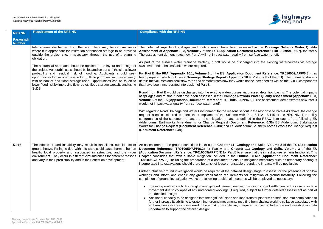

**Indeer Spillages and routine in spillages and routine in the Drainage Network Water Quality cument Reference: TR010059/APP/6.7).** for Part A from surface water runoff.

charged into the existing water courses via storage

**n Document Reference: TR010059/APP/6.8**)) has **x 10.4, Volume 8** of the ES). The drainage strategy ld not be increased as well as the SUDS components

via grassed detention basins. The potential impacts twork Water Quality Assessment (Appendix 10.3, **PP/6.8**)). The assessment demonstrates how Part B

et out in the response to Para 4.43 above, the change ith Para 5.112 - 5.115 of the NPS NN. The policy lefined in the REAC from each of the following ES ent Reference: 6.36) ES Addendum: Stabilisation **Primers Fouthern Access Works for Change Request** 

**And Soils, Volume 2** of the ES (Application **Pr 11: Geology and Soils, Volume 3 of the ES Papaice: Booking than B infrastructure remains functional. This tline CEMP** (Application Document Reference: e mitigation measures such as temporary shoring is ground, the impacts will be negligible.

design stage to assess for the presence of shallow for mitigation of ground instability. Following the res will be employed as necessary:

arthworks to control settlement in the case of surface ed, subject to further detailed assessment as part of

ad transfer platform / distribution mat combination to sulting from shallow working collapse associated with required, subject to further ground investigation data

| <b>NPS NN</b>              | <b>Requirement of the NPS NN</b>                                                                                                                                                                                                                                                                                                                                                                                                                                                                                                                                                                                                                                                                                   | <b>Compliance with the NPS NN</b>                                                                                                                                                                                                                                                                                                                                                                                                                                                                                                                                                                                                                                                                                                                                                                                                                                                                                                                                                                                                                                                                                                                                                                                                                                                                 |
|----------------------------|--------------------------------------------------------------------------------------------------------------------------------------------------------------------------------------------------------------------------------------------------------------------------------------------------------------------------------------------------------------------------------------------------------------------------------------------------------------------------------------------------------------------------------------------------------------------------------------------------------------------------------------------------------------------------------------------------------------------|---------------------------------------------------------------------------------------------------------------------------------------------------------------------------------------------------------------------------------------------------------------------------------------------------------------------------------------------------------------------------------------------------------------------------------------------------------------------------------------------------------------------------------------------------------------------------------------------------------------------------------------------------------------------------------------------------------------------------------------------------------------------------------------------------------------------------------------------------------------------------------------------------------------------------------------------------------------------------------------------------------------------------------------------------------------------------------------------------------------------------------------------------------------------------------------------------------------------------------------------------------------------------------------------------|
| Paragraph<br><b>Number</b> |                                                                                                                                                                                                                                                                                                                                                                                                                                                                                                                                                                                                                                                                                                                    |                                                                                                                                                                                                                                                                                                                                                                                                                                                                                                                                                                                                                                                                                                                                                                                                                                                                                                                                                                                                                                                                                                                                                                                                                                                                                                   |
|                            | total volume discharged from the site. There may be circumstances<br>where it is appropriate for infiltration attenuation storage to be provided<br>outside the project site, if necessary, through the use of a planning<br>obligation.<br>The sequential approach should be applied to the layout and design of<br>the project. Vulnerable uses should be located on parts of the site at lower<br>probability and residual risk of flooding. Applicants should seek<br>opportunities to use open space for multiple purposes such as amenity,<br>wildlife habitat and flood storage uses. Opportunities can be taken to<br>lower flood risk by improving flow routes, flood storage capacity and using<br>SuDS. | The potential impacts of spillages and routine runoff have been as<br>Assessment at Appendix 10.3, Volume 7 of the ES (Application Doc<br>The assessment demonstrates how Part A will not impact water quality f<br>As part of the surface water drainage strategy, runoff would be disc<br>swales/detention basins/tanks, where required.<br>For Part B, the FRA (Appendix 10.1, Volume 8 of the ES (Applicatio<br>been prepared which includes a Drainage Strategy Report (Appendix<br>details the volumes and peak flow rates and demonstrates how they woul<br>that have been incorporated into design of Part B.<br>Runoff from Part B would be discharged into the existing watercourses<br>of spillages and routine runoff have been assessed in the Drainage Net<br>Volume 8 of the ES (Application Document Reference: TR010059/AI<br>would not impact water quality from surface water runoff.<br>With regard to Road Drainage and Water Environment for the reasons se<br>request is not considered to affect the compliance of the Scheme wi<br>conformance of the statement is based on the mitigation measures de<br>Addendums: Earthworks Amendments for Change Request (Docume<br>Works for Change Request (Document Reference: 6.38); and ES Adde<br>(Document Reference: 6.40). |
| 5.116                      | The effects of land instability may result in landslides, subsidence or<br>ground heave. Failing to deal with this issue could cause harm to human<br>health, local property and associated infrastructure, and the wider<br>environment. They occur in different circumstances for different reasons<br>and vary in their predictability and in their effect on development.                                                                                                                                                                                                                                                                                                                                      | An assessment of the ground conditions is set out in Chapter 11: Geo<br>Document Reference: TR010059/APP/6.2) for Part A and Chapter<br>(Application Document Reference: TR010059/APP/6.3) for Part B to e<br>Chapter concludes that with suitable mitigation included in the Out<br>TR010059/APP/7.3), including the preparation of a document to ensure<br>incorporated into excavations should there be a risk of loose or unstable<br>Further intrusive ground investigation would be required at the detailed<br>workings and inform and enable any grout stabilisation requirements<br>completion of ground investigation works the following additional measu<br>The incorporation of a high strength basal geogrid beneath new ea<br>movement due to collapse of any unrecorded workings, if require<br>the detailed design;<br>Additional capacity to be designed into the rigid inclusions and loa<br>further increase its ability to tolerate minor ground movements res<br>embankments in areas considered to be at risk from collapse, if r<br>undertaken to support the detailed design;                                                                                                                                                                                            |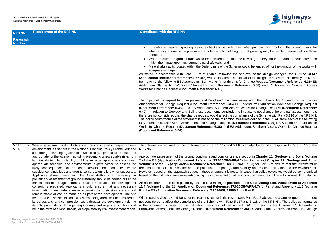

when pumping any grout into the ground to monitor that grouting may be reaching areas outside those

flow of grout beyond the treatment boundaries and

would be fenced off for the duration of the works with

pproval of the design changes, the **Outline CEMP Application Containt Reference:** All of the REAC from Espany: Change Request (Document Reference: 6.36) ES rence: 6.38); and ES Addendum: Southern Access

sessed in the following ES Addendums: Earthworks **Addendum: Stabilisation Works for Change Request** Vorks for Change Request (Document Reference: mpacts to not change the original assessment. It is iance of the Scheme with Para 5.116 of the NPS NN. sures defined in the REAC from each of the following nent Reference: 6.36) ES Addendum: Stabilisation Works for Change Request (**Document Reference: 6.38**); and ES Addendum: Southern Access Works for Change Request

can also be found in response to Para 5.116 of the

Ret out in Chapter 11: Geology and Soils, Volume **2** for Part A and Chapter 11: Geology and Soils, **PP/6.3**) for Part B to ensure that the infrastructure rability and release pollutants into the environment. ipated that policy objectives would be compromised practice measures in line with current UK guidance.

the Coal Mining Risk Assessment at Appendix **159/APP/6.7)** for Part A and Appendix 11.5, Volume

to Para 5.116 above, the change request is therefore and 5.118 of the NPS NN. The policy conformance REAC from each of the following ES Addendums: **i.36**) ES Addendum: Stabilisation Works for Change

| <b>NPS NN</b>                     | <b>Requirement of the NPS NN</b>                                                                                                                                                                                                                                                                                                                                                                                                                                                                                                                                                                                                                                                                                                                                                                                                                                                                                                                                                                                                                                                                                                                                                                                                                                                                                                                                  | <b>Compliance with the NPS NN</b>                                                                                                                                                                                                                                                                                                                                                                                                                                                                                                                                                                                                                                                                                                                                                                                                                                                                                                                                                                                                                                                                                                                                                                                                                                                                                                                                                                                                                                                                |
|-----------------------------------|-------------------------------------------------------------------------------------------------------------------------------------------------------------------------------------------------------------------------------------------------------------------------------------------------------------------------------------------------------------------------------------------------------------------------------------------------------------------------------------------------------------------------------------------------------------------------------------------------------------------------------------------------------------------------------------------------------------------------------------------------------------------------------------------------------------------------------------------------------------------------------------------------------------------------------------------------------------------------------------------------------------------------------------------------------------------------------------------------------------------------------------------------------------------------------------------------------------------------------------------------------------------------------------------------------------------------------------------------------------------|--------------------------------------------------------------------------------------------------------------------------------------------------------------------------------------------------------------------------------------------------------------------------------------------------------------------------------------------------------------------------------------------------------------------------------------------------------------------------------------------------------------------------------------------------------------------------------------------------------------------------------------------------------------------------------------------------------------------------------------------------------------------------------------------------------------------------------------------------------------------------------------------------------------------------------------------------------------------------------------------------------------------------------------------------------------------------------------------------------------------------------------------------------------------------------------------------------------------------------------------------------------------------------------------------------------------------------------------------------------------------------------------------------------------------------------------------------------------------------------------------|
| <b>Paragraph</b><br><b>Number</b> |                                                                                                                                                                                                                                                                                                                                                                                                                                                                                                                                                                                                                                                                                                                                                                                                                                                                                                                                                                                                                                                                                                                                                                                                                                                                                                                                                                   |                                                                                                                                                                                                                                                                                                                                                                                                                                                                                                                                                                                                                                                                                                                                                                                                                                                                                                                                                                                                                                                                                                                                                                                                                                                                                                                                                                                                                                                                                                  |
|                                   |                                                                                                                                                                                                                                                                                                                                                                                                                                                                                                                                                                                                                                                                                                                                                                                                                                                                                                                                                                                                                                                                                                                                                                                                                                                                                                                                                                   | If grouting is required, grouting pressure checks to be undertaken when pure<br>whether any anomalies in pressure are noted which could signify that gro<br>intended;<br>Where required, a grout curtain would be installed to restrict the flow of good<br>inhibit the impact upon any surrounding shaft walls; and<br>Mine shafts / adits located within the Order Limits of the Scheme would be<br>adequate signage.<br>As stated in accordance with Para 3.2 of this table, following the approval of<br>(Application Document Reference: APP-346) will be updated to contain all of the<br>from each of the following ES Addendums: Earthworks Amendments for Change<br>Addendum: Stabilisation Works for Change Request (Document Reference: 6.<br>Works for Change Request (Document Reference: 6.40).<br>The impact of the request for changes made at Deadline 4 has been assessed in<br>Amendments for Change Request (Document Reference: 6.36) ES Addendun<br>(Document Reference: 6.38); and ES Addendum: Southern Access Works for<br>6.40). In relation to Geology and Soil, these documents conclude the impacts to<br>therefore not considered that the change request would affect the compliance of the<br>The policy conformance of the statement is based on the mitigation measures def<br>ES Addendums: Earthworks Amendments for Change Request (Document Ref<br>Works for Change Request (Document Reference: 6.38); and ES Addendum: So<br>(Document Reference: 6.40). |
| 5.117<br>5.118                    | Where necessary, land stability should be considered in respect of new<br>development, as set out in the National Planning Policy Framework and<br>supporting planning guidance. Specifically, proposals should be<br>appropriate for the location, including preventing unacceptable risks from<br>land instability. If land stability could be an issue, applicants should seek<br>appropriate technical and environmental expert advice to assess the<br>likely consequences of proposed developments on sites where<br>subsidence, landslides and ground compression is known or suspected.<br>Applicants should liaise with the Coal Authority if necessary. A<br>preliminary assessment of ground instability should be carried out at the<br>earliest possible stage before a detailed application for development<br>consent is prepared. Applicants should ensure that any necessary<br>investigations are undertaken to ascertain that their sites are and will<br>remain stable or can be made so as part of the development. The site<br>needs to be assessed in context of surrounding areas where subsidence,<br>landslides and land compression could threaten the development during<br>its anticipated life or damage neighbouring land or property. This could<br>be in the form of a land stability or slope stability risk assessment report. | The information required for the conformance of Para 5.117 and 5.118, can also<br>NPS NN.<br>Appropriate assessment of the ground conditions and conclusions are set out in<br>2 of the ES (Application Document Reference: TR010059/APP/6.2) for Part<br>Volume 3 of the ES (Application Document Reference: TR010059/APP/6.3)<br>remains functional. The Scheme has the potential to impact ground stability are<br>However, based on the approach set out in these chapters it is not anticipated the<br>based on the mitigation measures advocating the implementation of best practice<br>An assessment of the risks posed by historic coal mining is provided in the Coa<br>11.4, Volume 7 of the ES (Application Document Reference: TR010059/APP/<br>8 of the ES (Application Document Reference: TR010059/APP/6.8) for Part B.<br>With regard to Geology and Soils, for the reasons set out in the response to Para 5<br>not considered to affect the compliance of the Scheme with Para 5.117 and 5.11<br>of the statement is based on the mitigation measures defined in the REAC from<br>Earthworks Amendments for Change Request (Document Reference: 6.36) ES                                                                                                                                                                                                                                                                                                                      |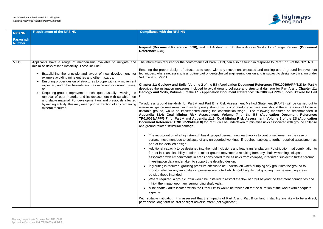Accordance Table



Request (**Document Reference: 6.38**); and ES Addendum: Southern Access Works for Change Request (**Document**

e found in response to Para 5.116 of the NPS NN.

expected and making use of ground improvement ing design and is subject to design certification under

**Cument Reference: TR010059/APP/6.2) for Part A** and structural damage for Part A and Chapter 11: ference: TR010059/APP/6.3) does likewise for Part

Int Method Statement (RAMS) will be carried out to I into excavations should there be a risk of loose or ge. The following measures as recommended in **Application Document Reference:** *Application Document Reference:* **K** Assessment, Volume 8 of the ES (Application **Document Reference: TR010059/APP/6.8**) for Part B will be undertaken to minimise risks associated with ground collapse

earthworks to control settlement in the case of required, subject to further detailed assessment as

ad transfer platform / distribution mat combination to sulting from any shallow working collapse from collapse, if required subject to further ground

if when pumping any grout into the ground to Id signify that grouting may be reaching areas

flow of grout beyond the treatment boundaries and

ed off for the duration of the works with adequate

Part B on land instability are likely to be a direct,

| <b>NPS NN</b>              | <b>Requirement of the NPS NN</b>                                                                                                                                                                                                                                                                                                                                                                                                                                                                                                                                                                                                                 | <b>Compliance with the NPS NN</b>                                                                                                                                                                                                                                                                                                                                                                                                                                                                                                                                                                                                                                                                                                                                                                                                                                                                                                                                                                                                                                                                                                                                                                                                                                                                                                                                                                                                                                                                                                                                                                                                                                                                                                                                                                                                                                                                                                                                                                                      |
|----------------------------|--------------------------------------------------------------------------------------------------------------------------------------------------------------------------------------------------------------------------------------------------------------------------------------------------------------------------------------------------------------------------------------------------------------------------------------------------------------------------------------------------------------------------------------------------------------------------------------------------------------------------------------------------|------------------------------------------------------------------------------------------------------------------------------------------------------------------------------------------------------------------------------------------------------------------------------------------------------------------------------------------------------------------------------------------------------------------------------------------------------------------------------------------------------------------------------------------------------------------------------------------------------------------------------------------------------------------------------------------------------------------------------------------------------------------------------------------------------------------------------------------------------------------------------------------------------------------------------------------------------------------------------------------------------------------------------------------------------------------------------------------------------------------------------------------------------------------------------------------------------------------------------------------------------------------------------------------------------------------------------------------------------------------------------------------------------------------------------------------------------------------------------------------------------------------------------------------------------------------------------------------------------------------------------------------------------------------------------------------------------------------------------------------------------------------------------------------------------------------------------------------------------------------------------------------------------------------------------------------------------------------------------------------------------------------------|
| Paragraph<br><b>Number</b> |                                                                                                                                                                                                                                                                                                                                                                                                                                                                                                                                                                                                                                                  |                                                                                                                                                                                                                                                                                                                                                                                                                                                                                                                                                                                                                                                                                                                                                                                                                                                                                                                                                                                                                                                                                                                                                                                                                                                                                                                                                                                                                                                                                                                                                                                                                                                                                                                                                                                                                                                                                                                                                                                                                        |
|                            |                                                                                                                                                                                                                                                                                                                                                                                                                                                                                                                                                                                                                                                  | Request (Document Reference: 6.38); and ES Addendum: Souther<br>Reference: 6.40).                                                                                                                                                                                                                                                                                                                                                                                                                                                                                                                                                                                                                                                                                                                                                                                                                                                                                                                                                                                                                                                                                                                                                                                                                                                                                                                                                                                                                                                                                                                                                                                                                                                                                                                                                                                                                                                                                                                                      |
| 5.119                      | minimise risks of land instability. These include:<br>Establishing the principle and layout of new development, for<br>$\bullet$<br>example avoiding mine entries and other hazards.<br>Ensuring proper design of structures to cope with any movement<br>expected, and other hazards such as mine and/or ground gases;<br>or<br>Requiring ground improvement techniques, usually involving the<br>$\bullet$<br>removal of poor material and its replacement with suitable inert<br>and stable material. For development on land previously affected<br>by mining activity, this may mean prior extraction of any remaining<br>mineral resource. | Applicants have a range of mechanisms available to mitigate and   The information required for the conformance of Para 5.119, can also be<br>Ensuring the proper design of structures to cope with any movement<br>techniques, where necessary, is a routine part of geotechnical engineering<br>Volume 4 of DMRB.<br>Chapter 11: Geology and Soils, Volume 2 of the ES (Application Do<br>describes the mitigation measures included to avoid ground collapse a<br>Geology and Soils, Volume 3 of the ES (Application Document Ref<br>В.<br>To address ground instability for Part A and Part B, a Risk Assessmer<br>ensure mitigation measures, such as temporary shoring is incorporated<br>unstable ground, would be implemented during the construction stag<br>Appendix 11.4: Coal Mining Risk Assessment, Volume 7 o<br>TR010059/APP/6.7) for Part A and Appendix 11.6: Coal Mining Ris<br>Document Reference: TR010059/APP/6.8) for Part B will be undertake<br>and ground related structural damage:<br>The incorporation of a high strength basal geogrid beneath new e<br>surface movement due to collapse of any unrecorded workings, if<br>part of the detailed design.<br>• Additional capacity to be designed into the rigid inclusions and loa<br>further increase its ability to tolerate minor ground movements rest<br>associated with embankments in areas considered to be as risks<br>investigation data undertaken to support the detailed design.<br>If grouting is required, grouting pressure checks to be undertaker<br>monitor whether any anomalies in pressure are noted which could<br>outside those intended.<br>Where required, a grout curtain would be installed to restrict the f<br>inhibit the impact upon any surrounding shaft walls.<br>Mine shafts / adits located within the Order Limits would be fence<br>signage.<br>With suitable mitigation, it is assessed that the impacts of Part A and<br>permanent, long term neutral or slight adverse effect (not significant). |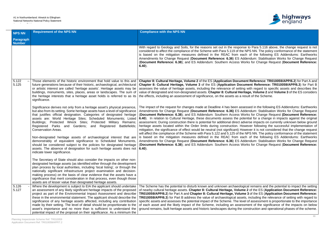

Ise to Para 5.116 above, the change request is not e NPS NN. The policy conformance of the statement ach of the following ES Addendums: Earthworks **Addendum: Stabilisation Works for Change Request** (**Document Reference: 6.38**); and ES Addendum: Southern Access Works for Change Request (**Document Reference:**

**nent Reference: TR010059/APP/6.2**) for Part A and **Cument Reference: TR010059/APP/6.3) for Part B.** ng with regard to specific assets and describes the ritage, Volume 2 and Volume 3 of the ES considers result of the Scheme.

sessed in the following ES Addendums: Earthworks **Addendum: Stabilisation Works for Change Request** (**Document Reference: 6.38**); and ES Addendum: Southern Access Works for Change Request **(Document Reference:** otential for a change in impacts against the original adverse impacts on currently unknown below ground lowever following the successful implementation of lowever it is not considered that the change request e NPS NN. The policy conformance of the statement ach of the following ES Addendums: Earthworks **Addendum: Stabilisation Works for Change Request** (**Document Reference: 6.38**); and ES Addendum: Southern Access Works for Change Request (**Document Reference:**

ogical remains and the potential to impact the setting **ne 2** of the ES (Application Document Reference: **TR03** of the ES (Application Document Reference: ets, including the relevance of setting with regard to vel of assessment is proportionate to the importance ssment of the significance of the impacts on below construction and operational phases of the scheme.

| <b>NPS NN</b>              | <b>Requirement of the NPS NN</b>                                                                                                                                                                                                                                                                                                                                                                                                                                                                                                                                                                                 | <b>Compliance with the NPS NN</b>                                                                                                                                                                                                                                                                                                                                                                                                                                                                                                                                                                         |
|----------------------------|------------------------------------------------------------------------------------------------------------------------------------------------------------------------------------------------------------------------------------------------------------------------------------------------------------------------------------------------------------------------------------------------------------------------------------------------------------------------------------------------------------------------------------------------------------------------------------------------------------------|-----------------------------------------------------------------------------------------------------------------------------------------------------------------------------------------------------------------------------------------------------------------------------------------------------------------------------------------------------------------------------------------------------------------------------------------------------------------------------------------------------------------------------------------------------------------------------------------------------------|
| Paragraph<br><b>Number</b> |                                                                                                                                                                                                                                                                                                                                                                                                                                                                                                                                                                                                                  |                                                                                                                                                                                                                                                                                                                                                                                                                                                                                                                                                                                                           |
|                            |                                                                                                                                                                                                                                                                                                                                                                                                                                                                                                                                                                                                                  | With regard to Geology and Soils, for the reasons set out in the respor<br>considered to affect the compliance of the Scheme with Para 5.119 of the<br>is based on the mitigation measures defined in the REAC from ea<br>Amendments for Change Request (Document Reference: 6.36) ES A<br>(Document Reference: 6.38); and ES Addendum: Southern Access W<br>$6.40$ ).                                                                                                                                                                                                                                    |
| 5.122<br>5.125             | Those elements of the historic environment that hold value to this and<br>future generations because of their historic, archaeological, architectural<br>or artistic interest are called 'heritage assets'. Heritage assets may be<br>buildings, monuments, sites, places, areas or landscapes. The sum of<br>the heritage interests that a heritage asset holds is referred to as its<br>significance.                                                                                                                                                                                                          | Chapter 8: Cultural Heritage, Volume 2 of the ES (Application Docum<br>Chapter 8: Cultural Heritage, Volume 3 of the ES (Application Doc<br>assesses the value of heritage assets, including the relevance of settir<br>value of designated and non-designated assets. Chapter 8: Cultural Her<br>the effects, including an assessment of significance, on the assets as a                                                                                                                                                                                                                                |
|                            | Significance derives not only from a heritage asset's physical presence,<br>but also from its setting. Some heritage assets have a level of significance<br>that justifies official designation. Categories of designated heritage<br>assets are: World Heritage Sites; Scheduled Monuments; Listed<br>Buildings; Protected Wreck Sites; Protected Military Remains;<br>Registered Parks and Gardens; and Registered Battlefields;<br><b>Conservation Areas.</b>                                                                                                                                                 | The impact of the request for changes made at Deadline 4 has been as<br>Amendments for Change Request (Document Reference: 6.36) ES A<br>(Document Reference: 6.38); and ES Addendum: Southern Access W<br>6.40). In relation to Cultural Heritage, these documents assess the port<br>assessment. During construction there is potential for additional direct a<br>heritage assets located within the Order limits during construction. He<br>mitigation, the significance of effect would be neutral (not significant) He<br>will affect the compliance of the Scheme with Para 5.122 and 5.125 of the |
|                            | Non-designated heritage assets of archaeological interest that are<br>demonstrably of equivalent significance to Scheduled Monuments,<br>should be considered subject to the policies for designated heritage<br>assets. The absence of designation for such heritage assets does not<br>indicate lower significance.                                                                                                                                                                                                                                                                                            | is based on the mitigation measures defined in the REAC from ea<br>Amendments for Change Request (Document Reference: 6.36) ES A<br>(Document Reference: 6.38); and ES Addendum: Southern Access W<br>$6.40$ ).                                                                                                                                                                                                                                                                                                                                                                                           |
|                            | The Secretary of State should also consider the impacts on other non-<br>designated heritage assets (as identified either through the development<br>plan process by local authorities, including 'local listing', or through the<br>nationally significant infrastructure project examination and decision-<br>making process) on the basis of clear evidence that the assets have a<br>significance that merit consideration in that process, even though those<br>assets are of lesser value than designated heritage assets.                                                                                 |                                                                                                                                                                                                                                                                                                                                                                                                                                                                                                                                                                                                           |
| 5.126<br>5.127             | Where the development is subject to EIA the applicant should undertake<br>an assessment of any likely significant heritage impacts of the proposed<br>project as part of the Environmental Impact Assessment and describe<br>these in the environmental statement. The applicant should describe the<br>significance of any heritage assets affected, including any contribution<br>made by their setting. The level of detail should be proportionate to the<br>asset's importance and no more than is sufficient to understand the<br>potential impact of the proposal on their significance. As a minimum the | The Scheme has the potential to disturb known and unknown archaeolo<br>of nearby cultural heritage assets. Chapter 8: Cultural Heritage, Volun<br>TR010059/APP/6.2) for Part A and Chapter 8: Cultural Heritage, Volur<br><b>TR010059/APP/6.3)</b> for Part B address the value of archaeological asse<br>specific assets and assesses the potential impact of the Scheme. The lev<br>of each asset and the likely impact of the Scheme, including an asses<br>ground remains, built heritage assets and historic landscapes during the                                                                   |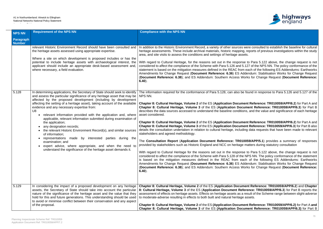Accordance Table



is were consulted to establish the baseline for cultural ng, reports of previous investigations within the study

Ise to Para 5.122 above, the change request is not 5.127 of the NPS NN. The policy conformance of the m each of the following ES Addendums: Earthworks **Addendum: Stabilisation Works for Change Request Works for Change Request (Document Reference:** 

be found in response to Para 5.126 and 5.127 of the

**nent Reference: TR010059/APP/6.2**) for Part A and **cument Reference: TR010059/APP/6.3)** for Part B ions, and the value and significance of each heritage

**nent Reference: TR010059/APP/6.2**) for Part A and **nent Reference: TR010059/APP/6.3**) for Part B also ding data requests that have been made to relevant

10059/APP/5.1) provides a summary of responses ge matters during statutory consultation

ise to Para 5.122 above, the change request is not ne NPS NN. The policy conformance of the statement ach of the following ES Addendums: Earthworks **Addendum: Stabilisation Works for Change Request** (**Document Reference: 6.38**); and ES Addendum: Southern Access Works for Change Request (**Document Reference:**

**Chapter 8: Cultural Heritage, Chapter 22 and Chapter Reference: TR010059/APP/6.2**) and **Chapter 8: Externce: TR010059/APP/6.3**) for Part B reports the a result of the Scheme range between slight-adverse te assets.

**nent Reference: TR010059/APP/6.2)** for Part A and **cument Reference: TR010059/APP/6.3)** for Part B

| <b>NPS NN</b>              | <b>Requirement of the NPS NN</b>                                                                                                                                                                                                                                                                                                                                                                                                                                                                                                                                                                                                                                                                                                                                                                                                                                   | <b>Compliance with the NPS NN</b>                                                                                                                                                                                                                                                                                                                                                                                                                                                                                                                                                                                                                                                                                                                                                                                                                                                                                                                                                                                                                                                                                                                                    |
|----------------------------|--------------------------------------------------------------------------------------------------------------------------------------------------------------------------------------------------------------------------------------------------------------------------------------------------------------------------------------------------------------------------------------------------------------------------------------------------------------------------------------------------------------------------------------------------------------------------------------------------------------------------------------------------------------------------------------------------------------------------------------------------------------------------------------------------------------------------------------------------------------------|----------------------------------------------------------------------------------------------------------------------------------------------------------------------------------------------------------------------------------------------------------------------------------------------------------------------------------------------------------------------------------------------------------------------------------------------------------------------------------------------------------------------------------------------------------------------------------------------------------------------------------------------------------------------------------------------------------------------------------------------------------------------------------------------------------------------------------------------------------------------------------------------------------------------------------------------------------------------------------------------------------------------------------------------------------------------------------------------------------------------------------------------------------------------|
| Paragraph<br><b>Number</b> |                                                                                                                                                                                                                                                                                                                                                                                                                                                                                                                                                                                                                                                                                                                                                                                                                                                                    |                                                                                                                                                                                                                                                                                                                                                                                                                                                                                                                                                                                                                                                                                                                                                                                                                                                                                                                                                                                                                                                                                                                                                                      |
|                            | relevant Historic Environment Record should have been consulted and<br>the heritage assets assessed using appropriate expertise.<br>Where a site on which development is proposed includes or has the<br>potential to include heritage assets with archaeological interest, the<br>applicant should include an appropriate desk-based assessment and,<br>where necessary, a field evaluation.                                                                                                                                                                                                                                                                                                                                                                                                                                                                      | In addition to the Historic Environment Record, a variety of other sources were<br>heritage assessments. These include archival materials, historic mapping, re<br>area, and site visits to assess the conditions and settings of heritage assets.<br>With regard to Cultural Heritage, for the reasons set out in the response to<br>considered to affect the compliance of the Scheme with Para 5.126 and 5.12<br>statement is based on the mitigation measures defined in the REAC from ea<br>Amendments for Change Request (Document Reference: 6.36) ES Adder<br>(Document Reference: 6.38); and ES Addendum: Southern Access Work<br>$6.40$ ).                                                                                                                                                                                                                                                                                                                                                                                                                                                                                                                 |
| 5.128                      | In determining applications, the Secretary of State should seek to identify<br>and assess the particular significance of any heritage asset that may be<br>affected by the proposed development (including by development<br>affecting the setting of a heritage asset), taking account of the available<br>evidence and any necessary expertise from:<br>U <sub>8</sub><br>relevant information provided with the application and, where<br>applicable, relevant information submitted during examination of<br>the application;<br>any designation records;<br>the relevant Historic Environment Record(s), and similar sources<br>of information;<br>representations made<br>parties during the<br>by interested<br>examination; and<br>expert advice, where appropriate, and when the need to<br>understand the significance of the heritage asset demands it. | The information required for the conformance of Para 5.128, can also be for<br>NPS NN.<br>Chapter 8: Cultural Heritage, Volume 2 of the ES (Application Document<br>Chapter 8: Cultural Heritage, Volume 3 of the ES (Application Docume<br>describes the data sources accessed to understand the baseline conditions,<br>asset considered.<br>Chapter 8: Cultural Heritage, Volume 2 of the ES (Application Document<br>Chapter 8: Cultural Heritage, Volume 3 of the ES (Application Document<br>details the consultation undertaken in relation to cultural heritage, including<br>stakeholders and agreed methodology.<br>The Consultation Report (Application Document Reference: TR01005<br>provided by stakeholders such as Historic England and NCC on heritage ma<br>With regard to Cultural Heritage for the reasons set out in the response to<br>considered to affect the compliance of the Scheme with Para 5.128 of the NF<br>is based on the mitigation measures defined in the REAC from each<br>Amendments for Change Request (Document Reference: 6.36) ES Adder<br>(Document Reference: 6.38); and ES Addendum: Southern Access Work<br>$6.40$ ). |
| 5.129                      | In considering the impact of a proposed development on any heritage<br>assets, the Secretary of State should take into account the particular<br>nature of the significance of the heritage asset and the value that they<br>hold for this and future generations. This understanding should be used<br>to avoid or minimise conflict between their conservation and any aspect<br>of the proposal.                                                                                                                                                                                                                                                                                                                                                                                                                                                                | Chapter 8: Cultural Heritage, Volume 2 of the ES (Application Documen<br>8: Cultural Heritage, Volume 3 of the ES (Application Document Refere<br>assessment of effects on heritage assets. Effects on heritage assets as a res<br>to moderate-adverse resulting in effects to both built and natural heritage as<br>Chapter 8: Cultural Heritage, Volume 2 of the ES (Application Document<br>Chapter 8: Cultural Heritage, Volume 3 of the ES (Application Docume                                                                                                                                                                                                                                                                                                                                                                                                                                                                                                                                                                                                                                                                                                  |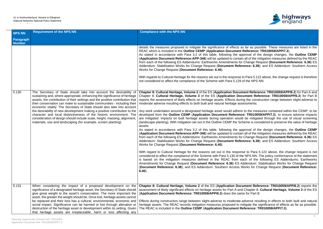

as far as possible. These measures are listed in the Reference: TR010059/APP/7.3).

pproval of the design changes, the **Outline CEMP**  $\overline{\phantom{a}}$  all of the mitigation measures defined by the REAC from Change Request (Document Reference: 6.36) ES rence: 6.38); and ES Addendum: Southern Access

to Para 5.122 above, the change request is therefore of the NPS NN.

**nent Reference: TR010059/APP/6.2**) for Part A and cument Reference: TR010059/APP/6.3) for Part B ng the construction range between slight-adverse to sessments.

to the measures contained within the CEMP, to be te: TR010059/APP/7.3), to ensure adverse impacts d be mitigated through the use of visual screening heme is considered to preserve the value of heritage

proval of the design changes, the **Outline CEMP n** all of the mitigation measures defined by the REAC from Change Request (Document Reference: 6.36) ES rence: 6.38); and ES Addendum: Southern Access

se to Para 5.122 above, the change request is not e NPS NN. The policy conformance of the statement ach of the following ES Addendums: Earthworks **Addendum: Stabilisation Works for Change Request Works for Change Request (Document Reference:** 

**ument Reference: TR010059/APP/6.2) reports the** Chapter 8: **Cultural Heritage, Volume 3** of the ES ne for Part B

| <b>NPS NN</b>              | <b>Requirement of the NPS NN</b>                                                                                                                                                                                                                                                                                                                                                                                                                                                                                                                                                                                                                                                             | <b>Compliance with the NPS NN</b>                                                                                                                                                                                                                                                                                                                                                                                                                                                                                                                                                                                                                                                                                                                                                                                                                                                                                                                                                                                                                                                                                                                                                                                                                                                                                                           |
|----------------------------|----------------------------------------------------------------------------------------------------------------------------------------------------------------------------------------------------------------------------------------------------------------------------------------------------------------------------------------------------------------------------------------------------------------------------------------------------------------------------------------------------------------------------------------------------------------------------------------------------------------------------------------------------------------------------------------------|---------------------------------------------------------------------------------------------------------------------------------------------------------------------------------------------------------------------------------------------------------------------------------------------------------------------------------------------------------------------------------------------------------------------------------------------------------------------------------------------------------------------------------------------------------------------------------------------------------------------------------------------------------------------------------------------------------------------------------------------------------------------------------------------------------------------------------------------------------------------------------------------------------------------------------------------------------------------------------------------------------------------------------------------------------------------------------------------------------------------------------------------------------------------------------------------------------------------------------------------------------------------------------------------------------------------------------------------|
| Paragraph<br><b>Number</b> |                                                                                                                                                                                                                                                                                                                                                                                                                                                                                                                                                                                                                                                                                              |                                                                                                                                                                                                                                                                                                                                                                                                                                                                                                                                                                                                                                                                                                                                                                                                                                                                                                                                                                                                                                                                                                                                                                                                                                                                                                                                             |
|                            |                                                                                                                                                                                                                                                                                                                                                                                                                                                                                                                                                                                                                                                                                              | details the measures proposed to mitigate the significance of effects a<br>REAC which is included in the Outline CEMP (Application Document<br>As stated in accordance with Para 3.2 of this table, following the ap<br>(Application Document Reference: APP-346) will be updated to contain<br>from each of the following ES Addendums: Earthworks Amendments for<br>Addendum: Stabilisation Works for Change Request (Document Refer<br>Works for Change Request (Document Reference: 6.40).<br>With regards to Cultural Heritage for the reasons set out in the response to<br>not considered to affect the compliance of the Scheme with Para 5.129                                                                                                                                                                                                                                                                                                                                                                                                                                                                                                                                                                                                                                                                                     |
| 5.130                      | The Secretary of State should take into account the desirability of<br>sustaining and, where appropriate, enhancing the significance of heritage<br>assets, the contribution of their settings and the positive contribution that<br>their conservation can make to sustainable communities - including their<br>economic vitality. The Secretary of State should also take into account<br>the desirability of new development making a positive contribution to the<br>character and local distinctiveness of the historic environment. The<br>consideration of design should include scale, height; massing, alignment,<br>materials, use and landscaping (for example, screen planting). | Chapter 8: Cultural Heritage, Volume 2 of the ES (Application Docun<br>Chapter 8: Cultural Heritage, Volume 3 of the ES (Application Doc<br>reports the assessment of likely effects on heritage assets. Effects durin<br>moderate adverse resulting effects to both built and natural heritage ass<br>Any work undertaken around a designated heritage asset would adhere<br>developed from the Outline CEMP (Application Document Referenc<br>are mitigated. Impacts on built heritage assets during operation would<br>(landscape planting). With mitigation set out in the Outline CEMP the Scl<br>assets.<br>As stated in accordance with Para 3.2 of this table, following the ap<br>(Application Document Reference: APP-346) will be updated to contain<br>from each of the following ES Addendums: Earthworks Amendments for<br>Addendum: Stabilisation Works for Change Request (Document Refer<br>Works for Change Request (Document Reference: 6.40).<br>With regard to Cultural Heritage for the reasons set out in the respons<br>considered to affect the compliance of the Scheme with Para 5.130 of the<br>is based on the mitigation measures defined in the REAC from ea<br>Amendments for Change Request (Document Reference: 6.36) ES A<br>(Document Reference: 6.38); and ES Addendum: Southern Access V<br>$6.40$ ). |
| 5.131                      | When considering the impact of a proposed development on the<br>significance of a designated heritage asset, the Secretary of State should<br>give great weight to the asset's conservation. The more important the<br>asset, the greater the weight should be. Once lost, heritage assets cannot<br>be replaced and their loss has a cultural, environmental, economic and<br>social impact. Significance can be harmed or lost through alteration or<br>destruction of the heritage asset or development within its setting. Given<br>that heritage assets are irreplaceable, harm or loss affecting any                                                                                   | Chapter 8: Cultural Heritage, Volume 2 of the ES (Application Doct<br>assessment of likely significant effects on heritage assets for Part A and<br>(Application Document Reference: TR010059/APP/6.3) does the sam<br>Effects during construction range between slight-adverse to moderate-a<br>heritage assets. The REAC records mitigation measures proposed to m<br>The REAC is included in the Outline CEMP (Application Document Re                                                                                                                                                                                                                                                                                                                                                                                                                                                                                                                                                                                                                                                                                                                                                                                                                                                                                                   |

adverse resulting in effects to both built and natural hitigate the significance of effects as far as possible. The REAC is included in the **Outline CEMP** (**Application Document Reference: TR010059/APP/7.3**).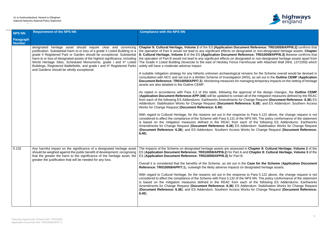

**ment Reference: TR010059/APP/6.2)** confirms that ignated or non-designated heritage assets. Chapter ference: TR010059/APP/6.3) likewise confirms that anated or non-designated heritage assets apart from Irmhouse with Attached Wall (NHL 1371059) which

remains for the Scheme overall would be devised in (WSI), as set out in the **Outline CEMP** (Application anaging temporary impacts on the setting of heritage

proval of the design changes, the **Outline CEMP**  $\overline{\phantom{a}}$  all of the mitigation measures defined by the REAC **Change Request (Document Reference: 6.36) ES** rence: 6.38); and ES Addendum: Southern Access

ise to Para 5.122 above, the change request is not e NPS NN. The policy conformance of the statement ach of the following ES Addendums: Earthworks **Addendum: Stabilisation Works for Change Request Works for Change Request (Document Reference:** 

d in Chapter 8: Cultural Heritage, Volume 2 of the and Chapter 8: Cultural Heritage, Volume 3 of the

the Case for the Scheme (Application Document **Reference: Transformated heritage assets.** 

ise to Para 5.122 above, the change request is not e NPS NN. The policy conformance of the statement ach of the following ES Addendums: Earthworks **Addendum: Stabilisation Works for Change Request** (**Document Reference: 6.38**); and ES Addendum: Southern Access Works for Change Request (**Document Reference:**

| <b>NPS NN</b>              | <b>Requirement of the NPS NN</b>                                                                                                                                                                                                                                                                                                                                                                                                                                                                     | <b>Compliance with the NPS NN</b>                                                                                                                                                                                                                                                                                                                                                                                                                                                                                                                                                                                                                                                                                                                                                                                                                                                                                                                                                                                                                                                                                                                                                                                                                                                                                                                                                                                                                   |
|----------------------------|------------------------------------------------------------------------------------------------------------------------------------------------------------------------------------------------------------------------------------------------------------------------------------------------------------------------------------------------------------------------------------------------------------------------------------------------------------------------------------------------------|-----------------------------------------------------------------------------------------------------------------------------------------------------------------------------------------------------------------------------------------------------------------------------------------------------------------------------------------------------------------------------------------------------------------------------------------------------------------------------------------------------------------------------------------------------------------------------------------------------------------------------------------------------------------------------------------------------------------------------------------------------------------------------------------------------------------------------------------------------------------------------------------------------------------------------------------------------------------------------------------------------------------------------------------------------------------------------------------------------------------------------------------------------------------------------------------------------------------------------------------------------------------------------------------------------------------------------------------------------------------------------------------------------------------------------------------------------|
| Paragraph<br><b>Number</b> |                                                                                                                                                                                                                                                                                                                                                                                                                                                                                                      |                                                                                                                                                                                                                                                                                                                                                                                                                                                                                                                                                                                                                                                                                                                                                                                                                                                                                                                                                                                                                                                                                                                                                                                                                                                                                                                                                                                                                                                     |
|                            | designated heritage asset should require clear and convincing<br>justification. Substantial harm to or loss of a grade II Listed Building or a<br>grade II Registered Park or Garden should be exceptional. Substantial<br>harm to or loss of designated assets of the highest significance, including<br>World Heritage Sites, Scheduled Monuments, grade I and II* Listed<br>Buildings, Registered Battlefields, and grade I and II* Registered Parks<br>and Gardens should be wholly exceptional. | Chapter 8: Cultural Heritage, Volume 2 of the ES (Application Docun<br>the operation of Part A would not lead to any significant effects on designation<br>8: Cultural Heritage, Volume 3 of the ES (Application Document Ref<br>the operation of Part B would not lead to any significant effects on design<br>The Grade II Listed Building Dovecote to the east of Heckley Fence Fa<br>solely will have a moderate adverse impact.<br>A suitable mitigation strategy for any hitherto unknown archaeological re<br>consultation with NCC and set out in a Written Scheme of Investigation (<br>Document Reference: TR010059/APP/7.3). Monitoring measures for ma<br>assets are also detailed in the Outline CEMP.<br>As stated in accordance with Para 3.2 of this table, following the app<br>(Application Document Reference: APP-346) will be updated to contain<br>from each of the following ES Addendums: Earthworks Amendments for<br>Addendum: Stabilisation Works for Change Request (Document Refer<br>Works for Change Request (Document Reference: 6.40).<br>With regard to Cultural Heritage, for the reasons set out in the respons<br>considered to affect the compliance of the Scheme with Para 5.131 of the<br>is based on the mitigation measures defined in the REAC from ea<br>Amendments for Change Request (Document Reference: 6.36) ES Ad<br>(Document Reference: 6.38); and ES Addendum: Southern Access W<br>$6.40$ ). |
| 5.132                      | Any harmful impact on the significance of a designated heritage asset<br>should be weighed against the public benefit of development, recognising<br>that the greater the harm to the significance of the heritage asset, the<br>greater the justification that will be needed for any loss.                                                                                                                                                                                                         | The impacts of the Scheme on designated heritage assets are assessed<br>ES (Application Document Reference: TR010059/APP/6.2) for Part A<br>ES (Application Document Reference: TR010059/APP/6.3) for Part B.<br>Overall it is considered that the benefits of the Scheme, as set out in the<br>Reference: TR010059/APP/7.1), outweigh the likely adverse impacts or<br>With regard to Cultural Heritage, for the reasons set out in the respons<br>considered to affect the compliance of the Scheme with Para 5.132 of the<br>is based on the mitigation measures defined in the REAC from ea<br>Amendments for Change Request (Document Reference: 6.36) ES Ad<br>(Document Reference: 6.38); and ES Addendum: Southern Access W<br>$6.40$ ).                                                                                                                                                                                                                                                                                                                                                                                                                                                                                                                                                                                                                                                                                                    |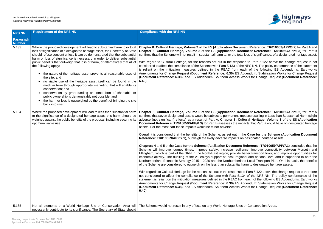

**nent Reference: TR010059/APP/6.2)** for Part A and **Cument Reference: TR010059/APP/6.3)** for Part B al loss of significance, of a designated heritage asset.

Ise to Para 5.122 above the change request is not e NPS NN. The policy conformance of the statement ach of the following ES Addendums: Earthworks **Addendum: Stabilisation Works for Change Request** Vorks for Change Request (Document Reference:

**Cument Reference: TR010059/APP/6.2) for Part A** npacts resulting in Less than Substantial Harm (slight ltural Heritage, Volume 3 of the ES (Application pacts that Part B would have on designated heritage

the Case for the Scheme (Application Document **Reference: TR0005** heritage assets.

**Reference: TR010059/APP/7.1**) concludes that the ence; improve connectivity between Morpeth and better transport links: and improve opportunities for onal and national level and is supported in both the and Local Transport Plan. On this basis, the benefits harm to designated heritage assets.

to Para 5.122 above the change request is therefore 34 of the NPS NN. The policy conformance of the m each of the following ES Addendums: Earthworks **Addendum: Stabilisation Works for Change Request** Vorks for Change Request (Document Reference:

or Conservation Areas.

| <b>NPS NN</b>              | <b>Requirement of the NPS NN</b>                                                                                                                                                                                                                                                                                                                                                                                                                                                                                                                                                                                                                                                                                                                                                                                                                                                           | <b>Compliance with the NPS NN</b>                                                                                                                                                                                                                                                                                                                                                                                                                                                                                                                                                                                                                                                                                                                                                                                                                                                                                                                                                                                                                                                                                                                                                                                                                                                                                                                           |
|----------------------------|--------------------------------------------------------------------------------------------------------------------------------------------------------------------------------------------------------------------------------------------------------------------------------------------------------------------------------------------------------------------------------------------------------------------------------------------------------------------------------------------------------------------------------------------------------------------------------------------------------------------------------------------------------------------------------------------------------------------------------------------------------------------------------------------------------------------------------------------------------------------------------------------|-------------------------------------------------------------------------------------------------------------------------------------------------------------------------------------------------------------------------------------------------------------------------------------------------------------------------------------------------------------------------------------------------------------------------------------------------------------------------------------------------------------------------------------------------------------------------------------------------------------------------------------------------------------------------------------------------------------------------------------------------------------------------------------------------------------------------------------------------------------------------------------------------------------------------------------------------------------------------------------------------------------------------------------------------------------------------------------------------------------------------------------------------------------------------------------------------------------------------------------------------------------------------------------------------------------------------------------------------------------|
| Paragraph<br><b>Number</b> |                                                                                                                                                                                                                                                                                                                                                                                                                                                                                                                                                                                                                                                                                                                                                                                                                                                                                            |                                                                                                                                                                                                                                                                                                                                                                                                                                                                                                                                                                                                                                                                                                                                                                                                                                                                                                                                                                                                                                                                                                                                                                                                                                                                                                                                                             |
| 5.133                      | Where the proposed development will lead to substantial harm to or total<br>loss of significance of a designated heritage asset, the Secretary of State<br>should refuse consent unless it can be demonstrated that the substantial<br>harm or loss of significance is necessary in order to deliver substantial<br>public benefits that outweigh that loss or harm, or alternatively that all of<br>the following apply:<br>• the nature of the heritage asset prevents all reasonable uses of<br>the site; and<br>no viable use of the heritage asset itself can be found in the<br>medium term through appropriate marketing that will enable its<br>conservation; and<br>• conservation by grant-funding or some form of charitable or<br>public ownership is demonstrably not possible; and<br>• the harm or loss is outweighed by the benefit of bringing the site<br>back into use. | Chapter 8: Cultural Heritage, Volume 2 of the ES (Application Docun<br>Chapter 8: Cultural Heritage, Volume 3 of the ES (Application Doc<br>confirms that the Scheme will not result in substantial harm to, or the tota<br>With regard to Cultural Heritage, for the reasons set out in the respon<br>considered to affect the compliance of the Scheme with Para 5.133 of the<br>is reliant on the mitigation measures defined in the REAC from ea<br>Amendments for Change Request (Document Reference: 6.36) ES A<br>(Document Reference: 6.38); and ES Addendum: Southern Access V<br>$6.40$ ).                                                                                                                                                                                                                                                                                                                                                                                                                                                                                                                                                                                                                                                                                                                                                        |
| 5.134                      | Where the proposed development will lead to less than substantial harm<br>to the significance of a designated heritage asset, this harm should be<br>weighed against the public benefits of the proposal, including securing its<br>optimum viable use.                                                                                                                                                                                                                                                                                                                                                                                                                                                                                                                                                                                                                                    | Chapter 8: Cultural Heritage, Volume 2 of the ES (Application Doc<br>confirms that seven designated assets would be subject to permanent im<br>adverse (not significant) effects) as a result of Part A. Chapter 8: Cu<br>Document Reference: TR010059/APP/6.3) for Part B assesses the import-<br>assets. For the most part these impacts would be minor adverse.<br>Overall it is considered that the benefits of the Scheme, as set out in t<br>Reference: TR010059/APP/7.1), outweigh the likely adverse impacts or<br>Chapters 4 and 5 of the Case for the Scheme (Application Document<br>Scheme will improve journey times; improve safety; increase resilie<br>Ellingham, which is part of the SRN in the North-East region; provide I<br>economic activity. The dualling of the A1 enjoys support at local, regio<br>Northumberland Economic Strategy 2015 - 2020 and the Northumberla<br>of the Scheme are considered to outweigh on the less than substantial h<br>With regards to Cultural Heritage for the reasons set out in the response<br>not considered to affect the compliance of the Scheme with Para 5.1.<br>statement is reliant on the mitigation measures defined in the REAC fror<br>Amendments for Change Request (Document Reference: 6.36) ES A<br>(Document Reference: 6.38); and ES Addendum: Southern Access V<br>$6.40$ ). |
| 5.135                      | Not all elements of a World Heritage Site or Conservation Area will<br>necessarily contribute to its significance. The Secretary of State should                                                                                                                                                                                                                                                                                                                                                                                                                                                                                                                                                                                                                                                                                                                                           | The Scheme would not result in any effects on any World Heritage Sites                                                                                                                                                                                                                                                                                                                                                                                                                                                                                                                                                                                                                                                                                                                                                                                                                                                                                                                                                                                                                                                                                                                                                                                                                                                                                      |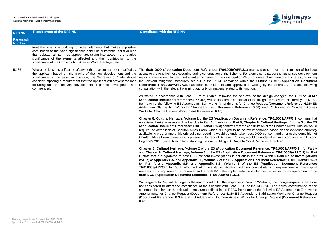

**(3.1)** makes provision for the protection of heritage For example, no part of the authorised development (WSI) of areas of archaeological interest, reflecting vithin the Outline CEMP (Application Document red in writing by the Secretary of State, following<br><sub>3</sub> function.

proval of the design changes, the **Outline CEMP**  $\overline{\phantom{a}}$  all of the mitigation measures defined by the REAC **Change Request (Document Reference: 6.36) ES** rence: 6.38); and ES Addendum: Southern Access

**ment Reference: TR010059/APP/6.2) confirms that Chapter 8: Cultural Heritage, Volume 3 of the ES** the construction of the Charlton Mires Junction would of low importance based on the evidence currently ken post DCO-consent and prior to the demolition of ey would be undertaken, in accordance with Historic to Good Recording Practice'.

**ument Reference: TR010059/APP/6.2)** for Part A **Document Reference: TR010059/APP/6.3) for Part** but in the draft Written Scheme of Investigations (**WSIs**) at **Appendix 8.5,** and **Appendix 8.6, Volume 7** of the ES (**Application Document Reference: TR010059/APP/6.7**) of the ES (Application Document Reference: monitoring strategy for any unknown archaeological tation if which is the subject of a requirement in the

to Para 5.122 above, the change request is therefore 36 of the NPS NN. The policy conformance of the m each of the following ES Addendums: Earthworks **Addendum: Stabilisation Works for Change Request** (**Document Reference: 6.38**); and ES Addendum: Southern Access Works for Change Request (**Document Reference:**

| <b>NPS NN</b>                     | <b>Requirement of the NPS NN</b>                                                                                                                                                                                                                                                                                                                                                        | <b>Compliance with the NPS NN</b>                                                                                                                                                                                                                                                                                                                                                                                                                                                                                                                                                                                                                                                                                                                                                                                                                                                    |
|-----------------------------------|-----------------------------------------------------------------------------------------------------------------------------------------------------------------------------------------------------------------------------------------------------------------------------------------------------------------------------------------------------------------------------------------|--------------------------------------------------------------------------------------------------------------------------------------------------------------------------------------------------------------------------------------------------------------------------------------------------------------------------------------------------------------------------------------------------------------------------------------------------------------------------------------------------------------------------------------------------------------------------------------------------------------------------------------------------------------------------------------------------------------------------------------------------------------------------------------------------------------------------------------------------------------------------------------|
| <b>Paragraph</b><br><b>Number</b> |                                                                                                                                                                                                                                                                                                                                                                                         |                                                                                                                                                                                                                                                                                                                                                                                                                                                                                                                                                                                                                                                                                                                                                                                                                                                                                      |
|                                   | treat the loss of a building (or other element) that makes a positive<br>contribution to the site's significance either as substantial harm or less<br>than substantial harm, as appropriate, taking into account the relative<br>significance of the elements affected and their contribution to the<br>significance of the Conservation Area or World Heritage Site.                  |                                                                                                                                                                                                                                                                                                                                                                                                                                                                                                                                                                                                                                                                                                                                                                                                                                                                                      |
| 5.136                             | Where the loss of significance of any heritage asset has been justified by<br>the applicant based on the merits of the new development and the<br>significance of the asset in question, the Secretary of State should<br>consider imposing a requirement that the applicant will prevent the loss<br>occurring until the relevant development or part of development has<br>commenced. | The draft DCO (Application Document Reference: TR010059/APP/3.1) mak<br>assets to prevent their loss occurring during construction of the Scheme. For exan<br>may commence until for that part a written scheme for the investigation (WSI) of<br>the relevant mitigation measures set out in the REAC contained within the<br>Reference: TR010059/APP/7.3), has been submitted to and approved in wr<br>consultation with the relevant planning authority on matters related to its function.<br>As stated in accordance with Para 3.2 of this table, following the approval of<br>(Application Document Reference: APP-346) will be updated to contain all of the<br>from each of the following ES Addendums: Earthworks Amendments for Change<br>Addendum: Stabilisation Works for Change Request (Document Reference: 6.<br>Works for Change Request (Document Reference: 6.40). |
|                                   |                                                                                                                                                                                                                                                                                                                                                                                         | Chapter 8: Cultural Heritage, Volume 2 of the ES (Application Document Ref<br>no existing heritage assets will be lost due to Part A. In relation to Part B, Chapter<br>(Application Document Reference: TR010059/APP/6.3) confirms that the constr<br>require the demolition of Charlton Mires Farm, which is judged to be of low im<br>available. A programme of historic building recording would be undertaken post I<br>Charlton Mires Farm to ensure it is preserved by record. A Level 3 Survey would<br>England's 2016 guide, titled 'Understanding Historic Buildings: A Guide to Good I                                                                                                                                                                                                                                                                                    |
|                                   |                                                                                                                                                                                                                                                                                                                                                                                         | Chapter 8: Cultural Heritage, Volume 2 of the ES (Application Document R<br>and Chapter 8: Cultural Heritage, Volume 3 of the ES (Application Documen<br>B state that a programme of post DCO consent investigations is set out in the<br>(WSIs) at Appendix 8.5, and Appendix 8.6, Volume 7 of the ES (Application D<br>for Part A and Appendix 8.5, and Appendix 8.6, Volume 8 of the E<br><b>TR010059/APP/6.8)</b> for Part B, which will inform a suitable mitigation and monitoring<br>remains. This requirement is presented in the draft WSI, the implementation if w<br>draft DCO (Application Document Reference: TR010059/APP/3.1).                                                                                                                                                                                                                                        |
|                                   |                                                                                                                                                                                                                                                                                                                                                                                         | With regards to Cultural Heritage for the reasons set out in the response to Para 5.<br>not considered to affect the compliance of the Scheme with Para 5.136 of the<br>statement is reliant on the mitigation measures defined in the REAC from each of<br>Amendments for Change Request (Document Reference: 6.36) ES Addendum<br>(Document Reference: 6.38); and ES Addendum: Southern Access Works for<br>$6.40$ ).                                                                                                                                                                                                                                                                                                                                                                                                                                                              |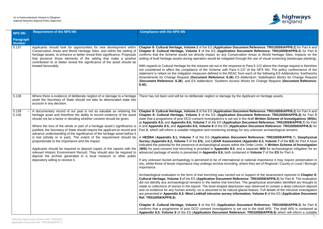

**nent Reference: TR010059/APP/6.2**) for Part A and **Cument Reference: TR010059/APP/6.3**) for Part B ion Areas or World Heritage Sites. Impacts on the igh the use of visual screening (landscape planting).

to Para 5.122 above the change request is therefore 37 of the NPS NN. The policy conformance of the m each of the following ES Addendums: Earthworks **ddendum: Stabilisation Works for Change Request** Vorks for Change Request (**Document Reference:** 

Applicant on heritage assets.

**nent Reference: TR010059/APP/6.2**) for Part A and **Cument Reference: TR010059/APP/6.3)** for Part B the draft Written Scheme of Investigations (WSIs) **Document Reference: TR010059/APP/6.7) for Part ion Document Reference: TR010059/APP/6.8)** for any unknown archaeological remains.

A **HEDBA** (**Appendix 8.1, Volume 7** of the ES (**Application Document Reference: TR010059/APP/6.**7), **Geophysical Appendix 8.3, Volume 7** of the **ES**) for Part A have indicated for the presence of the presence of **a** a separate **WSI** for archaeological mitigation for an ed in **Volume 7** of the **ES** for Part A.

If any undercontance it may require preservation in nere they are of Regional / County or Local / Borough

h support of the assessment reported in **Chapter 8: Price: TR010059/APP/6.3**) for Part B. The evaluation The geophysical anomalies identified are thought to n was observed to contain a deep colluvium deposit cial feature. Full details of the intrusive investigation ation, Volume 8 of the ES (Application Document

| <b>NPS NN</b>              | <b>Requirement of the NPS NN</b>                                                                                                                                                                                                                                                                                                                                                                                                                                                                                                                                                                                                                                                                                                                                                                                                                         | <b>Compliance with the NPS NN</b>                                                                                                                                                                                                                                                                                                                                                                                                                                                                                                                                                                                                                                                                                                                                                                                                                                                                                                                                                                                                                                                                                                                                                                                                                                                                                                                                                                                                                                                                                                                                                                                                                                                                                            |
|----------------------------|----------------------------------------------------------------------------------------------------------------------------------------------------------------------------------------------------------------------------------------------------------------------------------------------------------------------------------------------------------------------------------------------------------------------------------------------------------------------------------------------------------------------------------------------------------------------------------------------------------------------------------------------------------------------------------------------------------------------------------------------------------------------------------------------------------------------------------------------------------|------------------------------------------------------------------------------------------------------------------------------------------------------------------------------------------------------------------------------------------------------------------------------------------------------------------------------------------------------------------------------------------------------------------------------------------------------------------------------------------------------------------------------------------------------------------------------------------------------------------------------------------------------------------------------------------------------------------------------------------------------------------------------------------------------------------------------------------------------------------------------------------------------------------------------------------------------------------------------------------------------------------------------------------------------------------------------------------------------------------------------------------------------------------------------------------------------------------------------------------------------------------------------------------------------------------------------------------------------------------------------------------------------------------------------------------------------------------------------------------------------------------------------------------------------------------------------------------------------------------------------------------------------------------------------------------------------------------------------|
| Paragraph<br><b>Number</b> |                                                                                                                                                                                                                                                                                                                                                                                                                                                                                                                                                                                                                                                                                                                                                                                                                                                          |                                                                                                                                                                                                                                                                                                                                                                                                                                                                                                                                                                                                                                                                                                                                                                                                                                                                                                                                                                                                                                                                                                                                                                                                                                                                                                                                                                                                                                                                                                                                                                                                                                                                                                                              |
| 5.137                      | Applicants should look for opportunities for new development within<br>Conservation Areas and World Heritage Sites, and within the setting of<br>heritage assets, to enhance or better reveal their significance. Proposals<br>that preserve those elements of the setting that make a positive<br>contribution to or better reveal the significance of the asset should be<br>treated favourably.                                                                                                                                                                                                                                                                                                                                                                                                                                                       | Chapter 8: Cultural Heritage, Volume 2 of the ES (Application Docum<br>Chapter 8: Cultural Heritage, Volume 3 of the ES (Application Doc<br>confirms that the Scheme would not directly impact on any Conservati<br>setting of built heritage assets during operation would be mitigated throu<br>With regards to Cultural Heritage for the reasons set out in the response to<br>not considered to affect the compliance of the Scheme with Para 5.13<br>statement is reliant on the mitigation measures defined in the REAC from<br>Amendments for Change Request (Document Reference: 6.36) ES A<br>(Document Reference: 6.38); and ES Addendum: Southern Access W<br>$6.40$ ).                                                                                                                                                                                                                                                                                                                                                                                                                                                                                                                                                                                                                                                                                                                                                                                                                                                                                                                                                                                                                                           |
| 5.138                      | Where there is evidence of deliberate neglect of or damage to a heritage<br>asset the Secretary of State should not take its deteriorated state into<br>account in any decision.                                                                                                                                                                                                                                                                                                                                                                                                                                                                                                                                                                                                                                                                         | There has not been and will be no deliberate neglect or damage by the <i>l</i>                                                                                                                                                                                                                                                                                                                                                                                                                                                                                                                                                                                                                                                                                                                                                                                                                                                                                                                                                                                                                                                                                                                                                                                                                                                                                                                                                                                                                                                                                                                                                                                                                                               |
| 5.139<br>5.140             | A documentary record of our past is not as valuable as retaining the<br>heritage asset and therefore the ability to record evidence of the asset<br>should not be a factor in deciding whether consent should be given.<br>Where the loss of the whole or part of a heritage asset's significance is<br>justified, the Secretary of State should require the applicant to record and<br>advance understanding of the significance of the heritage asset before it<br>is lost (wholly or in part). The extent of the requirement should be<br>proportionate to the importance and the impact.<br>Applicants should be required to deposit copies of the reports with the<br>relevant Historic Environment Record. They should also be required to<br>deposit the archive generated in a local museum or other public<br>depository willing to receive it. | Chapter 8: Cultural Heritage, Volume 2 of the ES (Application Docum<br>Chapter 8: Cultural Heritage, Volume 3 of the ES (Application Doc<br>state that a programme of post DCO consent investigations is set out in t<br>at Appendix 8.5, and Appendix 8.6, Volume 7 of the ES (Application I<br>A and Appendix 8.5, and Appendix 8.6, Volume 8 of the ES (Application<br>Part B, which will inform a suitable mitigation and monitoring strategy for<br>A HEDBA (Appendix 8.1, Volume 7 of the ES (Application Docume<br>Survey (Appendix 8.2, Volume 7 of the ES), and LiDAR Assessment (<br>indicated the potential for the presence of archaeological assets within the<br>(WSI) for post-consent trial trenching is provided in Appendix 8.5, and<br>advanced package of works is presented in Appendix 8.6, both containe<br>If any unknown buried archaeology is perceived to be of international of<br>situ, whilst those of lesser importance may undergo archive recording, wh<br>importance.<br>Archaeological evaluation in the form of trial trenching was carried out in<br>Cultural Heritage, Volume 3 of the ES (Application Document Refere<br>did not identify any archaeological remains in the twelve trial trenches. T<br>relate to collections of stones in the topsoil. The bowl-shaped depression<br>and no evidence for any human activity, so is assumed to be natural gla<br>are presented in Appendix 8.3: West Linkhall intrusive survey information<br>Ref. TR010059/APP/6.8).<br>Chapter 8: Cultural Heritage, Volume 3 of the ES (Application Doc<br>confirms that a programme of post DCO consent investigations is set<br>Appendix 8.5, Volume 8 of the ES (Application Document Reference |

**Cument Reference: TR010059/APP/6.3**) for Part B out in the draft WSI. The draft WSI is contained at **Appendix 8.5**, **Volume 8** of the ES (**Application Document Reference: TR010059/APP/6.8**) which will inform a suitable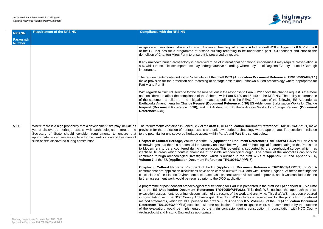

ins. A further draft WSI at **Appendix 8.6, Volume 8** be undertaken post DCO-consent and prior to the

national importance it may require preservation in here they are of Regional/County or Local / Borough

Cation Document Reference: TR010059/APP/3.1) unknown buried archaeology where appropriate for

to Para 5.122 above the change request is therefore and 5.140 of the NPS NN. The policy conformance REAC from each of the following ES Addendums: **Earth** Earthwents Stabilisation Works for Change: 6.36) ES Addendum: Stabilisation Works for Change Recess Works for Change Request (Document

**n Document Reference: TR010059/APP/3.1**) make aeology where appropriate. The position in relation B is set out below:

**Reference: TR010059/APP/6.2**) for Part A also and archaeological features dating to the Prehistoric s supported by the geophysical survey, which has al origin. The nature of the anomalies can only be e draft WSIs at **Appendix 8.5** and **Appendix 8.6**,

**Cument Reference: TR010059/APP/6.2)** for Part A C and with Historic England. At these meetings the viewed and approved, and it was concluded that no

presented in the draft WSI (**Appendix 8.5, Volume 8**). This draft WSI outlines the approach to postrk and archiving. This draft WSI has been prepared cludes a requirement for the production of detailed **8.5, Volume 8** of the ES (**Application Document** mitigation work, as recommended by the outcome ng construction, in consultation with NCC County

| <b>NPS NN</b>              | <b>Requirement of the NPS NN</b>                                                                                                                                                                                                                                                                                                               | <b>Compliance with the NPS NN</b>                                                                                                                                                                                                                                                                                                                                                                                                                                                                                                                                                                                         |
|----------------------------|------------------------------------------------------------------------------------------------------------------------------------------------------------------------------------------------------------------------------------------------------------------------------------------------------------------------------------------------|---------------------------------------------------------------------------------------------------------------------------------------------------------------------------------------------------------------------------------------------------------------------------------------------------------------------------------------------------------------------------------------------------------------------------------------------------------------------------------------------------------------------------------------------------------------------------------------------------------------------------|
| Paragraph<br><b>Number</b> |                                                                                                                                                                                                                                                                                                                                                |                                                                                                                                                                                                                                                                                                                                                                                                                                                                                                                                                                                                                           |
|                            |                                                                                                                                                                                                                                                                                                                                                | mitigation and monitoring strategy for any unknown archaeological remains. A f<br>of the ES includes for a programme of historic building recording to be und<br>demolition of Charlton Mires Farm to ensure it is preserved by record.                                                                                                                                                                                                                                                                                                                                                                                   |
|                            |                                                                                                                                                                                                                                                                                                                                                | If any unknown buried archaeology is perceived to be of international or nation<br>situ, whilst those of lesser importance may undergo archive recording, where the<br>importance.                                                                                                                                                                                                                                                                                                                                                                                                                                        |
|                            |                                                                                                                                                                                                                                                                                                                                                | The requirements contained within Schedule 2 of the draft DCO (Application<br>make provision for the protection and recording of heritage assets and unknov<br>Part A and Part B.                                                                                                                                                                                                                                                                                                                                                                                                                                         |
|                            |                                                                                                                                                                                                                                                                                                                                                | With regards to Cultural Heritage for the reasons set out in the response to Para<br>not considered to affect the compliance of the Scheme with Para 5.139 and 5.139<br>of the statement is reliant on the mitigation measures defined in the REAC<br>Earthworks Amendments for Change Request (Document Reference: 6.36) ES<br>Request (Document Reference: 6.38); and ES Addendum: Southern Acces<br>Reference: 6.40).                                                                                                                                                                                                  |
|                            |                                                                                                                                                                                                                                                                                                                                                |                                                                                                                                                                                                                                                                                                                                                                                                                                                                                                                                                                                                                           |
| 5.142                      | Where there is a high probability that a development site may include as<br>yet undiscovered heritage assets with archaeological interest, the<br>Secretary of State should consider requirements to ensure that<br>appropriate procedures are in place for the identification and treatment of<br>such assets discovered during construction. | The requirements contained in Schedule 2 of the draft DCO (Application Docu<br>provision for the protection of heritage assets and unknown buried archaeolog<br>to the potential for undiscovered heritage assets within Part A and Part B is set                                                                                                                                                                                                                                                                                                                                                                         |
|                            |                                                                                                                                                                                                                                                                                                                                                | Chapter 8: Cultural Heritage, Volume 2 of the ES (Application Document Re<br>acknowledges that there is a potential for currently unknown below ground arch<br>to Modern era to be encountered during construction. This potential is support<br>identified 16 areas which contain anomalies of possible archaeological origin<br>confirmed through archaeological investigation, which is outlined in the draft<br>Volume 7 of the ES (Application Document Reference: TR010059/APP/6.7).                                                                                                                                |
|                            |                                                                                                                                                                                                                                                                                                                                                | Chapter 8: Cultural Heritage, Volume 2 of the ES (Application Document<br>confirms that pre-application discussions have been carried out with NCC and<br>conclusions of the Historic Environment desk-based assessment were reviewed<br>further assessment work would be required prior to the DCO application.                                                                                                                                                                                                                                                                                                          |
|                            |                                                                                                                                                                                                                                                                                                                                                | A programme of post-consent archaeological trial trenching for Part B is present<br>8 of the ES (Application Document Reference: TR010059/APP/6.8). This<br>excavation assessment, reporting, dissemination of the results of the work and<br>in consultation with the NCC County Archaeologist. This draft WSI includes a<br>method statements, which would supersede the draft WSI at Appendix 8.5, V<br>Reference: TR010059/APP/6.8) submitted with the application. Further mitiga<br>of the evaluation, would be implemented by the main contractor during con<br>Archaeologist and Historic England as appropriate. |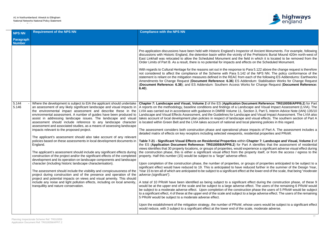

ector of Ancient Monuments. For example, following of the Prehistoric Burial Mound 420m north-west of field in which it is located to be removed from the effects on the Scheduled Monument.

to Para 5.122 above the change request is therefore 12 of the NPS NN. The policy conformance of the m each of the following ES Addendums: Earthworks ddendum: Stabilisation Works for Change Request **Vorks for Change Request (Document Reference:** 

**Document Reference: TR010059/APP/6.2) for Part** dscape and Visual Impact Assessment (LVIA). The Section 3, Part 5, Interim Advice Note (IAN) 135/10 icape and Visual Impact Assessment. The LVIA also e and visual effects. The southern section of Part A local planning policies in this regard.

ase impacts of Part A. The assessment includes a residential properties and PRoW.

in Chapter 7: Landscape and Visual, Volume 2 of Part A identifies that the assessment of residential experience a significant adverse visual effect during property itself, or from the access / egress to the

groups of properties anticipated to be subject to a reduced further in the summer of the Design Year, ct at the lower end of the scale, that being "*moderate* 

ant effect during the construction phase, of these 9 e effect. The users of the remaining 6 PRoW would uction phase the users of 5 PRoW would be subject to a large adverse effect. The users of the remaining

whose users would be subject to a significant effect scale, moderate adverse.

| <b>NPS NN</b>                     | <b>Requirement of the NPS NN</b>                                                                                                                                                                                                                                                                                                                                                                                                                                                                                                                                                                                                                                                                                                                                                                                                                                                                                                                                                                                                                                                                                                                                                                                                                                                                                                                                   | <b>Compliance with the NPS NN</b>                                                                                                                                                                                                                                                                                                                                                                                                                                                                                                                                                                                                                                                                                                                                                                                                                                                                                                                                                                                                                                                                                                                                                                                                                                                                                                                                                                                                                                                                                                                                                                                                                                                                                                                                                                                                                                                     |
|-----------------------------------|--------------------------------------------------------------------------------------------------------------------------------------------------------------------------------------------------------------------------------------------------------------------------------------------------------------------------------------------------------------------------------------------------------------------------------------------------------------------------------------------------------------------------------------------------------------------------------------------------------------------------------------------------------------------------------------------------------------------------------------------------------------------------------------------------------------------------------------------------------------------------------------------------------------------------------------------------------------------------------------------------------------------------------------------------------------------------------------------------------------------------------------------------------------------------------------------------------------------------------------------------------------------------------------------------------------------------------------------------------------------|---------------------------------------------------------------------------------------------------------------------------------------------------------------------------------------------------------------------------------------------------------------------------------------------------------------------------------------------------------------------------------------------------------------------------------------------------------------------------------------------------------------------------------------------------------------------------------------------------------------------------------------------------------------------------------------------------------------------------------------------------------------------------------------------------------------------------------------------------------------------------------------------------------------------------------------------------------------------------------------------------------------------------------------------------------------------------------------------------------------------------------------------------------------------------------------------------------------------------------------------------------------------------------------------------------------------------------------------------------------------------------------------------------------------------------------------------------------------------------------------------------------------------------------------------------------------------------------------------------------------------------------------------------------------------------------------------------------------------------------------------------------------------------------------------------------------------------------------------------------------------------------|
| <b>Paragraph</b><br><b>Number</b> |                                                                                                                                                                                                                                                                                                                                                                                                                                                                                                                                                                                                                                                                                                                                                                                                                                                                                                                                                                                                                                                                                                                                                                                                                                                                                                                                                                    |                                                                                                                                                                                                                                                                                                                                                                                                                                                                                                                                                                                                                                                                                                                                                                                                                                                                                                                                                                                                                                                                                                                                                                                                                                                                                                                                                                                                                                                                                                                                                                                                                                                                                                                                                                                                                                                                                       |
|                                   |                                                                                                                                                                                                                                                                                                                                                                                                                                                                                                                                                                                                                                                                                                                                                                                                                                                                                                                                                                                                                                                                                                                                                                                                                                                                                                                                                                    | Pre-application discussions have been held with Historic England's Inspecter-<br>discussions with Historic England, the detention basin within the vicinity of<br>East Linkhall was relocated to allow the Scheduled Monument and the fie<br>Order Limits of Part B. As a result, there is no potential for impacts and effer-<br>With regards to Cultural Heritage for the reasons set out in the response to F<br>not considered to affect the compliance of the Scheme with Para 5.142<br>statement is reliant on the mitigation measures defined in the REAC from e<br>Amendments for Change Request (Document Reference: 6.36) ES Adde<br>(Document Reference: 6.38); and ES Addendum: Southern Access Worl<br>$6.40$ ).                                                                                                                                                                                                                                                                                                                                                                                                                                                                                                                                                                                                                                                                                                                                                                                                                                                                                                                                                                                                                                                                                                                                                         |
| 5.144<br>5.146                    | Where the development is subject to EIA the applicant should undertake<br>an assessment of any likely significant landscape and visual impacts in<br>the environmental impact assessment and describe these in the<br>environmental assessment. A number of guides have been produced to<br>assist in addressing landscape issues. The landscape and visual<br>assessment should include reference to any landscape character<br>assessment and associated studies, as a means of assessing landscape<br>impacts relevant to the proposed project.<br>The applicant's assessment should also take account of any relevant<br>policies based on these assessments in local development documents in<br>England.<br>The applicant's assessment should include any significant effects during<br>construction of the project and/or the significant effects of the completed<br>development and its operation on landscape components and landscape<br>character (including historic landscape characterisation).<br>The assessment should include the visibility and conspicuousness of the<br>project during construction and of the presence and operation of the<br>project and potential impacts on views and visual amenity. This should<br>include any noise and light pollution effects, including on local amenity,<br>tranquillity and nature conservation. | Chapter 7: Landscape and Visual, Volume 2 of the ES (Application Doc<br>A reports on the methodology, baseline conditions and findings of a Landse<br>LVIA was carried out in accordance with guidance in DMRB Volume 11, Se<br>Landscape and Visual Effects Assessment, and the Guidelines for Landsca<br>takes account of local development plan policies in respect of landscape a<br>is located within Green Belt and the LVIA takes account of national and loca<br>The assessment considers both construction phase and operational phase<br>detailed matrix of effects on key receptors including selected viewpoints, re<br>Table 7-21 - Significant Visual Effects on Residential Properties within (<br>the ES (Application Document Reference: TR010059/APP/6.2) for Par<br>views identifies that 30 property locations, or groups of properties, would exp<br>the construction phase, this is either a significant visual effect from the pro-<br>property. Half this number (15) would be subject to a "large" adverse effect.<br>Upon completion of the construction phase, the number of properties, or go<br>significant effect would have reduced to 19. This is anticipated to have red<br>Year 15 to ten all of which are anticipated to be subject to a significant effect a<br>adverse (significant").<br>A total of 10 PRoW have been identified as being subject to a significant<br>would be at the upper end of the scale and be subject to a large adverse e<br>be subject to a moderate adverse effect. Upon completion of the construction<br>to a significant effect, 4 of these at the upper end of the scale and subject to a<br>5 PRoW would be subject to a moderate adverse effect.<br>Upon the establishment of the mitigation strategy, the number of PRoW, wh<br>would reduce, with 3 subject to a significant effect at the lower end of the so |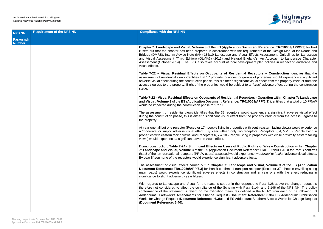

**Document Reference: TR010059/APP/6.3) for Part** requirements of the Design Manual for Roads and ual Effects Assessment, Guidelines for Landscape England's, An Approach to Landscape Character elopment plan policies in respect of landscape and

**Tal Receptors – Construction** identifies that the groups of properties, would experience a significant cant visual effect from the property itself, or from the t to a *"large"* adverse effect during the construction

**Table 7-22 - Table Trable Terms of Chapter 7: Landscape R010059/APP/6.3**) identifies that a total of 10 PRoW

rould experience a significant adverse visual effect m the property itself, or from the access / egress to

s with south eastern facing views) would experience receptors (Receptors 3, 4, 5 & 8 - People living in ing in properties with close proximity eastern facing

**During Enginity Construction** within Chapter Reference: TR010059/APP/6.3) for Part B confirms berience *'moderate'* or *'major'* adverse visual effects. se effects.

**De and Visual, Volume 3** of the ES (Application port receptor (Receptor 37 - People travelling along tion and at year one with the effect reducing in

esponse to Para 4.28 above the change request is Para 5.144 and 5.146 of the NPS NN. The policy efined in the REAC from each of the following ES **nt Reference: 6.36) ES Addendum: Stabilisation** Works for Change Request (**Document Reference: 6.38**); and ES Addendum: Southern Access Works for Change Request

| <b>NPS NN</b>              | <b>Requirement of the NPS NN</b> | <b>Compliance with the NPS NN</b>                                                                                                                                                                                                                                                                                                                                                          |
|----------------------------|----------------------------------|--------------------------------------------------------------------------------------------------------------------------------------------------------------------------------------------------------------------------------------------------------------------------------------------------------------------------------------------------------------------------------------------|
| Paragraph<br><b>Number</b> |                                  |                                                                                                                                                                                                                                                                                                                                                                                            |
|                            |                                  | Chapter 7: Landscape and Visual, Volume 3 of the ES (Application D<br>B sets out that the chapter has been prepared in accordance with the<br>Bridges (DMRB), Interim Advice Note (IAN) 135/10 Landscape and Vis<br>and Visual Assessment (Third Edition) (GLVIA3) (2013) and Natural<br>Assessment (October 2014). The LVIA also takes account of local devi-<br>visual effects.          |
|                            |                                  | Table 7-22 - Visual Residual Effects on Occupants of Residenti<br>assessment of residential views identifies that 17 property locations, or o<br>adverse visual effect during the construction phase, this is either a signific<br>access / egress to the property. Eight of the properties would be subject<br>stage.                                                                     |
|                            |                                  | Table 7-22 - Visual Residual Effects on Occupants of Residential Re<br>and Visual, Volume 3 of the ES (Application Document Reference: TF<br>would be impacted during the construction phase for Part B.                                                                                                                                                                                   |
|                            |                                  | The assessment of residential views identifies that the 32 receptors we<br>during the construction phase, this is either a significant visual effect from<br>the property.                                                                                                                                                                                                                 |
|                            |                                  | At year one, all but one receptor (Receptor 17 - people living in properties<br>a 'moderate' or 'major' adverse visual effect. By Year Fifteen only two<br>properties with eastern facing views; and Receptors 6, 7 & 10 - People live<br>views) would experience a significant adverse visual effect.                                                                                     |
|                            |                                  | During construction, Table 7-24 - Significant Effects on Users of Pub<br>7: Landscape and Visual, Volume 3 of the ES (Application Document I<br>that 8 of the ten recreational receptors (PRoW users) assessed would exp<br>By year fifteen none of the receptors would experience significant advers                                                                                      |
|                            |                                  | The assessment of visual effects carried out in Chapter 7: Landscap<br>Document Reference: TR010059/APP/6.3) for Part B confirms 1 transp<br>main roads) would experience significant adverse effects in construct<br>significance to slight adverse by year fifteen.                                                                                                                      |
|                            |                                  | With regards to Landscape and Visual for the reasons set out in the re<br>therefore not considered to affect the compliance of the Scheme with<br>conformance of the statement is reliant on the mitigation measures de<br>Addendums: Earthworks Amendments for Change Request (Docume<br>Works for Change Request (Document Reference: 6.38); and ES Adder<br>(Document Reference: 6.40). |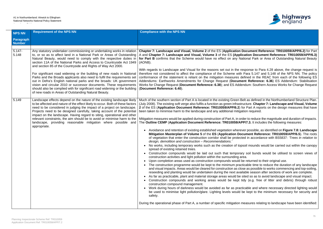

**Document Reference: TR010059/APP/6.2)** for Part **Cation Document Reference: TR010059/APP/6.3)** fional Park or Area of Outstanding Natural Beauty

esponse to Para 4.28 above, the change request is Para 5.147 and 5.148 of the NPS NN. The policy efined in the REAC from each of the following ES ent Reference: 6.36) ES Addendum: Stabilisation ndum: Southern Access Works for Change Request

elt as defined in the Northumberland Structure Plan. Ucture. Chapter 7: Landscape and Visual, Volume. **2** or Part A reports on the design measures that have tion required.

der to reduce the magnitude and duration of impacts. **P/7.3.** It includes the following measures:

ver possible, as identified on Figure 7.8: Landscape **ument Reference: TR010059/APP/6.5**). The roots ed in accordance with BS5837: *'Trees in relation to* 

soil mounds would be carried out within the canopy

v soil bunds would be utilised to screen views of

- e returned to their original use.
- ticable time to reduce the duration of any landscape se as possible to works commencing and top-soiling, lable season after sections of work are complete.
- sited so as to avoid landscape and visual impact.
- dy (e.g. free of litter and debris) through robust

icable and where necessary directed lighting would be kept to the minimum necessary for security and

neasures relating to landscape have been identified:

| <b>NPS NN</b>                     | <b>Requirement of the NPS NN</b>                                                                                                                                                                                                                                                                                                                                                                                                                                                                                                                                                                                                                                                                                                                                                                           | <b>Compliance with the NPS NN</b>                                                                                                                                                                                                                                                                                                                                                                                                                                                                                                                                                                                                                                                                                                                                                                                                                                                                                                                                                                                                                                                                                                                                                                                                                                                                                                                                                                                                                                                                                                                                                                                                                                                                                                                         |
|-----------------------------------|------------------------------------------------------------------------------------------------------------------------------------------------------------------------------------------------------------------------------------------------------------------------------------------------------------------------------------------------------------------------------------------------------------------------------------------------------------------------------------------------------------------------------------------------------------------------------------------------------------------------------------------------------------------------------------------------------------------------------------------------------------------------------------------------------------|-----------------------------------------------------------------------------------------------------------------------------------------------------------------------------------------------------------------------------------------------------------------------------------------------------------------------------------------------------------------------------------------------------------------------------------------------------------------------------------------------------------------------------------------------------------------------------------------------------------------------------------------------------------------------------------------------------------------------------------------------------------------------------------------------------------------------------------------------------------------------------------------------------------------------------------------------------------------------------------------------------------------------------------------------------------------------------------------------------------------------------------------------------------------------------------------------------------------------------------------------------------------------------------------------------------------------------------------------------------------------------------------------------------------------------------------------------------------------------------------------------------------------------------------------------------------------------------------------------------------------------------------------------------------------------------------------------------------------------------------------------------|
| <b>Paragraph</b><br><b>Number</b> |                                                                                                                                                                                                                                                                                                                                                                                                                                                                                                                                                                                                                                                                                                                                                                                                            |                                                                                                                                                                                                                                                                                                                                                                                                                                                                                                                                                                                                                                                                                                                                                                                                                                                                                                                                                                                                                                                                                                                                                                                                                                                                                                                                                                                                                                                                                                                                                                                                                                                                                                                                                           |
|                                   |                                                                                                                                                                                                                                                                                                                                                                                                                                                                                                                                                                                                                                                                                                                                                                                                            |                                                                                                                                                                                                                                                                                                                                                                                                                                                                                                                                                                                                                                                                                                                                                                                                                                                                                                                                                                                                                                                                                                                                                                                                                                                                                                                                                                                                                                                                                                                                                                                                                                                                                                                                                           |
| $5.147 -$<br>5.148                | Any statutory undertaker commissioning or undertaking works in relation<br>to, or so as to affect land in a National Park or Areas of Outstanding<br>Natural Beauty, would need to comply with the respective duties in<br>section 11A of the National Parks and Access to Countryside Act 1949<br>and section 85 of the Countryside and Rights of Way Act 2000.<br>For significant road widening or the building of new roads in National<br>Parks and the Broads applicants also need to fulfil the requirements set<br>out in Defra's English national parks and the broads: UK government<br>vision and circular 2010 or successor documents. These requirements<br>should also be complied with for significant road widening or the building<br>of new roads in Areas of Outstanding Natural Beauty. | Chapter 7: Landscape and Visual, Volume 2 of the ES (Application Doc<br>A and Chapter 7: Landscape and Visual, Volume 3 of the ES (Applicat<br>for Part B confirms that the Scheme would have no effect on any Nation<br>(AONB).<br>With regards to Landscape and Visual for the reasons set out in the respent<br>therefore not considered to affect the compliance of the Scheme with Pa<br>conformance of the statement is reliant on the mitigation measures defined<br>Addendums: Earthworks Amendments for Change Request (Document<br>Works for Change Request (Document Reference: 6.38); and ES Addende<br>(Document Reference: 6.40).                                                                                                                                                                                                                                                                                                                                                                                                                                                                                                                                                                                                                                                                                                                                                                                                                                                                                                                                                                                                                                                                                                           |
| 5.149                             | Landscape effects depend on the nature of the existing landscape likely<br>to be affected and nature of the effect likely to occur. Both of these factors<br>need to be considered in judging the impact of a project on landscape.<br>Projects need to be designed carefully, taking account of the potential<br>impact on the landscape. Having regard to siting, operational and other<br>relevant constraints, the aim should be to avoid or minimise harm to the<br>landscape, providing reasonable mitigation where possible and<br>appropriate.                                                                                                                                                                                                                                                     | Much of the southern section of Part A is located in the existing Green Belt<br>(July 2008). The existing soft verge also fulfils a function as green infrastruct<br>2 of the ES (Application Document Reference: TR010059/APP/6.2) for I<br>been taken to minimise harm to the landscape and any additional mitigation<br>Mitigation measures would be applied during construction of Part A, in order<br>The Outline CEMP (Application Document Reference: TR010059/APP/7<br>Avoidance and retention of existing established vegetation wherever<br>$\bullet$<br>Mitigation Masterplan of Volume 5 of the ES (Application Docun<br>of vegetation that enter the construction corridor shall be protected<br>design, demolition and construction - Recommendations.'<br>No works, including temporary works such as the creation of topsoil<br>spread of existing retained trees.<br>Construction compounds would be laid out such that temporary s<br>construction activities and light pollution within the surrounding area.<br>Upon completion areas used as construction compounds would be r<br>The construction programme would be kept to the minimum practica<br>and visual impacts. Areas would be cleared for construction as close a<br>reseeding and planting would be undertaken during the next availab<br>As far as practicable, plant and material storage areas would be site<br>Construction compounds and working areas would be kept tidy<br>construction compound management.<br>Work during hours of darkness would be avoided as far as practica<br>$\bullet$<br>be used to minimise light pollution/glare. Lighting levels would be I<br>safety.<br>During the operational phase of Part A, a number of specific mitigation mea |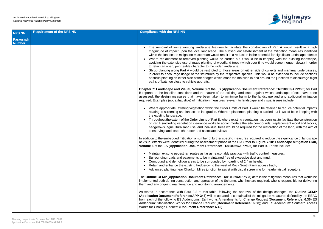

the construction of Part A would result in a high establishment of the mitigation measures identified tion in the potential for significant landscape effects; would be in keeping with the existing landscape, vhich over time would screen longer views) in order

n either side of culverts and mammal underpasses, pecies. This would be extended to include sections. nline in and around the junctions to discourage flight

**Document Reference: TR010059/APP/6.3) for Part** dscape against which landscape effects have been rm to the landscape and any additional mitigation andscape and visual issues include:

Part B would be retained to reduce potential impacts ent planting is carried out it would be in keeping with

vegetation has been lost to facilitate the construction the site compounds), replacement woodland blocks, quired for the restoration of the land, with the aim of

In addition to the embedded mitigation and suppose required to reduce the significance of landscape (refer to Figure 7.10: Landscape Mitigation Plan, PP/6.6) for Part B. These include:

with traffic control measures;

- sive dust and mud;
- 2.4 m height;
- outh Farm access track:
- al screening for nearby visual receptors.

**P/7.3**) details the mitigation measures that would be they are required, who is responsible for delivering

proval of the design changes, the **Outline CEMP Application Containt Reference:** All of the REAC is all of the mitigation measures defined by the REAC **Change Request (Document Reference: 6.36) ES** ence: 6.38); and ES Addendum: Southern Access

| <b>NPS NN</b>              | <b>Requirement of the NPS NN</b> | <b>Compliance with the NPS NN</b>                                                                                                                                                                                                                                                                                                                                                                                                                                                                                                                                                                                                                                               |
|----------------------------|----------------------------------|---------------------------------------------------------------------------------------------------------------------------------------------------------------------------------------------------------------------------------------------------------------------------------------------------------------------------------------------------------------------------------------------------------------------------------------------------------------------------------------------------------------------------------------------------------------------------------------------------------------------------------------------------------------------------------|
| Paragraph<br><b>Number</b> |                                  |                                                                                                                                                                                                                                                                                                                                                                                                                                                                                                                                                                                                                                                                                 |
|                            |                                  | • The removal of some existing landscape features to facilitate<br>magnitude of impact upon the local landscape. The subsequent<br>within the landscape mitigation masterplan would result in a reduct<br>Where replacement of removed planting would be carried out it<br>avoiding the extensive use of mass planting of woodland trees (w<br>to retain an open, permeable character to the wider landscape;<br>Shrub planting along Part A would be restricted to those areas or<br>in order to encourage usage of the structures by the respective s<br>of shrub planting on either side of the bridges which cross the mair<br>paths of bats too close to vehicle updrafts. |
|                            |                                  | Chapter 7: Landscape and Visual, Volume 3 of the ES (Application D<br>B reports on the baseline conditions and the nature of the existing land<br>assessed, the design measures that have been taken to minimise hare<br>required. Examples (not exhaustive) of mitigation measures relevant to la                                                                                                                                                                                                                                                                                                                                                                              |
|                            |                                  | • Where appropriate, existing vegetation within the Order Limits of F<br>relating to screening and landscape integration. Where replaceme<br>the existing landscape.<br>Throughout the extent of the Order Limits of Part B, where existing<br>of Part B (including vegetation clearance works to accommodate t<br>hedgerows, agricultural land use, and individual trees would be re<br>conserving landscape character and associated views.                                                                                                                                                                                                                                   |
|                            |                                  | In addition to the embedded mitigation a number of further specific measured<br>or visual effects were identified during the assessment phase of the EIA<br>Volume 6 of the ES (Application Document Reference: TR010059/AP                                                                                                                                                                                                                                                                                                                                                                                                                                                     |
|                            |                                  | Maintain existing pedestrian routes as far as reasonably practical<br>Surrounding roads and pavements to be maintained free of exces<br>Compound and demolition areas to be surrounded by hoarding of<br>Retain and enhance the existing hedgerow to the west of Rock So<br>Advanced planting near Charlton Mires junction to assist with visu                                                                                                                                                                                                                                                                                                                                  |
|                            |                                  | The Outline CEMP (Application Document Reference: TR010059/API<br>implemented both during construction and operation of the Scheme, why<br>them and any ongoing maintenance and monitoring arrangements.                                                                                                                                                                                                                                                                                                                                                                                                                                                                        |
|                            |                                  | As stated in accordance with Para 3.2 of this table, following the app<br>(Application Document Reference: APP-346) will be updated to contain<br>from each of the following ES Addendums: Earthworks Amendments for<br>Addendum: Stabilisation Works for Change Request (Document Refer<br>Works for Change Request (Document Reference: 6.40).                                                                                                                                                                                                                                                                                                                                |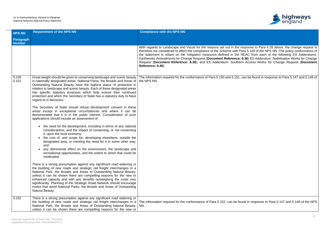#### A1 in Northumberland: Alnwick to Ellingham National Networks National Policy Statement Accordance Table



| <b>NPS NN</b>       | <b>Requirement of the NPS NN</b>                                                                                                                                                                                                                                                                                                                                                                                                                                                                                                                                                                                                                                                                                                                                                                                                                                                                                                                                                                                                                                                                                                                                                                                                                                                                                                                                                                                                                                                                                                                                                                                                                                                                       | <b>Compliance with the NPS NN</b>                                                                                                                                                                                                                                                                                                                                                                                                                                                                                                                                                                                         |
|---------------------|--------------------------------------------------------------------------------------------------------------------------------------------------------------------------------------------------------------------------------------------------------------------------------------------------------------------------------------------------------------------------------------------------------------------------------------------------------------------------------------------------------------------------------------------------------------------------------------------------------------------------------------------------------------------------------------------------------------------------------------------------------------------------------------------------------------------------------------------------------------------------------------------------------------------------------------------------------------------------------------------------------------------------------------------------------------------------------------------------------------------------------------------------------------------------------------------------------------------------------------------------------------------------------------------------------------------------------------------------------------------------------------------------------------------------------------------------------------------------------------------------------------------------------------------------------------------------------------------------------------------------------------------------------------------------------------------------------|---------------------------------------------------------------------------------------------------------------------------------------------------------------------------------------------------------------------------------------------------------------------------------------------------------------------------------------------------------------------------------------------------------------------------------------------------------------------------------------------------------------------------------------------------------------------------------------------------------------------------|
| Paragraph<br>Number |                                                                                                                                                                                                                                                                                                                                                                                                                                                                                                                                                                                                                                                                                                                                                                                                                                                                                                                                                                                                                                                                                                                                                                                                                                                                                                                                                                                                                                                                                                                                                                                                                                                                                                        |                                                                                                                                                                                                                                                                                                                                                                                                                                                                                                                                                                                                                           |
|                     |                                                                                                                                                                                                                                                                                                                                                                                                                                                                                                                                                                                                                                                                                                                                                                                                                                                                                                                                                                                                                                                                                                                                                                                                                                                                                                                                                                                                                                                                                                                                                                                                                                                                                                        | With regards to Landscape and Visual for the reasons set out in the response to Para 4.28 above, the change request is<br>therefore not considered to affect the compliance of the Scheme with Para 5.149 of the NPS NN. The policy conformance of<br>the statement is reliant on the mitigation measures defined in the REAC from each of the following ES Addendums:<br>Earthworks Amendments for Change Request (Document Reference: 6.36) ES Addendum: Stabilisation Works for Change<br>Request (Document Reference: 6.38); and ES Addendum: Southern Access Works for Change Request (Document<br>Reference: 6.40). |
| 5.150<br>5.151      | in nationally designated areas. National Parks, the Broads and Areas of   the NPS NN.<br>Outstanding Natural Beauty have the highest status of protection in<br>relation to landscape and scenic beauty. Each of these designated areas<br>has specific statutory purposes which help ensure their continued<br>protection and which the Secretary of State has a statutory duty to have<br>regard to in decisions.<br>The Secretary of State should refuse development consent in these<br>areas except in exceptional circumstances and where it can be<br>demonstrated that it is in the public interest. Consideration of such<br>applications should include an assessment of:<br>• the need for the development, including in terms of any national<br>considerations, and the impact of consenting, or not consenting<br>it, upon the local economy;<br>• the cost of, and scope for, developing elsewhere, outside the<br>designated area, or meeting the need for it in some other way;<br>and<br>any detrimental effect on the environment, the landscape and<br>recreational opportunities, and the extent to which that could be<br>moderated.<br>There is a strong presumption against any significant road widening or<br>the building of new roads and strategic rail freight interchanges in a<br>National Park, the Broads and Areas of Outstanding Natural Beauty,<br>unless it can be shown there are compelling reasons for the new or<br>enhanced capacity and with any benefits outweighing the costs very<br>significantly. Planning of the Strategic Road Network should encourage<br>routes that avoid National Parks, the Broads and Areas of Outstanding<br>Natural Beauty. | Great weight should be given to conserving landscape and scenic beauty   The information required for the conformance of Para 5.150 and 5.151, can be found in response to Para 5.147 and 5.148 of                                                                                                                                                                                                                                                                                                                                                                                                                        |
| 5.152               | There is a strong presumption against any significant road widening or<br>the building of new roads and strategic rail freight interchanges in a<br>National Park, the Broads and Areas of Outstanding Natural Beauty,   NN.<br>unless it can be shown there are compelling reasons for the new or                                                                                                                                                                                                                                                                                                                                                                                                                                                                                                                                                                                                                                                                                                                                                                                                                                                                                                                                                                                                                                                                                                                                                                                                                                                                                                                                                                                                     | The information required for the conformance of Para 5.152, can be found in response to Para 5.147 and 5.148 of the NPS                                                                                                                                                                                                                                                                                                                                                                                                                                                                                                   |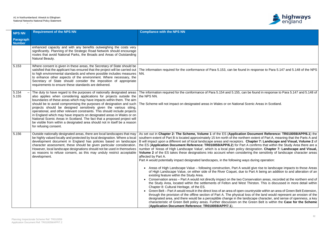

and in response to Para 5.147 and 5.148 of the NPS

can be found in response to Para 5.147 and 5.148 of

al Scenic Areas in Scotland.

ion Document Reference: TR010059/APP/6.1) the ithern extent of Part A, meaning that the Parts A and rs. Chapter 7: Landscape and Visual, Volume 2 of <sup>2</sup> art A confirms that within the Study Area there are a cy designation. Chapter 7: Landscape and Visual, **Bidering the sensitivity of landscape character areas** 

ways during operation:

would give rise to landscape impacts to those Areas Le to Part A being an addition to and alteration of an

Conservation areas, recorded at the northern end of est Thirston. This is discussed in more detail within

en countryside within an area of Green Belt Extension, al loss of the land would represent an erosion of the landscape character, and sense of openness, a key the Green Belt is within the **Case for the Scheme** 

| <b>NPS NN</b>                     | <b>Requirement of the NPS NN</b>                                                                                                                                                                                                                                                                                                                                                                                                                                                                                                                                                                                                                                                                           | <b>Compliance with the NPS NN</b>                                                                                                                                                                                                                                                                                                                                                                                                                                                                                                                                                                                                                                                                                                                                                                                                                                                                                                                                                                                                                                                                                                                                                                                                                                                |
|-----------------------------------|------------------------------------------------------------------------------------------------------------------------------------------------------------------------------------------------------------------------------------------------------------------------------------------------------------------------------------------------------------------------------------------------------------------------------------------------------------------------------------------------------------------------------------------------------------------------------------------------------------------------------------------------------------------------------------------------------------|----------------------------------------------------------------------------------------------------------------------------------------------------------------------------------------------------------------------------------------------------------------------------------------------------------------------------------------------------------------------------------------------------------------------------------------------------------------------------------------------------------------------------------------------------------------------------------------------------------------------------------------------------------------------------------------------------------------------------------------------------------------------------------------------------------------------------------------------------------------------------------------------------------------------------------------------------------------------------------------------------------------------------------------------------------------------------------------------------------------------------------------------------------------------------------------------------------------------------------------------------------------------------------|
| <b>Paragraph</b><br><b>Number</b> |                                                                                                                                                                                                                                                                                                                                                                                                                                                                                                                                                                                                                                                                                                            |                                                                                                                                                                                                                                                                                                                                                                                                                                                                                                                                                                                                                                                                                                                                                                                                                                                                                                                                                                                                                                                                                                                                                                                                                                                                                  |
|                                   | enhanced capacity and with any benefits outweighing the costs very<br>significantly. Planning of the Strategic Road Network should encourage<br>routes that avoid National Parks, the Broads and Areas of Outstanding<br>Natural Beauty.                                                                                                                                                                                                                                                                                                                                                                                                                                                                   |                                                                                                                                                                                                                                                                                                                                                                                                                                                                                                                                                                                                                                                                                                                                                                                                                                                                                                                                                                                                                                                                                                                                                                                                                                                                                  |
| 5.153                             | Where consent is given in these areas, the Secretary of State should be<br>satisfied that the applicant has ensured that the project will be carried out<br>to high environmental standards and where possible includes measures<br>to enhance other aspects of the environment. Where necessary, the<br>Secretary of State should consider the imposition of appropriate<br>requirements to ensure these standards are delivered.                                                                                                                                                                                                                                                                         | The information required for the conformance of Para 5.153, can be fou<br>NN.                                                                                                                                                                                                                                                                                                                                                                                                                                                                                                                                                                                                                                                                                                                                                                                                                                                                                                                                                                                                                                                                                                                                                                                                    |
| 5.154<br>5.155                    | The duty to have regard to the purposes of nationally designated areas<br>also applies when considering applications for projects outside the<br>boundaries of these areas which may have impacts within them. The aim<br>should be to avoid compromising the purposes of designation and such<br>projects should be designed sensitively given the various siting,<br>operational, and other relevant constraints. This should include projects<br>in England which may have impacts on designated areas in Wales or on<br>National Scenic Areas in Scotland. The fact that a proposed project will<br>be visible from within a designated area should not in itself be a reason<br>for refusing consent. | The information required for the conformance of Para 5.154 and 5.155, or<br>the NPS NN.<br>The Scheme will not impact on designated areas in Wales or on Nationa                                                                                                                                                                                                                                                                                                                                                                                                                                                                                                                                                                                                                                                                                                                                                                                                                                                                                                                                                                                                                                                                                                                 |
| 5.156                             | Outside nationally designated areas, there are local landscapes that may<br>be highly valued locally and protected by local designation. Where a local<br>development document in England has policies based on landscape<br>character assessment, these should be given particular consideration.<br>However, local landscape designations should not be used in themselves<br>as reasons to refuse consent, as this may unduly restrict acceptable<br>development.                                                                                                                                                                                                                                       | As set out in Chapter 2: The Scheme, Volume 1 of the ES (Applicati<br>southern extent of Part B is located approximately 15 km north of the nor<br>B will impact upon a different set of local landscape areas and receptors<br>the ES (Application Document Reference: TR010059/APP/6.2) for Pa<br>number of 'Areas of High Landscape Value', which is a local plan polic<br><b>Volume 2</b> of the ES takes these designations into account when cons<br>affected by Part A.<br>Part A would potentially impact designated landscapes, in the following<br>• Areas of High Landscape Value - following construction, Part A v<br>of High Landscape Value, on either side of the River Coquet, du<br>existing feature within the Study Area.<br>Conservation areas - Part A would not directly impact on the two<br>the Study Area, located within the settlements of Felton and We<br>Chapter 8: Cultural Heritage, of the ES.<br>Green Belt – Part A would result in the direct loss of an area of oper<br>through the provision of the offline section of Part A. The physical<br>designated area, and there would be a perceptible change in the<br>characteristic of Green Belt policy areas. Further discussion on<br>(Application Document Reference: TR010059/APP/7.1). |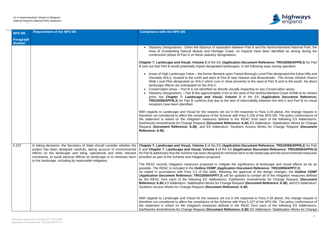

en Part A and the Northumberland National Park, the mpacts have been identified as arising during the

**Document Reference: TR010059/APP/6.3) for Part** In the following ways during operation:

d Borough Local Plan designated the Kyloe Hills and anton and Brownieside. The former Alnwick District hity to the west of Part B and to the south. No direct

npacting on any Conservation areas;

est of the Northumberland Coast AONB at its closest of the ES (Application Document Reference: **TR0103** itervisibility between the AHLV and Part B no visual

esponse to Para 4.28 above, the change request is ara 5.156 of the NPS NN. The policy conformance of REAC from each of the following ES Addendums: 6.36) ES Addendum: Stabilisation Works for Change Request (**Document Reference: 6.38**); and ES Addendum: Southern Access Works for Change Request (**Document**

**Document Reference: TR010059/APP/6.2) for Part cation Document Reference: TR010059/APP/6.3)** rm to the landscape and the environmental measures

nificance of landscape and visual effects as far as **possible. TR010059/APP/7.3)** 

pproval of the design changes, the **Outline CEMP**  $\dot{h}$  ted to contain all of the mitigation measures defined ks Amendments for Change Request (Document **Reference: 6.38**); and ES Addendum: Stabilisation More request (Document Reference: 6.38); and ES Addendum:

esponse to Para 4.28 above, the change request is ara 5.157 of the NPS NN. The policy conformance of REAC from each of the following ES Addendums: 6.36) ES Addendum: Stabilisation Works for Change

| <b>NPS NN</b>              | <b>Requirement of the NPS NN</b>                                                                                                                                                                       | <b>Compliance with the NPS NN</b>                                                                                                                                                                                                                                                                                                                                                                                                                                                                                                                                                                                                                                                                                                                                                                                                                                                                                                                                                                                   |
|----------------------------|--------------------------------------------------------------------------------------------------------------------------------------------------------------------------------------------------------|---------------------------------------------------------------------------------------------------------------------------------------------------------------------------------------------------------------------------------------------------------------------------------------------------------------------------------------------------------------------------------------------------------------------------------------------------------------------------------------------------------------------------------------------------------------------------------------------------------------------------------------------------------------------------------------------------------------------------------------------------------------------------------------------------------------------------------------------------------------------------------------------------------------------------------------------------------------------------------------------------------------------|
| Paragraph<br><b>Number</b> |                                                                                                                                                                                                        |                                                                                                                                                                                                                                                                                                                                                                                                                                                                                                                                                                                                                                                                                                                                                                                                                                                                                                                                                                                                                     |
|                            |                                                                                                                                                                                                        | • Statutory Designations - Given the distance of separation between Pa<br>Area of Outstanding Natural Beauty and Heritage Coast, no impa<br>construction phase of Part A on these statutory designations.                                                                                                                                                                                                                                                                                                                                                                                                                                                                                                                                                                                                                                                                                                                                                                                                           |
|                            |                                                                                                                                                                                                        | Chapter 7: Landscape and Visual, Volume 3 of the ES (Application Docu<br>B sets out that Part B would potentially impact designated landscapes, in the                                                                                                                                                                                                                                                                                                                                                                                                                                                                                                                                                                                                                                                                                                                                                                                                                                                              |
|                            |                                                                                                                                                                                                        | • Areas of High Landscape Value – the former Berwick-upon-Tweed Bo<br>Glendale AHLV, located to the north and west of Part B near Glantor<br>Wide Local Plan designated an AHLV which runs in close proximity to<br>landscape effects are anticipated on the AHLV.<br>Conservation areas - Part B is not identified as directly visually impactly<br>• Statutory Designations – Part B lies approximately 3 km to the west of<br>point, but Chapter 7: Landscape and Visual, Volume 3 of t<br><b>TR010059/APP/6.3)</b> for Part B confirms that due to the lack of interv<br>receptors have been identified.<br>With regards to Landscape and Visual for the reasons set out in the respo<br>therefore not considered to affect the compliance of the Scheme with Para 5<br>the statement is reliant on the mitigation measures defined in the REAC<br>Earthworks Amendments for Change Request (Document Reference: 6.36)<br>Request (Document Reference: 6.38); and ES Addendum: Southern Ad<br>Reference: 6.40). |
| 5.157                      | effects on the landscape and siting, operational and other relevant<br>constraints, to avoid adverse effects on landscape or to minimise harm<br>to the landscape, including by reasonable mitigation. | In taking decisions, the Secretary of State should consider whether the   Chapter 7: Landscape and Visual, Volume 2 of the ES (Application Docu<br>project has been designed carefully, taking account of environmental   A and Chapter 7: Landscape and Visual, Volume 3 of the ES (Application<br>for Part B addresses how the Scheme has been designed to minimise harm to<br>provided as part of the Scheme and mitigation proposed.<br>The REAC records mitigation measures proposed to mitigate the significant<br>possible. The REAC is included in the Outline CEMP (Application Docume<br>As stated in accordance with Para 3.2 of this table, following the approv<br>(Application Document Reference: TR010059/APP/7.3) will be updated to<br>by the REAC from each of the following ES Addendums: Earthworks A<br>Reference: 6.36) ES Addendum: Stabilisation Works for Change Request (D<br>Southern Access Works for Change Request (Document Reference: 6.40).                                       |
|                            |                                                                                                                                                                                                        | With regards to Landscape and Visual for the reasons set out in the respo<br>therefore not considered to affect the compliance of the Scheme with Para 5<br>the statement is reliant on the mitigation measures defined in the REAC<br>Earthworks Amendments for Change Request (Document Reference: 6.36)                                                                                                                                                                                                                                                                                                                                                                                                                                                                                                                                                                                                                                                                                                          |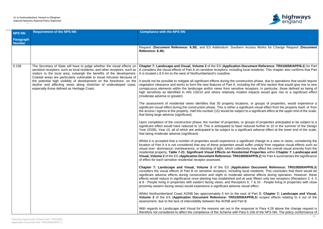### A1 in Northumberland: Alnwick to Ellingham National Networks National Policy Statement Accordance Table



Request (**Document Reference: 6.38**); and ES Addendum: Southern Access Works for Change Request (**Document**

**Document Reference: TR010059/APP/6.2) for Part** local residents. This chapter also confirms that Part

truction phase, due to operations that would require uding the off-line section that would give rise to new e receptors. In particular, those defined as being of est impacts would give rise to a significant effect

ions, or groups of properties, would experience a gnificant visual effect from the property itself, or from ct to a significant effect at the upper end of the scale,

r groups of properties anticipated to be subject to a reduced further to 10 in the summer of the Design  $\alpha$  nificant adverse effect at the lower end of the scale.

gnificant change to a view or views, considering the of suffer unduly from negative visual effects such as tively may affect the overall visual amenity from the **ntial Properties within Chapter 7: Landscape and 059/APP/6.2**) for Part A summarises the significance

**Chapter 7: Landscape and Visual, Volume 3** of the ES (**Application Document Reference: TR010059/APP/6.3**) local residents. This concludes that there would be adverse effects during operation. However, these at year fifteen only two receptors (Receptors 3, 4, 5 ors 6, 7 & 10 - People living in properties with close visual effect.

ast of Part B, Chapter 7: Landscape and Visual. **9/APP/6.3**) scopes effects relating to it out of the

esponse to Para 4.28 above the change request is ara 5.158 of the NPS NN. The policy conformance of

| <b>NPS NN</b>                     | <b>Requirement of the NPS NN</b>                                                                                                                                                                                                                                                                                                                                                                                                                                                                        | <b>Compliance with the NPS NN</b>                                                                                                                                                                                                                                                                                                                                                                                                                                                                                                                                                                                                                                                                                                                                                                                                                                                                                                                                                                                                                                                                                                                                                                                                                                                                                                                                                                                                                                                                                                                                                                                                                                                                                                                                                                                                                                                                                                                                                                                                                                                                                                                                                                                                                                                                                                                                                                                                                                                                                              |
|-----------------------------------|---------------------------------------------------------------------------------------------------------------------------------------------------------------------------------------------------------------------------------------------------------------------------------------------------------------------------------------------------------------------------------------------------------------------------------------------------------------------------------------------------------|--------------------------------------------------------------------------------------------------------------------------------------------------------------------------------------------------------------------------------------------------------------------------------------------------------------------------------------------------------------------------------------------------------------------------------------------------------------------------------------------------------------------------------------------------------------------------------------------------------------------------------------------------------------------------------------------------------------------------------------------------------------------------------------------------------------------------------------------------------------------------------------------------------------------------------------------------------------------------------------------------------------------------------------------------------------------------------------------------------------------------------------------------------------------------------------------------------------------------------------------------------------------------------------------------------------------------------------------------------------------------------------------------------------------------------------------------------------------------------------------------------------------------------------------------------------------------------------------------------------------------------------------------------------------------------------------------------------------------------------------------------------------------------------------------------------------------------------------------------------------------------------------------------------------------------------------------------------------------------------------------------------------------------------------------------------------------------------------------------------------------------------------------------------------------------------------------------------------------------------------------------------------------------------------------------------------------------------------------------------------------------------------------------------------------------------------------------------------------------------------------------------------------------|
| <b>Paragraph</b><br><b>Number</b> |                                                                                                                                                                                                                                                                                                                                                                                                                                                                                                         |                                                                                                                                                                                                                                                                                                                                                                                                                                                                                                                                                                                                                                                                                                                                                                                                                                                                                                                                                                                                                                                                                                                                                                                                                                                                                                                                                                                                                                                                                                                                                                                                                                                                                                                                                                                                                                                                                                                                                                                                                                                                                                                                                                                                                                                                                                                                                                                                                                                                                                                                |
|                                   |                                                                                                                                                                                                                                                                                                                                                                                                                                                                                                         | Request (Document Reference: 6.38); and ES Addendum: Southern A<br>Reference: 6.40).                                                                                                                                                                                                                                                                                                                                                                                                                                                                                                                                                                                                                                                                                                                                                                                                                                                                                                                                                                                                                                                                                                                                                                                                                                                                                                                                                                                                                                                                                                                                                                                                                                                                                                                                                                                                                                                                                                                                                                                                                                                                                                                                                                                                                                                                                                                                                                                                                                           |
| 5.158                             | The Secretary of State will have to judge whether the visual effects on<br>sensitive receptors, such as local residents, and other receptors, such as<br>visitors to the local area, outweigh the benefits of the development.<br>Coastal areas are particularly vulnerable to visual intrusion because of<br>the potential high visibility of development on the foreshore, on the<br>skyline and affecting views along stretches of undeveloped coast,<br>especially those defined as Heritage Coast. | Chapter 7: Landscape and Visual, Volume 2 of the ES (Application Doc<br>A considers the visual effects of Part A on sensitive receptors, including loc<br>A is located c.8.5 km to the west of Northumberland's coastline.<br>It would not be possible to mitigate all significant effects during the construct<br>vegetation clearance and works to form the new features of Part A, includir<br>conspicuous elements within the landscape and/or views from sensitive re<br>high sensitivity as identified in IAN 135/10 and where relatively modest<br>(moderate adverse or greater).<br>The assessment of residential views identifies that 30 property locations<br>significant visual effect during the construction phase. This is either a signifi<br>the access / egress to the property. Half this number (15) would be subject to<br>that being large adverse (significant).<br>Upon completion of the construction phase, the number of properties, or go<br>significant effect would have reduced to 19. This is anticipated to have red<br>Year (2039), Year 15, all of which are anticipated to be subject to a signific<br>that being moderate adverse (significant).<br>Whilst it is accepted that a number of properties would experience a signifi<br>location of Part A it is not considered that any of these properties would su<br>visual over-dominance, overbearance, or blocking of light, which collective<br>residential property. Table 7-21: Significant Visual Effects on Residentia<br>Visual, Volume 2 of the ES (Application Document Reference: TR010059<br>of effect for each sensitive residential receptor assessed.<br>Chapter 7: Landscape and Visual, Volume 3 of the ES (Application<br>considers the visual effects of Part B on sensitive receptors, including local<br>significant adverse effects during construction and slight to moderate ad<br>effects would reduce in significance once planting has established and at y<br>& 8 - People living in properties with eastern facing views; and Receptors<br>proximity eastern facing views) would experience a significant adverse visu<br>Whilst Northumberland Coast AONB lies approximately 5 km to the east<br>Volume 3 of the ES (Application Document Reference: TR010059/Al<br>assessment, due to the lack of intervisibility between the AONB and Part B.<br>With regards to Landscape and Visual for the reasons set out in the resp<br>therefore not considered to affect the compliance of the Scheme with Para ! |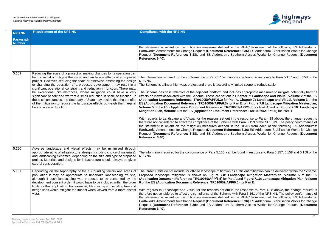#### A1 in Northumberland: Alnwick to Ellingham National Networks National Policy Statement Accordance Table



the Statement is reliant in the mitian measures in the Statement in the REAC from each of the following ES Addendums: **i.36) ES Addendum: Stabilisation Works for Change** Request (**Document Reference: 6.38**); and ES Addendum: Southern Access Works for Change Request (**Document**

e found in response to Para 5.157 and 5.158 of the

I scope to reduce scale.

appropriate measures to mitigate potentially harmful oter 7: Landscape and Visual, Volume 2 of the ES **hapter 7: Landscape and Visual, Volume 3** of the **O.** Figure 7.8 Landscape Mitigation Masterplan, **PP/6.5**) for Part A and on Figure 7.10: Landscape **Ce: TR010059/APP/6.6**) for Part B.

esponse to Para 4.28 above, the change request is ara 5.159 of the NPS NN. The policy conformance of REAC from each of the following ES Addendums: 6.36) ES Addendum: Stabilisation Works for Change Request (**Document Reference: 6.38**); and ES Addendum: Southern Access Works for Change Request (**Document**

 $nd$  in response to Para 5.157, 5.158 and 5.159 of the

cient mitigation can be delivered within the Scheme. Proposed Mitigation Masterplan, Volume 5 of the ES **Figure 7.10: Landscape Mitigation Plan, Volume** or Part B.

esponse to Para 4.28 above, the change request is ara 5.161 of the NPS NN. The policy conformance of REAC from each of the following ES Addendums: **6.36) ES Addendum: Stabilisation Works for Change Reference** Request (**Document Reference: 6.38**); and ES Addendum: Southern Access Works for Change Request (**Document**

| <b>NPS NN</b>              | <b>Requirement of the NPS NN</b>                                                                                                                                                                                                                                                                                                                                                                                                                                                                                                                                                                                                                                                                                      | <b>Compliance with the NPS NN</b>                                                                                                                                                                                                                                                                                                                                                                                                                                                                                                                                                                                                                                                                                                                                                                                                                                                                                                                                                            |
|----------------------------|-----------------------------------------------------------------------------------------------------------------------------------------------------------------------------------------------------------------------------------------------------------------------------------------------------------------------------------------------------------------------------------------------------------------------------------------------------------------------------------------------------------------------------------------------------------------------------------------------------------------------------------------------------------------------------------------------------------------------|----------------------------------------------------------------------------------------------------------------------------------------------------------------------------------------------------------------------------------------------------------------------------------------------------------------------------------------------------------------------------------------------------------------------------------------------------------------------------------------------------------------------------------------------------------------------------------------------------------------------------------------------------------------------------------------------------------------------------------------------------------------------------------------------------------------------------------------------------------------------------------------------------------------------------------------------------------------------------------------------|
| Paragraph<br><b>Number</b> |                                                                                                                                                                                                                                                                                                                                                                                                                                                                                                                                                                                                                                                                                                                       |                                                                                                                                                                                                                                                                                                                                                                                                                                                                                                                                                                                                                                                                                                                                                                                                                                                                                                                                                                                              |
|                            |                                                                                                                                                                                                                                                                                                                                                                                                                                                                                                                                                                                                                                                                                                                       | the statement is reliant on the mitigation measures defined in the R<br>Earthworks Amendments for Change Request (Document Reference: 6<br>Request (Document Reference: 6.38); and ES Addendum: Southern<br>Reference: 6.40).                                                                                                                                                                                                                                                                                                                                                                                                                                                                                                                                                                                                                                                                                                                                                                |
| 5.159                      | Reducing the scale of a project or making changes to its operation can<br>help to avoid or mitigate the visual and landscape effects of a proposed<br>project. However, reducing the scale or otherwise amending the design<br>or changing the operation of a proposed development may result in a<br>significant operational constraint and reduction in function. There may,<br>be exceptional circumstances, where mitigation could have a very<br>significant benefit and warrant a small reduction in scale or function. In<br>these circumstances, the Secretary of State may decide that the benefits<br>of the mitigation to reduce the landscape effects outweigh the marginal<br>loss of scale or function. | The information required for the conformance of Para 5.159, can also be<br>NPS NN.<br>The Scheme is a linear highways project and there is accordingly limited<br>The Scheme design is reflective of the adjacent landform and includes a<br>effects on views associated with the Scheme. These are set out in Chap<br>(Application Document Reference: TR010059/APP/6.2) for Part A, Cl<br>ES (Application Document Reference: TR010059/APP/6.3) for Part B,<br>Volume 5 of the ES (Application Document Reference: TR010059/Al<br>Mitigation Plan, Volume 6 of the ES (Application Document Referend<br>With regards to Landscape and Visual for the reasons set out in the re<br>therefore not considered to affect the compliance of the Scheme with Pa<br>the statement is reliant on the mitigation measures defined in the R<br>Earthworks Amendments for Change Request (Document Reference: 6<br>Request (Document Reference: 6.38); and ES Addendum: Southern<br>Reference: 6.40). |
| 5.160                      | Adverse landscape and visual effects may be minimised through<br>appropriate siting of infrastructure, design (including choice of materials).<br>and landscaping Schemes, depending on the size and type of proposed<br>project. Materials and designs for infrastructure should always be given<br>careful consideration.                                                                                                                                                                                                                                                                                                                                                                                           | The information required for the conformance of Para 5.160, can be foun<br>NPS NN.                                                                                                                                                                                                                                                                                                                                                                                                                                                                                                                                                                                                                                                                                                                                                                                                                                                                                                           |
| 5.161                      | Depending on the topography of the surrounding terrain and areas of<br>population it may be appropriate to undertake landscaping off site,<br>although if such landscaping was proposed to be consented by the<br>development consent order, it would have to be included within the order<br>limits for that application. For example, filling in gaps in existing tree and<br>hedge lines would mitigate the impact when viewed from a more distant<br>vista.                                                                                                                                                                                                                                                       | The Order Limits do not include for off-site landscape mitigation as suffic<br>Proposed landscape mitigation is shown on Figure 7.8: Landscap<br>(Application Document Reference: TR010059/APP/6.5) for Part A and<br>6 of the ES (Application Document Reference: TR010059/APP/6.6) fo<br>With regards to Landscape and Visual for the reasons set out in the re<br>therefore not considered to affect the compliance of the Scheme with Pa<br>the statement is reliant on the mitigation measures defined in the R<br>Earthworks Amendments for Change Request (Document Reference: 6<br>Request (Document Reference: 6.38); and ES Addendum: Southern<br>Reference: 6.40).                                                                                                                                                                                                                                                                                                                |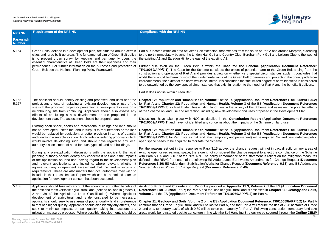

n the south of Part A and around Morpeth, extending Burgham Park Golf and Leisure Club to the west of

**E** Scheme (Application Document Reference: potential harm to the Green Belt arising from the very special circumstances apply. It concludes that Belt (openness and protecting the countryside from at the limited degree of harm identified is considered to the need for Part A and the benefits it delivers.

**Cation Document Reference: TR010059/APP/6.2) 3** of the ES (Application Document Reference: y of the Scheme and assesses the potential effects and uses proposed in the Development Plan.

**tion Report (Application Document Reference:** acts of the Scheme on land use.

**Cation Document Reference: TR010059/APP/6.2) 3** of the ES (Application Document Reference: anent) will be required. No land designated as public

ge request will not impact directly on any areas of ge request to affect the compliance of the Scheme the statement is reliant on the mitigation measures orks Amendments for Change Request (Document **Reference: 6.38**); and ES Addendum: **Stabilished Reference: 6.38**); and ES Addendum:

**11.3, Volume 7** of the ES (Application Document **nd is assessed in Chapter 11: Geology and Soils, P/6.2**) for Part A.

**Cument Reference: TR010059/APP/6.2) for Part A** Part A will require the use of 2.28 hectares of Grade Part A. Following construction, temporary land take **Strategy (to be secured through the Outline CEMP** 

| <b>NPS NN</b>              | <b>Requirement of the NPS NN</b>                                                                                                                                                                                                                                                                                                                                                                                                                                                                                                                                                                                                                                                                                                                                                                                                                                                                                                                                                                                                                                                                                                                                                                                                                                                                                                                                                                                                                                                        | <b>Compliance with the NPS NN</b>                                                                                                                                                                                                                                                                                                                                                                                                                                                                                                                                                                                                                                                                                                                                                                                                                                                                                                                                                                                                                                                                                                                                                                                                                     |
|----------------------------|-----------------------------------------------------------------------------------------------------------------------------------------------------------------------------------------------------------------------------------------------------------------------------------------------------------------------------------------------------------------------------------------------------------------------------------------------------------------------------------------------------------------------------------------------------------------------------------------------------------------------------------------------------------------------------------------------------------------------------------------------------------------------------------------------------------------------------------------------------------------------------------------------------------------------------------------------------------------------------------------------------------------------------------------------------------------------------------------------------------------------------------------------------------------------------------------------------------------------------------------------------------------------------------------------------------------------------------------------------------------------------------------------------------------------------------------------------------------------------------------|-------------------------------------------------------------------------------------------------------------------------------------------------------------------------------------------------------------------------------------------------------------------------------------------------------------------------------------------------------------------------------------------------------------------------------------------------------------------------------------------------------------------------------------------------------------------------------------------------------------------------------------------------------------------------------------------------------------------------------------------------------------------------------------------------------------------------------------------------------------------------------------------------------------------------------------------------------------------------------------------------------------------------------------------------------------------------------------------------------------------------------------------------------------------------------------------------------------------------------------------------------|
| Paragraph<br><b>Number</b> |                                                                                                                                                                                                                                                                                                                                                                                                                                                                                                                                                                                                                                                                                                                                                                                                                                                                                                                                                                                                                                                                                                                                                                                                                                                                                                                                                                                                                                                                                         |                                                                                                                                                                                                                                                                                                                                                                                                                                                                                                                                                                                                                                                                                                                                                                                                                                                                                                                                                                                                                                                                                                                                                                                                                                                       |
| 5.164                      | Green Belts, defined in a development plan, are situated around certain<br>cities and large built-up areas. The fundamental aim of Green Belt policy<br>is to prevent urban sprawl by keeping land permanently open; the<br>essential characteristics of Green Belts are their openness and their<br>permanence. For further information on the purposes and protection of<br>Green Belt see the National Planning Policy Framework.                                                                                                                                                                                                                                                                                                                                                                                                                                                                                                                                                                                                                                                                                                                                                                                                                                                                                                                                                                                                                                                    | Part A is located within an area of Green Belt extension, that extends from the<br>to the north immediately beyond the Lindon Hall Golf and Country Club, Bur<br>the existing A1 and Earsdon Hill to the east of the existing A1.<br>Further discussion on the Green Belt is within the Case for the S<br><b>TR010059/APP/7.1</b> ). The Case for the Scheme considers the extent of po<br>construction and operation of Part A and provides a view on whether very<br>whilst there would be harm to two of the fundamental aims of the Green Belt<br>encroachment), the extent of the harm would be limited. It is concluded that the<br>to be outweighed by the very special circumstances that exist in relation to the<br>Part B does not lie within Green Belt.                                                                                                                                                                                                                                                                                                                                                                                                                                                                                  |
| 5.165<br>5.167             | The applicant should identify existing and proposed land uses near the<br>project, any effects of replacing an existing development or use of the<br>site with the proposed project or preventing a development or use on a<br>neighbouring site from continuing. Applicants should also assess any<br>effects of precluding a new development or use proposed in the<br>development plan. The assessment should be proportionate.<br>Existing open space, sports and recreational buildings and land should<br>not be developed unless the land is surplus to requirements or the loss<br>would be replaced by equivalent or better provision in terms of quantity<br>and quality in a suitable location. Applicants considering proposals which<br>would involve developing such land should have regard to any local<br>authority's assessment of need for such types of land and buildings.<br>During any pre-application discussions with the applicant, the local<br>planning authority should identify any concerns it has about the impacts<br>of the application on land-use, having regard to the development plan<br>and relevant applications, and including, where relevant, whether it<br>agrees with any independent assessment that the land is surplus to<br>requirements. These are also matters that local authorities may wish to<br>include in their Local Impact Report which can be submitted after an<br>application for development consent has been accepted. | Chapter 12: Population and Human Health, Volume 2 of the ES (Applicati<br>for Part A and Chapter 12: Population and Human Health, Volume 3 o<br>TR010059/APP/6.3) for Part B identifies existing land uses in the vicinity of<br>of the Scheme on land use and recreation, including new development and u<br>Discussions have taken place with NCC as detailed in the <b>Consultation</b><br><b>TR010059/APP/5.1</b> ) and have not identified any concerns about the impacts<br>Chapter 12: Population and Human Health, Volume 2 of the ES (Application<br>for Part A and Chapter 12: Population and Human Health, Volume 3 of<br><b>TR010059/APP/6.3)</b> for Part B states that land take (temporary and permane<br>open space needs to be acquired to facilitate the Scheme.<br>For the reasons set out in the response to Para 3.15 above, the change r<br>existing open or recreational space, therefore it not considered the change<br>with Para 5.165 and 5.167 of the NPS NN. The policy conformance of the<br>defined in the REAC from each of the following ES Addendums: Earthworks<br>Reference: 6.36) ES Addendum: Stabilisation Works for Change Request (D<br>Southern Access Works for Change Request (Document Reference: 6.40). |
| 5.168                      | Applicants should take into account the economic and other benefits of<br>the best and most versatile agricultural land (defined as land in grades 1,<br>2 and 3a of the Agricultural Land Classification). Where significant<br>development of agricultural land is demonstrated to be necessary,<br>applicants should seek to use areas of poorer quality land in preference<br>to that of a higher quality. Applicants should also identify any effects, and<br>seek to minimise impacts, on soil quality, taking into account any<br>mitigation measures proposed. Where possible, developments should be                                                                                                                                                                                                                                                                                                                                                                                                                                                                                                                                                                                                                                                                                                                                                                                                                                                                           | An Agricultural Land Classification Report is provided at Appendix 11.3<br>Reference: TR010059/APP/6.7) for Part A and the loss of agricultural land i<br>Volume 2 of the ES (Application Document Reference: TR010059/APP/6<br>Chapter 11: Geology and Soils, Volume 2 of the ES (Application Docum<br>confirms that no Grade 1 agricultural land will be lost to Part A, and that Part<br>2 land on a temporary basis, of which 0.69 will be taken permanently for Par<br>areas would be reinstated back to agriculture in line with the Soil Handling Str                                                                                                                                                                                                                                                                                                                                                                                                                                                                                                                                                                                                                                                                                          |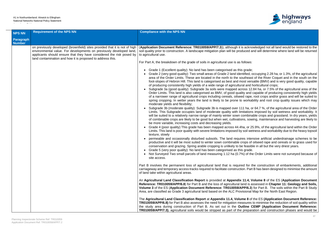#### A1 in Northumberland: Alnwick to Ellingham National Networks National Policy Statement Accordance Table



is acknowledged not all land would be restored to the duced and will determine where land will be returned

ntified, occupying 2.28 ha, or 1.3%, of the agricultural outheast of the River Coquet and in the south on the host versatile (BMV) and is very good quality, capable ral and horticultural crops;

ross 12.84 ha, or 7.5% of the agricultural area of the lity and capable of producing consistently high yields ed rape, root crops and/or grass and will be suited to p workability and root crop quality issues which may

11 ha, or 64.7 %, of the agricultural area of the Order mitations imposed by soil wetness and workability. It combinable crops and grassland. In dry years, yields ons, sowing, maintenance and harvesting are likely to

ha, or 25.9%, of the agricultural land within the Order soil wetness and workability due to the heavy topsoil

res intensive artificial underdrainage schemes to be crops of oilseed rape and cereals or to grass used for e feasible in all but the very driest years. is grade.

%) of the Order Limits were not surveyed because of

ed for the construction of embankments, additional ion. Part B has been designed to minimise the amount

**11.4, Volume 8** of the ES (Application Document land is assessed in **Chapter 11: Geology and Soils, PP/6.3**) for Part B. The soils within the Part B Study visional Map for the North East Region.

| <b>NPS NN</b>              | <b>Requirement of the NPS NN</b>                                                                                                                                                                                                                                                        | <b>Compliance with the NPS NN</b>                                                                                                                                                                                                                                                                                                                                                                                                                                                                                                                                                                                                                                                                                                                                                                                                                                                                                                                                                                                                                                                                                                                                                                                                                                                                                                                                                                                                                                                                                                                                                                                                                                                                                             |
|----------------------------|-----------------------------------------------------------------------------------------------------------------------------------------------------------------------------------------------------------------------------------------------------------------------------------------|-------------------------------------------------------------------------------------------------------------------------------------------------------------------------------------------------------------------------------------------------------------------------------------------------------------------------------------------------------------------------------------------------------------------------------------------------------------------------------------------------------------------------------------------------------------------------------------------------------------------------------------------------------------------------------------------------------------------------------------------------------------------------------------------------------------------------------------------------------------------------------------------------------------------------------------------------------------------------------------------------------------------------------------------------------------------------------------------------------------------------------------------------------------------------------------------------------------------------------------------------------------------------------------------------------------------------------------------------------------------------------------------------------------------------------------------------------------------------------------------------------------------------------------------------------------------------------------------------------------------------------------------------------------------------------------------------------------------------------|
| Paragraph<br><b>Number</b> |                                                                                                                                                                                                                                                                                         |                                                                                                                                                                                                                                                                                                                                                                                                                                                                                                                                                                                                                                                                                                                                                                                                                                                                                                                                                                                                                                                                                                                                                                                                                                                                                                                                                                                                                                                                                                                                                                                                                                                                                                                               |
|                            | on previously developed (brownfield) sites provided that it is not of high<br>environmental value. For developments on previously developed land,<br>applicants should ensure that they have considered the risk posed by<br>land contamination and how it is proposed to address this. | (Application Document Reference: TR010059/APP/7.3)), although it is ackno<br>soil quality prior to construction. A landscape mitigation plan will be produced a<br>to agricultural use.<br>For Part A, the breakdown of the grade of soils in agricultural use is as follows:                                                                                                                                                                                                                                                                                                                                                                                                                                                                                                                                                                                                                                                                                                                                                                                                                                                                                                                                                                                                                                                                                                                                                                                                                                                                                                                                                                                                                                                 |
|                            |                                                                                                                                                                                                                                                                                         | • Grade 1 (Excellent quality): No land has been categorised as this grade;<br>Grade 2 (very good quality): Two small areas of Grade 2 land identified, or<br>area of the Order Limits. These are located in the north to the southeas<br>foot-slopes of Hebron Hill. This land is categorised as best and most vers<br>of producing consistently high yields of a wide range of agricultural and holder<br>Subgrade 3a (good quality): Subgrade 3a soils were mapped across 12.<br>Order Limits. This land is also categorised as BMV, of good quality and<br>of a narrower range of agricultural crops including cereals, oilseed rape,<br>spring cropping. In wetter years the land is likely to be prone to workal<br>moderate yields and flexibility;<br>Subgrade 3b (moderate quality): Subgrade 3b is mapped over 111 ha, o<br>Limits. This Subgrade occupies land of moderate quality with limitations<br>will be suited to a relatively narrow range of mainly winter sown combinary<br>of combinable crops are likely to be good but when wet, cultivations, sow<br>be more variable, increasing costs and decreasing yields.<br>Grade 4 (poor quality) This grade has been mapped across 44.4ha, or 2<br>Limits. This land is poor quality with severe limitations imposed by soil we<br>texture, slowly<br>permeable and occasionally disturbed subsoils. The land requires inter<br>productive and it will be most suited to winter sown combinable crops of<br>conservation and grazing. Spring arable cropping is unlikely to be feasib<br>Grade 5 (very poor quality): No land has been categorised as this grade.<br>• Not Surveyed Two small parcels of land measuring 1.12 ha (0.7%) of the<br>site access. |
|                            |                                                                                                                                                                                                                                                                                         | Part B involves the permanent loss of agricultural land that is required for the<br>carriageway and temporary access tracks required to facilitate construction. Part<br>of land take within agricultural areas.                                                                                                                                                                                                                                                                                                                                                                                                                                                                                                                                                                                                                                                                                                                                                                                                                                                                                                                                                                                                                                                                                                                                                                                                                                                                                                                                                                                                                                                                                                              |
|                            |                                                                                                                                                                                                                                                                                         | An Agricultural Land Classification Report is provided at Appendix 11.4, V<br>Reference: TR010059/APP/6.8) for Part B and the loss of agricultural land is a<br>Volume 3 of the ES (Application Document Reference: TR010059/APP/6.3)<br>Area, are classified as Grade 3 agricultural land based on the ALC Provisional                                                                                                                                                                                                                                                                                                                                                                                                                                                                                                                                                                                                                                                                                                                                                                                                                                                                                                                                                                                                                                                                                                                                                                                                                                                                                                                                                                                                       |
|                            |                                                                                                                                                                                                                                                                                         | The Agricultural Land Classification Report at Appendix 11.4, Volume 8 of<br><b>TR010059/APP/6.8)</b> for Part B also assesses the need for mitigation measures<br>the study area during construction of Part B. As set out in the Outline C<br><b>TR010050/ARRIZ 3)</b> corrigultural soils would be stripped as part of the prepare                                                                                                                                                                                                                                                                                                                                                                                                                                                                                                                                                                                                                                                                                                                                                                                                                                                                                                                                                                                                                                                                                                                                                                                                                                                                                                                                                                                         |

Ime 8 of the ES (Application Document Reference: Pasures to minimise the reduction of soil quality within the CEMP (Application Document Reference: **TR010059/APP/7.3)**, agricultural soils would be stripped as part of the preparation and construction phases and would be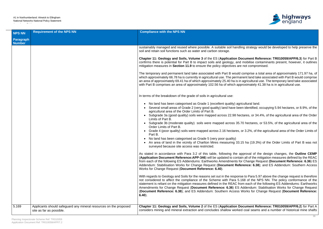

ig strategy would be developed to help preserve the

**Cument Reference: TR010059/APP/6.3** for Part B mobilise contaminants present, however, it outlines not compromised.

comprise a total area of approximately 171.97 ha, of hent land take associated with Part B would comprise. agricultural use. The temporary land take associated roximately 41.38 ha is in agricultural use.

bultural land.

n identified, occupying 5.94 hectares, or 8.9%, of the

tares, or 34.4%, of the agricultural area of the Order

0 hectares, or 53.5%, of the agricultural area of the

or 3.2%, of the agricultural area of the Order Limits of

5 ha (19.3%) of the Order Limits of Part B was not

proval of the design changes, the **Outline CEMP Application Containt Reference:** All of the REAC from Espany: Change Request (Document Reference: 6.36) ES rence: 6.38); and ES Addendum: Southern Access

to Para 5.97 above the change request is therefore 68 of the NPS NN. The policy conformance of the m each of the following  $ES$  Addendums: Earthworks **Addendum: Stabilisation Works for Change Request** Vorks for Change Request (Document Reference:

**cument Reference: TR010059/APP/6.2)** for Part A coal seams and a number of historical mine shafts

| <b>NPS NN</b>              | <b>Requirement of the NPS NN</b>                                                              | <b>Compliance with the NPS NN</b>                                                                                                                                                                                                                                                                                                                                                                                                                                                                                                                                                                                                                                                                                                                                                                                                                                                                                                                                                                                                                                                                                                                                                                                                                                                                                                                                                                                                                                                                                                                                                                                                                                                                                                                                                                                                                                                                                                                                                                                                                                                     |
|----------------------------|-----------------------------------------------------------------------------------------------|---------------------------------------------------------------------------------------------------------------------------------------------------------------------------------------------------------------------------------------------------------------------------------------------------------------------------------------------------------------------------------------------------------------------------------------------------------------------------------------------------------------------------------------------------------------------------------------------------------------------------------------------------------------------------------------------------------------------------------------------------------------------------------------------------------------------------------------------------------------------------------------------------------------------------------------------------------------------------------------------------------------------------------------------------------------------------------------------------------------------------------------------------------------------------------------------------------------------------------------------------------------------------------------------------------------------------------------------------------------------------------------------------------------------------------------------------------------------------------------------------------------------------------------------------------------------------------------------------------------------------------------------------------------------------------------------------------------------------------------------------------------------------------------------------------------------------------------------------------------------------------------------------------------------------------------------------------------------------------------------------------------------------------------------------------------------------------------|
| Paragraph<br><b>Number</b> |                                                                                               |                                                                                                                                                                                                                                                                                                                                                                                                                                                                                                                                                                                                                                                                                                                                                                                                                                                                                                                                                                                                                                                                                                                                                                                                                                                                                                                                                                                                                                                                                                                                                                                                                                                                                                                                                                                                                                                                                                                                                                                                                                                                                       |
|                            |                                                                                               | sustainably managed and reused where possible. A suitable soil handlin<br>soil and retain soil functions such as water and carbon storage.<br>Chapter 11: Geology and Soils, Volume 3 of the ES (Application Door<br>confirms there is potential for Part B to impact soils and geology, and r<br>mitigation measures in Section 11.9 to ensure the policy objectives are a<br>The temporary and permanent land take associated with Part B would c<br>which approximately 66.78 ha is currently in agricultural use. The perman<br>an area of approximately 69.41 ha of which approximately 25.40 ha is in a<br>with Part B comprises an area of approximately 102.56 ha of which appr<br>In terms of the breakdown of the grade of soils in agricultural use:<br>• No land has been categorised as Grade 1 (excellent quality) agric<br>• Several small areas of Grade 2 (very good quality) land have been<br>agricultural area of the Order Limits of Part B.<br>• Subgrade 3a (good quality) soils were mapped across 22.98 hect<br>Limits of Part B.<br>• Subgrade 3b (moderate quality) soils were mapped across 35.70<br>Order Limits of Part B.<br>• Grade 4 (poor quality) soils were mapped across 2.16 hectares, or<br>Part B.<br>No land has been categorised as Grade 5 (very poor quality)<br>An area of land in the vicinity of Charlton Mires measuring 33.15<br>surveyed because site access was restricted.<br>As stated in accordance with Para 3.2 of this table, following the app<br>(Application Document Reference: APP-346) will be updated to contain<br>from each of the following ES Addendums: Earthworks Amendments for<br>Addendum: Stabilisation Works for Change Request (Document Refer<br>Works for Change Request (Document Reference: 6.40).<br>With regards to Geology and Soils for the reasons set out in the response<br>not considered to affect the compliance of the Scheme with Para 5.16<br>statement is reliant on the mitigation measures defined in the REAC fron<br>Amendments for Change Request (Document Reference: 6.36) ES Ad |
|                            |                                                                                               | (Document Reference: 6.38); and ES Addendum: Southern Access W<br>$6.40$ ).                                                                                                                                                                                                                                                                                                                                                                                                                                                                                                                                                                                                                                                                                                                                                                                                                                                                                                                                                                                                                                                                                                                                                                                                                                                                                                                                                                                                                                                                                                                                                                                                                                                                                                                                                                                                                                                                                                                                                                                                           |
| 5.169                      | Applicants should safeguard any mineral resources on the proposed<br>site as far as possible. | Chapter 11: Geology and Soils, Volume 2 of the ES (Application Do<br>considers mining and mineral extraction and concludes shallow worked                                                                                                                                                                                                                                                                                                                                                                                                                                                                                                                                                                                                                                                                                                                                                                                                                                                                                                                                                                                                                                                                                                                                                                                                                                                                                                                                                                                                                                                                                                                                                                                                                                                                                                                                                                                                                                                                                                                                             |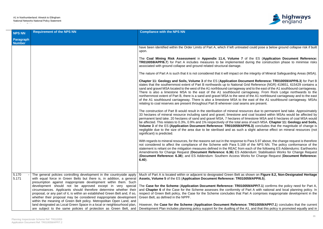

ated could pose a below ground collapse risk if built

of the ES (Application Document Reference: d during the construction phase to minimise risks

the integrity of Mineral Safeguarding Areas (MSA).

**cument Reference: TR010059/APP/6.3) for Part B** Grid Reference (NGR) 419651, 615429 contains a ay and to the east of the A1 southbound carriageway. there is arriageway. From Rock Lodge northwards to the est of the A1 northbound carriageway and to the east the east of the A1 southbound carriageway. MSAs rams are present.

sources due to permanent land take. Approximately and coal located within MSAs would be affected by of limestone MSA and 6 hectares of coal MSA would area of each MSA. **Chapter 11: Geology and Soils, PP/6.3)** concludes that the magnitude of change is neglight adverse effect on mineral resources (not

to Para 5.97 above, the change request is therefore 69 of the NPS NN. The policy conformance of the m each of the following ES Addendums: Earthworks **Addendum: Stabilisation Works for Change Request** Vorks for Change Request (**Document Reference:** 

as shown on Figure 8.2, Non-Designated Heritage **Assets Ref APP/6.5**).

**10059/APP/7.1**) confirms the policy need for Part A, of Part A with national and local planning policy. In Part A comprises inappropriate development in the

ice: TR010059/APP/7.1) concludes that the current e A1, and that this policy is promoted equally and in

| <b>NPS NN</b>              | <b>Requirement of the NPS NN</b>                                                                                                                                                                                                                                                                                                                                                                                                                                                                                                                                                                                                                                                                                                 | <b>Compliance with the NPS NN</b>                                                                                                                                                                                                                                                                                                                                                                                                                                                                                                                    |
|----------------------------|----------------------------------------------------------------------------------------------------------------------------------------------------------------------------------------------------------------------------------------------------------------------------------------------------------------------------------------------------------------------------------------------------------------------------------------------------------------------------------------------------------------------------------------------------------------------------------------------------------------------------------------------------------------------------------------------------------------------------------|------------------------------------------------------------------------------------------------------------------------------------------------------------------------------------------------------------------------------------------------------------------------------------------------------------------------------------------------------------------------------------------------------------------------------------------------------------------------------------------------------------------------------------------------------|
| Paragraph<br><b>Number</b> |                                                                                                                                                                                                                                                                                                                                                                                                                                                                                                                                                                                                                                                                                                                                  |                                                                                                                                                                                                                                                                                                                                                                                                                                                                                                                                                      |
|                            |                                                                                                                                                                                                                                                                                                                                                                                                                                                                                                                                                                                                                                                                                                                                  | have been identified within the Order Limits of Part A, which if left untrea<br>upon.                                                                                                                                                                                                                                                                                                                                                                                                                                                                |
|                            |                                                                                                                                                                                                                                                                                                                                                                                                                                                                                                                                                                                                                                                                                                                                  | The Coal Mining Risk Assessment in Appendix 11.4, Volume 7<br>TR010059/APP/6.7) for Part A includes measures to be implemented<br>associated with ground collapse and ground related structural damage.                                                                                                                                                                                                                                                                                                                                              |
|                            |                                                                                                                                                                                                                                                                                                                                                                                                                                                                                                                                                                                                                                                                                                                                  | The nature of Part A is such that it is not considered that it will impact on                                                                                                                                                                                                                                                                                                                                                                                                                                                                        |
|                            |                                                                                                                                                                                                                                                                                                                                                                                                                                                                                                                                                                                                                                                                                                                                  | Chapter 11: Geology and Soils, Volume 3 of the ES (Application Do<br>states that the southernmost extent of Part B northwards up to National<br>sand and gravel MSA located to the west of the A1 northbound carriagewa<br>There is also a limestone MSA to the east of the A1 southbound c<br>northernmost extent of Part B, there is a sand and gravel MSA to the wet<br>of the A1 southbound carriageway. There is also a limestone MSA to to<br>relating to coal reserves are present throughout Part B wherever coal se                         |
|                            |                                                                                                                                                                                                                                                                                                                                                                                                                                                                                                                                                                                                                                                                                                                                  | The construction of Part B would result in the sterilisation of mineral res<br>33 hectares of mineral resource including sand and gravel, limestone a<br>permanent land take. 20 hectares of sand and gravel MSA, 7 hectares o<br>be affected. This relates to 0.3%, 0.9% and 1% respectively of the total a<br>Volume 3 of the ES (Application Document Reference: TR010059/A<br>negligible due to the size of the area due to be sterilised and as such<br>significant) is predicted.                                                              |
|                            |                                                                                                                                                                                                                                                                                                                                                                                                                                                                                                                                                                                                                                                                                                                                  | With regards to mineral resources, for the reasons set out in the response<br>not considered to affect the compliance of the Scheme with Para 5.16<br>statement is reliant on the mitigation measures defined in the REAC fror<br>Amendments for Change Request (Document Reference: 6.36) ES A<br>(Document Reference: 6.38); and ES Addendum: Southern Access W<br>$6.40$ ).                                                                                                                                                                       |
| 5.170<br>5.171             | The general policies controlling development in the countryside apply<br>with equal force in Green Belts but there is, in addition, a general<br>presumption against inappropriate development within them. Such<br>development should not be approved except in very special<br>circumstances. Applicants should therefore determine whether their<br>proposal, or any part of it, is within an established Green Belt and, if so,<br>whether their proposal may be considered inappropriate development<br>within the meaning of Green Belt policy. Metropolitan Open Land, and<br>land designated as Local Green Space in a local or neighbourhood plan,<br>are subject to the same policies of protection as Green Belt, and | Much of Part A is located within or adjacent to designated Green Belt a<br>Assets, Volume 5 of the ES (Application Document Reference: TR01<br>The Case for the Scheme (Application Document Reference: TR01<br>and Chapter 6 of the Case for the Scheme assesses the conformity of<br>respect of Green Belt policy, the Case for the Scheme concludes that I<br>Green Belt, as defined in the NPPF.<br>However, the Case for the Scheme (Application Document Referent<br>Development Plan includes planning policy support for the dualling of the |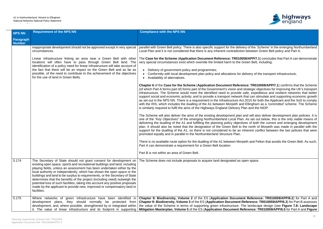

very of the 'Scheme' in the emerging Northumberland on between Green Belt policy and Part A.

**059/APP/7.1**) concludes that Part A can demonstrate Green Belt, including:

delivery of the transport infrastructure;

**Phape: TR010059/APP/7.1**) confirms that the Scheme I strategic objectives for improving the UK's transport safe, expeditious and resilient networks that better sthat can stimulate and supporting economic growth ct 2015 for both the Applicant and the SoS to comply Id Ellingham as a *'committed'* scheme. The Scheme Plan and the NIDP.

and will also deliver development plan policies. It is one of the "*Key Objectives*" of the emerging Northumberland Local Plan. As set out below, this is the only viable means of ives of both the current and emerging development the north of Morpeth was made in parallel with the inherent conflict between the two policies that were

peth and Felton that avoids the Green Belt. As such,

open space.

**Philfridger 8: Biodiversity, Chapter 22 and Example 23 (2015)** For Part A and **Reference: TR010059/APP/6.3**) for Part B assesses The landscape design (see Figure 7.8: Landscape **eference: TR010059/APP/6.5** for Part A and Figure

| <b>NPS NN</b>              | <b>Requirement of the NPS NN</b>                                                                                                                                                                                                                                                                                                                                                                                                                                                                                                                                                                                                            | <b>Compliance with the NPS NN</b>                                                                                                                                                                                                                                                                                                                                                                                                                                                                                                                                                                                                                                                                                                                                                                                                                                                                                           |
|----------------------------|---------------------------------------------------------------------------------------------------------------------------------------------------------------------------------------------------------------------------------------------------------------------------------------------------------------------------------------------------------------------------------------------------------------------------------------------------------------------------------------------------------------------------------------------------------------------------------------------------------------------------------------------|-----------------------------------------------------------------------------------------------------------------------------------------------------------------------------------------------------------------------------------------------------------------------------------------------------------------------------------------------------------------------------------------------------------------------------------------------------------------------------------------------------------------------------------------------------------------------------------------------------------------------------------------------------------------------------------------------------------------------------------------------------------------------------------------------------------------------------------------------------------------------------------------------------------------------------|
| Paragraph<br><b>Number</b> |                                                                                                                                                                                                                                                                                                                                                                                                                                                                                                                                                                                                                                             |                                                                                                                                                                                                                                                                                                                                                                                                                                                                                                                                                                                                                                                                                                                                                                                                                                                                                                                             |
|                            | inappropriate development should not be approved except in very special<br>circumstances.                                                                                                                                                                                                                                                                                                                                                                                                                                                                                                                                                   | parallel with Green Belt policy. There is also specific support for the deliv<br>Local Plan and it is not considered that there is any inherent contradictic                                                                                                                                                                                                                                                                                                                                                                                                                                                                                                                                                                                                                                                                                                                                                                |
|                            | Linear infrastructure linking an area near a Green Belt with other<br>locations will often have to pass through Green Belt land. The<br>identification of a policy need for linear infrastructure will take account of<br>the fact that there will be an impact on the Green Belt and as far as<br>possible, of the need to contribute to the achievement of the objectives<br>for the use of land in Green Belts.                                                                                                                                                                                                                          | The Case for the Scheme (Application Document Reference: TR0100<br>very special circumstances exist which override the limited harm to the O<br>• Delivery of government policy and programmes;<br>Conformity with local development plan policy and allocations for<br>Availability of alternatives.<br>Chapter 6 of the Case for the Scheme (Application Document Refere<br>(of which Part A forms part of) forms part of the Government's vision and<br>infrastructure. The Scheme would meet the identified need to provide<br>support social and economic activity; and to provide a transport network<br>as set out in the NPS NN. There is a requirement in the Infrastructure Ad<br>with the RIS, which includes the dualling of the A1 between Morpeth an<br>is similarly required to fulfil the aims of the Highways England Delivery F<br>The Scheme will also deliver the aims of the existing development plan |
|                            |                                                                                                                                                                                                                                                                                                                                                                                                                                                                                                                                                                                                                                             | one of the "Key Objectives" of the emerging Northumberland Local Plar<br>delivering the dualling of the A1 and fulfilling the planning policy objecti<br>plan. It should also be noted that the designation of the Green Belt to<br>support for the dualling of the A1, so there is not considered to be an i<br>promoted equally and in parallel in the Northumberland Structure Plan.<br>There is no available route option for the dualling of the A1 between Mor<br>Part A can demonstrate a requirement for a Green Belt location.                                                                                                                                                                                                                                                                                                                                                                                     |
|                            |                                                                                                                                                                                                                                                                                                                                                                                                                                                                                                                                                                                                                                             | Part B is not within an area of Green Belt.                                                                                                                                                                                                                                                                                                                                                                                                                                                                                                                                                                                                                                                                                                                                                                                                                                                                                 |
| 5.174                      | The Secretary of State should not grant consent for development on<br>existing open space, sports and recreational buildings and land, including<br>playing fields, unless an assessment has been undertaken either by the<br>local authority or independently, which has shown the open space or the<br>buildings and land to be surplus to requirements, or the Secretary of State<br>determines that the benefits of the project (including need) outweigh the<br>potential loss of such facilities, taking into account any positive proposals<br>made by the applicant to provide new, improved or compensatory land or<br>facilities. | The Scheme does not include proposals to acquire land designated as only the Scheme does not include proposals to acquire                                                                                                                                                                                                                                                                                                                                                                                                                                                                                                                                                                                                                                                                                                                                                                                                   |
| 5.175                      | Where networks of green infrastructure have been identified in<br>development plans, they should normally be protected from<br>development, and, where possible, strengthened by or integrated within<br>it. The value of linear infrastructure and its footprint in supporting                                                                                                                                                                                                                                                                                                                                                             | Chapter 9: Biodiversity, Volume 2 of the ES (Application Docume<br>Chapter 9: Biodiversity, Volume 3 of the ES (Application Document F<br>the value of the Scheme in terms of supporting green infrastructure. T<br>Mitigation Masterplan, Volume 5 of the ES (Application Document Re                                                                                                                                                                                                                                                                                                                                                                                                                                                                                                                                                                                                                                      |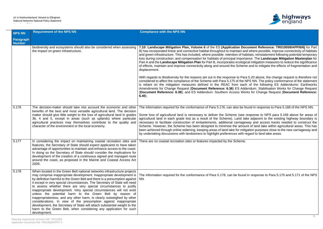Accordance Table



**Document Reference: TR010059/APP/6/6)** for Part and where possible, improve connectivity of habitats ihabitats; reinstatement following potential temporary **Dortance. The Landscape Mitigation Masterplan for** ogical mitigation measures to reduce the significance eme and to mitigate the effects of fragmentation and

Para 5.20 above, the change request is therefore not ne NPS NN. The policy conformance of the statement each of the following ES Addendums: Earthworks **Addendum: Stabilisation Works for Change Request** (**Document Reference: 6.38**); and ES Addendum: Southern Access Works for Change Request (**Document Reference:**

e found in response to Para 5.168 of the NPS NN.

e response to NPS para 5.168 above for areas of take adjacent to the existing highway boundary is geway and access tracks needed to construct the ount of land take within agricultural areas. This has hitigation purposes close to the new carriageway and th regard to land take areas.

and in response to Para 5.170 and 5.171 of the NPS

| <b>NPS NN</b>              | <b>Requirement of the NPS NN</b>                                                                                                                                                                                                                                                                                                                                                                                                                                                                                                                                                                                                                                                                                                                                                                                                    | <b>Compliance with the NPS NN</b>                                                                                                                                                                                                                                                                                                                                                                                                                                                                                                               |
|----------------------------|-------------------------------------------------------------------------------------------------------------------------------------------------------------------------------------------------------------------------------------------------------------------------------------------------------------------------------------------------------------------------------------------------------------------------------------------------------------------------------------------------------------------------------------------------------------------------------------------------------------------------------------------------------------------------------------------------------------------------------------------------------------------------------------------------------------------------------------|-------------------------------------------------------------------------------------------------------------------------------------------------------------------------------------------------------------------------------------------------------------------------------------------------------------------------------------------------------------------------------------------------------------------------------------------------------------------------------------------------------------------------------------------------|
| Paragraph<br><b>Number</b> |                                                                                                                                                                                                                                                                                                                                                                                                                                                                                                                                                                                                                                                                                                                                                                                                                                     |                                                                                                                                                                                                                                                                                                                                                                                                                                                                                                                                                 |
|                            | biodiversity and ecosystems should also be considered when assessing<br>the impact on green infrastructure.                                                                                                                                                                                                                                                                                                                                                                                                                                                                                                                                                                                                                                                                                                                         | 7.10: Landscape Mitigation Plan, Volume 6 of the ES (Application Do<br>B) has incorporated linear and connective habitat throughout to maintain an<br>and green infrastructure. This has included, where possible: retention of ha<br>loss during construction; and compensation for habitats of principal importal<br>Part A and the Landscape Mitigation Plan for Part B, incorporates ecologi<br>of effects, maintain and improve connectivity along and around the Schem<br>displacement.                                                   |
|                            |                                                                                                                                                                                                                                                                                                                                                                                                                                                                                                                                                                                                                                                                                                                                                                                                                                     | With regards to Biodiversity for the reasons set out in the response to Para<br>considered to affect the compliance of the Scheme with Para 5.175 of the N<br>is reliant on the mitigation measures defined in the REAC from each<br>Amendments for Change Request (Document Reference: 6.36) ES Add<br>(Document Reference: 6.38); and ES Addendum: Southern Access Wo<br>$6.40$ ).                                                                                                                                                            |
| 5.176                      | The decision-maker should take into account the economic and other<br>benefits of the best and most versatile agricultural land. The decision<br>maker should give little weight to the loss of agricultural land in grades<br>3b, 4 and 5, except in areas (such as uplands) where particular<br>agricultural practices may themselves contribute to the quality and<br>character of the environment or the local economy.                                                                                                                                                                                                                                                                                                                                                                                                         | The information required for the conformance of Para 5.176, can also be fo<br>Some loss of agricultural land is necessary to deliver the Scheme (see<br>agricultural land in each grade lost as a result of the Scheme). Land ta<br>necessary to facilitate construction of embankments, additional carriage<br>Scheme. However, the Scheme has been designed to minimise the amou<br>been achieved through online widening, keeping areas of land take for mitig<br>by undertaking discussions with landowners to highlight preferences with r |
| 5.177                      | In considering the impact on maintaining coastal recreation sites and<br>features, the Secretary of State should expect applicants to have taken<br>advantage of opportunities to maintain and enhance access to the coast.<br>In doing so the Secretary of State should consider the implications for<br>development of the creation of a continuous signed and managed route<br>around the coast, as proposed in the Marine and Coastal Access Act<br>2009.                                                                                                                                                                                                                                                                                                                                                                       | There are no coastal recreation sites or features impacted by the Scheme.                                                                                                                                                                                                                                                                                                                                                                                                                                                                       |
| 5.178                      | When located in the Green Belt national networks infrastructure projects<br>may comprise inappropriate development. Inappropriate development is<br>by definition harmful to the Green Belt and there is a presumption against<br>it except in very special circumstances. The Secretary of State will need<br>to assess whether there are very special circumstances to justify<br>inappropriate development. Very special circumstances will not exist<br>unless the potential harm to the Green Belt by reason of<br>inappropriateness, and any other harm, is clearly outweighed by other<br>considerations. In view of the presumption against inappropriate<br>development, the Secretary of State will attach substantial weight to the<br>harm to the Green Belt, when considering any application for such<br>development. | The information required for the conformance of Para 5.178, can be found<br>NN.                                                                                                                                                                                                                                                                                                                                                                                                                                                                 |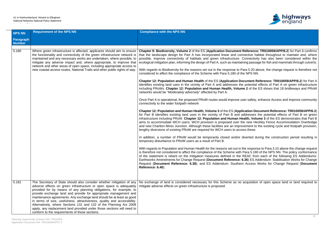#### A1 in Northumberland: Alnwick to Ellingham National Networks National Policy Statement Accordance Table



**Reference: TR010059/APP/6.2)** for Part A confirms nective habitat throughout to maintain and, where Connectivity has also been considered within the ning passage for fish and mammals through culverts.

ara 5.20 above, the change request is therefore not e NPS NN.

**Cument Reference: TR010059/APP/6.2**) for Part A potential effects of Part A on green infrastructure  $\overline{\text{he}}$  2 of the ES shows that 18 bridleways and PRoW

ser safety, enhance Access and improve community

**Cation Document Reference: TR010059/APP/6.3** ddresses the potential effects of Part B on green ealth, Volume 3 of the ES demonstrates that Part B ne new Heckley Fence Accommodation Overbridge vement to the existing cycle and footpath provision,

Inverted during the construction period resulting in

he response to Para 3.15 above the change request Para 5.180 of the NPS NN. The policy conformance REAC from each of the following ES Addendums: **i.36) ES Addendum: Stabilisation Works for Change** Request (**Document Reference: 6.38**); and ES Addendum: Southern Access Works for Change Request (**Document**

acquisition of open space land or land required to

| <b>NPS NN</b>              | <b>Requirement of the NPS NN</b>                                                                                                                                                                                                                                                                                                                                                                                                                                                                                                                                                                                                             | <b>Compliance with the NPS NN</b>                                                                                                                                                                                                                                                                                                                                                                                                                                                                                                                                                                                                                                                                                                                                                                                                                                                                                                                                                                                                                                                                                                                                                                                                                                                                                                                                                                                                                                                                                                                                                                                                                                                                                                                                                                                                                                                                                                                                                                                                                      |
|----------------------------|----------------------------------------------------------------------------------------------------------------------------------------------------------------------------------------------------------------------------------------------------------------------------------------------------------------------------------------------------------------------------------------------------------------------------------------------------------------------------------------------------------------------------------------------------------------------------------------------------------------------------------------------|--------------------------------------------------------------------------------------------------------------------------------------------------------------------------------------------------------------------------------------------------------------------------------------------------------------------------------------------------------------------------------------------------------------------------------------------------------------------------------------------------------------------------------------------------------------------------------------------------------------------------------------------------------------------------------------------------------------------------------------------------------------------------------------------------------------------------------------------------------------------------------------------------------------------------------------------------------------------------------------------------------------------------------------------------------------------------------------------------------------------------------------------------------------------------------------------------------------------------------------------------------------------------------------------------------------------------------------------------------------------------------------------------------------------------------------------------------------------------------------------------------------------------------------------------------------------------------------------------------------------------------------------------------------------------------------------------------------------------------------------------------------------------------------------------------------------------------------------------------------------------------------------------------------------------------------------------------------------------------------------------------------------------------------------------------|
| Paragraph<br><b>Number</b> |                                                                                                                                                                                                                                                                                                                                                                                                                                                                                                                                                                                                                                              |                                                                                                                                                                                                                                                                                                                                                                                                                                                                                                                                                                                                                                                                                                                                                                                                                                                                                                                                                                                                                                                                                                                                                                                                                                                                                                                                                                                                                                                                                                                                                                                                                                                                                                                                                                                                                                                                                                                                                                                                                                                        |
| 5.180                      | Where green infrastructure is affected, applicants should aim to ensure<br>the functionality and connectivity of the green infrastructure network is<br>maintained and any necessary works are undertaken, where possible, to<br>mitigate any adverse impact and, where appropriate, to improve that<br>network and other areas of open space, including appropriate access to<br>new coastal access routes, National Trails and other public rights of way.                                                                                                                                                                                 | Chapter 9: Biodiversity, Volume 2 of the ES (Application Document Reference<br>that the landscape design for Part A has incorporated linear and connective h<br>possible, improve connectivity of habitats and green infrastructure. Connective<br>ecological mitigation plan, informing the design of Part A, such as maintaining pass<br>With regards to Biodiversity for the reasons set out in the response to Para 5.20<br>considered to affect the compliance of the Scheme with Para 5.180 of the NPS N<br>Chapter 12: Population and Human Health of the ES (Application Document I<br>identifies existing land uses in the vicinity of Part A and addresses the potentia<br>including PRoWs. Chapter 12: Population and Human Health, Volume 2 of the<br>networks would be "Moderately adversely" affected by Part A.<br>Once Part A is operational, the proposed PRoW routes would improve user safety<br>connectivity to the wider footpath network<br>Chapter 12: Population and Human Health, Volume 3 of the ES (Application D<br>for Part B identifies existing land uses in the vicinity of Part B and addresses<br>infrastructure including PRoW. Chapter 12: Population and Human Health, Vol<br>aims to accommodate WCH users. WCH provision is proposed over the new H<br>and new Charlton Mires Junction. Although these facilities are an improvement to<br>lengthy diversions of existing PRoW are required for WCH users to access these.<br>In addition, a number of PRoW would be temporarily closed and/or diverted or<br>temporary disturbance to PRoW users as a result of Part B.<br>With regards to Population and Human Health for the reasons set out in the resport<br>is therefore not considered to affect the compliance of the Scheme with Para 5.18<br>of the statement is reliant on the mitigation measures defined in the REAC from<br>Earthworks Amendments for Change Request (Document Reference: 6.36) ES /<br>Request (Document Reference: 6.38); and ES Addendum: Southern Access<br>Reference: 6.40). |
| 5.181                      | The Secretary of State should also consider whether mitigation of any<br>adverse effects on green infrastructure or open space is adequately<br>provided for by means of any planning obligations, for example, to<br>provide exchange land and provide for appropriate management and<br>maintenance agreements. Any exchange land should be at least as good<br>in terms of size, usefulness, attractiveness, quality and accessibility.<br>Alternatively, where Sections 131 and 132 of the Planning Act 2008<br>apply, any replacement land provided under those sections will need to<br>conform to the requirements of those sections. | No exchange of land is considered necessary for this Scheme as no acquisition<br>mitigate adverse effects on green infrastructure is proposed.                                                                                                                                                                                                                                                                                                                                                                                                                                                                                                                                                                                                                                                                                                                                                                                                                                                                                                                                                                                                                                                                                                                                                                                                                                                                                                                                                                                                                                                                                                                                                                                                                                                                                                                                                                                                                                                                                                         |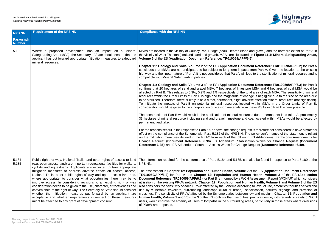#### A1 in Northumberland: Alnwick to Ellingham National Networks National Policy Statement Accordance Table



sand and gravel) and the northern extent of Part A in rated on Figure 11.4: Mineral Safeguarding Areas,

**Cument Reference: TR010059/APP/6.2) for Part A** pacts from Part A. Given the location of the existing vill lead to the sterilisation of mineral resource and is

**Cument Reference: TR010059/APP/6.3**) for Part B estone MSA and 6 hectares of coal MSA would be e total area of each MSA. The sensitivity of mineral f change is negligible due to the size of the area due adverse effect on mineral resources (not significant). cated within MSAs in the Order Limits of Part B, rom these MSAs into Part B where possible.

sources due to permanent land take. Approximately and coal located within MSAs would be affected by

equest is therefore not considered to have a material I. The policy conformance of the statement is reliant owing ES Addendums: Earthworks Amendments for Change Request (**Document Reference: 6.36**) ES Addendum: Stabilisation Works for Change Request (**Document Reference: 6.38**); and ES Addendum: Southern Access Works for Change Request (**Document Reference: 6.40**).

can also be found in response to Para 5.180 of the

**ne 2** of the ES (Application Document Reference: **TR010059/APP/6.2**) for Part A and **Chapter 12: Population and Human Health, Volume 3** of the ES (**Application Document Reference: TR010059/APP/6.3**) for Part B is informed by a WCH Assessment Report (WCHAR) which considers Human Health, Volume 2 and Volume 3 of the ES cording to level of use, amenities/facilities served and specification, barriers, signage and provision of reen low and medium. Chapter 12: Population and best practice design, with regards to safety of WCH ig areas, particularly in those areas where diversions

| <b>NPS NN</b>              | <b>Requirement of the NPS NN</b>                                                                                                                                                                                                                                                                                                                                                                                                                                                                                                                                                                                                                 | <b>Compliance with the NPS NN</b>                                                                                                                                                                                                                                                                                                                                                                                                                                                                                                                                                                                                                                                                                                                     |
|----------------------------|--------------------------------------------------------------------------------------------------------------------------------------------------------------------------------------------------------------------------------------------------------------------------------------------------------------------------------------------------------------------------------------------------------------------------------------------------------------------------------------------------------------------------------------------------------------------------------------------------------------------------------------------------|-------------------------------------------------------------------------------------------------------------------------------------------------------------------------------------------------------------------------------------------------------------------------------------------------------------------------------------------------------------------------------------------------------------------------------------------------------------------------------------------------------------------------------------------------------------------------------------------------------------------------------------------------------------------------------------------------------------------------------------------------------|
| Paragraph<br><b>Number</b> |                                                                                                                                                                                                                                                                                                                                                                                                                                                                                                                                                                                                                                                  |                                                                                                                                                                                                                                                                                                                                                                                                                                                                                                                                                                                                                                                                                                                                                       |
|                            |                                                                                                                                                                                                                                                                                                                                                                                                                                                                                                                                                                                                                                                  |                                                                                                                                                                                                                                                                                                                                                                                                                                                                                                                                                                                                                                                                                                                                                       |
| 5.182                      | Where a proposed development has an impact on a Mineral<br>Safeguarding Area (MSA), the Secretary of State should ensure that the<br>applicant has put forward appropriate mitigation measures to safeguard<br>mineral resources.                                                                                                                                                                                                                                                                                                                                                                                                                | MSAs are located in the vicinity of Causey Park Bridge (coal), Hebron (sand an<br>the vicinity of West Thirston (coal and sand and gravel). MSAs are illustrated on<br>Volume 5 of the ES (Application Document Reference: TR010059/APP/6.5).<br>Chapter 11: Geology and Soils, Volume 2 of the ES (Application Documen                                                                                                                                                                                                                                                                                                                                                                                                                               |
|                            |                                                                                                                                                                                                                                                                                                                                                                                                                                                                                                                                                                                                                                                  | concludes that MSAs are not anticipated to be subject to long-term impacts from<br>highway and the linear nature of Part A it is not considered that Part A will lead<br>compatible with Mineral Safeguarding policies                                                                                                                                                                                                                                                                                                                                                                                                                                                                                                                                |
|                            |                                                                                                                                                                                                                                                                                                                                                                                                                                                                                                                                                                                                                                                  | Chapter 11: Geology and Soils, Volume 3 of the ES (Application Documen<br>confirms that 20 hectares of sand and gravel MSA, 7 hectares of limestone I<br>affected by Part B. This relates to 0.3%, 0.9% and 1% respectively of the total<br>resources within the Order Limits of Part B is high and the magnitude of change<br>to be sterilised. Therefore, there is likely to be a direct, permanent, slight adverse<br>To mitigate the impacts of Part B on potential mineral resources located v<br>consideration would be given to the incorporation of site won materials from the                                                                                                                                                               |
|                            |                                                                                                                                                                                                                                                                                                                                                                                                                                                                                                                                                                                                                                                  | The construction of Part B would result in the sterilisation of mineral resources<br>33 hectares of mineral resource including sand and gravel, limestone and coa<br>permanent land take.                                                                                                                                                                                                                                                                                                                                                                                                                                                                                                                                                             |
|                            |                                                                                                                                                                                                                                                                                                                                                                                                                                                                                                                                                                                                                                                  | For the reasons set out in the response to Para 5.97 above, the change request<br>effect on the compliance of the Scheme with Para 5.182 of the NPS NN. The p<br>on the mitigation measures defined in the REAC from each of the following E<br>Change Request (Document Reference: 6.36) ES Addendum: Stabilisatio<br>Reference: 6.38); and ES Addendum: Southern Access Works for Change Rec                                                                                                                                                                                                                                                                                                                                                        |
| 5.184<br>5.185             | Public rights of way, National Trails, and other rights of access to land<br>(e.g. open access land) are important recreational facilities for walkers,<br>cyclists and equestrians. Applicants are expected to take appropriate                                                                                                                                                                                                                                                                                                                                                                                                                 | The information required for the conformance of Para 5.184 and 5.185, can als<br>NPS NN.                                                                                                                                                                                                                                                                                                                                                                                                                                                                                                                                                                                                                                                              |
|                            | mitigation measures to address adverse effects on coastal access,<br>National Trails, other public rights of way and open access land and,<br>where appropriate, to consider what opportunities there may be to<br>improve access. In considering revisions to an existing right of way<br>consideration needs to be given to the use, character, attractiveness and<br>convenience of the right of way. The Secretary of State should consider<br>whether the mitigation measures put forward by an applicant are<br>acceptable and whether requirements in respect of these measures<br>might be attached to any grant of development consent. | The assessment in Chapter 12: Population and Human Health, Volume 2 of<br>TR010059/APP/6.2) for Part A and Chapter 12: Population and Human I<br>Document Reference: TR010059/APP/6.3) for Part B is informed by a WCH As<br>utilisation of the existing PRoW network. Chapter 12: Population and Human<br>also considers the sensitivity of each PRoW affected by the Scheme according to<br>use by vulnerable travellers, surrounding landscape (rural or urban), specity<br>crossings. The sensitivity of PRoW affected by the Scheme varies between low<br>Human Health, Volume 2 and Volume 3 of the ES confirms that use of best pr<br>users, would improve the amenity of users of footpaths in the surrounding areas<br>of PRoW are proposed. |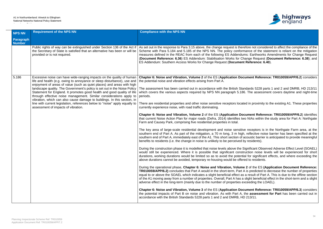## A1 in Northumberland: Alnwick to Ellingham National Networks National Policy Statement

Accordance Table



refore not considered to affect the compliance of the mance of the statement is reliant on the mitigation ams: Earthworks Amendments for Change Request hange Request (Document Reference: 6.38); and It Reference: 6.40).

# **Cument Reference: TR010059/APP/6.2) considers**

andards 5228 parts 1 and 2 and DMRB, HD 213/11 86. The assessment covers daytime and night-time

ted in proximity to the existing A1. These properties

**Cument Reference: TR010059/APP/6.2) identifies** wo NIAs within the study area for Part A: Northgate

ve receptors is in the Northgate Farm area, at the h, reflective noise barrier has been specified at the acoustic barrier is anticipated to provide meaningful by residents).

Significant Observed Adverse Effect Level (SOAEL) truction noise levels will be experienced for short tial for significant effects, and where exceeding the red to residents.

**ne 2** of the ES (Application Document Reference: A is predicted to decrease the number of properties s a result of Part A. This is due to the offline section  $\alpha$  slight beneficial effect in the short-term and a slight exceeding the LOAEL).

**cument Reference: TR010059/APP/6.3) considers** the **assessment for Part** has been carried out in  $D$  213/11.

| <b>NPS NN</b>              | <b>Requirement of the NPS NN</b>                                                                                                                                                                                                                                                                                                                                                                                                                                                                                                                                                                                                                            | <b>Compliance with the NPS NN</b>                                                                                                                                                                                                                                                                                                                                                                                                                                                                                                                                                                                                                                                                                                                                                                                                                                                                                                                                                                                                                                                                                                                                                                                                                                                                                                                                                                                                                                                                                                                                                                                                                                                                                                                                                                                                                                                                                                   |
|----------------------------|-------------------------------------------------------------------------------------------------------------------------------------------------------------------------------------------------------------------------------------------------------------------------------------------------------------------------------------------------------------------------------------------------------------------------------------------------------------------------------------------------------------------------------------------------------------------------------------------------------------------------------------------------------------|-------------------------------------------------------------------------------------------------------------------------------------------------------------------------------------------------------------------------------------------------------------------------------------------------------------------------------------------------------------------------------------------------------------------------------------------------------------------------------------------------------------------------------------------------------------------------------------------------------------------------------------------------------------------------------------------------------------------------------------------------------------------------------------------------------------------------------------------------------------------------------------------------------------------------------------------------------------------------------------------------------------------------------------------------------------------------------------------------------------------------------------------------------------------------------------------------------------------------------------------------------------------------------------------------------------------------------------------------------------------------------------------------------------------------------------------------------------------------------------------------------------------------------------------------------------------------------------------------------------------------------------------------------------------------------------------------------------------------------------------------------------------------------------------------------------------------------------------------------------------------------------------------------------------------------------|
| Paragraph<br><b>Number</b> |                                                                                                                                                                                                                                                                                                                                                                                                                                                                                                                                                                                                                                                             |                                                                                                                                                                                                                                                                                                                                                                                                                                                                                                                                                                                                                                                                                                                                                                                                                                                                                                                                                                                                                                                                                                                                                                                                                                                                                                                                                                                                                                                                                                                                                                                                                                                                                                                                                                                                                                                                                                                                     |
|                            | Public rights of way can be extinguished under Section 136 of the Act if<br>the Secretary of State is satisfied that an alternative has been or will be<br>provided or is not required.                                                                                                                                                                                                                                                                                                                                                                                                                                                                     | As set out in the response to Para 3.15 above, the change request is then<br>Scheme with Para 5.184 and 5.185 of the NPS NN. The policy conform<br>measures defined in the REAC from each of the following ES Addendu<br>(Document Reference: 6.36) ES Addendum: Stabilisation Works for Cl<br>ES Addendum: Southern Access Works for Change Request (Documen                                                                                                                                                                                                                                                                                                                                                                                                                                                                                                                                                                                                                                                                                                                                                                                                                                                                                                                                                                                                                                                                                                                                                                                                                                                                                                                                                                                                                                                                                                                                                                       |
| 5.186                      | Excessive noise can have wide-ranging impacts on the quality of human<br>life and health (e.g. owing to annoyance or sleep disturbance), use and<br>enjoyment of areas of value (such as quiet places) and areas with high<br>landscape quality. The Government's policy is set out in the Noise Policy<br>Statement for England. It promotes good health and good quality of life<br>through effective noise management. Similar considerations apply to<br>vibration, which can also cause damage to buildings. In this section, in<br>line with current legislation, references below to "noise" apply equally to<br>assessment of impacts of vibration. | Chapter 6: Noise and Vibration, Volume 2 of the ES (Application Door<br>the potential noise and vibration effects arising from Part A.<br>The assessment has been carried out in accordance with the British Sta<br>which covers the various aspects required by NPS NN paragraph 5.18<br>periods.<br>There are residential properties and other noise sensitive receptors locat<br>currently experience noise, with road traffic dominating.<br>Chapter 6: Noise and Vibration, Volume 2 of the ES (Application Do<br>that current Noise Action Plan for major roads (Defra, 2014) identifies tv<br>Farm and Causey Park, comprising five residential properties in total.<br>The key area of large-scale residential development and noise sensitively<br>southern end of Part A. As part of the mitigation, a 70 m long, 3 m high<br>southern end of Part A, immediately east of the A1. This short section of<br>benefits to residents (i.e. the change in noise is unlikely to be perceived a<br>During the construction phase it is modelled that noise levels above the S<br>would still be experienced. Where it is possible that significant const<br>durations, working durations would be limited so as to avoid the potent<br>above durations cannot be avoided, temporary re-housing would be offer<br>During the operational phase, Chapter 6: Noise and Vibration, Volum<br>TR010059/APP/6.2) concludes that Part A would in the short-term, Part.<br>equal to or above the SOAEL which indicates a slight beneficial effect as<br>of the A1 moving away from a number of properties. Overall, Part A has a<br>adverse effect in the long-term (mainly due to the number of properties e<br>Chapter 6: Noise and Vibration, Volume 3 of the ES (Application Door<br>the potential impacts of Part B on noise and vibration. As with Part A,<br>accordance with the British Standards 5228 parts 1 and 2 and DMRB, HI |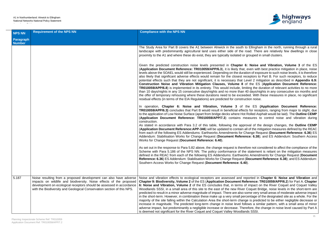

to Ellingham in the north, running through a rural road. There are relatively few dwellings in close or grouped in small clusters.

6: Noise and Vibration, Volume 3 of the ES (**Application Document Reference: TR010059/APP/6.3**), it is likely that, even with best practice mitigation in place, noise ration of exposure to such noise levels, it is therefore receptors to Part B. For such receptors, to reduce Level 2 mitigation as described in **Appendix 6.9:** of the ES (**Application Document Reference:** imiting the duration of relevant activities to no more n 40 days/nights in any consecutive six months and eded. With these measures in place, no significant ruction noise.

the ES (Application Document Reference: ects for receptors, ranging from major to slight, due ot Rolled Asphalt would be laid). The Outline CEMP measures to control noise and vibration during

proval of the design changes, the **Outline CEMP** all of the mitigation measures defined by the REAC Change Request (Document Reference: 6.36) ES rence: 6.38); and ES Addendum: Southern Access

refore not considered to affect the compliance of the he statement is reliant on the mitigation measures orks Amendments for Change Request (Document **Reference: 6.38**); and ES Addendum: Stabilisation Change Reference: 6.38

reported in **Chapter 6: Noise and Vibration** and **Reference: TR010059/APP/6.2**) for Part A. Chapter of impact on the River Coquet and Coquet Valley er Coquet Bridge, noise levels in the short-term are  $\alpha$  some very small areas of moderate adverse impact. ercentage of the designated site as a whole. For the nge is predicted to be either negligible decrease or iollows a similar pattern, with a small area of minor nerefore, the change in noise level caused by Part A ands SSSI.

| <b>NPS NN</b>              | <b>Requirement of the NPS NN</b>                                                                                                                                                                                                                                                           | <b>Compliance with the NPS NN</b>                                                                                                                                                                                                                                                                                                                                                                                                                                                                                                                                                                                                                                                                                                                                                                                |
|----------------------------|--------------------------------------------------------------------------------------------------------------------------------------------------------------------------------------------------------------------------------------------------------------------------------------------|------------------------------------------------------------------------------------------------------------------------------------------------------------------------------------------------------------------------------------------------------------------------------------------------------------------------------------------------------------------------------------------------------------------------------------------------------------------------------------------------------------------------------------------------------------------------------------------------------------------------------------------------------------------------------------------------------------------------------------------------------------------------------------------------------------------|
| Paragraph<br><b>Number</b> |                                                                                                                                                                                                                                                                                            |                                                                                                                                                                                                                                                                                                                                                                                                                                                                                                                                                                                                                                                                                                                                                                                                                  |
|                            |                                                                                                                                                                                                                                                                                            | The Study Area for Part B covers the A1 between Alnwick in the south to<br>landscape with predominantly agricultural land uses either side of the roa<br>proximity to the A1 and where these do exist, they are typically isolated or go                                                                                                                                                                                                                                                                                                                                                                                                                                                                                                                                                                         |
|                            |                                                                                                                                                                                                                                                                                            | Given the predicted construction noise levels presented in Chapter 6:<br>(Application Document Reference: TR010059/APP/6.3), it is likely that, e<br>levels above the SOAEL would still be experienced. Depending on the duration<br>also likely that significant adverse effects would remain for the closest rece<br>potential effects such that they are not significant, it is necessary that Level<br>Construction Noise and Vibration Mitigation Clauses, Volume 8 of<br><b>TR010059/APP/6.8)</b> is implemented in its entirety. This would include, limiti<br>than 10 days/nights in any 15 consecutive days/nights and no more than 40<br>the offer of temporary rehousing where these durations need to be exceeded<br>residual effects (in terms of the EIA Regulations) are predicted for constructi |
|                            |                                                                                                                                                                                                                                                                                            | In operation, Chapter 6: Noise and Vibration, Volume 3 of the<br>TR010059/APP/6.3) concludes that Part B would result in beneficial effects<br>to the application of Low Noise Surface (apart from bridge decks where Hot R<br>(Application Document Reference: TR010059/APP/7.3) contains mea<br>construction.<br>As stated in accordance with Para 3.2 of this table, following the approv<br>(Application Document Reference: APP-346) will be updated to contain all<br>from each of the following ES Addendums: Earthworks Amendments for Cha<br>Addendum: Stabilisation Works for Change Request (Document Reference<br>Works for Change Request (Document Reference: 6.40).                                                                                                                               |
|                            |                                                                                                                                                                                                                                                                                            | As set out in the response to Para 5.82 above, the change request is therefore<br>Scheme with Para 5.186 of the NPS NN. The policy conformance of the s<br>defined in the REAC from each of the following ES Addendums: Earthworks<br>Reference: 6.36) ES Addendum: Stabilisation Works for Change Request (D<br>Southern Access Works for Change Request (Document Reference: 6.40).                                                                                                                                                                                                                                                                                                                                                                                                                            |
| 5.187                      | Noise resulting from a proposed development can also have adverse<br>impacts on wildlife and biodiversity. Noise effects of the proposed<br>development on ecological receptors should be assessed in accordance<br>with the Biodiversity and Geological Conservation section of this NPS. | Noise and vibration effects to ecological receptors are assessed and report<br>Chapter 9: Biodiversity, Volume 2 of the ES (Application Document Refe<br>6: Noise and Vibration, Volume 2 of the ES concludes that, in terms of in<br>Woodlands SSSI, in a small area of this site to the east of the new River C<br>predicted to result in a minor adverse magnitude of impact. There are also sor<br>in the short-term. However, in combination these make up a very small perce<br>majority of the site falling within the Calculation Area the short-term change<br>increase in magnitude. The predicted long-term change in noise level follow<br>adverse impact, but predominantly a negligible increase or decrease. Theref<br>is deemed not significant for the River Coquet and Coquet Valley Woodlands |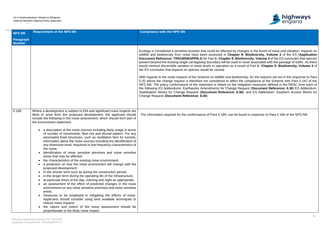

| <b>NPS NN</b>                     | <b>Requirement of the NPS NN</b>                                                                                                                                                                                                                                                                                                                                                                                                                                                                                                                                                                                                                                                                                                                                                                                                                                                                                                                                                                                                                                                                                                                                                                                                                                                                                                                                                                                                                                                                                                                               | <b>Compliance with the NPS NN</b>                                                                                                                                                                                                                                                                                                                                                                                                                                                                                                                                                                                                                                                                                                                                                                                                                                                                                                                                                                                                                                                                                                                                                                                                                                                                                                                                                 |
|-----------------------------------|----------------------------------------------------------------------------------------------------------------------------------------------------------------------------------------------------------------------------------------------------------------------------------------------------------------------------------------------------------------------------------------------------------------------------------------------------------------------------------------------------------------------------------------------------------------------------------------------------------------------------------------------------------------------------------------------------------------------------------------------------------------------------------------------------------------------------------------------------------------------------------------------------------------------------------------------------------------------------------------------------------------------------------------------------------------------------------------------------------------------------------------------------------------------------------------------------------------------------------------------------------------------------------------------------------------------------------------------------------------------------------------------------------------------------------------------------------------------------------------------------------------------------------------------------------------|-----------------------------------------------------------------------------------------------------------------------------------------------------------------------------------------------------------------------------------------------------------------------------------------------------------------------------------------------------------------------------------------------------------------------------------------------------------------------------------------------------------------------------------------------------------------------------------------------------------------------------------------------------------------------------------------------------------------------------------------------------------------------------------------------------------------------------------------------------------------------------------------------------------------------------------------------------------------------------------------------------------------------------------------------------------------------------------------------------------------------------------------------------------------------------------------------------------------------------------------------------------------------------------------------------------------------------------------------------------------------------------|
| <b>Paragraph</b><br><b>Number</b> |                                                                                                                                                                                                                                                                                                                                                                                                                                                                                                                                                                                                                                                                                                                                                                                                                                                                                                                                                                                                                                                                                                                                                                                                                                                                                                                                                                                                                                                                                                                                                                |                                                                                                                                                                                                                                                                                                                                                                                                                                                                                                                                                                                                                                                                                                                                                                                                                                                                                                                                                                                                                                                                                                                                                                                                                                                                                                                                                                                   |
|                                   |                                                                                                                                                                                                                                                                                                                                                                                                                                                                                                                                                                                                                                                                                                                                                                                                                                                                                                                                                                                                                                                                                                                                                                                                                                                                                                                                                                                                                                                                                                                                                                | Ecology is considered a sensitive receptor that could be affected by changes in the levels of noise and vibration. Impacts on<br>wildlife and biodiversity from noise have been assessed in Chapter 9: Biodiversity, Volume 3 of the ES (Application<br>Document Reference: TR010059/APP/6.3) for Part B. Chapter 9: Biodiversity, Volume 3 of the ES concludes that species<br>present beyond the existing single carriageway boundary will be used to noise associated with the passage of traffic. As there<br>would minimal discernible variation in noise levels in operation as a result of Part B. Chapter 9: Biodiversity, Volume 3 of<br>the ES concludes that impacts on species would be neutral.<br>With regards to the noise impacts of the Scheme on wildlife and biodiversity, for the reasons set out in the response to Para<br>5.20 above the change request is therefore not considered to affect the compliance of the Scheme with Para 5.187 of the<br>NPS NN. The policy conformance of the statement is reliant on the mitigation measures defined in the REAC from each of<br>the following ES Addendums: Earthworks Amendments for Change Request (Document Reference: 6.36) ES Addendum:<br>Stabilisation Works for Change Request (Document Reference: 6.38); and ES Addendum: Southern Access Works for<br>Change Request (Document Reference: 6.40). |
| 5.189                             | Where a development is subject to EIA and significant noise impacts are<br>likely to arise from the proposed development, the applicant should<br>include the following in the noise assessment, which should form part of<br>the environment statement:<br>• a description of the noise sources including likely usage in terms<br>of number of movements, fleet mix and diurnal pattern. For any<br>associated fixed structures, such as ventilation fans for tunnels,<br>information about the noise sources including the identification of<br>any distinctive tonal, impulsive or low frequency characteristics of<br>the noise.<br>identification of noise sensitive premises and noise sensitive<br>areas that may be affected.<br>the characteristics of the existing noise environment.<br>$\bullet$<br>a prediction on how the noise environment will change with the<br>proposed development:<br>In the shorter term such as during the construction period;<br>$\bullet$<br>• in the longer term during the operating life of the infrastructure;<br>at particular times of the day, evening and night as appropriate;<br>an assessment of the effect of predicted changes in the noise<br>environment on any noise sensitive premises and noise sensitive<br>areas;<br>measures to be employed in mitigating the effects of noise.<br>Applicants should consider using best available techniques to<br>reduce noise impacts;<br>the nature and extent of the noise assessment should be<br>$\bullet$<br>proportionate to the likely noise impact. | The information required for the conformance of Para 5.189, can be found in response to Para 5.186 of the NPS NN.                                                                                                                                                                                                                                                                                                                                                                                                                                                                                                                                                                                                                                                                                                                                                                                                                                                                                                                                                                                                                                                                                                                                                                                                                                                                 |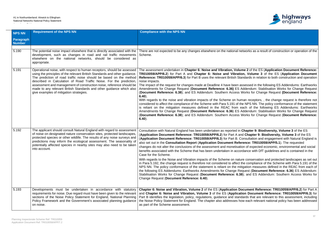

tworks as a result of construction or operation of the

**ne 2** of the ES (Application Document Reference: **TR010059/APP/6.2**) for Part A and **Chapter 6: Noise and Vibration, Volume 3** of the ES (**Application Document** ndards in relation to both construction and operation

sessed in the following ES Addendums: Earthworks **Addendum: Stabilisation Works for Change Request** Vorks for Change Request (Document Reference:

nan receptors, , the change request is therefore not e NPS NN. The policy conformance of the statement ach of the following ES Addendums: Earthworks **Addendum: Stabilisation Works for Change Request** Vorks for Change Request (**Document Reference:** 

**Chapter 9: Biodiversity, Volume 3** of the ES (**Application Document Reference: TR010059/APP/6.2**) for Part A and **Chapter 9: Biodiversity, Volume 3** of the ES **Application and engagement with Natural England is** rence: TR010059/APP/5.1). The requested on of expected economic, environmental and social dance with DfT guidelines and is contained in the

re conservation and protected landscapes as set out ie compliance of the Scheme with Para 5.191 of the igation measures defined in the REAC from each of quest (Document Reference: 6.36) ES Addendum: Stabilisation Works Addendum: Southern Access Works for

**Cument Reference: TR010059/APP/6.2) for Part A** ion Document Reference: TR010059/APP/6.3) for lards that are relevant to this assessment, including w each relevant national policy has been addressed

| <b>NPS NN</b>              | <b>Requirement of the NPS NN</b>                                                                                                                                                                                                                                                                                                                                                                                                                                                             | <b>Compliance with the NPS NN</b>                                                                                                                                                                                                                                                                                                                                                                                                                                                                                                                                                                                                                                                                                                                                                                                                                                                                |
|----------------------------|----------------------------------------------------------------------------------------------------------------------------------------------------------------------------------------------------------------------------------------------------------------------------------------------------------------------------------------------------------------------------------------------------------------------------------------------------------------------------------------------|--------------------------------------------------------------------------------------------------------------------------------------------------------------------------------------------------------------------------------------------------------------------------------------------------------------------------------------------------------------------------------------------------------------------------------------------------------------------------------------------------------------------------------------------------------------------------------------------------------------------------------------------------------------------------------------------------------------------------------------------------------------------------------------------------------------------------------------------------------------------------------------------------|
| Paragraph<br><b>Number</b> |                                                                                                                                                                                                                                                                                                                                                                                                                                                                                              |                                                                                                                                                                                                                                                                                                                                                                                                                                                                                                                                                                                                                                                                                                                                                                                                                                                                                                  |
| 5.190                      |                                                                                                                                                                                                                                                                                                                                                                                                                                                                                              |                                                                                                                                                                                                                                                                                                                                                                                                                                                                                                                                                                                                                                                                                                                                                                                                                                                                                                  |
|                            | The potential noise impact elsewhere that is directly associated with the<br>development, such as changes in road and rail traffic movements<br>elsewhere on the national networks, should be considered as<br>appropriate.                                                                                                                                                                                                                                                                  | There are not expected to be any changes elsewhere on the national net<br>Scheme.                                                                                                                                                                                                                                                                                                                                                                                                                                                                                                                                                                                                                                                                                                                                                                                                                |
| 5.191                      | Operational noise, with respect to human receptors, should be assessed<br>using the principles of the relevant British Standards and other guidance.<br>The prediction of road traffic noise should be based on the method<br>described in Calculation of Road Traffic Noise. For the prediction,<br>assessment and management of construction noise, reference should be<br>made to any relevant British Standards and other guidance which also<br>give examples of mitigation strategies. | The assessment undertaken in Chapter 6: Noise and Vibration, Volum<br>TR010059/APP/6.2) for Part A and Chapter 6: Noise and Vibration<br>Reference: TR010059/APP/6.3) for Part B uses the relevant British Star<br>noise impacts.<br>The impact of the request for changes made at Deadline 4 have been as<br>Amendments for Change Request (Document Reference: 6.36) ES A<br>(Document Reference: 6.38); and ES Addendum: Southern Access W<br>$6.40$ ).<br>With regards to the noise and vibration impacts of the Scheme on hum<br>considered to affect the compliance of the Scheme with Para 5.191 of the<br>is reliant on the mitigation measures defined in the REAC from ea<br>Amendments for Change Request (Document Reference: 6.36) ES A<br>(Document Reference: 6.38); and ES Addendum: Southern Access W<br>$6.40$ ).                                                              |
| 5.192                      | The applicant should consult Natural England with regard to assessment<br>of noise on designated nature conservation sites, protected landscapes,<br>protected species or other wildlife. The results of any noise surveys and<br>predictions may inform the ecological assessment. The seasonality of<br>potentially affected species in nearby sites may also need to be taken<br>into account.                                                                                            | Consultation with Natural England has been undertaken as reported in C<br>(Application Document Reference: TR010059/APP/6.2) for Part A and<br>(Application Document Reference: TR010059/APP/6.3) for Part B. Co<br>also set out in the Consultation Report (Application Document Refere<br>changes do not alter the conclusions of the assessment and monetisatio<br>benefits associated with the Scheme that has been undertaken in accord<br>Case for the Scheme.<br>With regards to the Noise and Vibration impacts of the Scheme on nature<br>in Para 5.192, the change request is therefore not considered to affect the<br>NPS NN. The policy conformance of the statement is reliant on the mitig<br>the following ES Addendums: Earthworks Amendments for Change Rec<br>Stabilisation Works for Change Request (Document Reference: 6.38)<br>Change Request (Document Reference: 6.40). |
| 5.193                      | Developments must be undertaken in accordance with statutory<br>requirements for noise. Due regard must have been given to the relevant<br>sections of the Noise Policy Statement for England, National Planning<br>Policy Framework and the Government's associated planning guidance<br>on noise.                                                                                                                                                                                          | Chapter 6: Noise and Vibration, Volume 2 of the ES (Application Do<br>and Chapter 6: Noise and Vibration, Volume 3 of the ES (Application<br>Part B identifies the legislation, policy, regulations, guidance and standa<br>the Noise Policy Statement for England. The chapter also addresses how<br>as part of the Scheme assessment.                                                                                                                                                                                                                                                                                                                                                                                                                                                                                                                                                          |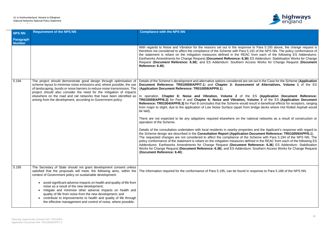

| <b>NPS NN</b>              | <b>Requirement of the NPS NN</b>                                                                                                                                                                                                                                                                                                                                                                                                                                                                                                                                                                          | <b>Compliance with the NPS NN</b>                                                                                                                                                                                                                                                                                                                                                                                                                                                                                                                                                                                                                                                                                                                                                                                                                                                                                                                                                                                                                                                                                                                                                                                                                                                                                                                                                                                                                                                                                                                                                                                                                                                                            |
|----------------------------|-----------------------------------------------------------------------------------------------------------------------------------------------------------------------------------------------------------------------------------------------------------------------------------------------------------------------------------------------------------------------------------------------------------------------------------------------------------------------------------------------------------------------------------------------------------------------------------------------------------|--------------------------------------------------------------------------------------------------------------------------------------------------------------------------------------------------------------------------------------------------------------------------------------------------------------------------------------------------------------------------------------------------------------------------------------------------------------------------------------------------------------------------------------------------------------------------------------------------------------------------------------------------------------------------------------------------------------------------------------------------------------------------------------------------------------------------------------------------------------------------------------------------------------------------------------------------------------------------------------------------------------------------------------------------------------------------------------------------------------------------------------------------------------------------------------------------------------------------------------------------------------------------------------------------------------------------------------------------------------------------------------------------------------------------------------------------------------------------------------------------------------------------------------------------------------------------------------------------------------------------------------------------------------------------------------------------------------|
| Paragraph<br><b>Number</b> |                                                                                                                                                                                                                                                                                                                                                                                                                                                                                                                                                                                                           |                                                                                                                                                                                                                                                                                                                                                                                                                                                                                                                                                                                                                                                                                                                                                                                                                                                                                                                                                                                                                                                                                                                                                                                                                                                                                                                                                                                                                                                                                                                                                                                                                                                                                                              |
|                            |                                                                                                                                                                                                                                                                                                                                                                                                                                                                                                                                                                                                           | With regards to Noise and Vibration for the reasons set out in the response to Para 5.193 above, the change request is<br>therefore not considered to affect the compliance of the Scheme with Para 5.191 of the NPS NN. The policy conformance of<br>the statement is reliant on the mitigation measures defined in the REAC from each of the following ES Addendums:<br>Earthworks Amendments for Change Request (Document Reference: 6.36) ES Addendum: Stabilisation Works for Change<br>Request (Document Reference: 6.38); and ES Addendum: Southern Access Works for Change Request (Document<br>Reference: 6.40).                                                                                                                                                                                                                                                                                                                                                                                                                                                                                                                                                                                                                                                                                                                                                                                                                                                                                                                                                                                                                                                                                    |
| 5.194                      | The project should demonstrate good design through optimisation of<br>scheme layout to minimise noise emissions and, where possible, the use<br>of landscaping, bunds or noise barriers to reduce noise transmission. The<br>project should also consider the need for the mitigation of impacts<br>elsewhere on the road and rail networks that have been identified as<br>arising from the development, according to Government policy.                                                                                                                                                                 | Details of the Scheme's development and alternative options considered are set out in the Case for the Scheme (Application<br>Document Reference: TR010059/APP/7.1) and Chapter 3: Assessment of Alternatives, Volume 1 of the ES<br>(Application Document Reference: TR010059/APP/6.1).<br>In operation, Chapter 6: Noise and Vibration, Volume 2 of the ES (Application Document Reference:<br>TR010059/APP/6.2) for Part A and Chapter 6: Noise and Vibration, Volume 3 of the ES (Application Document<br>Reference: TR01004/APP/6.3) for Part B concludes that the Scheme would result in beneficial effects for receptors, ranging<br>from major to slight, due to the application of Low Noise Surface (apart from bridge decks where Hot Rolled Asphalt would<br>be laid).<br>There are not expected to be any adaptions required elsewhere on the national networks as a result of construction or<br>operation of the Scheme.<br>Details of the consultation undertaken with local residents in nearby properties and the Applicant's response with regard to<br>the Scheme design are described in the Consultation Report (Application Document Reference: TR010059/APP/5.1).<br>The requested changes are not considered to affect the compliance of the Scheme with Para 5.194 of the NPS NN. The<br>policy conformance of the statement is reliant on the mitigation measures defined in the REAC from each of the following ES<br>Addendums: Earthworks Amendments for Change Request (Document Reference: 6.36) ES Addendum: Stabilisation<br>Works for Change Request (Document Reference: 6.38); and ES Addendum: Southern Access Works for Change Request<br>(Document Reference: 6.40). |
| 5.195                      | The Secretary of State should not grant development consent unless<br>satisfied that the proposals will meet, the following aims, within the<br>context of Government policy on sustainable development:<br>avoid significant adverse impacts on health and quality of life from<br>noise as a result of the new development;<br>mitigate and minimise other adverse impacts on health and<br>quality of life from noise from the new development; and<br>contribute to improvements to health and quality of life through<br>$\bullet$<br>the effective management and control of noise, where possible. | The information required for the conformance of Para 5.195, can be found in response to Para 5.186 of the NPS NN.                                                                                                                                                                                                                                                                                                                                                                                                                                                                                                                                                                                                                                                                                                                                                                                                                                                                                                                                                                                                                                                                                                                                                                                                                                                                                                                                                                                                                                                                                                                                                                                            |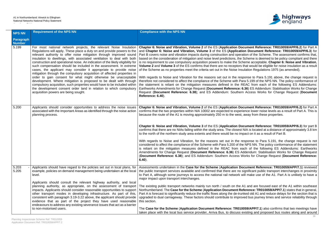

**Cument Reference: TR010059/APP/6.2) for Part A ion Document Reference: TR010059/APP/6.3) for** ation of the Scheme. The assessment confirms that, Scheme is deemed to be policy compliant and there heme acceptable. Chapter 6: Noise and Vibration, that would be eligible for noise insulation as a result sulation Regulations 1975 (as amended).

ponse to Para 5.191 above, the change request is ara 5.199 of the NPS NN. The policy conformance of REAC from each of the following ES Addendums: 6.36) ES Addendum: Stabilisation Works for Change Request (**Document Reference: 6.38**); and ES Addendum: Southern Access Works for Change Request (**Document**

**Cument Reference: TR010059/APP/6.2)** for Part A ience lower noise levels as a result of Part A. This is away from these properties.

**Cument Reference: TR010059/APP/6.3**) for part B NIA is located at a distance of approximately 3.8 km to the north of the northern study area extending and therm study area extents and the non-

esponse to Para 5.191, the change request is not e NPS NN. The policy conformance of the statement ach of the following ES Addendums: Earthworks **Addendum: Stabilisation Works for Change Request** Vorks for Change Request (**Document Reference:** 

**ocument Reference: TR010059/APP/7.1) reviewed** significant public transport interchanges in proximity will make use of the A1. Part A is unlikely to have a

A1 and are focused east of the A1 within southeast **eference: TR010059/APP/7.1**) states that in general, nked old A1 and reduce delays for the section that is ved bus journey times and service reliability through

**059/APP/7.1**) also confirms that two meetings have existing and proposed bus routes along and around

| <b>NPS NN</b>                     | <b>Requirement of the NPS NN</b>                                                                                                                                                                                                                                                                                                                                                                                                                                                                                                                                                                                                                                                                                                                                                                                                                                                                                                         | <b>Compliance with the NPS NN</b>                                                                                                                                                                                                                                                                                                                                                                                                                                                                                                                                                                                                                                                                                                                                                                                                                                                                                                         |
|-----------------------------------|------------------------------------------------------------------------------------------------------------------------------------------------------------------------------------------------------------------------------------------------------------------------------------------------------------------------------------------------------------------------------------------------------------------------------------------------------------------------------------------------------------------------------------------------------------------------------------------------------------------------------------------------------------------------------------------------------------------------------------------------------------------------------------------------------------------------------------------------------------------------------------------------------------------------------------------|-------------------------------------------------------------------------------------------------------------------------------------------------------------------------------------------------------------------------------------------------------------------------------------------------------------------------------------------------------------------------------------------------------------------------------------------------------------------------------------------------------------------------------------------------------------------------------------------------------------------------------------------------------------------------------------------------------------------------------------------------------------------------------------------------------------------------------------------------------------------------------------------------------------------------------------------|
| <b>Paragraph</b><br><b>Number</b> |                                                                                                                                                                                                                                                                                                                                                                                                                                                                                                                                                                                                                                                                                                                                                                                                                                                                                                                                          |                                                                                                                                                                                                                                                                                                                                                                                                                                                                                                                                                                                                                                                                                                                                                                                                                                                                                                                                           |
| 5.199                             | For most national network projects, the relevant Noise Insulation<br>Regulations will apply. These place a duty on and provide powers to the<br>relevant authority to offer noise mitigation through improved sound<br>insulation to dwellings, with associated ventilation to deal with both<br>construction and operational noise. An indication of the likely eligibility for<br>such compensation should be included in the assessment. In extreme<br>cases, the applicant may consider it appropriate to provide noise<br>mitigation through the compulsory acquisition of affected properties in<br>order to gain consent for what might otherwise be unacceptable<br>development. Where mitigation is proposed to be dealt with through<br>compulsory acquisition, such properties would have to be included within<br>the development consent order land in relation to which compulsory<br>acquisition powers are being sought. | Chapter 6: Noise and Vibration, Volume 2 of the ES (Application Do<br>and Chapter 6: Noise and Vibration, Volume 3 of the ES (Application<br>Part B covers noise and vibration impacts during construction and operation<br>based on the consideration of mitigation and noise level predictions, the<br>is no requirement to use compulsory acquisition powers to make the Sch<br><b>Volume 2</b> and <b>Volume 3</b> of the ES confirms that there are no receptors<br>of the Scheme as no properties meet the criteria set out in the Noise Ins<br>With regards to Noise and Vibration for the reasons set out in the rest<br>therefore not considered to affect the compliance of the Scheme with Pa<br>the statement is reliant on the mitigation measures defined in the R<br>Earthworks Amendments for Change Request (Document Reference: 6<br>Request (Document Reference: 6.38); and ES Addendum: Southern<br>Reference: 6.40). |
| 5.200                             | Applicants should consider opportunities to address the noise issues<br>associated with the Important Areas as identified through the noise action<br>planning process.                                                                                                                                                                                                                                                                                                                                                                                                                                                                                                                                                                                                                                                                                                                                                                  | Chapter 6: Noise and Vibration, Volume 2 of the ES (Application Do<br>confirms that the two properties within NIA 10002 are expected to experi<br>because the route of the A1 is moving approximately 250 m to the west,<br>Chapter 6: Noise and Vibration, Volume 3 of the ES (Application Do<br>confirms that there are no NIAs falling within the study area. The closest<br>to the north of the northern study area extents and there would be no im<br>With regards to Noise and Vibration, for the reasons set out in the re<br>considered to affect the compliance of the Scheme with Para 5.200 of the<br>is reliant on the mitigation measures defined in the REAC from ea<br>Amendments for Change Request (Document Reference: 6.36) ES A<br>(Document Reference: 6.38); and ES Addendum: Southern Access W<br>$6.40$ ).                                                                                                       |
| 5.203<br>5.205                    | Applicants should have regard to the policies set out in local plans, for<br>example, policies on demand management being undertaken at the local<br>level.<br>Applicants should consult the relevant highway authority, and local<br>planning authority, as appropriate, on the assessment of transport<br>impacts. Applicants should consider reasonable opportunities to support<br>other transport modes in developing infrastructure. As part of this,<br>consistent with paragraph 3.19-3.22 above, the applicant should provide<br>evidence that as part of the project they have used reasonable<br>endeavours to address any existing severance issues that act as a barrier<br>to non-motorised users.                                                                                                                                                                                                                         | Assessments undertaken in the Case for the Scheme (Application Do<br>the public transport services available and confirmed that there are no s<br>to Part A, although some journeys to access the national rail network w<br>major impact upon transport interchanges.<br>The existing public transport networks mainly run north / south on the /<br>Northumberland. The Case for the Scheme (Application Document Re<br>Part A is forecast to significantly reduce the traffic flows along the de-trur<br>upgraded to dual carriageway. These factors should contribute to impro-<br>this section.<br>The Case for the Scheme (Application Document Reference: TR010<br>taken place with the local bus service provider, Arriva Bus, to discuss e                                                                                                                                                                                       |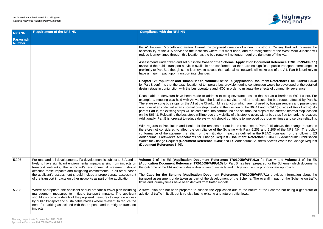

<sup>t</sup> a new bus stop at Causey Park will increase the and the realignment of the West Moor Junction will r require a right turn off the A1.

**Iication Document Reference:TR010059/APP/7.1)** re are no significant public transport interchanges in network will make use of the A1. Part B is unlikely to

**ication Document Reference: TR010059/APP/6.3)** ring construction would be developed at the detailed mitigate the effects of community severance.

Ice issues that act as a barrier to WCH users. For ovider to discuss the bus routes affected by Part B. ich are not used by bus passengers and passengers of the B6341 and B6347 (outside of Rock Lodge). As puthbound stops at the current informal stop location top to users with a bus stop flag to mark the location. to improved bus journey times and service reliability.

esponse to Para 3.15 above, the change request is Para 5.203 and 5.205 of the NPS NN. The policy lefined in the REAC from each of the following  $\check{\mathrm{ES}}$ ent Reference: 6.36) ES Addendum: Stabilisation **Primer and Comment Reference: 6.38**<br>Ferrers Reference: 8.3988 and Espanishing Request

**59/APP/6.2)** for Part A and **Volume 3** of the ES **As been prepared for the Scheme) which documents been prepared for the Scheme) which documents** the utcome of the proportionate approach.

R010059/APP/7.1) provides information about the transport as a part undertaken as part of the Scheme on traffic

the nature of the Scheme not being a generator of

| NPS NN                     | <b>Requirement of the NPS NN</b>                                                                                                                                                                                                                                                                                                                                                                                                                       | <b>Compliance with the NPS NN</b>                                                                                                                                                                                                                                                                                                                                                                                                                                                                                                                                                |
|----------------------------|--------------------------------------------------------------------------------------------------------------------------------------------------------------------------------------------------------------------------------------------------------------------------------------------------------------------------------------------------------------------------------------------------------------------------------------------------------|----------------------------------------------------------------------------------------------------------------------------------------------------------------------------------------------------------------------------------------------------------------------------------------------------------------------------------------------------------------------------------------------------------------------------------------------------------------------------------------------------------------------------------------------------------------------------------|
| Paragraph<br><b>Number</b> |                                                                                                                                                                                                                                                                                                                                                                                                                                                        |                                                                                                                                                                                                                                                                                                                                                                                                                                                                                                                                                                                  |
|                            |                                                                                                                                                                                                                                                                                                                                                                                                                                                        | the A1 between Morpeth and Felton. Overall the proposed creation of a r<br>accessibility of the X15 service to the locations where it is most used, and<br>reduce journey times through this location as the bus route will no longer rec                                                                                                                                                                                                                                                                                                                                        |
|                            |                                                                                                                                                                                                                                                                                                                                                                                                                                                        | Assessments undertaken and set out in the Case for the Scheme (Applicat<br>reviewed the public transport services available and confirmed that there are<br>proximity to Part B, although some journeys to access the national rail netwo<br>have a major impact upon transport interchanges.                                                                                                                                                                                                                                                                                    |
|                            |                                                                                                                                                                                                                                                                                                                                                                                                                                                        | Chapter 12: Population and Human Health, Volume 3 of the ES (Application<br>for Part B confirms that the exact location of temporary bus provision during<br>design stage in conjunction with the bus operators and NCC in order to mitig                                                                                                                                                                                                                                                                                                                                        |
|                            |                                                                                                                                                                                                                                                                                                                                                                                                                                                        | Reasonable endeavours have been made to address existing severance in<br>example, a meeting was held with Arriva Bus, the local bus service provide<br>There are existing bus stops on the A1 at the Charlton Mires junction which a<br>are more often collected at an informal bus stop nearby at the junction of the<br>part of Part B, the existing stops will be combined into northbound and south<br>on the B6341. Relocating the bus stops will improve the visibility of this stop to<br>Additionally, Part B is forecast to reduce delays which should contribute to im |
|                            |                                                                                                                                                                                                                                                                                                                                                                                                                                                        | With regards to Population and Health for the reasons set out in the respo<br>therefore not considered to affect the compliance of the Scheme with Par<br>conformance of the statement is reliant on the mitigation measures define<br>Addendums: Earthworks Amendments for Change Request (Document I<br>Works for Change Request (Document Reference: 6.38); and ES Addendui<br>(Document Reference: 6.40).                                                                                                                                                                    |
|                            |                                                                                                                                                                                                                                                                                                                                                                                                                                                        |                                                                                                                                                                                                                                                                                                                                                                                                                                                                                                                                                                                  |
| 5.206                      | For road and rail developments, if a development is subject to EIA and is<br>likely to have significant environmental impacts arising from impacts on<br>transport networks, the applicant's environmental statement should<br>describe those impacts and mitigating commitments. In all other cases<br>the applicant's assessment should include a proportionate assessment<br>of the transport impacts on other networks as part of the application. | Volume 2 of the ES (Application Document Reference: TR010059/Al<br>(Application Document Reference: TR010059/APP/6.3) for Part B has be<br>the outcome of the EIA and includes a description of impacts and mitigation<br>The Case for the Scheme (Application Document Reference: TR010<br>transport assessment undertaken as part of the development of the Schen<br>flows and journey times have been derived from traffic models.                                                                                                                                            |
| 5.208                      | Where appropriate, the applicant should prepare a travel plan including<br>management measures to mitigate transport impacts. The applicant<br>should also provide details of the proposed measures to improve access<br>by public transport and sustainable modes where relevant, to reduce the<br>need for parking associated with the proposal and to mitigate transport<br>impacts.                                                                | A travel plan has not been prepared to support the Application due to the<br>additional traffic in itself, but is re-distributing existing and future traffic flows.                                                                                                                                                                                                                                                                                                                                                                                                             |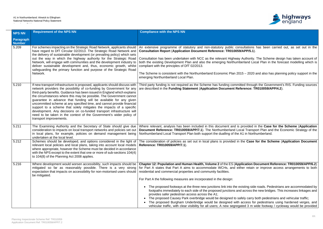

ultations has been carried out, as set out in the **Consultation Report** (**Application Document Reference: TR010059/APP/5.1**).

Authority. The Scheme design has taken account of erland Local Plan in the forecast modelling which is

 $5-2020$  and also has planning policy support in the

ed through the Government's RIS. Funding sources are described in the **Funding Statement** (**Application Document Reference: TR010059/APP/4.2**).

**Movided in the Case for the Scheme (Application Document Reference: The Northumberland Transport Plan and the Economic Strategy of the** 1 in Northumberland.

**he Case for the Scheme (Application Document** 

**ication Document Reference: TR010059/APP/6.2)** er retain or improve access arrangements to both

isting side roads. Pedestrians are accommodated by across the new bridges. This increases linkages and

| <b>NPS NN</b>              | <b>Requirement of the NPS NN</b>                                                                                                                                                                                                                                                                                                                                                                                                                                                                                                                                                                                                                                                                         | <b>Compliance with the NPS NN</b>                                                                                                                                                                                                                                                                                                                                                                                                                                                                                                                                                                                                                                                      |
|----------------------------|----------------------------------------------------------------------------------------------------------------------------------------------------------------------------------------------------------------------------------------------------------------------------------------------------------------------------------------------------------------------------------------------------------------------------------------------------------------------------------------------------------------------------------------------------------------------------------------------------------------------------------------------------------------------------------------------------------|----------------------------------------------------------------------------------------------------------------------------------------------------------------------------------------------------------------------------------------------------------------------------------------------------------------------------------------------------------------------------------------------------------------------------------------------------------------------------------------------------------------------------------------------------------------------------------------------------------------------------------------------------------------------------------------|
| Paragraph<br><b>Number</b> |                                                                                                                                                                                                                                                                                                                                                                                                                                                                                                                                                                                                                                                                                                          |                                                                                                                                                                                                                                                                                                                                                                                                                                                                                                                                                                                                                                                                                        |
| 5.209                      | For schemes impacting on the Strategic Road Network, applicants should<br>have regard to DfT Circular 02/2013. The Strategic Road Network and<br>the delivery of sustainable development (or prevailing policy) which sets<br>out the way in which the highway authority for the Strategic Road<br>Network, will engage with communities and the development industry to<br>deliver sustainable development and, thus, economic growth, whilst<br>safeguarding the primary function and purpose of the Strategic Road<br>Network.                                                                                                                                                                        | An extensive programme of statutory and non-statutory public conservation<br><b>Consultation Report (Application Document Reference: TR010059/A</b><br>Consultation has been undertaken with NCC as the relevant Highway A<br>both the existing Development Plan and also the emerging Northumbe<br>compliant with the principles of DfT 02/2013.<br>The Scheme is consistent with the Northumberland Economic Plan 2015<br>emerging Northumberland Local Plan.                                                                                                                                                                                                                        |
| 5.210                      | If new transport infrastructure is proposed, applicants should discuss with<br>network providers the possibility of co-funding by Government for any<br>third-party benefits. Guidance has been issued in England which explains<br>the circumstances where this may be possible. The Government cannot<br>guarantee in advance that funding will be available for any given<br>uncommitted scheme at any specified time, and cannot provide financial<br>support to a scheme that solely mitigates the impacts of a specific<br>development. Any decisions on co-funded transport infrastructure will<br>need to be taken in the context of the Government's wider policy of<br>transport improvements. | Third party funding is not required as the Scheme has funding committe<br>are described in the Funding Statement (Application Document Refe                                                                                                                                                                                                                                                                                                                                                                                                                                                                                                                                            |
| 5.211                      | The Examining Authority and the Secretary of State should give due<br>consideration to impacts on local transport networks and policies set out<br>in local plans, for example, policies on demand management being<br>undertaken at the local level.                                                                                                                                                                                                                                                                                                                                                                                                                                                    | Where relevant, analysis has been included in this document and is p<br>Document Reference: TR010059/APP/7.1). The Northumberland Loca<br>Northumberland Local Transport Plan both support the dualling of the A                                                                                                                                                                                                                                                                                                                                                                                                                                                                       |
| 5.212                      | Schemes should be developed, and options considered in the light of<br>relevant local policies and local plans, taking into account local models<br>where appropriate, however the Scheme must be decided in accordance<br>with the NPS except to the extent that one or more of sub-sections 104(4)<br>to 104(8) of the Planning Act 2008 applies.                                                                                                                                                                                                                                                                                                                                                      | The consideration of policies as set out in local plans is provided in the<br>Reference: TR010059/APP/7.1).                                                                                                                                                                                                                                                                                                                                                                                                                                                                                                                                                                            |
| 5.216                      | Where development would worsen accessibility, such impacts should be<br>mitigated so far as reasonably possible. There is a very strong<br>expectation that impacts on accessibility for non-motorised users should<br>be mitigated.                                                                                                                                                                                                                                                                                                                                                                                                                                                                     | Chapter 12: Population and Human Health, Volume 2 of the ES (Appli<br>for Part A states that Part A aims to accommodate WCHs, and either<br>residential and commercial properties and community facilities.<br>For Part A the following measures are incorporated in the design:<br>The proposed footways at the three new junctions link into the exi-<br>footpaths immediately to each side of the proposed junctions and<br>provides safer pedestrian access across the A1;<br>The proposed Causey Park overbridge would be designed to safe<br>The proposed Burgham Underbridge would be designed with a<br>vobicular traffic with cloar visibility for all users: A now secrecast |

ely carry both pedestrians and vehicular traffic; access for pedestrians using hardened verges, and vehicular traffic, with clear visibility for all users; A new segregated 3 m wide footway / cycleway would be provided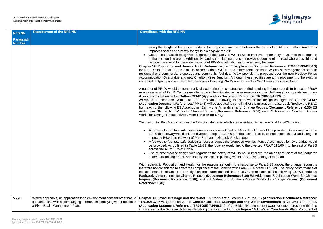

between the de-trunked A1 and Felton Road. This

vould improve the amenity of users of the footpaths n provide screening of the road where possible and rove amenity for users.

**Cation Document Reference: TR010059/APP/6.3)** er retain or improve access arrangements to both provision is proposed over the new Heckley Fence these facilities are an improvement to the existing. quired for WCH users to access these.

period resulting in temporary disturbance to PRoW is reasonably possible through appropriate temporary ference: TR010059/APP/7.3).

proval of the design changes, the **Outline CEMP**  $\overline{\phantom{a}}$  all of the mitigation measures defined by the REAC from Espany: Change Request (Document Reference: 6.36) ES rence: 6.38); and ES Addendum: Southern Access

nsidered to be beneficial for WCH users:

es Junction would be provided. As outlined in Table east of Part B, extend across the A1 and along the

**Heckley Fence Accommodation Overbridge would Heckley Fence Accommodation Overbridge would** o the diverted PRoW 110/004, to the east of Part B

vould improve the amenity of users of the footpaths provide screening of the road.

sponse to Para 3.15 above, the change request is ra 5.216 of the NPS NN. The policy conformance of EAC from each of the following ES Addendums: **Earth** Earthwents Stabilisation Works for Change G.36) ES Addendum: Stabilisation Works for Change Access Works for Change Request (Document

**2** of the ES (Application Document Reference: the Water Environment of Volume 3 of the ES ntify a number of water receptors present within the igure 10.1: Water Constraints Plan, Volume 2 of

| <b>NPS NN</b>              | <b>Requirement of the NPS NN</b>                                                                                                                    | <b>Compliance with the NPS NN</b>                                                                                                                                                                                                                                                                                                                                                                                                                                                                                                                                                                                                                                                                                                                                                                                                                                                                                                                                                                                                                                                                                                                                                                                                                                                                                                                                                                                                                                                                                                                                                                                                                                                                                                                                                                                                                                                                                                                                                                                                                                                                                                                                                                                                                                                                                                                                                                                            |
|----------------------------|-----------------------------------------------------------------------------------------------------------------------------------------------------|------------------------------------------------------------------------------------------------------------------------------------------------------------------------------------------------------------------------------------------------------------------------------------------------------------------------------------------------------------------------------------------------------------------------------------------------------------------------------------------------------------------------------------------------------------------------------------------------------------------------------------------------------------------------------------------------------------------------------------------------------------------------------------------------------------------------------------------------------------------------------------------------------------------------------------------------------------------------------------------------------------------------------------------------------------------------------------------------------------------------------------------------------------------------------------------------------------------------------------------------------------------------------------------------------------------------------------------------------------------------------------------------------------------------------------------------------------------------------------------------------------------------------------------------------------------------------------------------------------------------------------------------------------------------------------------------------------------------------------------------------------------------------------------------------------------------------------------------------------------------------------------------------------------------------------------------------------------------------------------------------------------------------------------------------------------------------------------------------------------------------------------------------------------------------------------------------------------------------------------------------------------------------------------------------------------------------------------------------------------------------------------------------------------------------|
| Paragraph<br><b>Number</b> |                                                                                                                                                     |                                                                                                                                                                                                                                                                                                                                                                                                                                                                                                                                                                                                                                                                                                                                                                                                                                                                                                                                                                                                                                                                                                                                                                                                                                                                                                                                                                                                                                                                                                                                                                                                                                                                                                                                                                                                                                                                                                                                                                                                                                                                                                                                                                                                                                                                                                                                                                                                                              |
|                            |                                                                                                                                                     | along the length of the eastern side of the proposed link road, betw<br>improves access and safety for cyclists alongside the A1;<br>Use of best practice design with regards to the safety of WCHs woul<br>in the surrounding areas. Additionally, landscape planting that can pr<br>reduce noise level for the wider network of PRoW would also improve<br>Chapter 12: Population and Human Health, Volume 3 of the ES (Applicati<br>for Part B states that Part B aims to accommodate WCHs, and either re<br>residential and commercial properties and community facilities. WCH prov<br>Accommodation Overbridge and new Charlton Mires Junction. Although the<br>cycle and footpath provision, lengthy diversions of existing PRoW are required<br>A number of PRoW would be temporarily closed during the construction per<br>users as a result of Part B. Temporary effects would be mitigated as far as rea<br>diversions, as set out in the Outline CEMP (Application Document Refere<br>As stated in accordance with Para 3.2 of this table, following the approv<br>(Application Document Reference: APP-346) will be updated to contain all<br>from each of the following ES Addendums: Earthworks Amendments for Cha<br>Addendum: Stabilisation Works for Change Request (Document Reference<br>Works for Change Request (Document Reference: 6.40).<br>The design for Part B also includes the following elements which are conside<br>• A footway to facilitate safe pedestrian access across Charlton Mires J<br>12-39 the footway would link the diverted Footpath 129/004, to the ea<br>improved B6341, to the west of Part B, to approximately Rock Lodge.<br>A footway to facilitate safe pedestrian access across the proposed He<br>be provided. As outlined in Table 12-39, the footway would link to the<br>across the A1 to PRoW 129/023.<br>• Use of best practice design with regards to the safety of WCHs woul<br>in the surrounding areas. Additionally, landscape planting would provi<br>With regards to Population and Health for the reasons set out in the respo<br>therefore not considered to affect the compliance of the Scheme with Para 5<br>the statement is reliant on the mitigation measures defined in the REA<br>Earthworks Amendments for Change Request (Document Reference: 6.36)<br>Request (Document Reference: 6.38); and ES Addendum: Southern Ad<br>Reference: 6.40). |
| 5.220                      | Where applicable, an application for a development consent order has to<br>contain a plan with accompanying information identifying water bodies in | Chapter 10: Road Drainage and the Water Environment of Volume 2 of<br>TR010059/APP/6.2) for Part A and Chapter 10: Road Drainage and the                                                                                                                                                                                                                                                                                                                                                                                                                                                                                                                                                                                                                                                                                                                                                                                                                                                                                                                                                                                                                                                                                                                                                                                                                                                                                                                                                                                                                                                                                                                                                                                                                                                                                                                                                                                                                                                                                                                                                                                                                                                                                                                                                                                                                                                                                     |
|                            | a River Basin Management Plan.                                                                                                                      | (Application Document Reference: TR010059/APP/6.3) for Part B identify<br>study area for the Scheme. A figure identifying them can be found on Figure                                                                                                                                                                                                                                                                                                                                                                                                                                                                                                                                                                                                                                                                                                                                                                                                                                                                                                                                                                                                                                                                                                                                                                                                                                                                                                                                                                                                                                                                                                                                                                                                                                                                                                                                                                                                                                                                                                                                                                                                                                                                                                                                                                                                                                                                        |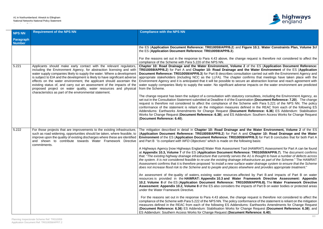

## **Figure 10.1: Water Constraints Plan, Volume 3of**

ge request is therefore not considered to affect the

**2** of the ES (Application Document Reference: **TR010059/APP/6.2**) for Part A and **Chapter 10: Road Drainage and the Water Environment** of the ES (**Application Iltation carried out with the Environment Agency and** confirms that meetings have taken place with the Ire an abstraction license and reach agreement with rse impacts on the water environment are predicted

ry consultees, including the Environment Agency, as mination (Document Reference: 7.20). The change cheme with Para 5.221 of the NPS NN. The policy lefined in the REAC from each of the following ES ent Reference: 6.36) ES Addendum: Stabilisation **Primer and Change Request (Document Access Works for Change Request** 

**nd the Water Environment, Volume 2** of the ES (**Application Document Reference: TR010059/APP/6.2**) for Part A and **Chapter 10: Road Drainage and the Water 9/APP/6.3**) for Part B concludes that for both Part A *Ilowing basis:* 

Fool (HAWRAT) Assessment for Part A can be found ence: TR010059/APP/6.7). The document confirms that: "*The existing highway drainage infrastructure that currently serves the A1 is thought to have a number of defects across the system. It is not considered feasible to re-use the existing drainage infrastructure as part of the Scheme*." The HAWRAT ce water drainage system to ensure that the Scheme *does not increase flood risk to the Scheme and to people and places elsewhere and provides appropriate treatment*."

ected by Part B and impacts of Part B on water **Framework Directive Assessment: Appendix 10059/APP/6.8).** The Water Framework Directive mpacts of Part B on water bodies or protected areas

ge request is therefore not considered to affect the nformance of the statement is reliant on the mitigation ums: Earthworks Amendments for Change Request Change Request (Document Reference: 6.38); and

| <b>NPS NN</b>              | <b>Requirement of the NPS NN</b>                                                                                                                                                                                                                                                                                                                                                                                                                                                                                                                                                   | <b>Compliance with the NPS NN</b>                                                                                                                                                                                                                                                                                                                                                                                                                                                                                                                                                                                                                                                                                                                                                                                                                                                                                                                                                                                                                                                                                                                                                                                                                                                                                                                                                                                                                                                                                                                                                                                                                                                                                                                                                              |
|----------------------------|------------------------------------------------------------------------------------------------------------------------------------------------------------------------------------------------------------------------------------------------------------------------------------------------------------------------------------------------------------------------------------------------------------------------------------------------------------------------------------------------------------------------------------------------------------------------------------|------------------------------------------------------------------------------------------------------------------------------------------------------------------------------------------------------------------------------------------------------------------------------------------------------------------------------------------------------------------------------------------------------------------------------------------------------------------------------------------------------------------------------------------------------------------------------------------------------------------------------------------------------------------------------------------------------------------------------------------------------------------------------------------------------------------------------------------------------------------------------------------------------------------------------------------------------------------------------------------------------------------------------------------------------------------------------------------------------------------------------------------------------------------------------------------------------------------------------------------------------------------------------------------------------------------------------------------------------------------------------------------------------------------------------------------------------------------------------------------------------------------------------------------------------------------------------------------------------------------------------------------------------------------------------------------------------------------------------------------------------------------------------------------------|
| Paragraph<br><b>Number</b> |                                                                                                                                                                                                                                                                                                                                                                                                                                                                                                                                                                                    |                                                                                                                                                                                                                                                                                                                                                                                                                                                                                                                                                                                                                                                                                                                                                                                                                                                                                                                                                                                                                                                                                                                                                                                                                                                                                                                                                                                                                                                                                                                                                                                                                                                                                                                                                                                                |
|                            |                                                                                                                                                                                                                                                                                                                                                                                                                                                                                                                                                                                    | the ES (Application Document Reference: TR010059/APP/6.2) and Figure 10.1: Water<br>the ES (Application Document Reference: TR010059/APP/6.3).<br>For the reasons set out in the response to Para 4.43 above, the change request is therefore                                                                                                                                                                                                                                                                                                                                                                                                                                                                                                                                                                                                                                                                                                                                                                                                                                                                                                                                                                                                                                                                                                                                                                                                                                                                                                                                                                                                                                                                                                                                                  |
| 5.221                      | Applicants should make early contact with the relevant regulators,<br>including the Environment Agency, for abstraction licensing and with<br>water supply companies likely to supply the water. Where a development<br>is subject to EIA and the development is likely to have significant adverse<br>effects on the water environment, the applicant should ascertain the<br>existing status of, and carry out an assessment of the impacts of the<br>proposed project on water quality, water resources and physical<br>characteristics as part of the environmental statement. | compliance of the Scheme with Para 5.220 of the NPS NN.<br>Chapter 10: Road Drainage and the Water Environment, Volume 2 of the ES (Appli<br>TR010059/APP/6.2) for Part A and Chapter 10: Road Drainage and the Water Enviro<br>Document Reference: TR010059/APP/6.3) for Part B describes consultation carried out wi<br>appropriate stakeholders (including NCC as the LLFA). The chapter confirms that meeti<br>Environment Agency and it is anticipated that it will be possible to secure an abstraction lice<br>water supply companies likely to supply the water. No significant adverse impacts on the w<br>from the Scheme.<br>The change request has been the subject of a consultation with statutory consultees, including<br>set out in the Consultation Statement submitted at Deadline 4 of the Examination (Document<br>request is therefore not considered to affect the compliance of the Scheme with Para 5.2<br>conformance of the statement is reliant on the mitigation measures defined in the REAC<br>Addendums: Earthworks Amendments for Change Request (Document Reference: 6.3<br>Works for Change Request (Document Reference: 6.38); and ES Addendum: Southern Acc<br>(Document Reference: 6.40).                                                                                                                                                                                                                                                                                                                                                                                                                                                                                                                                                                |
| 5.222                      | For those projects that are improvements to the existing infrastructure,<br>such as road widening, opportunities should be taken, where feasible, to<br>improve upon the quality of existing discharges where these are identified<br>and shown to contribute towards Water Framework Directive<br>commitments.                                                                                                                                                                                                                                                                    | The mitigation described in detail in Chapter 10: Road Drainage and the Water Envir<br>(Application Document Reference: TR010059/APP/6.2) for Part A and Chapter 10: R<br>Environment of the ES (Application Document Reference: TR010059/APP/6.3) for Part I<br>and Part B "is compliant with WFD Objectives" which is made on the following basis:<br>A Highways Agency [now Highways England] Water Risk Assessment Tool (HAWRAT) Asse<br>at Appendix 10.3, Volume 7 of the ES (Application Document Reference: TR010059/AF<br>that: "The existing highway drainage infrastructure that currently serves the A1 is thought to h<br>the system. It is not considered feasible to re-use the existing drainage infrastructure as pan<br>Assessment confirms that it is therefore proposed "to install a new surface water drainage sy<br>does not increase flood risk to the Scheme and to people and places elsewhere and provide<br>An assessment of the quality of waters, existing water resources affected by Part B an<br>resources is provided in the HAWRAT: Appendix 10.3 and Water Framework Direc<br>10.2, Volume 8 of the ES (Application Document Reference: TR010059/APP/6.8). The<br>Assessment: Appendix 10.2, Volume 8 of the ES also considers the impacts of Part B on<br>under the Water Framework Directive.<br>For the reasons set out in the response to Para 4.43 above, the change request is theref<br>compliance of the Scheme with Para 5.222 of the NPS NN. The policy conformance of the stat<br>measures defined in the REAC from each of the following ES Addendums: Earthworks Am<br>(Document Reference: 6.36) ES Addendum: Stabilisation Works for Change Request (Do<br>ES Addendum: Southern Access Works for Change Request (Document Reference: 6.40). |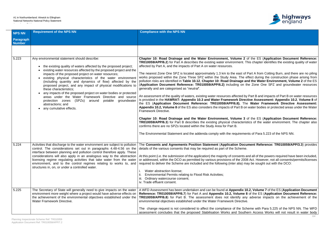## A1 in Northumberland: Alnwick to Ellingham National Networks National Policy Statement

Accordance Table



**2** of the ES (Application Document Reference: t. This chapter identifies the existing quality of water

of Part A from Cotting Burn, and there are no piling were the Zone Three Study 2008, which the Construction the Study Area. The effect during the construction phase arising from **and the Water Environment, Volume 2** of the ES (**Application Document Reference: TR010059/APP/6.2)** including on the Zone One SPZ and groundwater resources

I by Part B and impacts of Part B on water resources rective Assessment: Appendix 10.2, Volume 8 of The Water Framework Directive Assessment: on water bodies or protected areas under the Water

**3** of the ES (Application Document Reference: eristics of the water environment. The chapter also

ments of Para 5.223 of the NPS NN.

**ocument Reference: TR010059/APP/3.3) provides** 

ts and all of the powers required have been included, 2008 Act. However, not all consents/permits/licenses may be sought out with the DCO:

**x 10.2, Volume 7** of the ES (Application Document **Reference: Reference: Reference: Application Document Reference:** any adverse impacts on the achievement of the

Scheme with Para 5.225 of the NPS NN. The WFD uthern Access Works will not result in water body

| <b>NPS NN</b>              | <b>Requirement of the NPS NN</b>                                                                                                                                                                                                                                                                                                                                                                                                                                                                                                                                                                                                                                                                              | <b>Compliance with the NPS NN</b>                                                                                                                                                                                                                                                                                                                                                                                                                                                                                                                                                                                                                                                                                                                                                                                                                                                                                                                                                                                                                                                                                                                                                                                    |
|----------------------------|---------------------------------------------------------------------------------------------------------------------------------------------------------------------------------------------------------------------------------------------------------------------------------------------------------------------------------------------------------------------------------------------------------------------------------------------------------------------------------------------------------------------------------------------------------------------------------------------------------------------------------------------------------------------------------------------------------------|----------------------------------------------------------------------------------------------------------------------------------------------------------------------------------------------------------------------------------------------------------------------------------------------------------------------------------------------------------------------------------------------------------------------------------------------------------------------------------------------------------------------------------------------------------------------------------------------------------------------------------------------------------------------------------------------------------------------------------------------------------------------------------------------------------------------------------------------------------------------------------------------------------------------------------------------------------------------------------------------------------------------------------------------------------------------------------------------------------------------------------------------------------------------------------------------------------------------|
| Paragraph<br><b>Number</b> |                                                                                                                                                                                                                                                                                                                                                                                                                                                                                                                                                                                                                                                                                                               |                                                                                                                                                                                                                                                                                                                                                                                                                                                                                                                                                                                                                                                                                                                                                                                                                                                                                                                                                                                                                                                                                                                                                                                                                      |
|                            |                                                                                                                                                                                                                                                                                                                                                                                                                                                                                                                                                                                                                                                                                                               |                                                                                                                                                                                                                                                                                                                                                                                                                                                                                                                                                                                                                                                                                                                                                                                                                                                                                                                                                                                                                                                                                                                                                                                                                      |
| 5.223                      | Any environmental statement should describe:<br>• the existing quality of waters affected by the proposed project;<br>existing water resources affected by the proposed project and the<br>impacts of the proposed project on water resources;<br>• existing physical characteristics of the water environment<br>(including quantity and dynamics of flow) affected by the<br>proposed project, and any impact of physical modifications to<br>these characteristics;<br>any impacts of the proposed project on water bodies or protected<br>areas under the Water Framework Directive and source<br>protection zones (SPZs) around potable<br>groundwater<br>abstractions; and<br>• any cumulative effects. | Chapter 10: Road Drainage and the Water Environment, Volume 2 o<br><b>TR010059/APP/6.2)</b> for Part A describes the existing water environment. The<br>affected by Part A, and the impacts of Part A on water resources.<br>The nearest Zone One SPZ is located approximately 1.3 km to the east of F<br>works proposed within the Zone Three SPZ within the Study Area. The ef<br>pollution risks are identified in Table 10.12, Chapter 10: Road Drainage an<br>(Application Document Reference: TR010059/APP/6.2) including on th<br>generally and are categorised as "neutral".<br>An assessment of the quality of waters, existing water resources affected by<br>is provided in the HAWRAT: Appendix 10.3 and Water Framework Direct<br>the ES (Application Document Reference: TR010059/APP/6.8). The<br>Appendix 10.2, Volume 8 of the ES also considers the impacts of Part B on<br>Framework Directive.<br>Chapter 10: Road Drainage and the Water Environment, Volume 3 o<br>TR010059/APP/6.3) for Part B describes the existing physical characterist<br>confirms there are no SPZs located within the Study Area for Part B.<br>The Environmental Statement and the addenda comply with the requiremen |
| 5.224                      | Activities that discharge to the water environment are subject to pollution<br>control. The considerations set out in paragraphs 4.48-4.56 on the<br>interface between planning and pollution control therefore apply. These<br>considerations will also apply in an analogous way to the abstraction<br>licensing regime regulating activities that take water from the water<br>environment, and to the control regimes relating to works to, and<br>structures in, on, or under a controlled water.                                                                                                                                                                                                        | The Consents and Agreements Position Statement (Application Docul<br>details of the various consents that may be required as part of the Scheme.<br>At this point (i.e. the submission of the application) the majority of consents an<br>or addressed, within the DCO as permitted by various provisions of the 2008<br>required to deliver the Scheme are included and the following (inter alia) ma<br>Water abstraction license;<br>ii.<br><b>Environmental Permits relating to Flood Risk Activities;</b><br>iii. Ordinary watercourse consent;<br>iv. Trade effluent consent.                                                                                                                                                                                                                                                                                                                                                                                                                                                                                                                                                                                                                                  |
| 5.225                      | The Secretary of State will generally need to give impacts on the water<br>environment more weight where a project would have adverse effects on<br>the achievement of the environmental objectives established under the<br><b>Water Framework Directive.</b>                                                                                                                                                                                                                                                                                                                                                                                                                                                | A WFD Assessment has been undertaken and can be found at Appendix 10<br>Reference: TR010059/APP/6.7) for Part A and Appendix 10.2, Volume 8<br>TR010059/APP/6.8) for Part B. The assessment does not identify any<br>environmental objectives established under the Water Framework Directive.<br>The change request is not considered to affect the compliance of the Sch<br>assessment concludes that the proposed Stabilisation Works and Southe                                                                                                                                                                                                                                                                                                                                                                                                                                                                                                                                                                                                                                                                                                                                                                  |